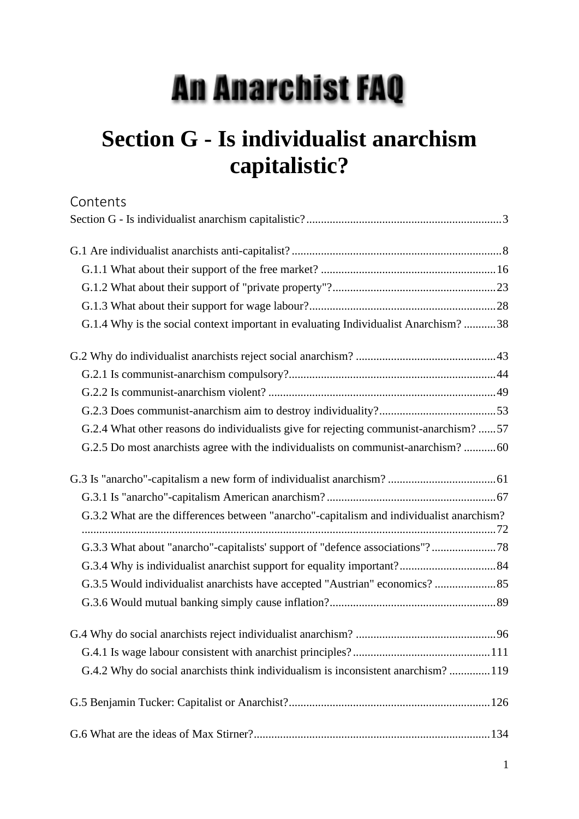# **An Anarchist FAQ**

## **Section G - Is individualist anarchism capitalistic?**

| Contents                                                                                 |
|------------------------------------------------------------------------------------------|
|                                                                                          |
|                                                                                          |
|                                                                                          |
|                                                                                          |
|                                                                                          |
| G.1.4 Why is the social context important in evaluating Individualist Anarchism? 38      |
|                                                                                          |
|                                                                                          |
|                                                                                          |
|                                                                                          |
| G.2.4 What other reasons do individualists give for rejecting communist-anarchism? 57    |
| G.2.5 Do most anarchists agree with the individualists on communist-anarchism?60         |
|                                                                                          |
|                                                                                          |
| G.3.2 What are the differences between "anarcho"-capitalism and individualist anarchism? |
|                                                                                          |
|                                                                                          |
| G.3.5 Would individualist anarchists have accepted "Austrian" economics? 85              |
|                                                                                          |
|                                                                                          |
|                                                                                          |
| G.4.2 Why do social anarchists think individualism is inconsistent anarchism?119         |
|                                                                                          |
|                                                                                          |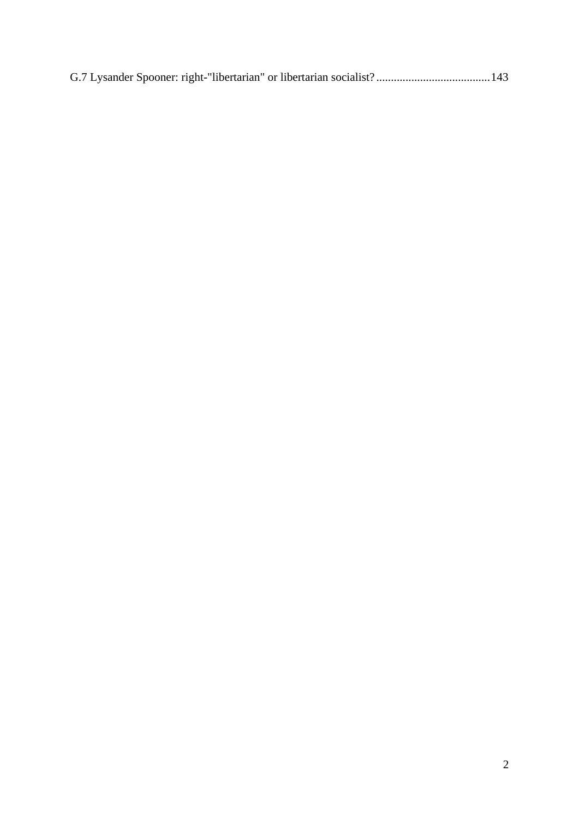|--|--|--|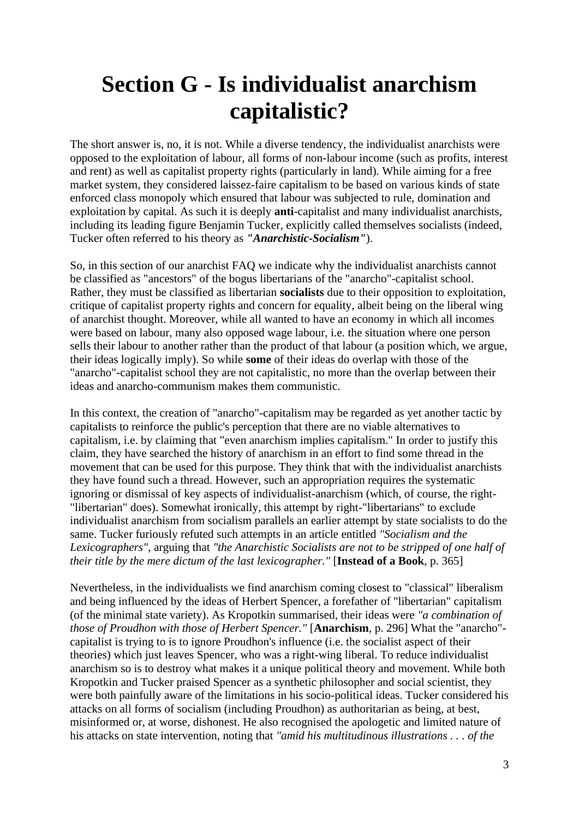## <span id="page-2-0"></span>**Section G - Is individualist anarchism capitalistic?**

The short answer is, no, it is not. While a diverse tendency, the individualist anarchists were opposed to the exploitation of labour, all forms of non-labour income (such as profits, interest and rent) as well as capitalist property rights (particularly in land). While aiming for a free market system, they considered laissez-faire capitalism to be based on various kinds of state enforced class monopoly which ensured that labour was subjected to rule, domination and exploitation by capital. As such it is deeply **anti**-capitalist and many individualist anarchists, including its leading figure Benjamin Tucker, explicitly called themselves socialists (indeed, Tucker often referred to his theory as *"Anarchistic-Socialism"*).

So, in this section of our anarchist FAQ we indicate why the individualist anarchists cannot be classified as "ancestors" of the bogus libertarians of the "anarcho"-capitalist school. Rather, they must be classified as libertarian **socialists** due to their opposition to exploitation, critique of capitalist property rights and concern for equality, albeit being on the liberal wing of anarchist thought. Moreover, while all wanted to have an economy in which all incomes were based on labour, many also opposed wage labour, i.e. the situation where one person sells their labour to another rather than the product of that labour (a position which, we argue, their ideas logically imply). So while **some** of their ideas do overlap with those of the "anarcho"-capitalist school they are not capitalistic, no more than the overlap between their ideas and anarcho-communism makes them communistic.

In this context, the creation of "anarcho"-capitalism may be regarded as yet another tactic by capitalists to reinforce the public's perception that there are no viable alternatives to capitalism, i.e. by claiming that "even anarchism implies capitalism." In order to justify this claim, they have searched the history of anarchism in an effort to find some thread in the movement that can be used for this purpose. They think that with the individualist anarchists they have found such a thread. However, such an appropriation requires the systematic ignoring or dismissal of key aspects of individualist-anarchism (which, of course, the right- "libertarian" does). Somewhat ironically, this attempt by right-"libertarians" to exclude individualist anarchism from socialism parallels an earlier attempt by state socialists to do the same. Tucker furiously refuted such attempts in an article entitled *"Socialism and the Lexicographers"*, arguing that *"the Anarchistic Socialists are not to be stripped of one half of their title by the mere dictum of the last lexicographer."* [**Instead of a Book**, p. 365]

Nevertheless, in the individualists we find anarchism coming closest to "classical" liberalism and being influenced by the ideas of Herbert Spencer, a forefather of "libertarian" capitalism (of the minimal state variety). As Kropotkin summarised, their ideas were *"a combination of those of Proudhon with those of Herbert Spencer."* [**Anarchism**, p. 296] What the "anarcho" capitalist is trying to is to ignore Proudhon's influence (i.e. the socialist aspect of their theories) which just leaves Spencer, who was a right-wing liberal. To reduce individualist anarchism so is to destroy what makes it a unique political theory and movement. While both Kropotkin and Tucker praised Spencer as a synthetic philosopher and social scientist, they were both painfully aware of the limitations in his socio-political ideas. Tucker considered his attacks on all forms of socialism (including Proudhon) as authoritarian as being, at best, misinformed or, at worse, dishonest. He also recognised the apologetic and limited nature of his attacks on state intervention, noting that *"amid his multitudinous illustrations . . . of the*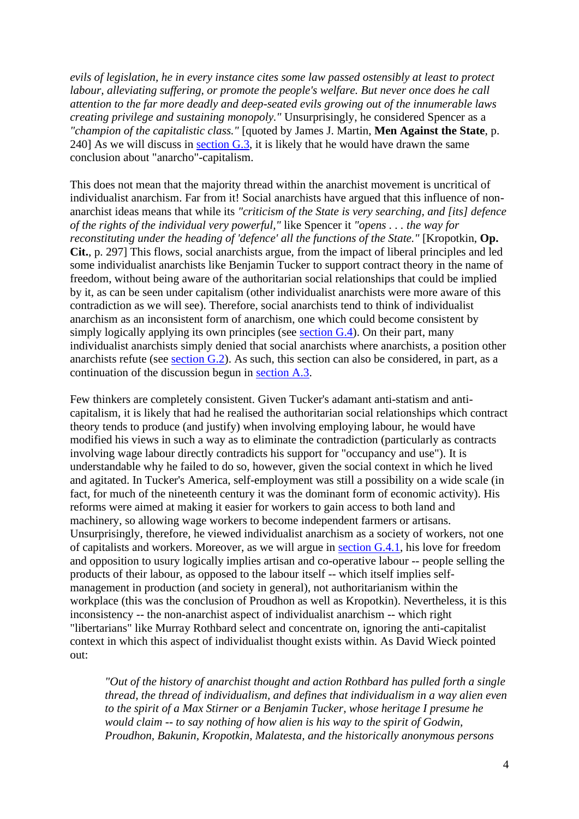*evils of legislation, he in every instance cites some law passed ostensibly at least to protect labour, alleviating suffering, or promote the people's welfare. But never once does he call attention to the far more deadly and deep-seated evils growing out of the innumerable laws creating privilege and sustaining monopoly."* Unsurprisingly, he considered Spencer as a *"champion of the capitalistic class."* [quoted by James J. Martin, **Men Against the State**, p. 240] As we will discuss in [section G.3,](sectionG.html#secg3) it is likely that he would have drawn the same conclusion about "anarcho"-capitalism.

This does not mean that the majority thread within the anarchist movement is uncritical of individualist anarchism. Far from it! Social anarchists have argued that this influence of nonanarchist ideas means that while its *"criticism of the State is very searching, and [its] defence of the rights of the individual very powerful,"* like Spencer it *"opens . . . the way for reconstituting under the heading of 'defence' all the functions of the State."* [Kropotkin, **Op. Cit.**, p. 297] This flows, social anarchists argue, from the impact of liberal principles and led some individualist anarchists like Benjamin Tucker to support contract theory in the name of freedom, without being aware of the authoritarian social relationships that could be implied by it, as can be seen under capitalism (other individualist anarchists were more aware of this contradiction as we will see). Therefore, social anarchists tend to think of individualist anarchism as an inconsistent form of anarchism, one which could become consistent by simply logically applying its own principles (see [section G.4\)](sectionG.html#secg4). On their part, many individualist anarchists simply denied that social anarchists where anarchists, a position other anarchists refute (see [section G.2\)](sectionG.html#secg2). As such, this section can also be considered, in part, as a continuation of the discussion begun in [section A.3.](sectionA.html#seca3)

Few thinkers are completely consistent. Given Tucker's adamant anti-statism and anticapitalism, it is likely that had he realised the authoritarian social relationships which contract theory tends to produce (and justify) when involving employing labour, he would have modified his views in such a way as to eliminate the contradiction (particularly as contracts involving wage labour directly contradicts his support for "occupancy and use"). It is understandable why he failed to do so, however, given the social context in which he lived and agitated. In Tucker's America, self-employment was still a possibility on a wide scale (in fact, for much of the nineteenth century it was the dominant form of economic activity). His reforms were aimed at making it easier for workers to gain access to both land and machinery, so allowing wage workers to become independent farmers or artisans. Unsurprisingly, therefore, he viewed individualist anarchism as a society of workers, not one of capitalists and workers. Moreover, as we will argue in [section G.4.1,](sectionG.html#secg41) his love for freedom and opposition to usury logically implies artisan and co-operative labour -- people selling the products of their labour, as opposed to the labour itself -- which itself implies selfmanagement in production (and society in general), not authoritarianism within the workplace (this was the conclusion of Proudhon as well as Kropotkin). Nevertheless, it is this inconsistency -- the non-anarchist aspect of individualist anarchism -- which right "libertarians" like Murray Rothbard select and concentrate on, ignoring the anti-capitalist context in which this aspect of individualist thought exists within. As David Wieck pointed out:

*"Out of the history of anarchist thought and action Rothbard has pulled forth a single thread, the thread of individualism, and defines that individualism in a way alien even to the spirit of a Max Stirner or a Benjamin Tucker, whose heritage I presume he would claim -- to say nothing of how alien is his way to the spirit of Godwin, Proudhon, Bakunin, Kropotkin, Malatesta, and the historically anonymous persons*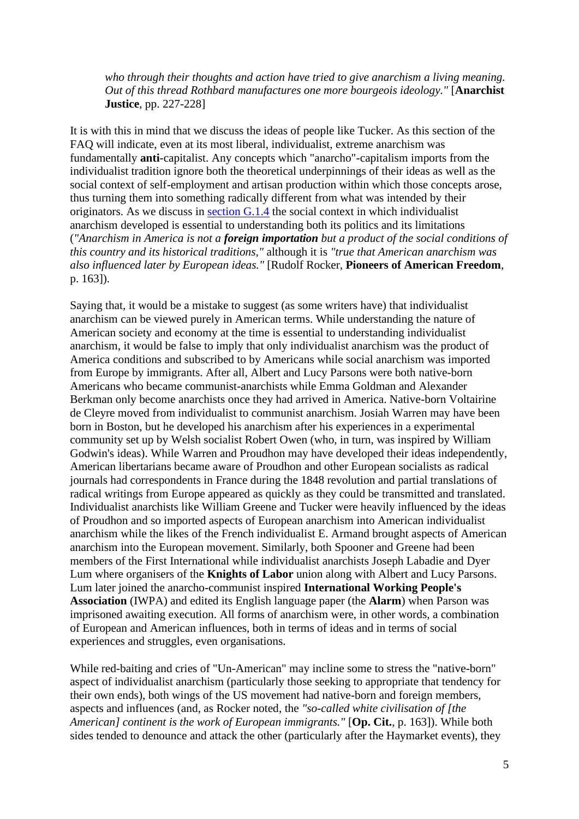*who through their thoughts and action have tried to give anarchism a living meaning. Out of this thread Rothbard manufactures one more bourgeois ideology."* [**Anarchist Justice**, pp. 227-228]

It is with this in mind that we discuss the ideas of people like Tucker. As this section of the FAQ will indicate, even at its most liberal, individualist, extreme anarchism was fundamentally **anti**-capitalist. Any concepts which "anarcho"-capitalism imports from the individualist tradition ignore both the theoretical underpinnings of their ideas as well as the social context of self-employment and artisan production within which those concepts arose, thus turning them into something radically different from what was intended by their originators. As we discuss in [section G.1.4](sectionG.html#secg14) the social context in which individualist anarchism developed is essential to understanding both its politics and its limitations (*"Anarchism in America is not a foreign importation but a product of the social conditions of this country and its historical traditions,"* although it is *"true that American anarchism was also influenced later by European ideas."* [Rudolf Rocker, **Pioneers of American Freedom**, p. 163]).

Saying that, it would be a mistake to suggest (as some writers have) that individualist anarchism can be viewed purely in American terms. While understanding the nature of American society and economy at the time is essential to understanding individualist anarchism, it would be false to imply that only individualist anarchism was the product of America conditions and subscribed to by Americans while social anarchism was imported from Europe by immigrants. After all, Albert and Lucy Parsons were both native-born Americans who became communist-anarchists while Emma Goldman and Alexander Berkman only become anarchists once they had arrived in America. Native-born Voltairine de Cleyre moved from individualist to communist anarchism. Josiah Warren may have been born in Boston, but he developed his anarchism after his experiences in a experimental community set up by Welsh socialist Robert Owen (who, in turn, was inspired by William Godwin's ideas). While Warren and Proudhon may have developed their ideas independently, American libertarians became aware of Proudhon and other European socialists as radical journals had correspondents in France during the 1848 revolution and partial translations of radical writings from Europe appeared as quickly as they could be transmitted and translated. Individualist anarchists like William Greene and Tucker were heavily influenced by the ideas of Proudhon and so imported aspects of European anarchism into American individualist anarchism while the likes of the French individualist E. Armand brought aspects of American anarchism into the European movement. Similarly, both Spooner and Greene had been members of the First International while individualist anarchists Joseph Labadie and Dyer Lum where organisers of the **Knights of Labor** union along with Albert and Lucy Parsons. Lum later joined the anarcho-communist inspired **International Working People's Association** (IWPA) and edited its English language paper (the **Alarm**) when Parson was imprisoned awaiting execution. All forms of anarchism were, in other words, a combination of European and American influences, both in terms of ideas and in terms of social experiences and struggles, even organisations.

While red-baiting and cries of "Un-American" may incline some to stress the "native-born" aspect of individualist anarchism (particularly those seeking to appropriate that tendency for their own ends), both wings of the US movement had native-born and foreign members, aspects and influences (and, as Rocker noted, the *"so-called white civilisation of [the American] continent is the work of European immigrants."* [**Op. Cit.**, p. 163]). While both sides tended to denounce and attack the other (particularly after the Haymarket events), they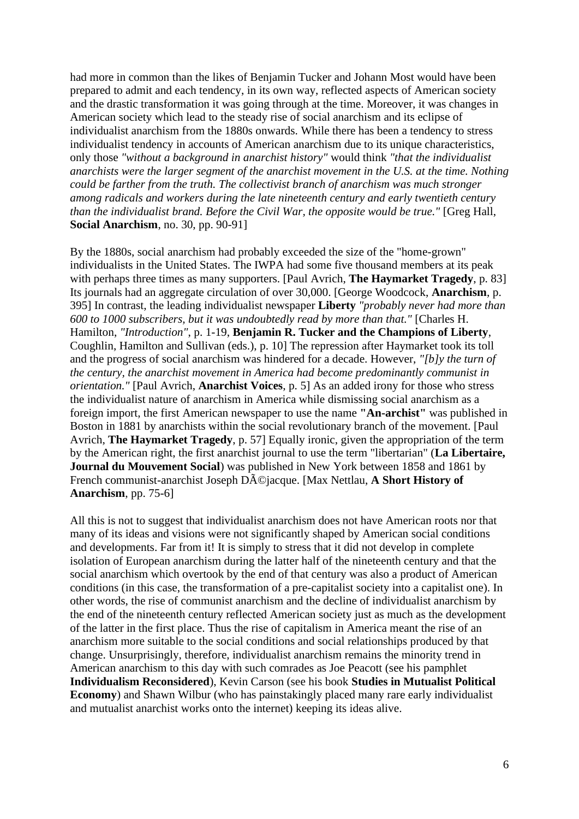had more in common than the likes of Benjamin Tucker and Johann Most would have been prepared to admit and each tendency, in its own way, reflected aspects of American society and the drastic transformation it was going through at the time. Moreover, it was changes in American society which lead to the steady rise of social anarchism and its eclipse of individualist anarchism from the 1880s onwards. While there has been a tendency to stress individualist tendency in accounts of American anarchism due to its unique characteristics, only those *"without a background in anarchist history"* would think *"that the individualist anarchists were the larger segment of the anarchist movement in the U.S. at the time. Nothing could be farther from the truth. The collectivist branch of anarchism was much stronger among radicals and workers during the late nineteenth century and early twentieth century than the individualist brand. Before the Civil War, the opposite would be true."* [Greg Hall, **Social Anarchism**, no. 30, pp. 90-91]

By the 1880s, social anarchism had probably exceeded the size of the "home-grown" individualists in the United States. The IWPA had some five thousand members at its peak with perhaps three times as many supporters. [Paul Avrich, **The Haymarket Tragedy**, p. 83] Its journals had an aggregate circulation of over 30,000. [George Woodcock, **Anarchism**, p. 395] In contrast, the leading individualist newspaper **Liberty** *"probably never had more than 600 to 1000 subscribers, but it was undoubtedly read by more than that."* [Charles H. Hamilton, *"Introduction"*, p. 1-19, **Benjamin R. Tucker and the Champions of Liberty**, Coughlin, Hamilton and Sullivan (eds.), p. 10] The repression after Haymarket took its toll and the progress of social anarchism was hindered for a decade. However, *"[b]y the turn of the century, the anarchist movement in America had become predominantly communist in orientation."* [Paul Avrich, **Anarchist Voices**, p. 5] As an added irony for those who stress the individualist nature of anarchism in America while dismissing social anarchism as a foreign import, the first American newspaper to use the name **"An-archist"** was published in Boston in 1881 by anarchists within the social revolutionary branch of the movement. [Paul Avrich, **The Haymarket Tragedy**, p. 57] Equally ironic, given the appropriation of the term by the American right, the first anarchist journal to use the term "libertarian" (**La Libertaire, Journal du Mouvement Social**) was published in New York between 1858 and 1861 by French communist-anarchist Joseph Déjacque. [Max Nettlau, **A Short History of Anarchism**, pp. 75-6]

All this is not to suggest that individualist anarchism does not have American roots nor that many of its ideas and visions were not significantly shaped by American social conditions and developments. Far from it! It is simply to stress that it did not develop in complete isolation of European anarchism during the latter half of the nineteenth century and that the social anarchism which overtook by the end of that century was also a product of American conditions (in this case, the transformation of a pre-capitalist society into a capitalist one). In other words, the rise of communist anarchism and the decline of individualist anarchism by the end of the nineteenth century reflected American society just as much as the development of the latter in the first place. Thus the rise of capitalism in America meant the rise of an anarchism more suitable to the social conditions and social relationships produced by that change. Unsurprisingly, therefore, individualist anarchism remains the minority trend in American anarchism to this day with such comrades as Joe Peacott (see his pamphlet **Individualism Reconsidered**), Kevin Carson (see his book **Studies in Mutualist Political Economy**) and Shawn Wilbur (who has painstakingly placed many rare early individualist and mutualist anarchist works onto the internet) keeping its ideas alive.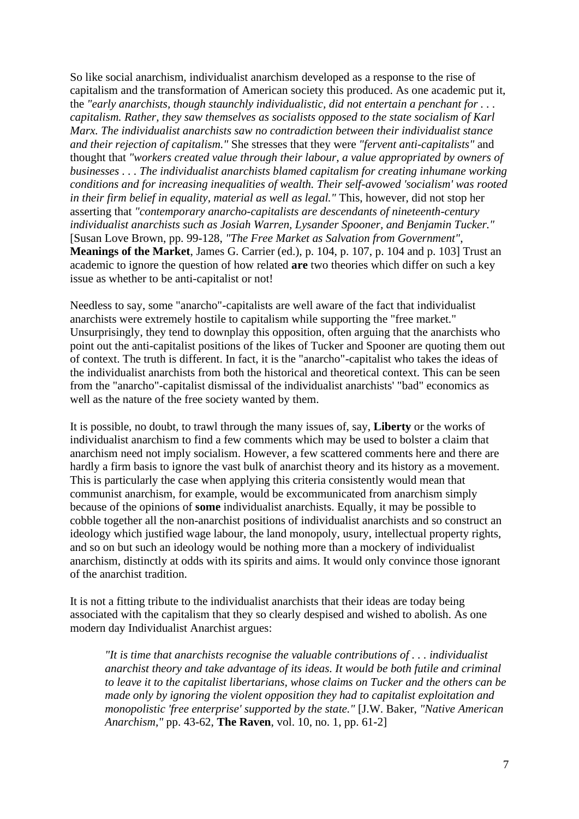So like social anarchism, individualist anarchism developed as a response to the rise of capitalism and the transformation of American society this produced. As one academic put it, the *"early anarchists, though staunchly individualistic, did not entertain a penchant for . . . capitalism. Rather, they saw themselves as socialists opposed to the state socialism of Karl Marx. The individualist anarchists saw no contradiction between their individualist stance and their rejection of capitalism."* She stresses that they were *"fervent anti-capitalists"* and thought that *"workers created value through their labour, a value appropriated by owners of businesses . . . The individualist anarchists blamed capitalism for creating inhumane working conditions and for increasing inequalities of wealth. Their self-avowed 'socialism' was rooted in their firm belief in equality, material as well as legal."* This, however, did not stop her asserting that *"contemporary anarcho-capitalists are descendants of nineteenth-century individualist anarchists such as Josiah Warren, Lysander Spooner, and Benjamin Tucker."* [Susan Love Brown, pp. 99-128, *"The Free Market as Salvation from Government"*, **Meanings of the Market**, James G. Carrier (ed.), p. 104, p. 107, p. 104 and p. 103] Trust an academic to ignore the question of how related **are** two theories which differ on such a key issue as whether to be anti-capitalist or not!

Needless to say, some "anarcho"-capitalists are well aware of the fact that individualist anarchists were extremely hostile to capitalism while supporting the "free market." Unsurprisingly, they tend to downplay this opposition, often arguing that the anarchists who point out the anti-capitalist positions of the likes of Tucker and Spooner are quoting them out of context. The truth is different. In fact, it is the "anarcho"-capitalist who takes the ideas of the individualist anarchists from both the historical and theoretical context. This can be seen from the "anarcho"-capitalist dismissal of the individualist anarchists' "bad" economics as well as the nature of the free society wanted by them.

It is possible, no doubt, to trawl through the many issues of, say, **Liberty** or the works of individualist anarchism to find a few comments which may be used to bolster a claim that anarchism need not imply socialism. However, a few scattered comments here and there are hardly a firm basis to ignore the vast bulk of anarchist theory and its history as a movement. This is particularly the case when applying this criteria consistently would mean that communist anarchism, for example, would be excommunicated from anarchism simply because of the opinions of **some** individualist anarchists. Equally, it may be possible to cobble together all the non-anarchist positions of individualist anarchists and so construct an ideology which justified wage labour, the land monopoly, usury, intellectual property rights, and so on but such an ideology would be nothing more than a mockery of individualist anarchism, distinctly at odds with its spirits and aims. It would only convince those ignorant of the anarchist tradition.

It is not a fitting tribute to the individualist anarchists that their ideas are today being associated with the capitalism that they so clearly despised and wished to abolish. As one modern day Individualist Anarchist argues:

*"It is time that anarchists recognise the valuable contributions of . . . individualist anarchist theory and take advantage of its ideas. It would be both futile and criminal to leave it to the capitalist libertarians, whose claims on Tucker and the others can be made only by ignoring the violent opposition they had to capitalist exploitation and monopolistic 'free enterprise' supported by the state."* [J.W. Baker, *"Native American Anarchism,"* pp. 43-62, **The Raven**, vol. 10, no. 1, pp. 61-2]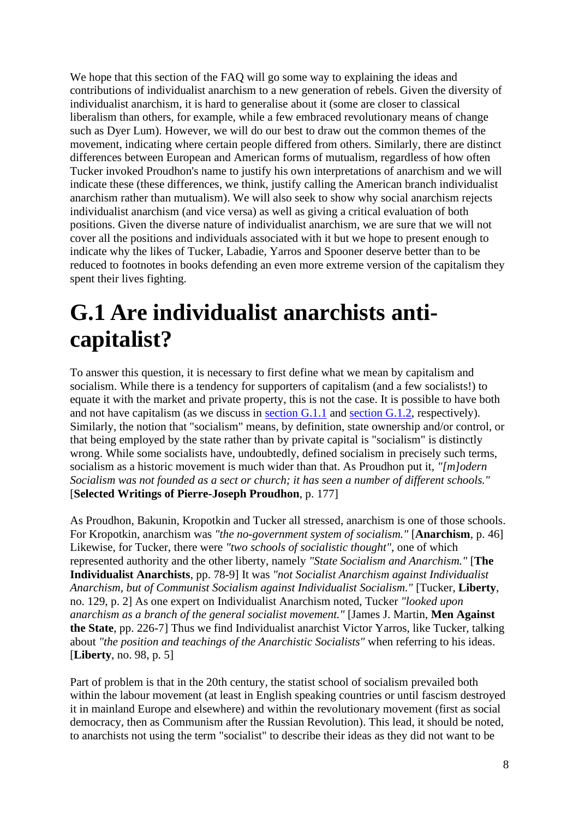We hope that this section of the FAQ will go some way to explaining the ideas and contributions of individualist anarchism to a new generation of rebels. Given the diversity of individualist anarchism, it is hard to generalise about it (some are closer to classical liberalism than others, for example, while a few embraced revolutionary means of change such as Dyer Lum). However, we will do our best to draw out the common themes of the movement, indicating where certain people differed from others. Similarly, there are distinct differences between European and American forms of mutualism, regardless of how often Tucker invoked Proudhon's name to justify his own interpretations of anarchism and we will indicate these (these differences, we think, justify calling the American branch individualist anarchism rather than mutualism). We will also seek to show why social anarchism rejects individualist anarchism (and vice versa) as well as giving a critical evaluation of both positions. Given the diverse nature of individualist anarchism, we are sure that we will not cover all the positions and individuals associated with it but we hope to present enough to indicate why the likes of Tucker, Labadie, Yarros and Spooner deserve better than to be reduced to footnotes in books defending an even more extreme version of the capitalism they spent their lives fighting.

## <span id="page-7-0"></span>**G.1 Are individualist anarchists anticapitalist?**

To answer this question, it is necessary to first define what we mean by capitalism and socialism. While there is a tendency for supporters of capitalism (and a few socialists!) to equate it with the market and private property, this is not the case. It is possible to have both and not have capitalism (as we discuss in [section G.1.1](sectionG.html#secg11) and [section G.1.2,](sectionG.html#secg12) respectively). Similarly, the notion that "socialism" means, by definition, state ownership and/or control, or that being employed by the state rather than by private capital is "socialism" is distinctly wrong. While some socialists have, undoubtedly, defined socialism in precisely such terms, socialism as a historic movement is much wider than that. As Proudhon put it, *"[m]odern Socialism was not founded as a sect or church; it has seen a number of different schools."* [**Selected Writings of Pierre-Joseph Proudhon**, p. 177]

As Proudhon, Bakunin, Kropotkin and Tucker all stressed, anarchism is one of those schools. For Kropotkin, anarchism was *"the no-government system of socialism."* [**Anarchism**, p. 46] Likewise, for Tucker, there were *"two schools of socialistic thought"*, one of which represented authority and the other liberty, namely *"State Socialism and Anarchism."* [**The Individualist Anarchists**, pp. 78-9] It was *"not Socialist Anarchism against Individualist Anarchism, but of Communist Socialism against Individualist Socialism."* [Tucker, **Liberty**, no. 129, p. 2] As one expert on Individualist Anarchism noted, Tucker *"looked upon anarchism as a branch of the general socialist movement."* [James J. Martin, **Men Against the State**, pp. 226-7] Thus we find Individualist anarchist Victor Yarros, like Tucker, talking about *"the position and teachings of the Anarchistic Socialists"* when referring to his ideas. [**Liberty**, no. 98, p. 5]

Part of problem is that in the 20th century, the statist school of socialism prevailed both within the labour movement (at least in English speaking countries or until fascism destroyed it in mainland Europe and elsewhere) and within the revolutionary movement (first as social democracy, then as Communism after the Russian Revolution). This lead, it should be noted, to anarchists not using the term "socialist" to describe their ideas as they did not want to be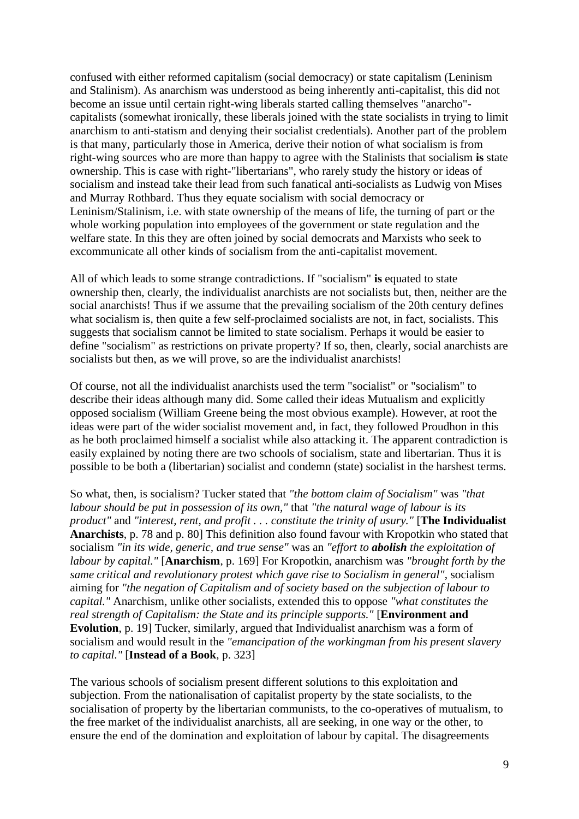confused with either reformed capitalism (social democracy) or state capitalism (Leninism and Stalinism). As anarchism was understood as being inherently anti-capitalist, this did not become an issue until certain right-wing liberals started calling themselves "anarcho" capitalists (somewhat ironically, these liberals joined with the state socialists in trying to limit anarchism to anti-statism and denying their socialist credentials). Another part of the problem is that many, particularly those in America, derive their notion of what socialism is from right-wing sources who are more than happy to agree with the Stalinists that socialism **is** state ownership. This is case with right-"libertarians", who rarely study the history or ideas of socialism and instead take their lead from such fanatical anti-socialists as Ludwig von Mises and Murray Rothbard. Thus they equate socialism with social democracy or Leninism/Stalinism, i.e. with state ownership of the means of life, the turning of part or the whole working population into employees of the government or state regulation and the welfare state. In this they are often joined by social democrats and Marxists who seek to excommunicate all other kinds of socialism from the anti-capitalist movement.

All of which leads to some strange contradictions. If "socialism" **is** equated to state ownership then, clearly, the individualist anarchists are not socialists but, then, neither are the social anarchists! Thus if we assume that the prevailing socialism of the 20th century defines what socialism is, then quite a few self-proclaimed socialists are not, in fact, socialists. This suggests that socialism cannot be limited to state socialism. Perhaps it would be easier to define "socialism" as restrictions on private property? If so, then, clearly, social anarchists are socialists but then, as we will prove, so are the individualist anarchists!

Of course, not all the individualist anarchists used the term "socialist" or "socialism" to describe their ideas although many did. Some called their ideas Mutualism and explicitly opposed socialism (William Greene being the most obvious example). However, at root the ideas were part of the wider socialist movement and, in fact, they followed Proudhon in this as he both proclaimed himself a socialist while also attacking it. The apparent contradiction is easily explained by noting there are two schools of socialism, state and libertarian. Thus it is possible to be both a (libertarian) socialist and condemn (state) socialist in the harshest terms.

So what, then, is socialism? Tucker stated that *"the bottom claim of Socialism"* was *"that labour should be put in possession of its own,"* that *"the natural wage of labour is its product"* and *"interest, rent, and profit . . . constitute the trinity of usury."* [**The Individualist Anarchists**, p. 78 and p. 80] This definition also found favour with Kropotkin who stated that socialism *"in its wide, generic, and true sense"* was an *"effort to abolish the exploitation of labour by capital."* [**Anarchism**, p. 169] For Kropotkin, anarchism was *"brought forth by the same critical and revolutionary protest which gave rise to Socialism in general"*, socialism aiming for *"the negation of Capitalism and of society based on the subjection of labour to capital."* Anarchism, unlike other socialists, extended this to oppose *"what constitutes the real strength of Capitalism: the State and its principle supports."* [**Environment and Evolution**, p. 19] Tucker, similarly, argued that Individualist anarchism was a form of socialism and would result in the *"emancipation of the workingman from his present slavery to capital."* [**Instead of a Book**, p. 323]

The various schools of socialism present different solutions to this exploitation and subjection. From the nationalisation of capitalist property by the state socialists, to the socialisation of property by the libertarian communists, to the co-operatives of mutualism, to the free market of the individualist anarchists, all are seeking, in one way or the other, to ensure the end of the domination and exploitation of labour by capital. The disagreements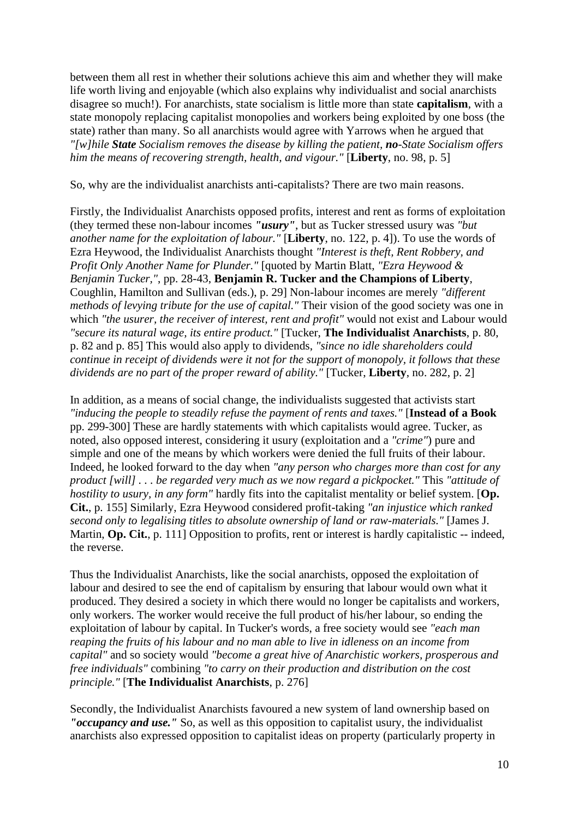between them all rest in whether their solutions achieve this aim and whether they will make life worth living and enjoyable (which also explains why individualist and social anarchists disagree so much!). For anarchists, state socialism is little more than state **capitalism**, with a state monopoly replacing capitalist monopolies and workers being exploited by one boss (the state) rather than many. So all anarchists would agree with Yarrows when he argued that *"[w]hile State Socialism removes the disease by killing the patient, no-State Socialism offers him the means of recovering strength, health, and vigour."* [**Liberty**, no. 98, p. 5]

So, why are the individualist anarchists anti-capitalists? There are two main reasons.

Firstly, the Individualist Anarchists opposed profits, interest and rent as forms of exploitation (they termed these non-labour incomes *"usury"*, but as Tucker stressed usury was *"but another name for the exploitation of labour."* [**Liberty**, no. 122, p. 4]). To use the words of Ezra Heywood, the Individualist Anarchists thought *"Interest is theft, Rent Robbery, and Profit Only Another Name for Plunder."* [quoted by Martin Blatt, *"Ezra Heywood & Benjamin Tucker,"*, pp. 28-43, **Benjamin R. Tucker and the Champions of Liberty**, Coughlin, Hamilton and Sullivan (eds.), p. 29] Non-labour incomes are merely *"different methods of levying tribute for the use of capital."* Their vision of the good society was one in which *"the usurer, the receiver of interest, rent and profit"* would not exist and Labour would *"secure its natural wage, its entire product."* [Tucker, **The Individualist Anarchists**, p. 80, p. 82 and p. 85] This would also apply to dividends, *"since no idle shareholders could continue in receipt of dividends were it not for the support of monopoly, it follows that these dividends are no part of the proper reward of ability."* [Tucker, **Liberty**, no. 282, p. 2]

In addition, as a means of social change, the individualists suggested that activists start *"inducing the people to steadily refuse the payment of rents and taxes."* [**Instead of a Book** pp. 299-300] These are hardly statements with which capitalists would agree. Tucker, as noted, also opposed interest, considering it usury (exploitation and a *"crime"*) pure and simple and one of the means by which workers were denied the full fruits of their labour. Indeed, he looked forward to the day when *"any person who charges more than cost for any product [will] . . . be regarded very much as we now regard a pickpocket."* This *"attitude of hostility to usury, in any form"* hardly fits into the capitalist mentality or belief system. [**Op. Cit.**, p. 155] Similarly, Ezra Heywood considered profit-taking *"an injustice which ranked second only to legalising titles to absolute ownership of land or raw-materials."* [James J. Martin, **Op. Cit.**, p. 111] Opposition to profits, rent or interest is hardly capitalistic -- indeed, the reverse.

Thus the Individualist Anarchists, like the social anarchists, opposed the exploitation of labour and desired to see the end of capitalism by ensuring that labour would own what it produced. They desired a society in which there would no longer be capitalists and workers, only workers. The worker would receive the full product of his/her labour, so ending the exploitation of labour by capital. In Tucker's words, a free society would see *"each man reaping the fruits of his labour and no man able to live in idleness on an income from capital"* and so society would *"become a great hive of Anarchistic workers, prosperous and free individuals"* combining *"to carry on their production and distribution on the cost principle."* [**The Individualist Anarchists**, p. 276]

Secondly, the Individualist Anarchists favoured a new system of land ownership based on *"occupancy and use."* So, as well as this opposition to capitalist usury, the individualist anarchists also expressed opposition to capitalist ideas on property (particularly property in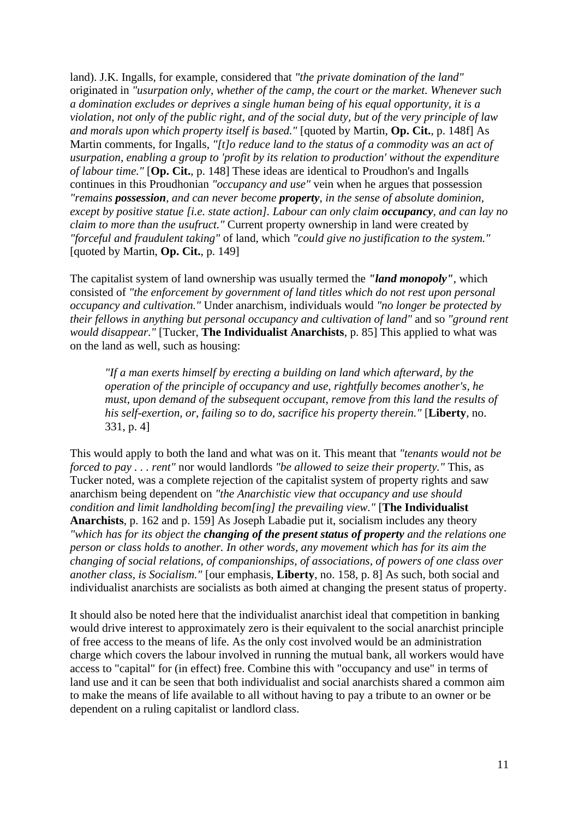land). J.K. Ingalls, for example, considered that *"the private domination of the land"* originated in *"usurpation only, whether of the camp, the court or the market. Whenever such a domination excludes or deprives a single human being of his equal opportunity, it is a violation, not only of the public right, and of the social duty, but of the very principle of law and morals upon which property itself is based."* [quoted by Martin, **Op. Cit.**, p. 148f] As Martin comments, for Ingalls, *"[t]o reduce land to the status of a commodity was an act of usurpation, enabling a group to 'profit by its relation to production' without the expenditure of labour time."* [**Op. Cit.**, p. 148] These ideas are identical to Proudhon's and Ingalls continues in this Proudhonian *"occupancy and use"* vein when he argues that possession *"remains possession, and can never become property, in the sense of absolute dominion, except by positive statue [i.e. state action]. Labour can only claim occupancy, and can lay no claim to more than the usufruct."* Current property ownership in land were created by *"forceful and fraudulent taking"* of land, which *"could give no justification to the system."* [quoted by Martin, **Op. Cit.**, p. 149]

The capitalist system of land ownership was usually termed the *"land monopoly"*, which consisted of *"the enforcement by government of land titles which do not rest upon personal occupancy and cultivation."* Under anarchism, individuals would *"no longer be protected by their fellows in anything but personal occupancy and cultivation of land"* and so *"ground rent would disappear."* [Tucker, **The Individualist Anarchists**, p. 85] This applied to what was on the land as well, such as housing:

*"If a man exerts himself by erecting a building on land which afterward, by the operation of the principle of occupancy and use, rightfully becomes another's, he must, upon demand of the subsequent occupant, remove from this land the results of his self-exertion, or, failing so to do, sacrifice his property therein."* [**Liberty**, no. 331, p. 4]

This would apply to both the land and what was on it. This meant that *"tenants would not be forced to pay . . . rent"* nor would landlords *"be allowed to seize their property."* This, as Tucker noted, was a complete rejection of the capitalist system of property rights and saw anarchism being dependent on *"the Anarchistic view that occupancy and use should condition and limit landholding becom[ing] the prevailing view."* [**The Individualist Anarchists**, p. 162 and p. 159] As Joseph Labadie put it, socialism includes any theory *"which has for its object the changing of the present status of property and the relations one person or class holds to another. In other words, any movement which has for its aim the changing of social relations, of companionships, of associations, of powers of one class over another class, is Socialism."* [our emphasis, **Liberty**, no. 158, p. 8] As such, both social and individualist anarchists are socialists as both aimed at changing the present status of property.

It should also be noted here that the individualist anarchist ideal that competition in banking would drive interest to approximately zero is their equivalent to the social anarchist principle of free access to the means of life. As the only cost involved would be an administration charge which covers the labour involved in running the mutual bank, all workers would have access to "capital" for (in effect) free. Combine this with "occupancy and use" in terms of land use and it can be seen that both individualist and social anarchists shared a common aim to make the means of life available to all without having to pay a tribute to an owner or be dependent on a ruling capitalist or landlord class.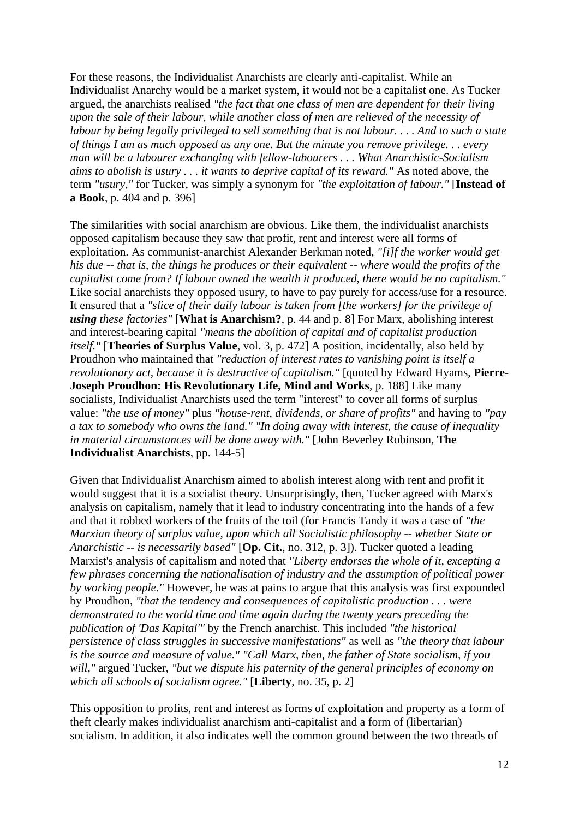For these reasons, the Individualist Anarchists are clearly anti-capitalist. While an Individualist Anarchy would be a market system, it would not be a capitalist one. As Tucker argued, the anarchists realised *"the fact that one class of men are dependent for their living upon the sale of their labour, while another class of men are relieved of the necessity of labour by being legally privileged to sell something that is not labour. . . . And to such a state of things I am as much opposed as any one. But the minute you remove privilege. . . every man will be a labourer exchanging with fellow-labourers . . . What Anarchistic-Socialism aims to abolish is usury . . . it wants to deprive capital of its reward."* As noted above, the term *"usury,"* for Tucker, was simply a synonym for *"the exploitation of labour."* [**Instead of a Book**, p. 404 and p. 396]

The similarities with social anarchism are obvious. Like them, the individualist anarchists opposed capitalism because they saw that profit, rent and interest were all forms of exploitation. As communist-anarchist Alexander Berkman noted, *"[i]f the worker would get his due -- that is, the things he produces or their equivalent -- where would the profits of the capitalist come from? If labour owned the wealth it produced, there would be no capitalism."* Like social anarchists they opposed usury, to have to pay purely for access/use for a resource. It ensured that a *"slice of their daily labour is taken from [the workers] for the privilege of using these factories"* [**What is Anarchism?**, p. 44 and p. 8] For Marx, abolishing interest and interest-bearing capital *"means the abolition of capital and of capitalist production itself."* [**Theories of Surplus Value**, vol. 3, p. 472] A position, incidentally, also held by Proudhon who maintained that *"reduction of interest rates to vanishing point is itself a revolutionary act, because it is destructive of capitalism."* [quoted by Edward Hyams, **Pierre-Joseph Proudhon: His Revolutionary Life, Mind and Works**, p. 188] Like many socialists, Individualist Anarchists used the term "interest" to cover all forms of surplus value: *"the use of money"* plus *"house-rent, dividends, or share of profits"* and having to *"pay a tax to somebody who owns the land." "In doing away with interest, the cause of inequality in material circumstances will be done away with."* [John Beverley Robinson, **The Individualist Anarchists**, pp. 144-5]

Given that Individualist Anarchism aimed to abolish interest along with rent and profit it would suggest that it is a socialist theory. Unsurprisingly, then, Tucker agreed with Marx's analysis on capitalism, namely that it lead to industry concentrating into the hands of a few and that it robbed workers of the fruits of the toil (for Francis Tandy it was a case of *"the Marxian theory of surplus value, upon which all Socialistic philosophy -- whether State or Anarchistic -- is necessarily based"* [**Op. Cit.**, no. 312, p. 3]). Tucker quoted a leading Marxist's analysis of capitalism and noted that *"Liberty endorses the whole of it, excepting a few phrases concerning the nationalisation of industry and the assumption of political power by working people."* However, he was at pains to argue that this analysis was first expounded by Proudhon, *"that the tendency and consequences of capitalistic production . . . were demonstrated to the world time and time again during the twenty years preceding the publication of 'Das Kapital'"* by the French anarchist. This included *"the historical persistence of class struggles in successive manifestations"* as well as *"the theory that labour is the source and measure of value." "Call Marx, then, the father of State socialism, if you will,"* argued Tucker, *"but we dispute his paternity of the general principles of economy on which all schools of socialism agree."* [**Liberty**, no. 35, p. 2]

This opposition to profits, rent and interest as forms of exploitation and property as a form of theft clearly makes individualist anarchism anti-capitalist and a form of (libertarian) socialism. In addition, it also indicates well the common ground between the two threads of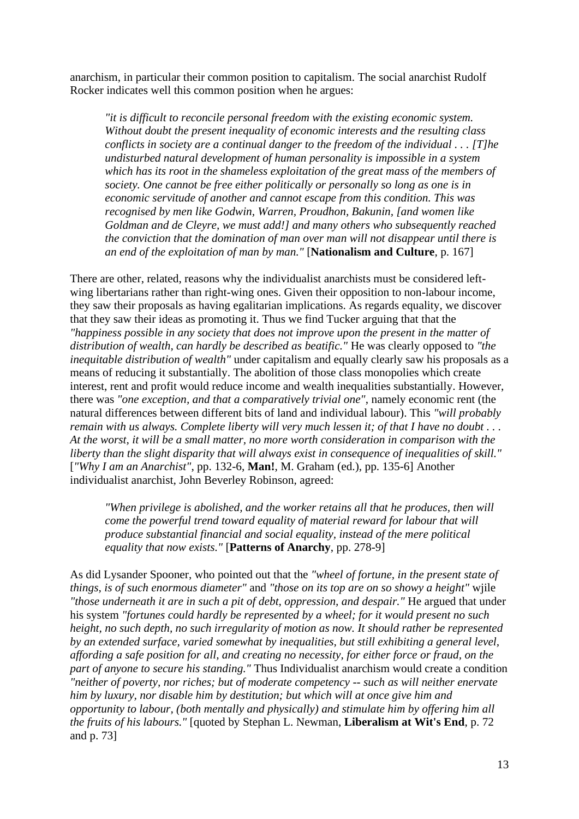anarchism, in particular their common position to capitalism. The social anarchist Rudolf Rocker indicates well this common position when he argues:

*"it is difficult to reconcile personal freedom with the existing economic system. Without doubt the present inequality of economic interests and the resulting class conflicts in society are a continual danger to the freedom of the individual . . . [T]he undisturbed natural development of human personality is impossible in a system which has its root in the shameless exploitation of the great mass of the members of society. One cannot be free either politically or personally so long as one is in economic servitude of another and cannot escape from this condition. This was recognised by men like Godwin, Warren, Proudhon, Bakunin, [and women like Goldman and de Cleyre, we must add!] and many others who subsequently reached the conviction that the domination of man over man will not disappear until there is an end of the exploitation of man by man."* [**Nationalism and Culture**, p. 167]

There are other, related, reasons why the individualist anarchists must be considered leftwing libertarians rather than right-wing ones. Given their opposition to non-labour income, they saw their proposals as having egalitarian implications. As regards equality, we discover that they saw their ideas as promoting it. Thus we find Tucker arguing that that the *"happiness possible in any society that does not improve upon the present in the matter of distribution of wealth, can hardly be described as beatific."* He was clearly opposed to *"the inequitable distribution of wealth"* under capitalism and equally clearly saw his proposals as a means of reducing it substantially. The abolition of those class monopolies which create interest, rent and profit would reduce income and wealth inequalities substantially. However, there was *"one exception, and that a comparatively trivial one"*, namely economic rent (the natural differences between different bits of land and individual labour). This *"will probably remain with us always. Complete liberty will very much lessen it; of that I have no doubt . . . At the worst, it will be a small matter, no more worth consideration in comparison with the liberty than the slight disparity that will always exist in consequence of inequalities of skill."* [*"Why I am an Anarchist"*, pp. 132-6, **Man!**, M. Graham (ed.), pp. 135-6] Another individualist anarchist, John Beverley Robinson, agreed:

*"When privilege is abolished, and the worker retains all that he produces, then will come the powerful trend toward equality of material reward for labour that will produce substantial financial and social equality, instead of the mere political equality that now exists."* [**Patterns of Anarchy**, pp. 278-9]

As did Lysander Spooner, who pointed out that the *"wheel of fortune, in the present state of things, is of such enormous diameter"* and *"those on its top are on so showy a height"* wjile *"those underneath it are in such a pit of debt, oppression, and despair."* He argued that under his system *"fortunes could hardly be represented by a wheel; for it would present no such height, no such depth, no such irregularity of motion as now. It should rather be represented by an extended surface, varied somewhat by inequalities, but still exhibiting a general level, affording a safe position for all, and creating no necessity, for either force or fraud, on the part of anyone to secure his standing."* Thus Individualist anarchism would create a condition *"neither of poverty, nor riches; but of moderate competency -- such as will neither enervate him by luxury, nor disable him by destitution; but which will at once give him and opportunity to labour, (both mentally and physically) and stimulate him by offering him all the fruits of his labours."* [quoted by Stephan L. Newman, **Liberalism at Wit's End**, p. 72 and p. 73]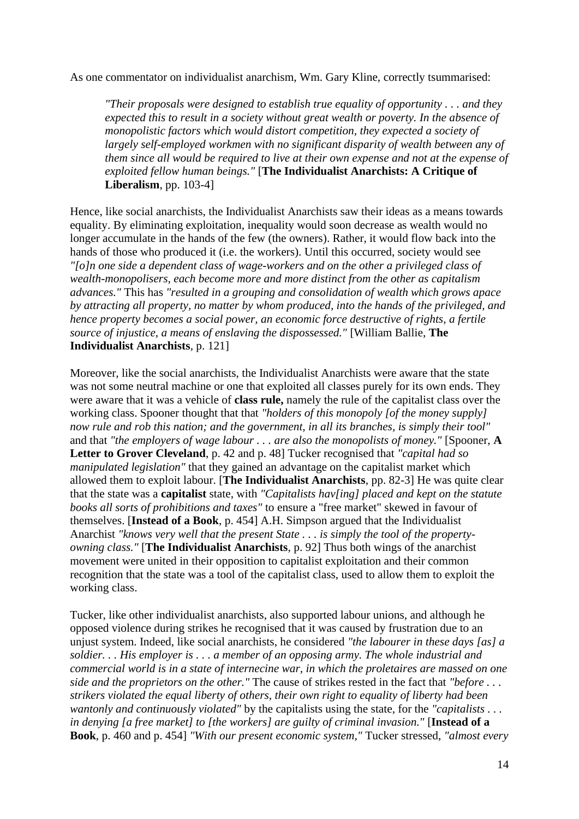As one commentator on individualist anarchism, Wm. Gary Kline, correctly tsummarised:

*"Their proposals were designed to establish true equality of opportunity . . . and they expected this to result in a society without great wealth or poverty. In the absence of monopolistic factors which would distort competition, they expected a society of largely self-employed workmen with no significant disparity of wealth between any of them since all would be required to live at their own expense and not at the expense of exploited fellow human beings."* [**The Individualist Anarchists: A Critique of Liberalism**, pp. 103-4]

Hence, like social anarchists, the Individualist Anarchists saw their ideas as a means towards equality. By eliminating exploitation, inequality would soon decrease as wealth would no longer accumulate in the hands of the few (the owners). Rather, it would flow back into the hands of those who produced it (i.e. the workers). Until this occurred, society would see *"[o]n one side a dependent class of wage-workers and on the other a privileged class of wealth-monopolisers, each become more and more distinct from the other as capitalism advances."* This has *"resulted in a grouping and consolidation of wealth which grows apace by attracting all property, no matter by whom produced, into the hands of the privileged, and hence property becomes a social power, an economic force destructive of rights, a fertile source of injustice, a means of enslaving the dispossessed."* [William Ballie, **The Individualist Anarchists**, p. 121]

Moreover, like the social anarchists, the Individualist Anarchists were aware that the state was not some neutral machine or one that exploited all classes purely for its own ends. They were aware that it was a vehicle of **class rule,** namely the rule of the capitalist class over the working class. Spooner thought that that *"holders of this monopoly [of the money supply] now rule and rob this nation; and the government, in all its branches, is simply their tool"* and that *"the employers of wage labour . . . are also the monopolists of money."* [Spooner, **A Letter to Grover Cleveland**, p. 42 and p. 48] Tucker recognised that *"capital had so manipulated legislation"* that they gained an advantage on the capitalist market which allowed them to exploit labour. [**The Individualist Anarchists**, pp. 82-3] He was quite clear that the state was a **capitalist** state, with *"Capitalists hav[ing] placed and kept on the statute books all sorts of prohibitions and taxes"* to ensure a "free market" skewed in favour of themselves. [**Instead of a Book**, p. 454] A.H. Simpson argued that the Individualist Anarchist *"knows very well that the present State . . . is simply the tool of the propertyowning class."* [**The Individualist Anarchists**, p. 92] Thus both wings of the anarchist movement were united in their opposition to capitalist exploitation and their common recognition that the state was a tool of the capitalist class, used to allow them to exploit the working class.

Tucker, like other individualist anarchists, also supported labour unions, and although he opposed violence during strikes he recognised that it was caused by frustration due to an unjust system. Indeed, like social anarchists, he considered *"the labourer in these days [as] a soldier. . . His employer is . . . a member of an opposing army. The whole industrial and commercial world is in a state of internecine war, in which the proletaires are massed on one side and the proprietors on the other."* The cause of strikes rested in the fact that *"before . . . strikers violated the equal liberty of others, their own right to equality of liberty had been wantonly and continuously violated"* by the capitalists using the state, for the *"capitalists . . . in denying [a free market] to [the workers] are guilty of criminal invasion."* [**Instead of a Book**, p. 460 and p. 454] *"With our present economic system,"* Tucker stressed, *"almost every*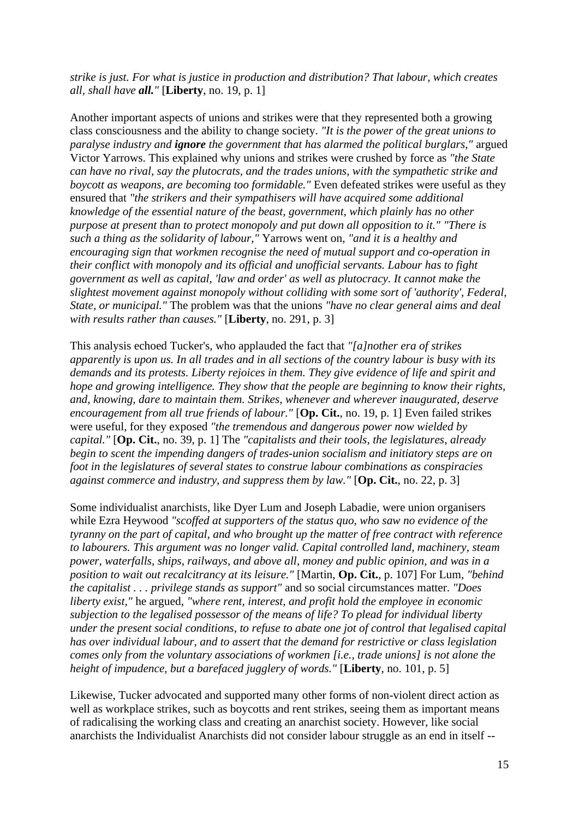*strike is just. For what is justice in production and distribution? That labour, which creates all, shall have all."* [**Liberty**, no. 19, p. 1]

Another important aspects of unions and strikes were that they represented both a growing class consciousness and the ability to change society. *"It is the power of the great unions to paralyse industry and ignore the government that has alarmed the political burglars,"* argued Victor Yarrows. This explained why unions and strikes were crushed by force as *"the State can have no rival, say the plutocrats, and the trades unions, with the sympathetic strike and boycott as weapons, are becoming too formidable."* Even defeated strikes were useful as they ensured that *"the strikers and their sympathisers will have acquired some additional knowledge of the essential nature of the beast, government, which plainly has no other purpose at present than to protect monopoly and put down all opposition to it." "There is such a thing as the solidarity of labour,"* Yarrows went on, *"and it is a healthy and encouraging sign that workmen recognise the need of mutual support and co-operation in their conflict with monopoly and its official and unofficial servants. Labour has to fight government as well as capital, 'law and order' as well as plutocracy. It cannot make the slightest movement against monopoly without colliding with some sort of 'authority', Federal, State, or municipal."* The problem was that the unions *"have no clear general aims and deal with results rather than causes."* [**Liberty**, no. 291, p. 3]

This analysis echoed Tucker's, who applauded the fact that *"[a]nother era of strikes apparently is upon us. In all trades and in all sections of the country labour is busy with its demands and its protests. Liberty rejoices in them. They give evidence of life and spirit and hope and growing intelligence. They show that the people are beginning to know their rights, and, knowing, dare to maintain them. Strikes, whenever and wherever inaugurated, deserve encouragement from all true friends of labour."* [**Op. Cit.**, no. 19, p. 1] Even failed strikes were useful, for they exposed *"the tremendous and dangerous power now wielded by capital."* [**Op. Cit.**, no. 39, p. 1] The *"capitalists and their tools, the legislatures, already begin to scent the impending dangers of trades-union socialism and initiatory steps are on foot in the legislatures of several states to construe labour combinations as conspiracies against commerce and industry, and suppress them by law."* [**Op. Cit.**, no. 22, p. 3]

Some individualist anarchists, like Dyer Lum and Joseph Labadie, were union organisers while Ezra Heywood *"scoffed at supporters of the status quo, who saw no evidence of the tyranny on the part of capital, and who brought up the matter of free contract with reference to labourers. This argument was no longer valid. Capital controlled land, machinery, steam power, waterfalls, ships, railways, and above all, money and public opinion, and was in a position to wait out recalcitrancy at its leisure."* [Martin, **Op. Cit.**, p. 107] For Lum, *"behind the capitalist . . . privilege stands as support"* and so social circumstances matter. *"Does liberty exist,"* he argued, *"where rent, interest, and profit hold the employee in economic subjection to the legalised possessor of the means of life? To plead for individual liberty under the present social conditions, to refuse to abate one jot of control that legalised capital has over individual labour, and to assert that the demand for restrictive or class legislation comes only from the voluntary associations of workmen [i.e., trade unions] is not alone the height of impudence, but a barefaced jugglery of words."* [**Liberty**, no. 101, p. 5]

Likewise, Tucker advocated and supported many other forms of non-violent direct action as well as workplace strikes, such as boycotts and rent strikes, seeing them as important means of radicalising the working class and creating an anarchist society. However, like social anarchists the Individualist Anarchists did not consider labour struggle as an end in itself --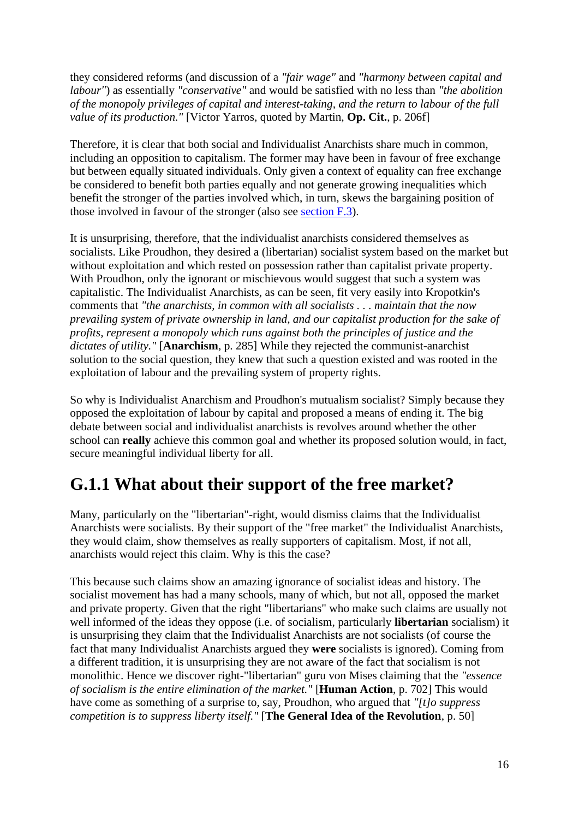they considered reforms (and discussion of a *"fair wage"* and *"harmony between capital and labour"*) as essentially *"conservative"* and would be satisfied with no less than *"the abolition of the monopoly privileges of capital and interest-taking, and the return to labour of the full value of its production."* [Victor Yarros, quoted by Martin, **Op. Cit.**, p. 206f]

Therefore, it is clear that both social and Individualist Anarchists share much in common, including an opposition to capitalism. The former may have been in favour of free exchange but between equally situated individuals. Only given a context of equality can free exchange be considered to benefit both parties equally and not generate growing inequalities which benefit the stronger of the parties involved which, in turn, skews the bargaining position of those involved in favour of the stronger (also see [section F.3\)](sectionF.html#secf3).

It is unsurprising, therefore, that the individualist anarchists considered themselves as socialists. Like Proudhon, they desired a (libertarian) socialist system based on the market but without exploitation and which rested on possession rather than capitalist private property. With Proudhon, only the ignorant or mischievous would suggest that such a system was capitalistic. The Individualist Anarchists, as can be seen, fit very easily into Kropotkin's comments that *"the anarchists, in common with all socialists . . . maintain that the now prevailing system of private ownership in land, and our capitalist production for the sake of profits, represent a monopoly which runs against both the principles of justice and the dictates of utility."* [**Anarchism**, p. 285] While they rejected the communist-anarchist solution to the social question, they knew that such a question existed and was rooted in the exploitation of labour and the prevailing system of property rights.

So why is Individualist Anarchism and Proudhon's mutualism socialist? Simply because they opposed the exploitation of labour by capital and proposed a means of ending it. The big debate between social and individualist anarchists is revolves around whether the other school can **really** achieve this common goal and whether its proposed solution would, in fact, secure meaningful individual liberty for all.

### <span id="page-15-0"></span>**G.1.1 What about their support of the free market?**

Many, particularly on the "libertarian"-right, would dismiss claims that the Individualist Anarchists were socialists. By their support of the "free market" the Individualist Anarchists, they would claim, show themselves as really supporters of capitalism. Most, if not all, anarchists would reject this claim. Why is this the case?

This because such claims show an amazing ignorance of socialist ideas and history. The socialist movement has had a many schools, many of which, but not all, opposed the market and private property. Given that the right "libertarians" who make such claims are usually not well informed of the ideas they oppose (i.e. of socialism, particularly **libertarian** socialism) it is unsurprising they claim that the Individualist Anarchists are not socialists (of course the fact that many Individualist Anarchists argued they **were** socialists is ignored). Coming from a different tradition, it is unsurprising they are not aware of the fact that socialism is not monolithic. Hence we discover right-"libertarian" guru von Mises claiming that the *"essence of socialism is the entire elimination of the market."* [**Human Action**, p. 702] This would have come as something of a surprise to, say, Proudhon, who argued that *"[t]o suppress competition is to suppress liberty itself."* [**The General Idea of the Revolution**, p. 50]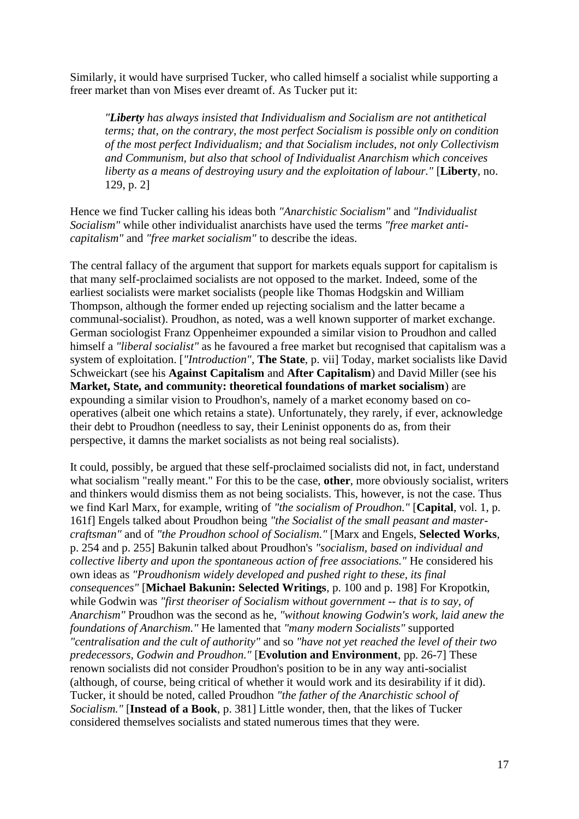Similarly, it would have surprised Tucker, who called himself a socialist while supporting a freer market than von Mises ever dreamt of. As Tucker put it:

*"Liberty has always insisted that Individualism and Socialism are not antithetical terms; that, on the contrary, the most perfect Socialism is possible only on condition of the most perfect Individualism; and that Socialism includes, not only Collectivism and Communism, but also that school of Individualist Anarchism which conceives liberty as a means of destroying usury and the exploitation of labour."* [**Liberty**, no. 129, p. 2]

Hence we find Tucker calling his ideas both *"Anarchistic Socialism"* and *"Individualist Socialism"* while other individualist anarchists have used the terms *"free market anticapitalism"* and *"free market socialism"* to describe the ideas.

The central fallacy of the argument that support for markets equals support for capitalism is that many self-proclaimed socialists are not opposed to the market. Indeed, some of the earliest socialists were market socialists (people like Thomas Hodgskin and William Thompson, although the former ended up rejecting socialism and the latter became a communal-socialist). Proudhon, as noted, was a well known supporter of market exchange. German sociologist Franz Oppenheimer expounded a similar vision to Proudhon and called himself a *"liberal socialist"* as he favoured a free market but recognised that capitalism was a system of exploitation. [*"Introduction"*, **The State**, p. vii] Today, market socialists like David Schweickart (see his **Against Capitalism** and **After Capitalism**) and David Miller (see his **Market, State, and community: theoretical foundations of market socialism**) are expounding a similar vision to Proudhon's, namely of a market economy based on cooperatives (albeit one which retains a state). Unfortunately, they rarely, if ever, acknowledge their debt to Proudhon (needless to say, their Leninist opponents do as, from their perspective, it damns the market socialists as not being real socialists).

It could, possibly, be argued that these self-proclaimed socialists did not, in fact, understand what socialism "really meant." For this to be the case, **other**, more obviously socialist, writers and thinkers would dismiss them as not being socialists. This, however, is not the case. Thus we find Karl Marx, for example, writing of *"the socialism of Proudhon."* [**Capital**, vol. 1, p. 161f] Engels talked about Proudhon being *"the Socialist of the small peasant and mastercraftsman"* and of *"the Proudhon school of Socialism."* [Marx and Engels, **Selected Works**, p. 254 and p. 255] Bakunin talked about Proudhon's *"socialism, based on individual and collective liberty and upon the spontaneous action of free associations."* He considered his own ideas as *"Proudhonism widely developed and pushed right to these, its final consequences"* [**Michael Bakunin: Selected Writings**, p. 100 and p. 198] For Kropotkin, while Godwin was *"first theoriser of Socialism without government -- that is to say, of Anarchism"* Proudhon was the second as he, *"without knowing Godwin's work, laid anew the foundations of Anarchism."* He lamented that *"many modern Socialists"* supported *"centralisation and the cult of authority"* and so *"have not yet reached the level of their two predecessors, Godwin and Proudhon."* [**Evolution and Environment**, pp. 26-7] These renown socialists did not consider Proudhon's position to be in any way anti-socialist (although, of course, being critical of whether it would work and its desirability if it did). Tucker, it should be noted, called Proudhon *"the father of the Anarchistic school of Socialism."* [**Instead of a Book**, p. 381] Little wonder, then, that the likes of Tucker considered themselves socialists and stated numerous times that they were.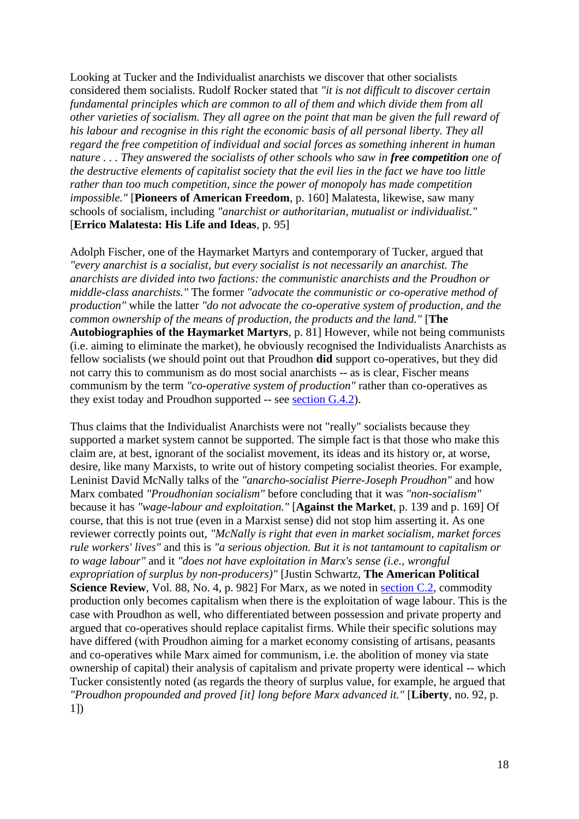Looking at Tucker and the Individualist anarchists we discover that other socialists considered them socialists. Rudolf Rocker stated that *"it is not difficult to discover certain fundamental principles which are common to all of them and which divide them from all other varieties of socialism. They all agree on the point that man be given the full reward of his labour and recognise in this right the economic basis of all personal liberty. They all regard the free competition of individual and social forces as something inherent in human nature . . . They answered the socialists of other schools who saw in free competition one of the destructive elements of capitalist society that the evil lies in the fact we have too little rather than too much competition, since the power of monopoly has made competition impossible."* [**Pioneers of American Freedom**, p. 160] Malatesta, likewise, saw many schools of socialism, including *"anarchist or authoritarian, mutualist or individualist."* [**Errico Malatesta: His Life and Ideas**, p. 95]

Adolph Fischer, one of the Haymarket Martyrs and contemporary of Tucker, argued that *"every anarchist is a socialist, but every socialist is not necessarily an anarchist. The anarchists are divided into two factions: the communistic anarchists and the Proudhon or middle-class anarchists."* The former *"advocate the communistic or co-operative method of production"* while the latter *"do not advocate the co-operative system of production, and the common ownership of the means of production, the products and the land."* [**The Autobiographies of the Haymarket Martyrs**, p. 81] However, while not being communists (i.e. aiming to eliminate the market), he obviously recognised the Individualists Anarchists as fellow socialists (we should point out that Proudhon **did** support co-operatives, but they did not carry this to communism as do most social anarchists -- as is clear, Fischer means communism by the term *"co-operative system of production"* rather than co-operatives as they exist today and Proudhon supported -- see [section G.4.2\)](sectionG.html#secg42).

Thus claims that the Individualist Anarchists were not "really" socialists because they supported a market system cannot be supported. The simple fact is that those who make this claim are, at best, ignorant of the socialist movement, its ideas and its history or, at worse, desire, like many Marxists, to write out of history competing socialist theories. For example, Leninist David McNally talks of the *"anarcho-socialist Pierre-Joseph Proudhon"* and how Marx combated *"Proudhonian socialism"* before concluding that it was *"non-socialism"* because it has *"wage-labour and exploitation."* [**Against the Market**, p. 139 and p. 169] Of course, that this is not true (even in a Marxist sense) did not stop him asserting it. As one reviewer correctly points out, *"McNally is right that even in market socialism, market forces rule workers' lives"* and this is *"a serious objection. But it is not tantamount to capitalism or to wage labour"* and it *"does not have exploitation in Marx's sense (i.e., wrongful expropriation of surplus by non-producers)"* [Justin Schwartz, **The American Political Science Review**, Vol. 88, No. 4, p. 982] For Marx, as we noted in **section C.2**, commodity production only becomes capitalism when there is the exploitation of wage labour. This is the case with Proudhon as well, who differentiated between possession and private property and argued that co-operatives should replace capitalist firms. While their specific solutions may have differed (with Proudhon aiming for a market economy consisting of artisans, peasants and co-operatives while Marx aimed for communism, i.e. the abolition of money via state ownership of capital) their analysis of capitalism and private property were identical -- which Tucker consistently noted (as regards the theory of surplus value, for example, he argued that *"Proudhon propounded and proved [it] long before Marx advanced it."* [**Liberty**, no. 92, p. 1])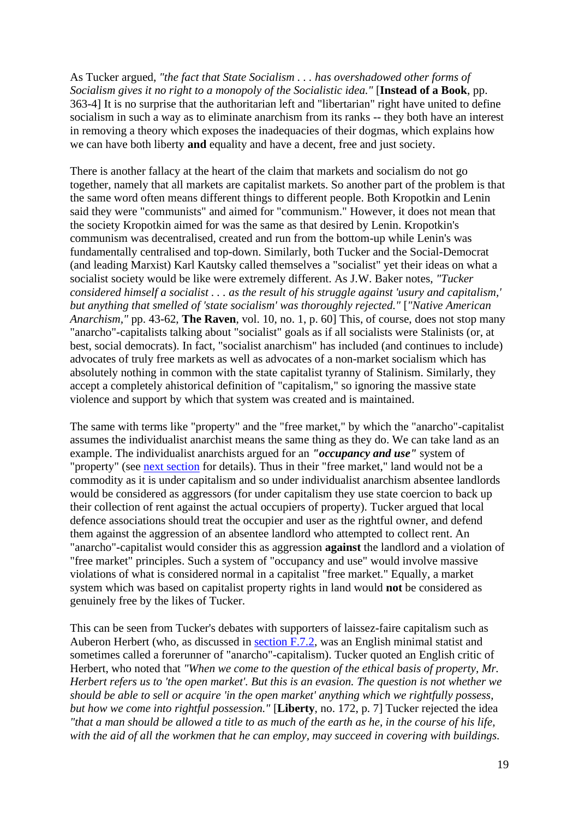As Tucker argued, *"the fact that State Socialism . . . has overshadowed other forms of Socialism gives it no right to a monopoly of the Socialistic idea."* [**Instead of a Book**, pp. 363-4] It is no surprise that the authoritarian left and "libertarian" right have united to define socialism in such a way as to eliminate anarchism from its ranks -- they both have an interest in removing a theory which exposes the inadequacies of their dogmas, which explains how we can have both liberty **and** equality and have a decent, free and just society.

There is another fallacy at the heart of the claim that markets and socialism do not go together, namely that all markets are capitalist markets. So another part of the problem is that the same word often means different things to different people. Both Kropotkin and Lenin said they were "communists" and aimed for "communism." However, it does not mean that the society Kropotkin aimed for was the same as that desired by Lenin. Kropotkin's communism was decentralised, created and run from the bottom-up while Lenin's was fundamentally centralised and top-down. Similarly, both Tucker and the Social-Democrat (and leading Marxist) Karl Kautsky called themselves a "socialist" yet their ideas on what a socialist society would be like were extremely different. As J.W. Baker notes, *"Tucker considered himself a socialist . . . as the result of his struggle against 'usury and capitalism,' but anything that smelled of 'state socialism' was thoroughly rejected."* [*"Native American Anarchism,"* pp. 43-62, **The Raven**, vol. 10, no. 1, p. 60] This, of course, does not stop many "anarcho"-capitalists talking about "socialist" goals as if all socialists were Stalinists (or, at best, social democrats). In fact, "socialist anarchism" has included (and continues to include) advocates of truly free markets as well as advocates of a non-market socialism which has absolutely nothing in common with the state capitalist tyranny of Stalinism. Similarly, they accept a completely ahistorical definition of "capitalism," so ignoring the massive state violence and support by which that system was created and is maintained.

The same with terms like "property" and the "free market," by which the "anarcho"-capitalist assumes the individualist anarchist means the same thing as they do. We can take land as an example. The individualist anarchists argued for an *"occupancy and use"* system of "property" (see [next section](sectionG.html#secg12) for details). Thus in their "free market," land would not be a commodity as it is under capitalism and so under individualist anarchism absentee landlords would be considered as aggressors (for under capitalism they use state coercion to back up their collection of rent against the actual occupiers of property). Tucker argued that local defence associations should treat the occupier and user as the rightful owner, and defend them against the aggression of an absentee landlord who attempted to collect rent. An "anarcho"-capitalist would consider this as aggression **against** the landlord and a violation of "free market" principles. Such a system of "occupancy and use" would involve massive violations of what is considered normal in a capitalist "free market." Equally, a market system which was based on capitalist property rights in land would **not** be considered as genuinely free by the likes of Tucker.

This can be seen from Tucker's debates with supporters of laissez-faire capitalism such as Auberon Herbert (who, as discussed in [section F.7.2,](sectionF.html#secf72) was an English minimal statist and sometimes called a forerunner of "anarcho"-capitalism). Tucker quoted an English critic of Herbert, who noted that *"When we come to the question of the ethical basis of property, Mr. Herbert refers us to 'the open market'. But this is an evasion. The question is not whether we should be able to sell or acquire 'in the open market' anything which we rightfully possess, but how we come into rightful possession."* [**Liberty**, no. 172, p. 7] Tucker rejected the idea *"that a man should be allowed a title to as much of the earth as he, in the course of his life, with the aid of all the workmen that he can employ, may succeed in covering with buildings.*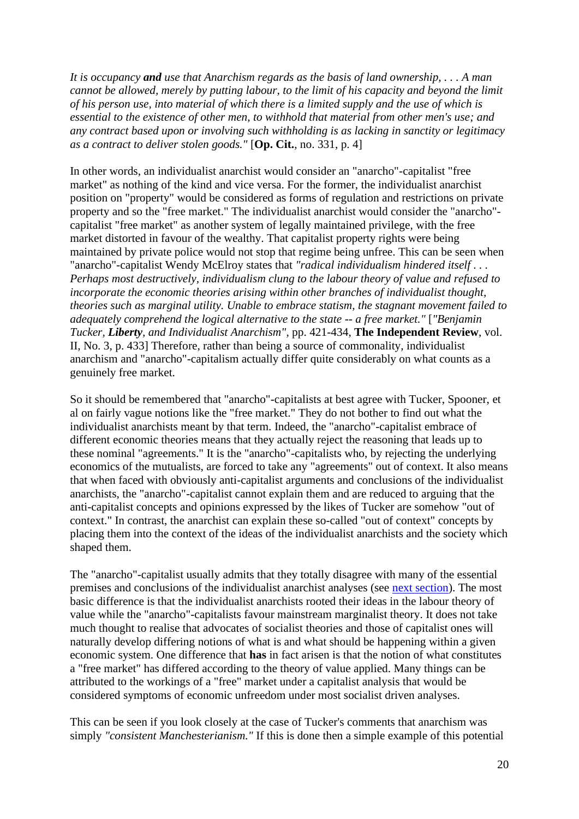*It is occupancy and use that Anarchism regards as the basis of land ownership, . . . A man cannot be allowed, merely by putting labour, to the limit of his capacity and beyond the limit of his person use, into material of which there is a limited supply and the use of which is essential to the existence of other men, to withhold that material from other men's use; and any contract based upon or involving such withholding is as lacking in sanctity or legitimacy as a contract to deliver stolen goods."* [**Op. Cit.**, no. 331, p. 4]

In other words, an individualist anarchist would consider an "anarcho"-capitalist "free market" as nothing of the kind and vice versa. For the former, the individualist anarchist position on "property" would be considered as forms of regulation and restrictions on private property and so the "free market." The individualist anarchist would consider the "anarcho" capitalist "free market" as another system of legally maintained privilege, with the free market distorted in favour of the wealthy. That capitalist property rights were being maintained by private police would not stop that regime being unfree. This can be seen when "anarcho"-capitalist Wendy McElroy states that *"radical individualism hindered itself . . . Perhaps most destructively, individualism clung to the labour theory of value and refused to incorporate the economic theories arising within other branches of individualist thought, theories such as marginal utility. Unable to embrace statism, the stagnant movement failed to adequately comprehend the logical alternative to the state -- a free market."* [*"Benjamin Tucker, Liberty, and Individualist Anarchism"*, pp. 421-434, **The Independent Review**, vol. II, No. 3, p. 433] Therefore, rather than being a source of commonality, individualist anarchism and "anarcho"-capitalism actually differ quite considerably on what counts as a genuinely free market.

So it should be remembered that "anarcho"-capitalists at best agree with Tucker, Spooner, et al on fairly vague notions like the "free market." They do not bother to find out what the individualist anarchists meant by that term. Indeed, the "anarcho"-capitalist embrace of different economic theories means that they actually reject the reasoning that leads up to these nominal "agreements." It is the "anarcho"-capitalists who, by rejecting the underlying economics of the mutualists, are forced to take any "agreements" out of context. It also means that when faced with obviously anti-capitalist arguments and conclusions of the individualist anarchists, the "anarcho"-capitalist cannot explain them and are reduced to arguing that the anti-capitalist concepts and opinions expressed by the likes of Tucker are somehow "out of context." In contrast, the anarchist can explain these so-called "out of context" concepts by placing them into the context of the ideas of the individualist anarchists and the society which shaped them.

The "anarcho"-capitalist usually admits that they totally disagree with many of the essential premises and conclusions of the individualist anarchist analyses (see [next section\)](sectionG.html#secg3). The most basic difference is that the individualist anarchists rooted their ideas in the labour theory of value while the "anarcho"-capitalists favour mainstream marginalist theory. It does not take much thought to realise that advocates of socialist theories and those of capitalist ones will naturally develop differing notions of what is and what should be happening within a given economic system. One difference that **has** in fact arisen is that the notion of what constitutes a "free market" has differed according to the theory of value applied. Many things can be attributed to the workings of a "free" market under a capitalist analysis that would be considered symptoms of economic unfreedom under most socialist driven analyses.

This can be seen if you look closely at the case of Tucker's comments that anarchism was simply *"consistent Manchesterianism."* If this is done then a simple example of this potential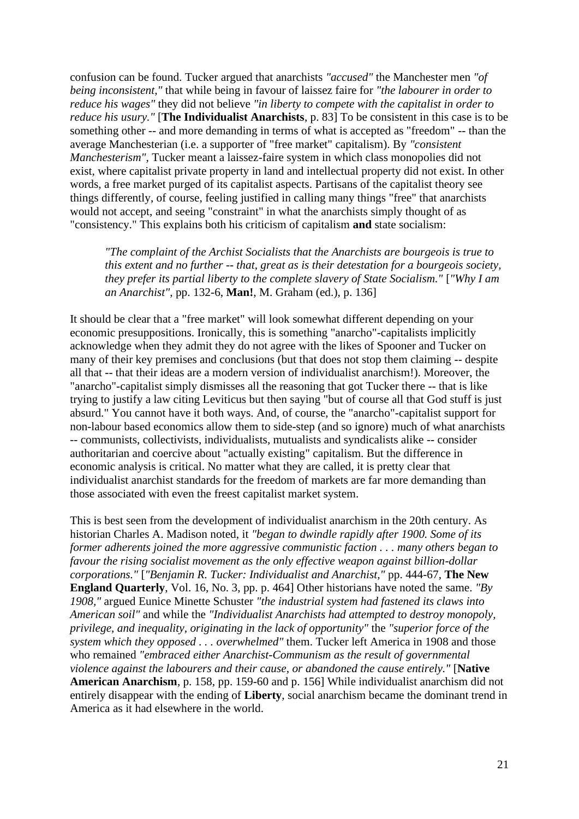confusion can be found. Tucker argued that anarchists *"accused"* the Manchester men *"of being inconsistent,"* that while being in favour of laissez faire for *"the labourer in order to reduce his wages"* they did not believe *"in liberty to compete with the capitalist in order to reduce his usury."* [**The Individualist Anarchists**, p. 83] To be consistent in this case is to be something other -- and more demanding in terms of what is accepted as "freedom" -- than the average Manchesterian (i.e. a supporter of "free market" capitalism). By *"consistent Manchesterism"*, Tucker meant a laissez-faire system in which class monopolies did not exist, where capitalist private property in land and intellectual property did not exist. In other words, a free market purged of its capitalist aspects. Partisans of the capitalist theory see things differently, of course, feeling justified in calling many things "free" that anarchists would not accept, and seeing "constraint" in what the anarchists simply thought of as "consistency." This explains both his criticism of capitalism **and** state socialism:

*"The complaint of the Archist Socialists that the Anarchists are bourgeois is true to this extent and no further -- that, great as is their detestation for a bourgeois society, they prefer its partial liberty to the complete slavery of State Socialism."* [*"Why I am an Anarchist"*, pp. 132-6, **Man!**, M. Graham (ed.), p. 136]

It should be clear that a "free market" will look somewhat different depending on your economic presuppositions. Ironically, this is something "anarcho"-capitalists implicitly acknowledge when they admit they do not agree with the likes of Spooner and Tucker on many of their key premises and conclusions (but that does not stop them claiming -- despite all that -- that their ideas are a modern version of individualist anarchism!). Moreover, the "anarcho"-capitalist simply dismisses all the reasoning that got Tucker there -- that is like trying to justify a law citing Leviticus but then saying "but of course all that God stuff is just absurd." You cannot have it both ways. And, of course, the "anarcho"-capitalist support for non-labour based economics allow them to side-step (and so ignore) much of what anarchists -- communists, collectivists, individualists, mutualists and syndicalists alike -- consider authoritarian and coercive about "actually existing" capitalism. But the difference in economic analysis is critical. No matter what they are called, it is pretty clear that individualist anarchist standards for the freedom of markets are far more demanding than those associated with even the freest capitalist market system.

This is best seen from the development of individualist anarchism in the 20th century. As historian Charles A. Madison noted, it *"began to dwindle rapidly after 1900. Some of its former adherents joined the more aggressive communistic faction . . . many others began to favour the rising socialist movement as the only effective weapon against billion-dollar corporations."* [*"Benjamin R. Tucker: Individualist and Anarchist,"* pp. 444-67, **The New England Quarterly**, Vol. 16, No. 3, pp. p. 464] Other historians have noted the same. *"By 1908,"* argued Eunice Minette Schuster *"the industrial system had fastened its claws into American soil"* and while the *"Individualist Anarchists had attempted to destroy monopoly, privilege, and inequality, originating in the lack of opportunity"* the *"superior force of the system which they opposed . . . overwhelmed"* them. Tucker left America in 1908 and those who remained *"embraced either Anarchist-Communism as the result of governmental violence against the labourers and their cause, or abandoned the cause entirely."* [**Native American Anarchism**, p. 158, pp. 159-60 and p. 156] While individualist anarchism did not entirely disappear with the ending of **Liberty**, social anarchism became the dominant trend in America as it had elsewhere in the world.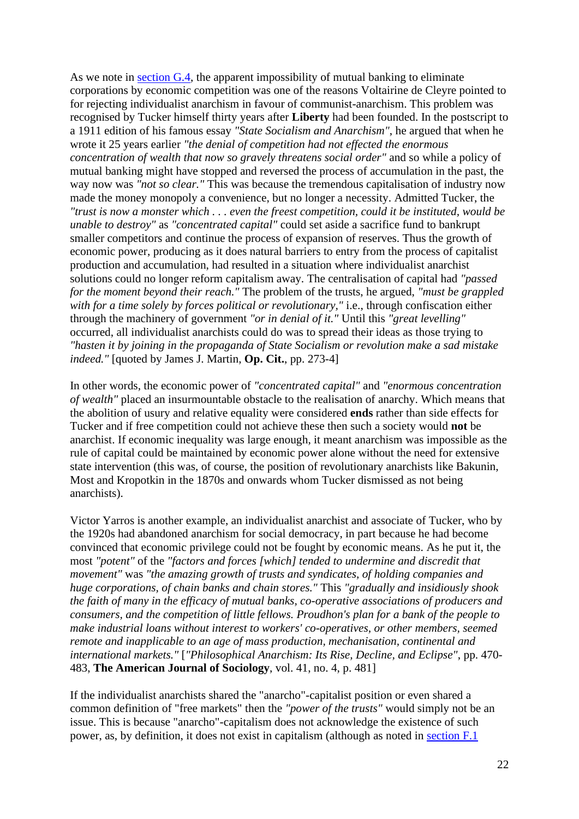As we note in [section G.4,](sectionG.html#secg4) the apparent impossibility of mutual banking to eliminate corporations by economic competition was one of the reasons Voltairine de Cleyre pointed to for rejecting individualist anarchism in favour of communist-anarchism. This problem was recognised by Tucker himself thirty years after **Liberty** had been founded. In the postscript to a 1911 edition of his famous essay *"State Socialism and Anarchism"*, he argued that when he wrote it 25 years earlier *"the denial of competition had not effected the enormous concentration of wealth that now so gravely threatens social order"* and so while a policy of mutual banking might have stopped and reversed the process of accumulation in the past, the way now was *"not so clear."* This was because the tremendous capitalisation of industry now made the money monopoly a convenience, but no longer a necessity. Admitted Tucker, the *"trust is now a monster which . . . even the freest competition, could it be instituted, would be unable to destroy"* as *"concentrated capital"* could set aside a sacrifice fund to bankrupt smaller competitors and continue the process of expansion of reserves. Thus the growth of economic power, producing as it does natural barriers to entry from the process of capitalist production and accumulation, had resulted in a situation where individualist anarchist solutions could no longer reform capitalism away. The centralisation of capital had *"passed for the moment beyond their reach."* The problem of the trusts, he argued, *"must be grappled with for a time solely by forces political or revolutionary,"* i.e., through confiscation either through the machinery of government *"or in denial of it."* Until this *"great levelling"* occurred, all individualist anarchists could do was to spread their ideas as those trying to *"hasten it by joining in the propaganda of State Socialism or revolution make a sad mistake indeed."* [quoted by James J. Martin, **Op. Cit.**, pp. 273-4]

In other words, the economic power of *"concentrated capital"* and *"enormous concentration of wealth"* placed an insurmountable obstacle to the realisation of anarchy. Which means that the abolition of usury and relative equality were considered **ends** rather than side effects for Tucker and if free competition could not achieve these then such a society would **not** be anarchist. If economic inequality was large enough, it meant anarchism was impossible as the rule of capital could be maintained by economic power alone without the need for extensive state intervention (this was, of course, the position of revolutionary anarchists like Bakunin, Most and Kropotkin in the 1870s and onwards whom Tucker dismissed as not being anarchists).

Victor Yarros is another example, an individualist anarchist and associate of Tucker, who by the 1920s had abandoned anarchism for social democracy, in part because he had become convinced that economic privilege could not be fought by economic means. As he put it, the most *"potent"* of the *"factors and forces [which] tended to undermine and discredit that movement"* was *"the amazing growth of trusts and syndicates, of holding companies and huge corporations, of chain banks and chain stores."* This *"gradually and insidiously shook the faith of many in the efficacy of mutual banks, co-operative associations of producers and consumers, and the competition of little fellows. Proudhon's plan for a bank of the people to make industrial loans without interest to workers' co-operatives, or other members, seemed remote and inapplicable to an age of mass production, mechanisation, continental and international markets."* [*"Philosophical Anarchism: Its Rise, Decline, and Eclipse"*, pp. 470- 483, **The American Journal of Sociology**, vol. 41, no. 4, p. 481]

If the individualist anarchists shared the "anarcho"-capitalist position or even shared a common definition of "free markets" then the *"power of the trusts"* would simply not be an issue. This is because "anarcho"-capitalism does not acknowledge the existence of such power, as, by definition, it does not exist in capitalism (although as noted in [section F.1](sectionF.html#secf1)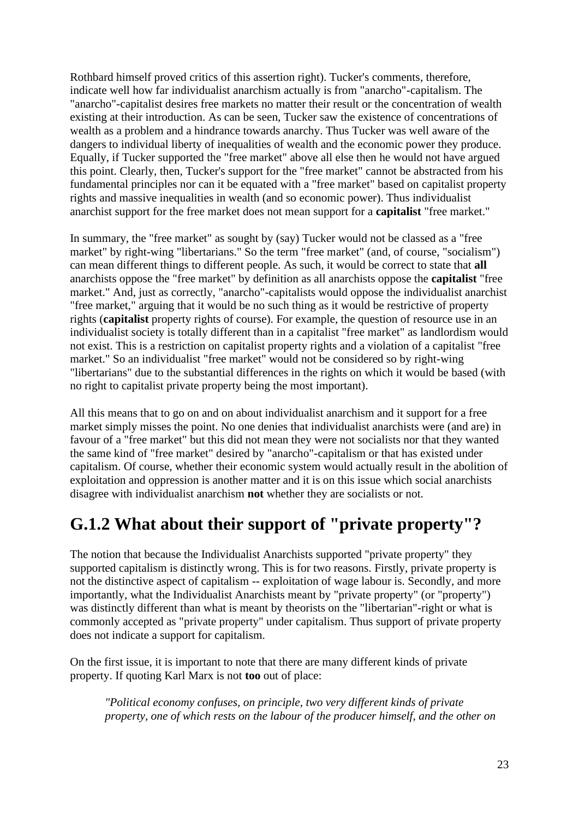Rothbard himself proved critics of this assertion right). Tucker's comments, therefore, indicate well how far individualist anarchism actually is from "anarcho"-capitalism. The "anarcho"-capitalist desires free markets no matter their result or the concentration of wealth existing at their introduction. As can be seen, Tucker saw the existence of concentrations of wealth as a problem and a hindrance towards anarchy. Thus Tucker was well aware of the dangers to individual liberty of inequalities of wealth and the economic power they produce. Equally, if Tucker supported the "free market" above all else then he would not have argued this point. Clearly, then, Tucker's support for the "free market" cannot be abstracted from his fundamental principles nor can it be equated with a "free market" based on capitalist property rights and massive inequalities in wealth (and so economic power). Thus individualist anarchist support for the free market does not mean support for a **capitalist** "free market."

In summary, the "free market" as sought by (say) Tucker would not be classed as a "free market" by right-wing "libertarians." So the term "free market" (and, of course, "socialism") can mean different things to different people. As such, it would be correct to state that **all** anarchists oppose the "free market" by definition as all anarchists oppose the **capitalist** "free market." And, just as correctly, "anarcho"-capitalists would oppose the individualist anarchist "free market," arguing that it would be no such thing as it would be restrictive of property rights (**capitalist** property rights of course). For example, the question of resource use in an individualist society is totally different than in a capitalist "free market" as landlordism would not exist. This is a restriction on capitalist property rights and a violation of a capitalist "free market." So an individualist "free market" would not be considered so by right-wing "libertarians" due to the substantial differences in the rights on which it would be based (with no right to capitalist private property being the most important).

All this means that to go on and on about individualist anarchism and it support for a free market simply misses the point. No one denies that individualist anarchists were (and are) in favour of a "free market" but this did not mean they were not socialists nor that they wanted the same kind of "free market" desired by "anarcho"-capitalism or that has existed under capitalism. Of course, whether their economic system would actually result in the abolition of exploitation and oppression is another matter and it is on this issue which social anarchists disagree with individualist anarchism **not** whether they are socialists or not.

### <span id="page-22-0"></span>**G.1.2 What about their support of "private property"?**

The notion that because the Individualist Anarchists supported "private property" they supported capitalism is distinctly wrong. This is for two reasons. Firstly, private property is not the distinctive aspect of capitalism -- exploitation of wage labour is. Secondly, and more importantly, what the Individualist Anarchists meant by "private property" (or "property") was distinctly different than what is meant by theorists on the "libertarian"-right or what is commonly accepted as "private property" under capitalism. Thus support of private property does not indicate a support for capitalism.

On the first issue, it is important to note that there are many different kinds of private property. If quoting Karl Marx is not **too** out of place:

*"Political economy confuses, on principle, two very different kinds of private property, one of which rests on the labour of the producer himself, and the other on*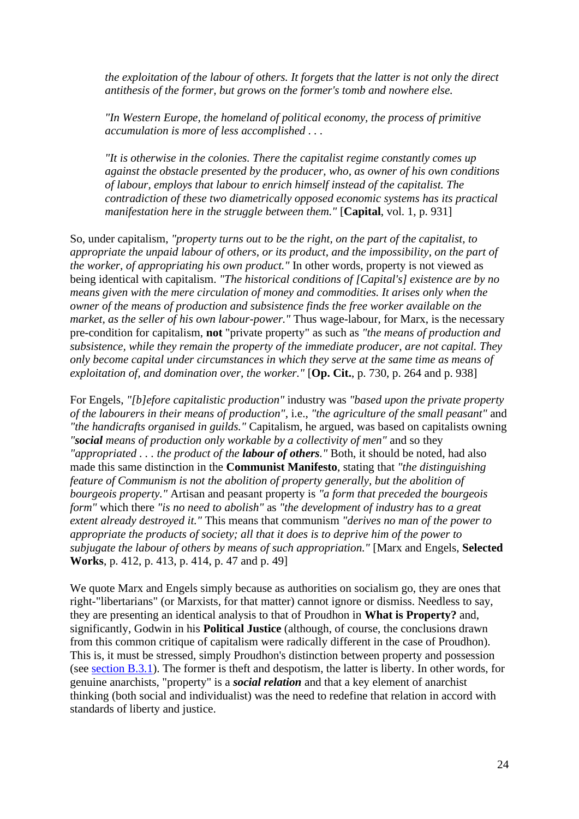*the exploitation of the labour of others. It forgets that the latter is not only the direct antithesis of the former, but grows on the former's tomb and nowhere else.* 

*"In Western Europe, the homeland of political economy, the process of primitive accumulation is more of less accomplished . . .* 

*"It is otherwise in the colonies. There the capitalist regime constantly comes up against the obstacle presented by the producer, who, as owner of his own conditions of labour, employs that labour to enrich himself instead of the capitalist. The contradiction of these two diametrically opposed economic systems has its practical manifestation here in the struggle between them."* [**Capital**, vol. 1, p. 931]

So, under capitalism, *"property turns out to be the right, on the part of the capitalist, to appropriate the unpaid labour of others, or its product, and the impossibility, on the part of the worker, of appropriating his own product."* In other words, property is not viewed as being identical with capitalism. *"The historical conditions of [Capital's] existence are by no means given with the mere circulation of money and commodities. It arises only when the owner of the means of production and subsistence finds the free worker available on the market, as the seller of his own labour-power."* Thus wage-labour, for Marx, is the necessary pre-condition for capitalism, **not** "private property" as such as *"the means of production and subsistence, while they remain the property of the immediate producer, are not capital. They only become capital under circumstances in which they serve at the same time as means of exploitation of, and domination over, the worker."* [**Op. Cit.**, p. 730, p. 264 and p. 938]

For Engels, *"[b]efore capitalistic production"* industry was *"based upon the private property of the labourers in their means of production"*, i.e., *"the agriculture of the small peasant"* and *"the handicrafts organised in guilds."* Capitalism, he argued, was based on capitalists owning *"social means of production only workable by a collectivity of men"* and so they *"appropriated . . . the product of the labour of others."* Both, it should be noted, had also made this same distinction in the **Communist Manifesto**, stating that *"the distinguishing feature of Communism is not the abolition of property generally, but the abolition of bourgeois property."* Artisan and peasant property is *"a form that preceded the bourgeois form"* which there *"is no need to abolish"* as *"the development of industry has to a great extent already destroyed it."* This means that communism *"derives no man of the power to appropriate the products of society; all that it does is to deprive him of the power to subjugate the labour of others by means of such appropriation."* [Marx and Engels, **Selected Works**, p. 412, p. 413, p. 414, p. 47 and p. 49]

We quote Marx and Engels simply because as authorities on socialism go, they are ones that right-"libertarians" (or Marxists, for that matter) cannot ignore or dismiss. Needless to say, they are presenting an identical analysis to that of Proudhon in **What is Property?** and, significantly, Godwin in his **Political Justice** (although, of course, the conclusions drawn from this common critique of capitalism were radically different in the case of Proudhon). This is, it must be stressed, simply Proudhon's distinction between property and possession (see [section B.3.1\)](sectionB.html#secb31). The former is theft and despotism, the latter is liberty. In other words, for genuine anarchists, "property" is a *social relation* and that a key element of anarchist thinking (both social and individualist) was the need to redefine that relation in accord with standards of liberty and justice.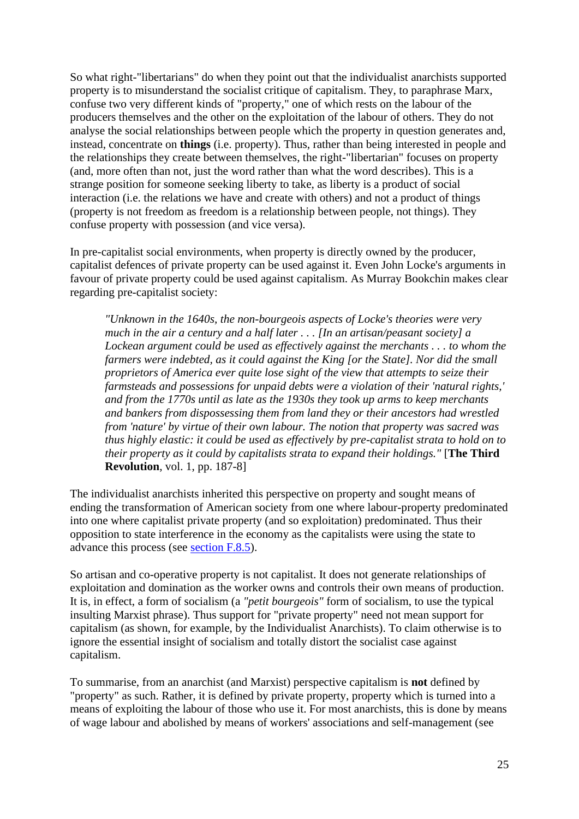So what right-"libertarians" do when they point out that the individualist anarchists supported property is to misunderstand the socialist critique of capitalism. They, to paraphrase Marx, confuse two very different kinds of "property," one of which rests on the labour of the producers themselves and the other on the exploitation of the labour of others. They do not analyse the social relationships between people which the property in question generates and, instead, concentrate on **things** (i.e. property). Thus, rather than being interested in people and the relationships they create between themselves, the right-"libertarian" focuses on property (and, more often than not, just the word rather than what the word describes). This is a strange position for someone seeking liberty to take, as liberty is a product of social interaction (i.e. the relations we have and create with others) and not a product of things (property is not freedom as freedom is a relationship between people, not things). They confuse property with possession (and vice versa).

In pre-capitalist social environments, when property is directly owned by the producer, capitalist defences of private property can be used against it. Even John Locke's arguments in favour of private property could be used against capitalism. As Murray Bookchin makes clear regarding pre-capitalist society:

*"Unknown in the 1640s, the non-bourgeois aspects of Locke's theories were very much in the air a century and a half later . . . [In an artisan/peasant society] a Lockean argument could be used as effectively against the merchants . . . to whom the farmers were indebted, as it could against the King [or the State]. Nor did the small proprietors of America ever quite lose sight of the view that attempts to seize their farmsteads and possessions for unpaid debts were a violation of their 'natural rights,' and from the 1770s until as late as the 1930s they took up arms to keep merchants and bankers from dispossessing them from land they or their ancestors had wrestled from 'nature' by virtue of their own labour. The notion that property was sacred was thus highly elastic: it could be used as effectively by pre-capitalist strata to hold on to their property as it could by capitalists strata to expand their holdings."* [**The Third Revolution**, vol. 1, pp. 187-8]

The individualist anarchists inherited this perspective on property and sought means of ending the transformation of American society from one where labour-property predominated into one where capitalist private property (and so exploitation) predominated. Thus their opposition to state interference in the economy as the capitalists were using the state to advance this process (see [section F.8.5\)](sectionF.html#secf85).

So artisan and co-operative property is not capitalist. It does not generate relationships of exploitation and domination as the worker owns and controls their own means of production. It is, in effect, a form of socialism (a *"petit bourgeois"* form of socialism, to use the typical insulting Marxist phrase). Thus support for "private property" need not mean support for capitalism (as shown, for example, by the Individualist Anarchists). To claim otherwise is to ignore the essential insight of socialism and totally distort the socialist case against capitalism.

To summarise, from an anarchist (and Marxist) perspective capitalism is **not** defined by "property" as such. Rather, it is defined by private property, property which is turned into a means of exploiting the labour of those who use it. For most anarchists, this is done by means of wage labour and abolished by means of workers' associations and self-management (see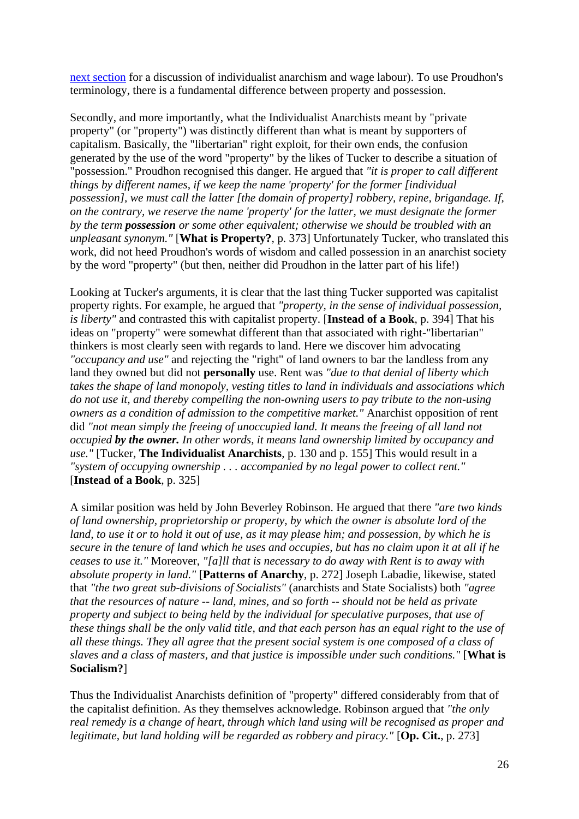[next section](sectionG.html#secg13) for a discussion of individualist anarchism and wage labour). To use Proudhon's terminology, there is a fundamental difference between property and possession.

Secondly, and more importantly, what the Individualist Anarchists meant by "private property" (or "property") was distinctly different than what is meant by supporters of capitalism. Basically, the "libertarian" right exploit, for their own ends, the confusion generated by the use of the word "property" by the likes of Tucker to describe a situation of "possession." Proudhon recognised this danger. He argued that *"it is proper to call different things by different names, if we keep the name 'property' for the former [individual possession], we must call the latter [the domain of property] robbery, repine, brigandage. If, on the contrary, we reserve the name 'property' for the latter, we must designate the former by the term possession or some other equivalent; otherwise we should be troubled with an unpleasant synonym."* [**What is Property?**, p. 373] Unfortunately Tucker, who translated this work, did not heed Proudhon's words of wisdom and called possession in an anarchist society by the word "property" (but then, neither did Proudhon in the latter part of his life!)

Looking at Tucker's arguments, it is clear that the last thing Tucker supported was capitalist property rights. For example, he argued that *"property, in the sense of individual possession, is liberty"* and contrasted this with capitalist property. [**Instead of a Book**, p. 394] That his ideas on "property" were somewhat different than that associated with right-"libertarian" thinkers is most clearly seen with regards to land. Here we discover him advocating *"occupancy and use"* and rejecting the "right" of land owners to bar the landless from any land they owned but did not **personally** use. Rent was *"due to that denial of liberty which takes the shape of land monopoly, vesting titles to land in individuals and associations which do not use it, and thereby compelling the non-owning users to pay tribute to the non-using owners as a condition of admission to the competitive market."* Anarchist opposition of rent did *"not mean simply the freeing of unoccupied land. It means the freeing of all land not occupied by the owner. In other words, it means land ownership limited by occupancy and use."* [Tucker, **The Individualist Anarchists**, p. 130 and p. 155] This would result in a *"system of occupying ownership . . . accompanied by no legal power to collect rent."* [**Instead of a Book**, p. 325]

A similar position was held by John Beverley Robinson. He argued that there *"are two kinds of land ownership, proprietorship or property, by which the owner is absolute lord of the land, to use it or to hold it out of use, as it may please him; and possession, by which he is secure in the tenure of land which he uses and occupies, but has no claim upon it at all if he ceases to use it."* Moreover, *"[a]ll that is necessary to do away with Rent is to away with absolute property in land."* [**Patterns of Anarchy**, p. 272] Joseph Labadie, likewise, stated that *"the two great sub-divisions of Socialists"* (anarchists and State Socialists) both *"agree that the resources of nature -- land, mines, and so forth -- should not be held as private property and subject to being held by the individual for speculative purposes, that use of these things shall be the only valid title, and that each person has an equal right to the use of all these things. They all agree that the present social system is one composed of a class of slaves and a class of masters, and that justice is impossible under such conditions."* [**What is Socialism?**]

Thus the Individualist Anarchists definition of "property" differed considerably from that of the capitalist definition. As they themselves acknowledge. Robinson argued that *"the only real remedy is a change of heart, through which land using will be recognised as proper and legitimate, but land holding will be regarded as robbery and piracy."* [**Op. Cit.**, p. 273]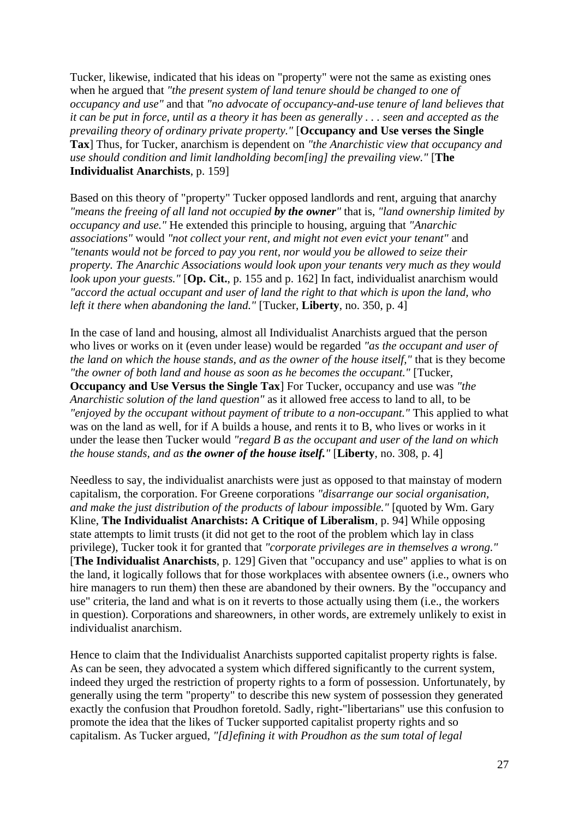Tucker, likewise, indicated that his ideas on "property" were not the same as existing ones when he argued that *"the present system of land tenure should be changed to one of occupancy and use"* and that *"no advocate of occupancy-and-use tenure of land believes that it can be put in force, until as a theory it has been as generally . . . seen and accepted as the prevailing theory of ordinary private property."* [**Occupancy and Use verses the Single Tax**] Thus, for Tucker, anarchism is dependent on *"the Anarchistic view that occupancy and use should condition and limit landholding becom[ing] the prevailing view."* [**The Individualist Anarchists**, p. 159]

Based on this theory of "property" Tucker opposed landlords and rent, arguing that anarchy *"means the freeing of all land not occupied by the owner"* that is, *"land ownership limited by occupancy and use."* He extended this principle to housing, arguing that *"Anarchic associations"* would *"not collect your rent, and might not even evict your tenant"* and *"tenants would not be forced to pay you rent, nor would you be allowed to seize their property. The Anarchic Associations would look upon your tenants very much as they would look upon your guests."* [**Op. Cit.**, p. 155 and p. 162] In fact, individualist anarchism would *"accord the actual occupant and user of land the right to that which is upon the land, who left it there when abandoning the land."* [Tucker, **Liberty**, no. 350, p. 4]

In the case of land and housing, almost all Individualist Anarchists argued that the person who lives or works on it (even under lease) would be regarded *"as the occupant and user of the land on which the house stands, and as the owner of the house itself,"* that is they become *"the owner of both land and house as soon as he becomes the occupant."* [Tucker, **Occupancy and Use Versus the Single Tax**] For Tucker, occupancy and use was *"the Anarchistic solution of the land question"* as it allowed free access to land to all, to be *"enjoyed by the occupant without payment of tribute to a non-occupant."* This applied to what was on the land as well, for if A builds a house, and rents it to B, who lives or works in it under the lease then Tucker would *"regard B as the occupant and user of the land on which the house stands, and as the owner of the house itself."* [**Liberty**, no. 308, p. 4]

Needless to say, the individualist anarchists were just as opposed to that mainstay of modern capitalism, the corporation. For Greene corporations *"disarrange our social organisation, and make the just distribution of the products of labour impossible."* [quoted by Wm. Gary Kline, **The Individualist Anarchists: A Critique of Liberalism**, p. 94] While opposing state attempts to limit trusts (it did not get to the root of the problem which lay in class privilege), Tucker took it for granted that *"corporate privileges are in themselves a wrong."* [**The Individualist Anarchists**, p. 129] Given that "occupancy and use" applies to what is on the land, it logically follows that for those workplaces with absentee owners (i.e., owners who hire managers to run them) then these are abandoned by their owners. By the "occupancy and use" criteria, the land and what is on it reverts to those actually using them (i.e., the workers in question). Corporations and shareowners, in other words, are extremely unlikely to exist in individualist anarchism.

Hence to claim that the Individualist Anarchists supported capitalist property rights is false. As can be seen, they advocated a system which differed significantly to the current system, indeed they urged the restriction of property rights to a form of possession. Unfortunately, by generally using the term "property" to describe this new system of possession they generated exactly the confusion that Proudhon foretold. Sadly, right-"libertarians" use this confusion to promote the idea that the likes of Tucker supported capitalist property rights and so capitalism. As Tucker argued, *"[d]efining it with Proudhon as the sum total of legal*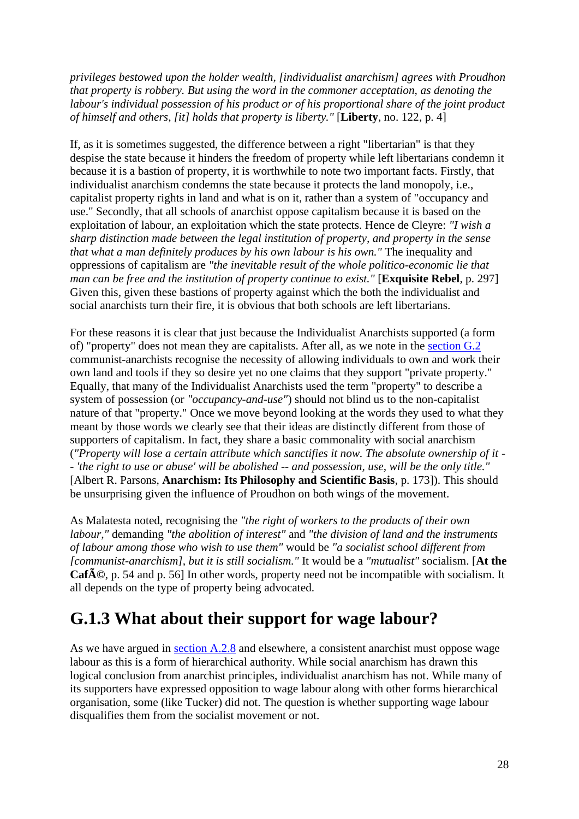*privileges bestowed upon the holder wealth, [individualist anarchism] agrees with Proudhon that property is robbery. But using the word in the commoner acceptation, as denoting the labour's individual possession of his product or of his proportional share of the joint product of himself and others, [it] holds that property is liberty."* [**Liberty**, no. 122, p. 4]

If, as it is sometimes suggested, the difference between a right "libertarian" is that they despise the state because it hinders the freedom of property while left libertarians condemn it because it is a bastion of property, it is worthwhile to note two important facts. Firstly, that individualist anarchism condemns the state because it protects the land monopoly, i.e., capitalist property rights in land and what is on it, rather than a system of "occupancy and use." Secondly, that all schools of anarchist oppose capitalism because it is based on the exploitation of labour, an exploitation which the state protects. Hence de Cleyre: *"I wish a sharp distinction made between the legal institution of property, and property in the sense that what a man definitely produces by his own labour is his own."* The inequality and oppressions of capitalism are *"the inevitable result of the whole politico-economic lie that man can be free and the institution of property continue to exist."* [**Exquisite Rebel**, p. 297] Given this, given these bastions of property against which the both the individualist and social anarchists turn their fire, it is obvious that both schools are left libertarians.

For these reasons it is clear that just because the Individualist Anarchists supported (a form of) "property" does not mean they are capitalists. After all, as we note in the [section G.2](sectionG.html#secg2) communist-anarchists recognise the necessity of allowing individuals to own and work their own land and tools if they so desire yet no one claims that they support "private property." Equally, that many of the Individualist Anarchists used the term "property" to describe a system of possession (or *"occupancy-and-use"*) should not blind us to the non-capitalist nature of that "property." Once we move beyond looking at the words they used to what they meant by those words we clearly see that their ideas are distinctly different from those of supporters of capitalism. In fact, they share a basic commonality with social anarchism (*"Property will lose a certain attribute which sanctifies it now. The absolute ownership of it - - 'the right to use or abuse' will be abolished -- and possession, use, will be the only title."* [Albert R. Parsons, **Anarchism: Its Philosophy and Scientific Basis**, p. 173]). This should be unsurprising given the influence of Proudhon on both wings of the movement.

As Malatesta noted, recognising the *"the right of workers to the products of their own labour,"* demanding *"the abolition of interest"* and *"the division of land and the instruments of labour among those who wish to use them"* would be *"a socialist school different from [communist-anarchism], but it is still socialism."* It would be a *"mutualist"* socialism. [**At the Café**, p. 54 and p. 56] In other words, property need not be incompatible with socialism. It all depends on the type of property being advocated.

### <span id="page-27-0"></span>**G.1.3 What about their support for wage labour?**

As we have argued in [section A.2.8](sectionA.html#seca28) and elsewhere, a consistent anarchist must oppose wage labour as this is a form of hierarchical authority. While social anarchism has drawn this logical conclusion from anarchist principles, individualist anarchism has not. While many of its supporters have expressed opposition to wage labour along with other forms hierarchical organisation, some (like Tucker) did not. The question is whether supporting wage labour disqualifies them from the socialist movement or not.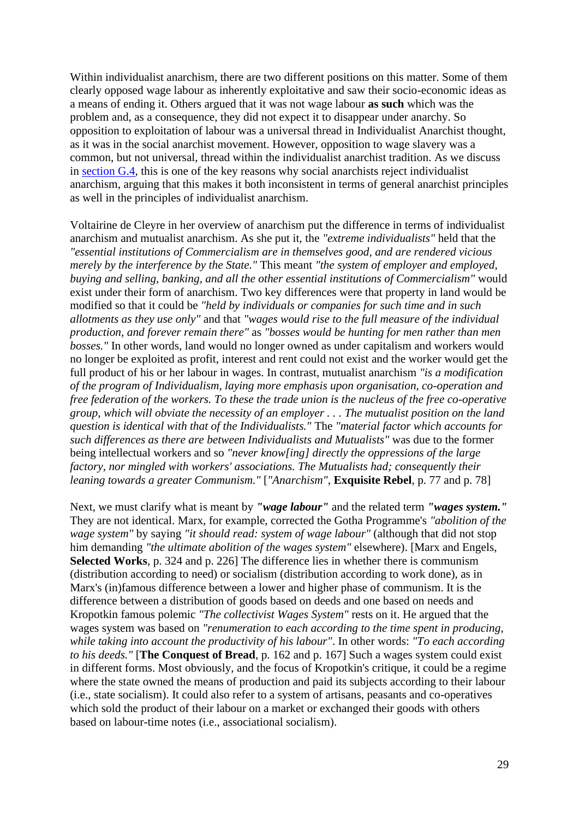Within individualist anarchism, there are two different positions on this matter. Some of them clearly opposed wage labour as inherently exploitative and saw their socio-economic ideas as a means of ending it. Others argued that it was not wage labour **as such** which was the problem and, as a consequence, they did not expect it to disappear under anarchy. So opposition to exploitation of labour was a universal thread in Individualist Anarchist thought, as it was in the social anarchist movement. However, opposition to wage slavery was a common, but not universal, thread within the individualist anarchist tradition. As we discuss in [section G.4,](sectionG.html#secg4) this is one of the key reasons why social anarchists reject individualist anarchism, arguing that this makes it both inconsistent in terms of general anarchist principles as well in the principles of individualist anarchism.

Voltairine de Cleyre in her overview of anarchism put the difference in terms of individualist anarchism and mutualist anarchism. As she put it, the *"extreme individualists"* held that the *"essential institutions of Commercialism are in themselves good, and are rendered vicious merely by the interference by the State."* This meant *"the system of employer and employed, buying and selling, banking, and all the other essential institutions of Commercialism"* would exist under their form of anarchism. Two key differences were that property in land would be modified so that it could be *"held by individuals or companies for such time and in such allotments as they use only"* and that *"wages would rise to the full measure of the individual production, and forever remain there"* as *"bosses would be hunting for men rather than men bosses."* In other words, land would no longer owned as under capitalism and workers would no longer be exploited as profit, interest and rent could not exist and the worker would get the full product of his or her labour in wages. In contrast, mutualist anarchism *"is a modification of the program of Individualism, laying more emphasis upon organisation, co-operation and free federation of the workers. To these the trade union is the nucleus of the free co-operative group, which will obviate the necessity of an employer . . . The mutualist position on the land question is identical with that of the Individualists."* The *"material factor which accounts for such differences as there are between Individualists and Mutualists"* was due to the former being intellectual workers and so *"never know[ing] directly the oppressions of the large factory, nor mingled with workers' associations. The Mutualists had; consequently their leaning towards a greater Communism."* [*"Anarchism"*, **Exquisite Rebel**, p. 77 and p. 78]

Next, we must clarify what is meant by *"wage labour"* and the related term *"wages system."* They are not identical. Marx, for example, corrected the Gotha Programme's *"abolition of the wage system"* by saying *"it should read: system of wage labour"* (although that did not stop him demanding *"the ultimate abolition of the wages system"* elsewhere). [Marx and Engels, **Selected Works**, p. 324 and p. 226] The difference lies in whether there is communism (distribution according to need) or socialism (distribution according to work done), as in Marx's (in)famous difference between a lower and higher phase of communism. It is the difference between a distribution of goods based on deeds and one based on needs and Kropotkin famous polemic *"The collectivist Wages System"* rests on it. He argued that the wages system was based on *"renumeration to each according to the time spent in producing, while taking into account the productivity of his labour"*. In other words: *"To each according to his deeds."* [**The Conquest of Bread**, p. 162 and p. 167] Such a wages system could exist in different forms. Most obviously, and the focus of Kropotkin's critique, it could be a regime where the state owned the means of production and paid its subjects according to their labour (i.e., state socialism). It could also refer to a system of artisans, peasants and co-operatives which sold the product of their labour on a market or exchanged their goods with others based on labour-time notes (i.e., associational socialism).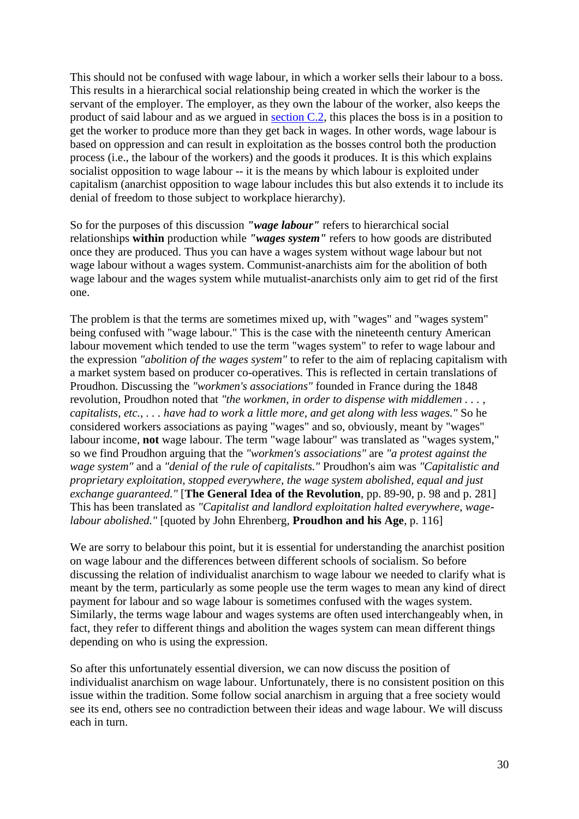This should not be confused with wage labour, in which a worker sells their labour to a boss. This results in a hierarchical social relationship being created in which the worker is the servant of the employer. The employer, as they own the labour of the worker, also keeps the product of said labour and as we argued in [section C.2,](sectionC.html#secc2) this places the boss is in a position to get the worker to produce more than they get back in wages. In other words, wage labour is based on oppression and can result in exploitation as the bosses control both the production process (i.e., the labour of the workers) and the goods it produces. It is this which explains socialist opposition to wage labour -- it is the means by which labour is exploited under capitalism (anarchist opposition to wage labour includes this but also extends it to include its denial of freedom to those subject to workplace hierarchy).

So for the purposes of this discussion *"wage labour"* refers to hierarchical social relationships **within** production while *"wages system"* refers to how goods are distributed once they are produced. Thus you can have a wages system without wage labour but not wage labour without a wages system. Communist-anarchists aim for the abolition of both wage labour and the wages system while mutualist-anarchists only aim to get rid of the first one.

The problem is that the terms are sometimes mixed up, with "wages" and "wages system" being confused with "wage labour." This is the case with the nineteenth century American labour movement which tended to use the term "wages system" to refer to wage labour and the expression *"abolition of the wages system"* to refer to the aim of replacing capitalism with a market system based on producer co-operatives. This is reflected in certain translations of Proudhon. Discussing the *"workmen's associations"* founded in France during the 1848 revolution, Proudhon noted that *"the workmen, in order to dispense with middlemen . . . , capitalists, etc., . . . have had to work a little more, and get along with less wages."* So he considered workers associations as paying "wages" and so, obviously, meant by "wages" labour income, **not** wage labour. The term "wage labour" was translated as "wages system," so we find Proudhon arguing that the *"workmen's associations"* are *"a protest against the wage system"* and a *"denial of the rule of capitalists."* Proudhon's aim was *"Capitalistic and proprietary exploitation, stopped everywhere, the wage system abolished, equal and just exchange guaranteed."* [**The General Idea of the Revolution**, pp. 89-90, p. 98 and p. 281] This has been translated as *"Capitalist and landlord exploitation halted everywhere, wagelabour abolished."* [quoted by John Ehrenberg, **Proudhon and his Age**, p. 116]

We are sorry to belabour this point, but it is essential for understanding the anarchist position on wage labour and the differences between different schools of socialism. So before discussing the relation of individualist anarchism to wage labour we needed to clarify what is meant by the term, particularly as some people use the term wages to mean any kind of direct payment for labour and so wage labour is sometimes confused with the wages system. Similarly, the terms wage labour and wages systems are often used interchangeably when, in fact, they refer to different things and abolition the wages system can mean different things depending on who is using the expression.

So after this unfortunately essential diversion, we can now discuss the position of individualist anarchism on wage labour. Unfortunately, there is no consistent position on this issue within the tradition. Some follow social anarchism in arguing that a free society would see its end, others see no contradiction between their ideas and wage labour. We will discuss each in turn.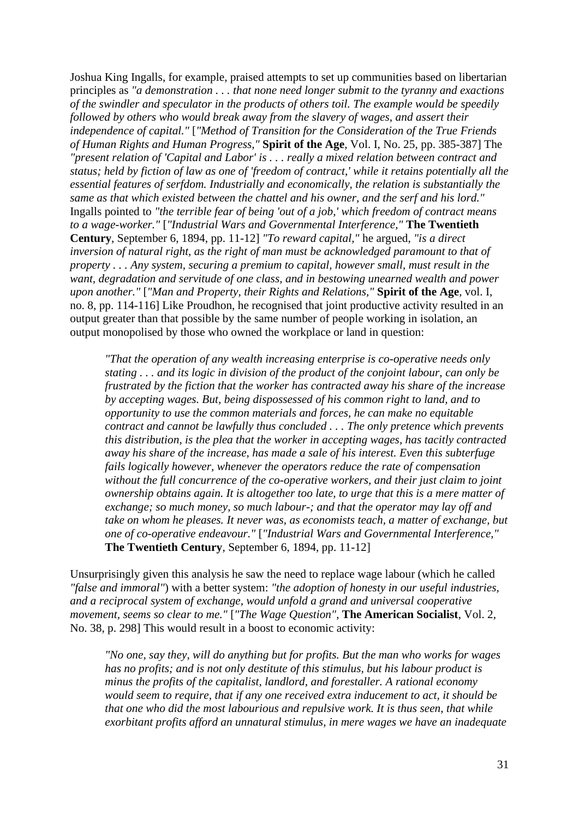Joshua King Ingalls, for example, praised attempts to set up communities based on libertarian principles as *"a demonstration . . . that none need longer submit to the tyranny and exactions of the swindler and speculator in the products of others toil. The example would be speedily followed by others who would break away from the slavery of wages, and assert their independence of capital."* [*"Method of Transition for the Consideration of the True Friends of Human Rights and Human Progress,"* **Spirit of the Age**, Vol. I, No. 25, pp. 385-387] The *"present relation of 'Capital and Labor' is . . . really a mixed relation between contract and status; held by fiction of law as one of 'freedom of contract,' while it retains potentially all the essential features of serfdom. Industrially and economically, the relation is substantially the same as that which existed between the chattel and his owner, and the serf and his lord."* Ingalls pointed to *"the terrible fear of being 'out of a job,' which freedom of contract means to a wage-worker."* [*"Industrial Wars and Governmental Interference,"* **The Twentieth Century**, September 6, 1894, pp. 11-12] *"To reward capital,"* he argued, *"is a direct inversion of natural right, as the right of man must be acknowledged paramount to that of property . . . Any system, securing a premium to capital, however small, must result in the want, degradation and servitude of one class, and in bestowing unearned wealth and power upon another."* [*"Man and Property, their Rights and Relations,"* **Spirit of the Age**, vol. I, no. 8, pp. 114-116] Like Proudhon, he recognised that joint productive activity resulted in an output greater than that possible by the same number of people working in isolation, an output monopolised by those who owned the workplace or land in question:

*"That the operation of any wealth increasing enterprise is co-operative needs only stating . . . and its logic in division of the product of the conjoint labour, can only be frustrated by the fiction that the worker has contracted away his share of the increase by accepting wages. But, being dispossessed of his common right to land, and to opportunity to use the common materials and forces, he can make no equitable contract and cannot be lawfully thus concluded . . . The only pretence which prevents this distribution, is the plea that the worker in accepting wages, has tacitly contracted away his share of the increase, has made a sale of his interest. Even this subterfuge fails logically however, whenever the operators reduce the rate of compensation without the full concurrence of the co-operative workers, and their just claim to joint ownership obtains again. It is altogether too late, to urge that this is a mere matter of exchange; so much money, so much labour-; and that the operator may lay off and take on whom he pleases. It never was, as economists teach, a matter of exchange, but one of co-operative endeavour."* [*"Industrial Wars and Governmental Interference,"* **The Twentieth Century**, September 6, 1894, pp. 11-12]

Unsurprisingly given this analysis he saw the need to replace wage labour (which he called *"false and immoral"*) with a better system: *"the adoption of honesty in our useful industries, and a reciprocal system of exchange, would unfold a grand and universal cooperative movement, seems so clear to me."* [*"The Wage Question"*, **The American Socialist**, Vol. 2, No. 38, p. 298] This would result in a boost to economic activity:

*"No one, say they, will do anything but for profits. But the man who works for wages has no profits; and is not only destitute of this stimulus, but his labour product is minus the profits of the capitalist, landlord, and forestaller. A rational economy would seem to require, that if any one received extra inducement to act, it should be that one who did the most labourious and repulsive work. It is thus seen, that while exorbitant profits afford an unnatural stimulus, in mere wages we have an inadequate*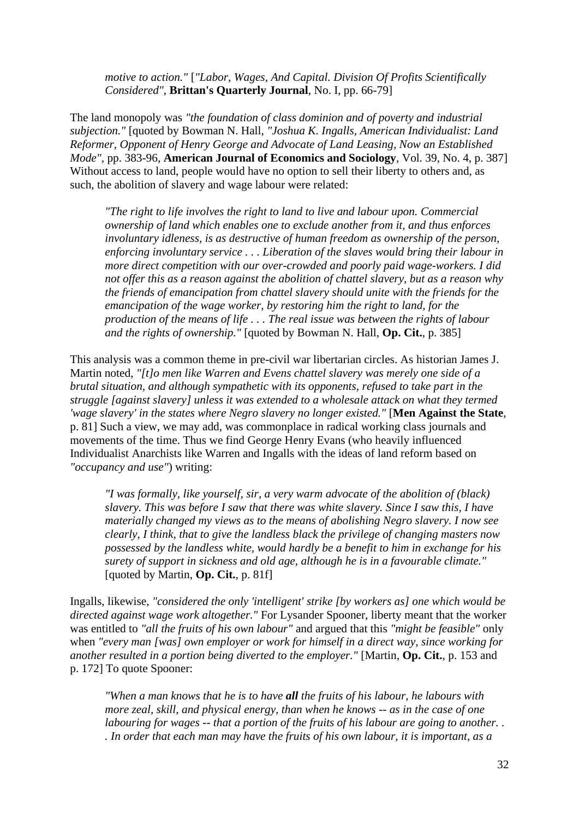*motive to action."* [*"Labor, Wages, And Capital. Division Of Profits Scientifically Considered"*, **Brittan's Quarterly Journal**, No. I, pp. 66-79]

The land monopoly was *"the foundation of class dominion and of poverty and industrial subjection."* [quoted by Bowman N. Hall, *"Joshua K. Ingalls, American Individualist: Land Reformer, Opponent of Henry George and Advocate of Land Leasing, Now an Established Mode",* pp. 383-96, **American Journal of Economics and Sociology**, Vol. 39, No. 4, p. 387] Without access to land, people would have no option to sell their liberty to others and, as such, the abolition of slavery and wage labour were related:

*"The right to life involves the right to land to live and labour upon. Commercial ownership of land which enables one to exclude another from it, and thus enforces involuntary idleness, is as destructive of human freedom as ownership of the person, enforcing involuntary service ... Liberation of the slaves would bring their labour in more direct competition with our over-crowded and poorly paid wage-workers. I did not offer this as a reason against the abolition of chattel slavery, but as a reason why the friends of emancipation from chattel slavery should unite with the friends for the emancipation of the wage worker, by restoring him the right to land, for the production of the means of life . . . The real issue was between the rights of labour and the rights of ownership."* [quoted by Bowman N. Hall, **Op. Cit.**, p. 385]

This analysis was a common theme in pre-civil war libertarian circles. As historian James J. Martin noted, *"[t]o men like Warren and Evens chattel slavery was merely one side of a brutal situation, and although sympathetic with its opponents, refused to take part in the struggle [against slavery] unless it was extended to a wholesale attack on what they termed 'wage slavery' in the states where Negro slavery no longer existed."* [**Men Against the State**, p. 81] Such a view, we may add, was commonplace in radical working class journals and movements of the time. Thus we find George Henry Evans (who heavily influenced Individualist Anarchists like Warren and Ingalls with the ideas of land reform based on *"occupancy and use"*) writing:

*"I was formally, like yourself, sir, a very warm advocate of the abolition of (black) slavery. This was before I saw that there was white slavery. Since I saw this, I have materially changed my views as to the means of abolishing Negro slavery. I now see clearly, I think, that to give the landless black the privilege of changing masters now possessed by the landless white, would hardly be a benefit to him in exchange for his surety of support in sickness and old age, although he is in a favourable climate."* [quoted by Martin, **Op. Cit.**, p. 81f]

Ingalls, likewise, *"considered the only 'intelligent' strike [by workers as] one which would be directed against wage work altogether."* For Lysander Spooner, liberty meant that the worker was entitled to *"all the fruits of his own labour"* and argued that this *"might be feasible"* only when *"every man [was] own employer or work for himself in a direct way, since working for another resulted in a portion being diverted to the employer."* [Martin, **Op. Cit.**, p. 153 and p. 172] To quote Spooner:

*"When a man knows that he is to have all the fruits of his labour, he labours with more zeal, skill, and physical energy, than when he knows -- as in the case of one labouring for wages -- that a portion of the fruits of his labour are going to another. . . In order that each man may have the fruits of his own labour, it is important, as a*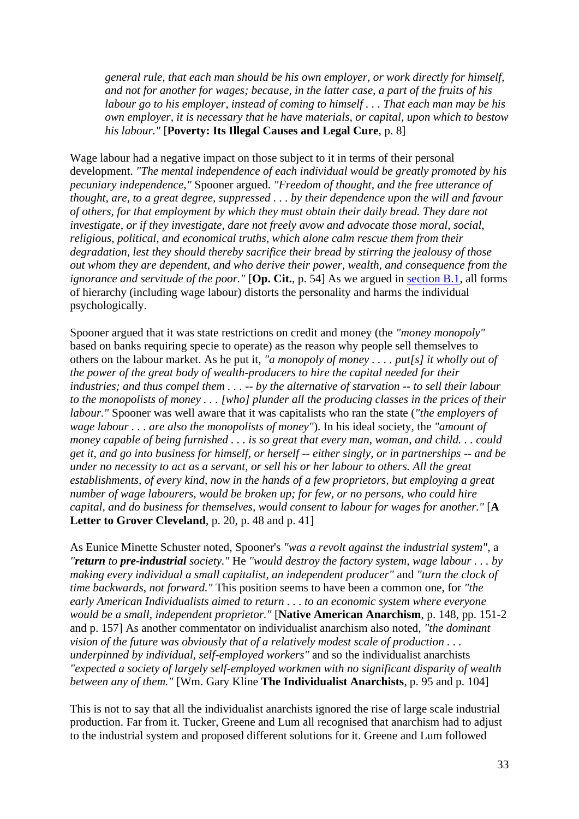*general rule, that each man should be his own employer, or work directly for himself, and not for another for wages; because, in the latter case, a part of the fruits of his labour go to his employer, instead of coming to himself . . . That each man may be his own employer, it is necessary that he have materials, or capital, upon which to bestow his labour."* [**Poverty: Its Illegal Causes and Legal Cure**, p. 8]

Wage labour had a negative impact on those subject to it in terms of their personal development. *"The mental independence of each individual would be greatly promoted by his pecuniary independence,"* Spooner argued. *"Freedom of thought, and the free utterance of thought, are, to a great degree, suppressed . . . by their dependence upon the will and favour of others, for that employment by which they must obtain their daily bread. They dare not investigate, or if they investigate, dare not freely avow and advocate those moral, social, religious, political, and economical truths, which alone calm rescue them from their degradation, lest they should thereby sacrifice their bread by stirring the jealousy of those out whom they are dependent, and who derive their power, wealth, and consequence from the ignorance and servitude of the poor.*" [Op. Cit., p. 54] As we argued in **section B.1**, all forms of hierarchy (including wage labour) distorts the personality and harms the individual psychologically.

Spooner argued that it was state restrictions on credit and money (the *"money monopoly"* based on banks requiring specie to operate) as the reason why people sell themselves to others on the labour market. As he put it, *"a monopoly of money . . . . put[s] it wholly out of the power of the great body of wealth-producers to hire the capital needed for their industries; and thus compel them . . . -- by the alternative of starvation -- to sell their labour to the monopolists of money . . . [who] plunder all the producing classes in the prices of their labour."* Spooner was well aware that it was capitalists who ran the state (*"the employers of wage labour . . . are also the monopolists of money"*). In his ideal society, the *"amount of money capable of being furnished . . . is so great that every man, woman, and child. . . could get it, and go into business for himself, or herself -- either singly, or in partnerships -- and be under no necessity to act as a servant, or sell his or her labour to others. All the great establishments, of every kind, now in the hands of a few proprietors, but employing a great number of wage labourers, would be broken up; for few, or no persons, who could hire capital, and do business for themselves, would consent to labour for wages for another."* [**A Letter to Grover Cleveland**, p. 20, p. 48 and p. 41]

As Eunice Minette Schuster noted, Spooner's *"was a revolt against the industrial system"*, a *"return to pre-industrial society."* He *"would destroy the factory system, wage labour . . . by making every individual a small capitalist, an independent producer"* and *"turn the clock of time backwards, not forward."* This position seems to have been a common one, for *"the early American Individualists aimed to return . . . to an economic system where everyone would be a small, independent proprietor."* [**Native American Anarchism**, p. 148, pp. 151-2 and p. 157] As another commentator on individualist anarchism also noted, *"the dominant vision of the future was obviously that of a relatively modest scale of production . . . underpinned by individual, self-employed workers"* and so the individualist anarchists *"expected a society of largely self-employed workmen with no significant disparity of wealth between any of them."* [Wm. Gary Kline **The Individualist Anarchists**, p. 95 and p. 104]

This is not to say that all the individualist anarchists ignored the rise of large scale industrial production. Far from it. Tucker, Greene and Lum all recognised that anarchism had to adjust to the industrial system and proposed different solutions for it. Greene and Lum followed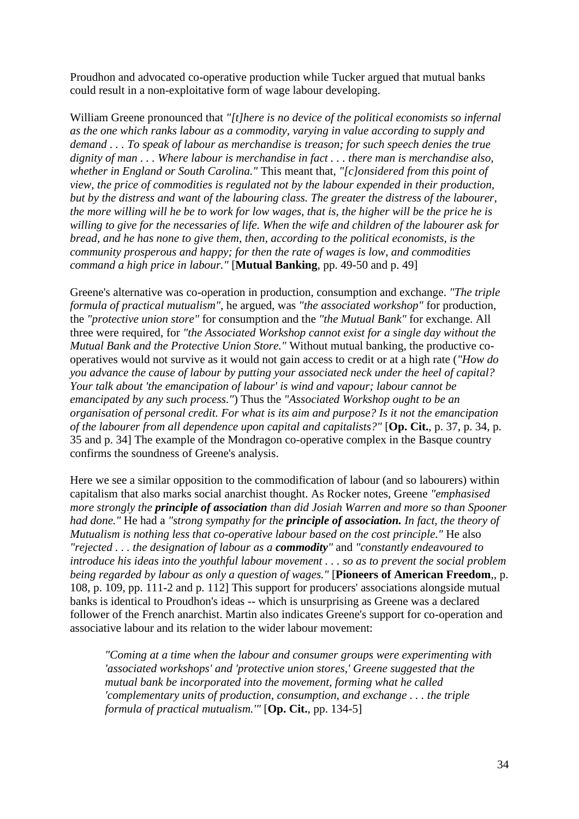Proudhon and advocated co-operative production while Tucker argued that mutual banks could result in a non-exploitative form of wage labour developing.

William Greene pronounced that *"[t]here is no device of the political economists so infernal as the one which ranks labour as a commodity, varying in value according to supply and demand . . . To speak of labour as merchandise is treason; for such speech denies the true dignity of man . . . Where labour is merchandise in fact . . . there man is merchandise also, whether in England or South Carolina."* This meant that, *"[c]onsidered from this point of view, the price of commodities is regulated not by the labour expended in their production, but by the distress and want of the labouring class. The greater the distress of the labourer, the more willing will he be to work for low wages, that is, the higher will be the price he is willing to give for the necessaries of life. When the wife and children of the labourer ask for bread, and he has none to give them, then, according to the political economists, is the community prosperous and happy; for then the rate of wages is low, and commodities command a high price in labour."* [**Mutual Banking**, pp. 49-50 and p. 49]

Greene's alternative was co-operation in production, consumption and exchange. *"The triple formula of practical mutualism"*, he argued, was *"the associated workshop"* for production, the *"protective union store"* for consumption and the *"the Mutual Bank"* for exchange. All three were required, for *"the Associated Workshop cannot exist for a single day without the Mutual Bank and the Protective Union Store."* Without mutual banking, the productive cooperatives would not survive as it would not gain access to credit or at a high rate (*"How do you advance the cause of labour by putting your associated neck under the heel of capital? Your talk about 'the emancipation of labour' is wind and vapour; labour cannot be emancipated by any such process."*) Thus the *"Associated Workshop ought to be an organisation of personal credit. For what is its aim and purpose? Is it not the emancipation of the labourer from all dependence upon capital and capitalists?"* [**Op. Cit.**, p. 37, p. 34, p. 35 and p. 34] The example of the Mondragon co-operative complex in the Basque country confirms the soundness of Greene's analysis.

Here we see a similar opposition to the commodification of labour (and so labourers) within capitalism that also marks social anarchist thought. As Rocker notes, Greene *"emphasised more strongly the principle of association than did Josiah Warren and more so than Spooner had done."* He had a *"strong sympathy for the principle of association. In fact, the theory of Mutualism is nothing less that co-operative labour based on the cost principle."* He also *"rejected . . . the designation of labour as a commodity"* and *"constantly endeavoured to introduce his ideas into the youthful labour movement . . . so as to prevent the social problem being regarded by labour as only a question of wages."* [**Pioneers of American Freedom**,, p. 108, p. 109, pp. 111-2 and p. 112] This support for producers' associations alongside mutual banks is identical to Proudhon's ideas -- which is unsurprising as Greene was a declared follower of the French anarchist. Martin also indicates Greene's support for co-operation and associative labour and its relation to the wider labour movement:

*"Coming at a time when the labour and consumer groups were experimenting with 'associated workshops' and 'protective union stores,' Greene suggested that the mutual bank be incorporated into the movement, forming what he called 'complementary units of production, consumption, and exchange . . . the triple formula of practical mutualism.'"* [**Op. Cit.**, pp. 134-5]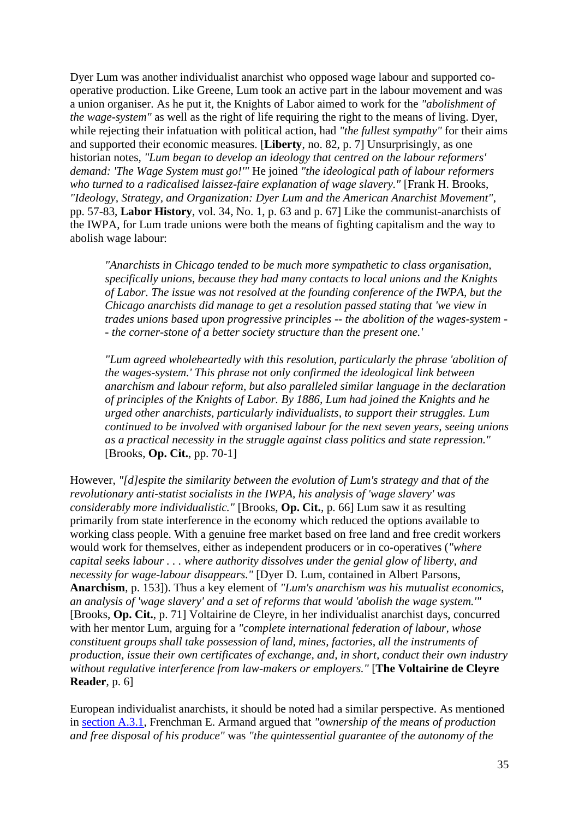Dyer Lum was another individualist anarchist who opposed wage labour and supported cooperative production. Like Greene, Lum took an active part in the labour movement and was a union organiser. As he put it, the Knights of Labor aimed to work for the *"abolishment of the wage-system"* as well as the right of life requiring the right to the means of living. Dyer, while rejecting their infatuation with political action, had *"the fullest sympathy"* for their aims and supported their economic measures. [**Liberty**, no. 82, p. 7] Unsurprisingly, as one historian notes, *"Lum began to develop an ideology that centred on the labour reformers' demand: 'The Wage System must go!'"* He joined *"the ideological path of labour reformers who turned to a radicalised laissez-faire explanation of wage slavery."* [Frank H. Brooks, *"Ideology, Strategy, and Organization: Dyer Lum and the American Anarchist Movement"*, pp. 57-83, **Labor History**, vol. 34, No. 1, p. 63 and p. 67] Like the communist-anarchists of the IWPA, for Lum trade unions were both the means of fighting capitalism and the way to abolish wage labour:

*"Anarchists in Chicago tended to be much more sympathetic to class organisation, specifically unions, because they had many contacts to local unions and the Knights of Labor. The issue was not resolved at the founding conference of the IWPA, but the Chicago anarchists did manage to get a resolution passed stating that 'we view in trades unions based upon progressive principles -- the abolition of the wages-system - - the corner-stone of a better society structure than the present one.'* 

*"Lum agreed wholeheartedly with this resolution, particularly the phrase 'abolition of the wages-system.' This phrase not only confirmed the ideological link between anarchism and labour reform, but also paralleled similar language in the declaration of principles of the Knights of Labor. By 1886, Lum had joined the Knights and he urged other anarchists, particularly individualists, to support their struggles. Lum continued to be involved with organised labour for the next seven years, seeing unions as a practical necessity in the struggle against class politics and state repression."* [Brooks, **Op. Cit.**, pp. 70-1]

However, *"[d]espite the similarity between the evolution of Lum's strategy and that of the revolutionary anti-statist socialists in the IWPA, his analysis of 'wage slavery' was considerably more individualistic."* [Brooks, **Op. Cit.**, p. 66] Lum saw it as resulting primarily from state interference in the economy which reduced the options available to working class people. With a genuine free market based on free land and free credit workers would work for themselves, either as independent producers or in co-operatives (*"where capital seeks labour . . . where authority dissolves under the genial glow of liberty, and necessity for wage-labour disappears."* [Dyer D. Lum, contained in Albert Parsons, **Anarchism**, p. 153]). Thus a key element of *"Lum's anarchism was his mutualist economics, an analysis of 'wage slavery' and a set of reforms that would 'abolish the wage system.'"* [Brooks, **Op. Cit.**, p. 71] Voltairine de Cleyre, in her individualist anarchist days, concurred with her mentor Lum, arguing for a *"complete international federation of labour, whose constituent groups shall take possession of land, mines, factories, all the instruments of production, issue their own certificates of exchange, and, in short, conduct their own industry without regulative interference from law-makers or employers."* [**The Voltairine de Cleyre Reader**, p. 6]

European individualist anarchists, it should be noted had a similar perspective. As mentioned in [section A.3.1,](sectionA.html#seca31) Frenchman E. Armand argued that *"ownership of the means of production and free disposal of his produce"* was *"the quintessential guarantee of the autonomy of the*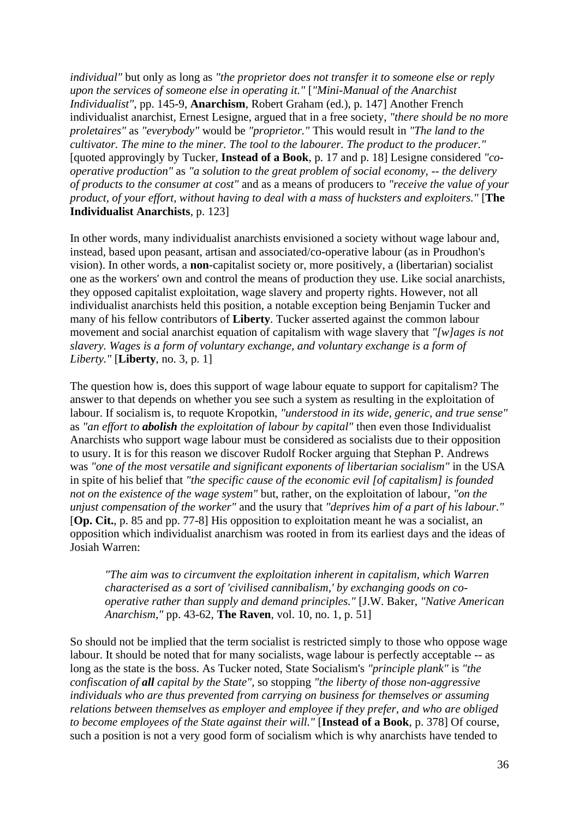*individual"* but only as long as *"the proprietor does not transfer it to someone else or reply upon the services of someone else in operating it."* [*"Mini-Manual of the Anarchist Individualist"*, pp. 145-9, **Anarchism**, Robert Graham (ed.), p. 147] Another French individualist anarchist, Ernest Lesigne, argued that in a free society, *"there should be no more proletaires"* as *"everybody"* would be *"proprietor."* This would result in *"The land to the cultivator. The mine to the miner. The tool to the labourer. The product to the producer."* [quoted approvingly by Tucker, **Instead of a Book**, p. 17 and p. 18] Lesigne considered *"cooperative production"* as *"a solution to the great problem of social economy, -- the delivery of products to the consumer at cost"* and as a means of producers to *"receive the value of your product, of your effort, without having to deal with a mass of hucksters and exploiters."* [**The Individualist Anarchists**, p. 123]

In other words, many individualist anarchists envisioned a society without wage labour and, instead, based upon peasant, artisan and associated/co-operative labour (as in Proudhon's vision). In other words, a **non**-capitalist society or, more positively, a (libertarian) socialist one as the workers' own and control the means of production they use. Like social anarchists, they opposed capitalist exploitation, wage slavery and property rights. However, not all individualist anarchists held this position, a notable exception being Benjamin Tucker and many of his fellow contributors of **Liberty**. Tucker asserted against the common labour movement and social anarchist equation of capitalism with wage slavery that *"[w]ages is not slavery. Wages is a form of voluntary exchange, and voluntary exchange is a form of Liberty."* [**Liberty**, no. 3, p. 1]

The question how is, does this support of wage labour equate to support for capitalism? The answer to that depends on whether you see such a system as resulting in the exploitation of labour. If socialism is, to requote Kropotkin, *"understood in its wide, generic, and true sense"* as *"an effort to abolish the exploitation of labour by capital"* then even those Individualist Anarchists who support wage labour must be considered as socialists due to their opposition to usury. It is for this reason we discover Rudolf Rocker arguing that Stephan P. Andrews was *"one of the most versatile and significant exponents of libertarian socialism"* in the USA in spite of his belief that *"the specific cause of the economic evil [of capitalism] is founded not on the existence of the wage system"* but, rather, on the exploitation of labour, *"on the unjust compensation of the worker"* and the usury that *"deprives him of a part of his labour."* [**Op. Cit.**, p. 85 and pp. 77-8] His opposition to exploitation meant he was a socialist, an opposition which individualist anarchism was rooted in from its earliest days and the ideas of Josiah Warren:

*"The aim was to circumvent the exploitation inherent in capitalism, which Warren characterised as a sort of 'civilised cannibalism,' by exchanging goods on cooperative rather than supply and demand principles."* [J.W. Baker, *"Native American Anarchism,"* pp. 43-62, **The Raven**, vol. 10, no. 1, p. 51]

So should not be implied that the term socialist is restricted simply to those who oppose wage labour. It should be noted that for many socialists, wage labour is perfectly acceptable -- as long as the state is the boss. As Tucker noted, State Socialism's *"principle plank"* is *"the confiscation of all capital by the State"*, so stopping *"the liberty of those non-aggressive individuals who are thus prevented from carrying on business for themselves or assuming relations between themselves as employer and employee if they prefer, and who are obliged to become employees of the State against their will."* [**Instead of a Book**, p. 378] Of course, such a position is not a very good form of socialism which is why anarchists have tended to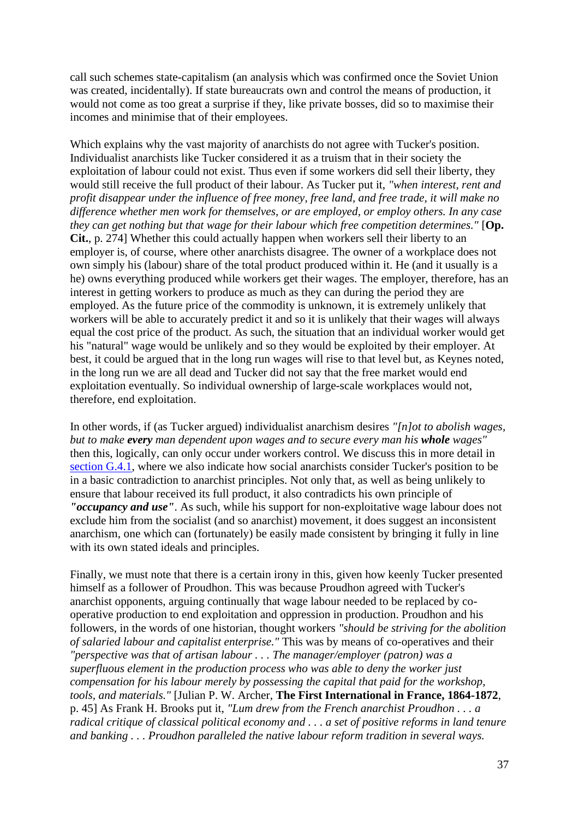call such schemes state-capitalism (an analysis which was confirmed once the Soviet Union was created, incidentally). If state bureaucrats own and control the means of production, it would not come as too great a surprise if they, like private bosses, did so to maximise their incomes and minimise that of their employees.

Which explains why the vast majority of anarchists do not agree with Tucker's position. Individualist anarchists like Tucker considered it as a truism that in their society the exploitation of labour could not exist. Thus even if some workers did sell their liberty, they would still receive the full product of their labour. As Tucker put it, *"when interest, rent and profit disappear under the influence of free money, free land, and free trade, it will make no difference whether men work for themselves, or are employed, or employ others. In any case they can get nothing but that wage for their labour which free competition determines."* [**Op. Cit.**, p. 274] Whether this could actually happen when workers sell their liberty to an employer is, of course, where other anarchists disagree. The owner of a workplace does not own simply his (labour) share of the total product produced within it. He (and it usually is a he) owns everything produced while workers get their wages. The employer, therefore, has an interest in getting workers to produce as much as they can during the period they are employed. As the future price of the commodity is unknown, it is extremely unlikely that workers will be able to accurately predict it and so it is unlikely that their wages will always equal the cost price of the product. As such, the situation that an individual worker would get his "natural" wage would be unlikely and so they would be exploited by their employer. At best, it could be argued that in the long run wages will rise to that level but, as Keynes noted, in the long run we are all dead and Tucker did not say that the free market would end exploitation eventually. So individual ownership of large-scale workplaces would not, therefore, end exploitation.

In other words, if (as Tucker argued) individualist anarchism desires *"[n]ot to abolish wages, but to make every man dependent upon wages and to secure every man his whole wages"* then this, logically, can only occur under workers control. We discuss this in more detail in [section G.4.1,](sectionG.html#secg41) where we also indicate how social anarchists consider Tucker's position to be in a basic contradiction to anarchist principles. Not only that, as well as being unlikely to ensure that labour received its full product, it also contradicts his own principle of *"occupancy and use"*. As such, while his support for non-exploitative wage labour does not exclude him from the socialist (and so anarchist) movement, it does suggest an inconsistent anarchism, one which can (fortunately) be easily made consistent by bringing it fully in line with its own stated ideals and principles.

Finally, we must note that there is a certain irony in this, given how keenly Tucker presented himself as a follower of Proudhon. This was because Proudhon agreed with Tucker's anarchist opponents, arguing continually that wage labour needed to be replaced by cooperative production to end exploitation and oppression in production. Proudhon and his followers, in the words of one historian, thought workers *"should be striving for the abolition of salaried labour and capitalist enterprise."* This was by means of co-operatives and their *"perspective was that of artisan labour . . . The manager/employer (patron) was a superfluous element in the production process who was able to deny the worker just compensation for his labour merely by possessing the capital that paid for the workshop, tools, and materials."* [Julian P. W. Archer, **The First International in France, 1864-1872**, p. 45] As Frank H. Brooks put it, *"Lum drew from the French anarchist Proudhon . . . a radical critique of classical political economy and . . . a set of positive reforms in land tenure and banking . . . Proudhon paralleled the native labour reform tradition in several ways.*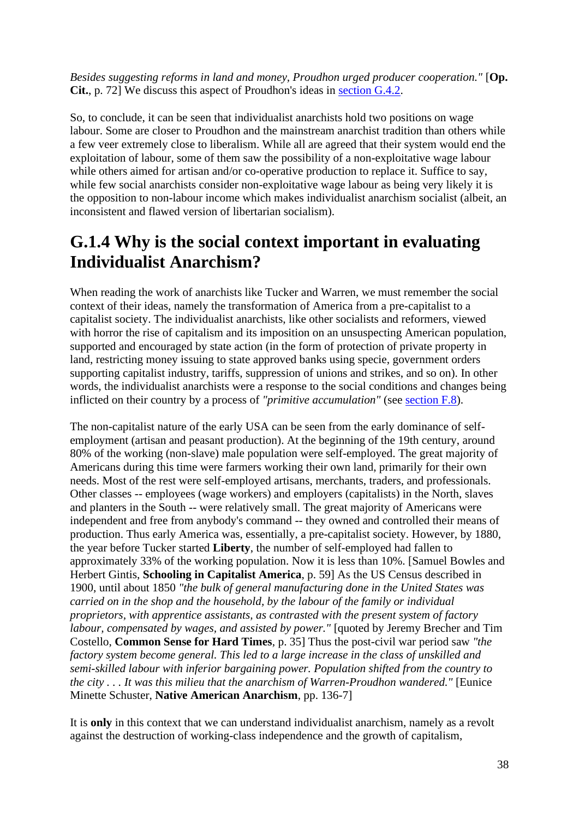*Besides suggesting reforms in land and money, Proudhon urged producer cooperation."* [**Op. Cit.**, p. 72] We discuss this aspect of Proudhon's ideas in [section G.4.2.](sectionG.html#secg42)

So, to conclude, it can be seen that individualist anarchists hold two positions on wage labour. Some are closer to Proudhon and the mainstream anarchist tradition than others while a few veer extremely close to liberalism. While all are agreed that their system would end the exploitation of labour, some of them saw the possibility of a non-exploitative wage labour while others aimed for artisan and/or co-operative production to replace it. Suffice to say, while few social anarchists consider non-exploitative wage labour as being very likely it is the opposition to non-labour income which makes individualist anarchism socialist (albeit, an inconsistent and flawed version of libertarian socialism).

## **G.1.4 Why is the social context important in evaluating Individualist Anarchism?**

When reading the work of anarchists like Tucker and Warren, we must remember the social context of their ideas, namely the transformation of America from a pre-capitalist to a capitalist society. The individualist anarchists, like other socialists and reformers, viewed with horror the rise of capitalism and its imposition on an unsuspecting American population, supported and encouraged by state action (in the form of protection of private property in land, restricting money issuing to state approved banks using specie, government orders supporting capitalist industry, tariffs, suppression of unions and strikes, and so on). In other words, the individualist anarchists were a response to the social conditions and changes being inflicted on their country by a process of *"primitive accumulation"* (see [section F.8\)](sectionF.html#secf8).

The non-capitalist nature of the early USA can be seen from the early dominance of selfemployment (artisan and peasant production). At the beginning of the 19th century, around 80% of the working (non-slave) male population were self-employed. The great majority of Americans during this time were farmers working their own land, primarily for their own needs. Most of the rest were self-employed artisans, merchants, traders, and professionals. Other classes -- employees (wage workers) and employers (capitalists) in the North, slaves and planters in the South -- were relatively small. The great majority of Americans were independent and free from anybody's command -- they owned and controlled their means of production. Thus early America was, essentially, a pre-capitalist society. However, by 1880, the year before Tucker started **Liberty**, the number of self-employed had fallen to approximately 33% of the working population. Now it is less than 10%. [Samuel Bowles and Herbert Gintis, **Schooling in Capitalist America**, p. 59] As the US Census described in 1900, until about 1850 *"the bulk of general manufacturing done in the United States was carried on in the shop and the household, by the labour of the family or individual proprietors, with apprentice assistants, as contrasted with the present system of factory labour, compensated by wages, and assisted by power."* [quoted by Jeremy Brecher and Tim Costello, **Common Sense for Hard Times**, p. 35] Thus the post-civil war period saw *"the factory system become general. This led to a large increase in the class of unskilled and semi-skilled labour with inferior bargaining power. Population shifted from the country to the city . . . It was this milieu that the anarchism of Warren-Proudhon wandered."* [Eunice Minette Schuster, **Native American Anarchism**, pp. 136-7]

It is **only** in this context that we can understand individualist anarchism, namely as a revolt against the destruction of working-class independence and the growth of capitalism,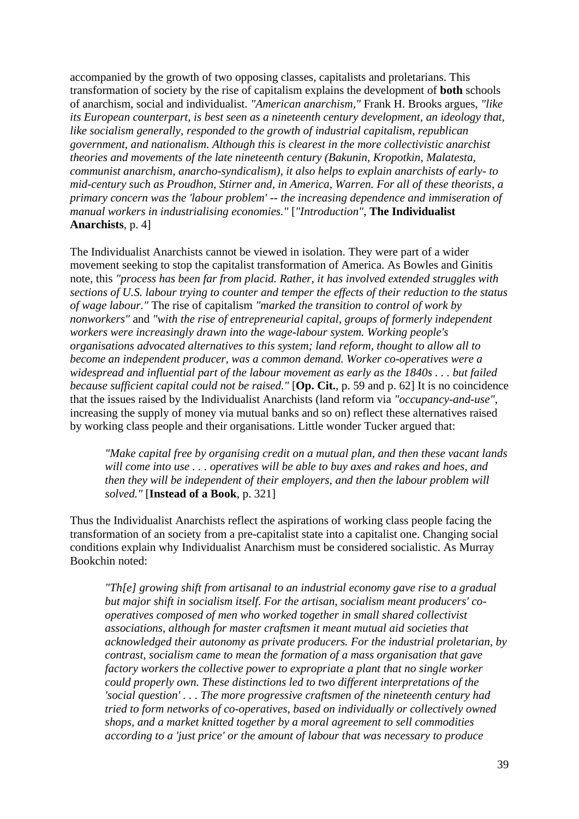accompanied by the growth of two opposing classes, capitalists and proletarians. This transformation of society by the rise of capitalism explains the development of **both** schools of anarchism, social and individualist. *"American anarchism,"* Frank H. Brooks argues, *"like its European counterpart, is best seen as a nineteenth century development, an ideology that, like socialism generally, responded to the growth of industrial capitalism, republican government, and nationalism. Although this is clearest in the more collectivistic anarchist theories and movements of the late nineteenth century (Bakunin, Kropotkin, Malatesta, communist anarchism, anarcho-syndicalism), it also helps to explain anarchists of early- to mid-century such as Proudhon, Stirner and, in America, Warren. For all of these theorists, a primary concern was the 'labour problem' -- the increasing dependence and immiseration of manual workers in industrialising economies."* [*"Introduction"*, **The Individualist Anarchists**, p. 4]

The Individualist Anarchists cannot be viewed in isolation. They were part of a wider movement seeking to stop the capitalist transformation of America. As Bowles and Ginitis note, this *"process has been far from placid. Rather, it has involved extended struggles with sections of U.S. labour trying to counter and temper the effects of their reduction to the status of wage labour."* The rise of capitalism *"marked the transition to control of work by nonworkers"* and *"with the rise of entrepreneurial capital, groups of formerly independent workers were increasingly drawn into the wage-labour system. Working people's organisations advocated alternatives to this system; land reform, thought to allow all to become an independent producer, was a common demand. Worker co-operatives were a widespread and influential part of the labour movement as early as the 1840s . . . but failed because sufficient capital could not be raised."* [**Op. Cit.**, p. 59 and p. 62] It is no coincidence that the issues raised by the Individualist Anarchists (land reform via *"occupancy-and-use"*, increasing the supply of money via mutual banks and so on) reflect these alternatives raised by working class people and their organisations. Little wonder Tucker argued that:

*"Make capital free by organising credit on a mutual plan, and then these vacant lands will come into use . . . operatives will be able to buy axes and rakes and hoes, and then they will be independent of their employers, and then the labour problem will solved."* [**Instead of a Book**, p. 321]

Thus the Individualist Anarchists reflect the aspirations of working class people facing the transformation of an society from a pre-capitalist state into a capitalist one. Changing social conditions explain why Individualist Anarchism must be considered socialistic. As Murray Bookchin noted:

*"Th[e] growing shift from artisanal to an industrial economy gave rise to a gradual but major shift in socialism itself. For the artisan, socialism meant producers' cooperatives composed of men who worked together in small shared collectivist associations, although for master craftsmen it meant mutual aid societies that acknowledged their autonomy as private producers. For the industrial proletarian, by contrast, socialism came to mean the formation of a mass organisation that gave factory workers the collective power to expropriate a plant that no single worker could properly own. These distinctions led to two different interpretations of the 'social question' . . . The more progressive craftsmen of the nineteenth century had tried to form networks of co-operatives, based on individually or collectively owned shops, and a market knitted together by a moral agreement to sell commodities according to a 'just price' or the amount of labour that was necessary to produce*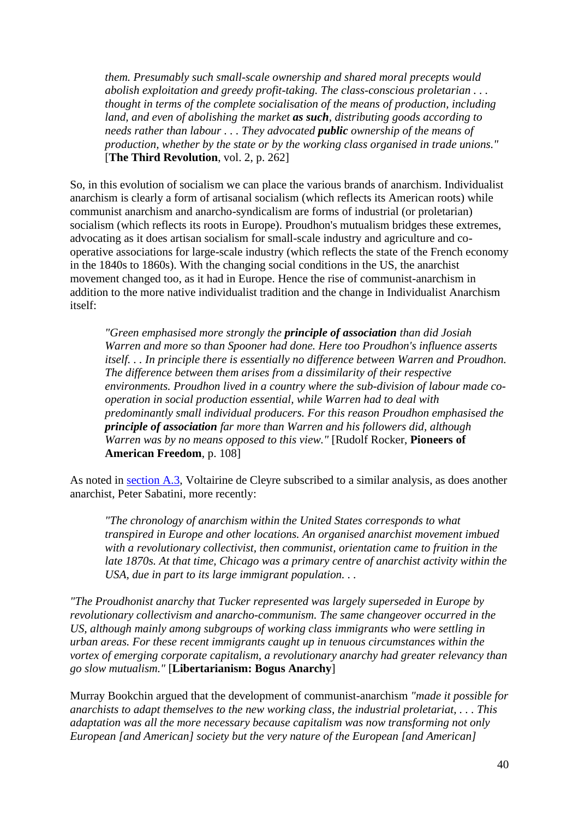*them. Presumably such small-scale ownership and shared moral precepts would abolish exploitation and greedy profit-taking. The class-conscious proletarian . . . thought in terms of the complete socialisation of the means of production, including land, and even of abolishing the market as such, distributing goods according to needs rather than labour . . . They advocated public ownership of the means of production, whether by the state or by the working class organised in trade unions."* [**The Third Revolution**, vol. 2, p. 262]

So, in this evolution of socialism we can place the various brands of anarchism. Individualist anarchism is clearly a form of artisanal socialism (which reflects its American roots) while communist anarchism and anarcho-syndicalism are forms of industrial (or proletarian) socialism (which reflects its roots in Europe). Proudhon's mutualism bridges these extremes, advocating as it does artisan socialism for small-scale industry and agriculture and cooperative associations for large-scale industry (which reflects the state of the French economy in the 1840s to 1860s). With the changing social conditions in the US, the anarchist movement changed too, as it had in Europe. Hence the rise of communist-anarchism in addition to the more native individualist tradition and the change in Individualist Anarchism itself:

*"Green emphasised more strongly the principle of association than did Josiah Warren and more so than Spooner had done. Here too Proudhon's influence asserts itself. . . In principle there is essentially no difference between Warren and Proudhon. The difference between them arises from a dissimilarity of their respective environments. Proudhon lived in a country where the sub-division of labour made cooperation in social production essential, while Warren had to deal with predominantly small individual producers. For this reason Proudhon emphasised the principle of association far more than Warren and his followers did, although Warren was by no means opposed to this view."* [Rudolf Rocker, **Pioneers of American Freedom**, p. 108]

As noted in [section A.3,](sectionA.html#seca3) Voltairine de Cleyre subscribed to a similar analysis, as does another anarchist, Peter Sabatini, more recently:

*"The chronology of anarchism within the United States corresponds to what transpired in Europe and other locations. An organised anarchist movement imbued with a revolutionary collectivist, then communist, orientation came to fruition in the late 1870s. At that time, Chicago was a primary centre of anarchist activity within the USA, due in part to its large immigrant population. . .* 

*"The Proudhonist anarchy that Tucker represented was largely superseded in Europe by revolutionary collectivism and anarcho-communism. The same changeover occurred in the US, although mainly among subgroups of working class immigrants who were settling in urban areas. For these recent immigrants caught up in tenuous circumstances within the vortex of emerging corporate capitalism, a revolutionary anarchy had greater relevancy than go slow mutualism."* [**Libertarianism: Bogus Anarchy**]

Murray Bookchin argued that the development of communist-anarchism *"made it possible for anarchists to adapt themselves to the new working class, the industrial proletariat, . . . This adaptation was all the more necessary because capitalism was now transforming not only European [and American] society but the very nature of the European [and American]*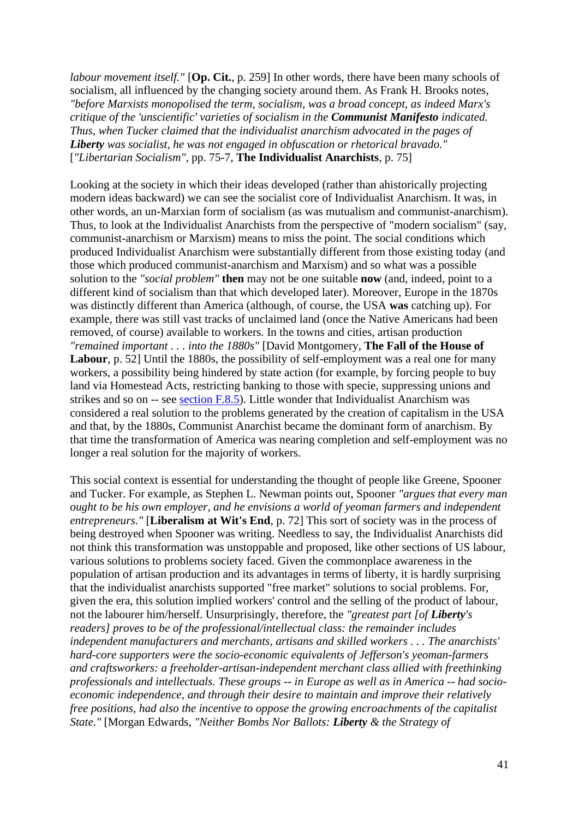*labour movement itself."* [**Op. Cit.**, p. 259] In other words, there have been many schools of socialism, all influenced by the changing society around them. As Frank H. Brooks notes, *"before Marxists monopolised the term, socialism, was a broad concept, as indeed Marx's critique of the 'unscientific' varieties of socialism in the Communist Manifesto indicated. Thus, when Tucker claimed that the individualist anarchism advocated in the pages of Liberty was socialist, he was not engaged in obfuscation or rhetorical bravado."* [*"Libertarian Socialism"*, pp. 75-7, **The Individualist Anarchists**, p. 75]

Looking at the society in which their ideas developed (rather than ahistorically projecting modern ideas backward) we can see the socialist core of Individualist Anarchism. It was, in other words, an un-Marxian form of socialism (as was mutualism and communist-anarchism). Thus, to look at the Individualist Anarchists from the perspective of "modern socialism" (say, communist-anarchism or Marxism) means to miss the point. The social conditions which produced Individualist Anarchism were substantially different from those existing today (and those which produced communist-anarchism and Marxism) and so what was a possible solution to the *"social problem"* **then** may not be one suitable **now** (and, indeed, point to a different kind of socialism than that which developed later). Moreover, Europe in the 1870s was distinctly different than America (although, of course, the USA **was** catching up). For example, there was still vast tracks of unclaimed land (once the Native Americans had been removed, of course) available to workers. In the towns and cities, artisan production *"remained important . . . into the 1880s"* [David Montgomery, **The Fall of the House of Labour**, p. 52] Until the 1880s, the possibility of self-employment was a real one for many workers, a possibility being hindered by state action (for example, by forcing people to buy land via Homestead Acts, restricting banking to those with specie, suppressing unions and strikes and so on -- see [section F.8.5\)](sectionF.html#secf85). Little wonder that Individualist Anarchism was considered a real solution to the problems generated by the creation of capitalism in the USA and that, by the 1880s, Communist Anarchist became the dominant form of anarchism. By that time the transformation of America was nearing completion and self-employment was no longer a real solution for the majority of workers.

This social context is essential for understanding the thought of people like Greene, Spooner and Tucker. For example, as Stephen L. Newman points out, Spooner *"argues that every man ought to be his own employer, and he envisions a world of yeoman farmers and independent entrepreneurs."* [**Liberalism at Wit's End**, p. 72] This sort of society was in the process of being destroyed when Spooner was writing. Needless to say, the Individualist Anarchists did not think this transformation was unstoppable and proposed, like other sections of US labour, various solutions to problems society faced. Given the commonplace awareness in the population of artisan production and its advantages in terms of liberty, it is hardly surprising that the individualist anarchists supported "free market" solutions to social problems. For, given the era, this solution implied workers' control and the selling of the product of labour, not the labourer him/herself. Unsurprisingly, therefore, the *"greatest part [of Liberty's readers] proves to be of the professional/intellectual class: the remainder includes independent manufacturers and merchants, artisans and skilled workers . . . The anarchists' hard-core supporters were the socio-economic equivalents of Jefferson's yeoman-farmers and craftsworkers: a freeholder-artisan-independent merchant class allied with freethinking professionals and intellectuals. These groups -- in Europe as well as in America -- had socioeconomic independence, and through their desire to maintain and improve their relatively free positions, had also the incentive to oppose the growing encroachments of the capitalist State."* [Morgan Edwards, *"Neither Bombs Nor Ballots: Liberty & the Strategy of*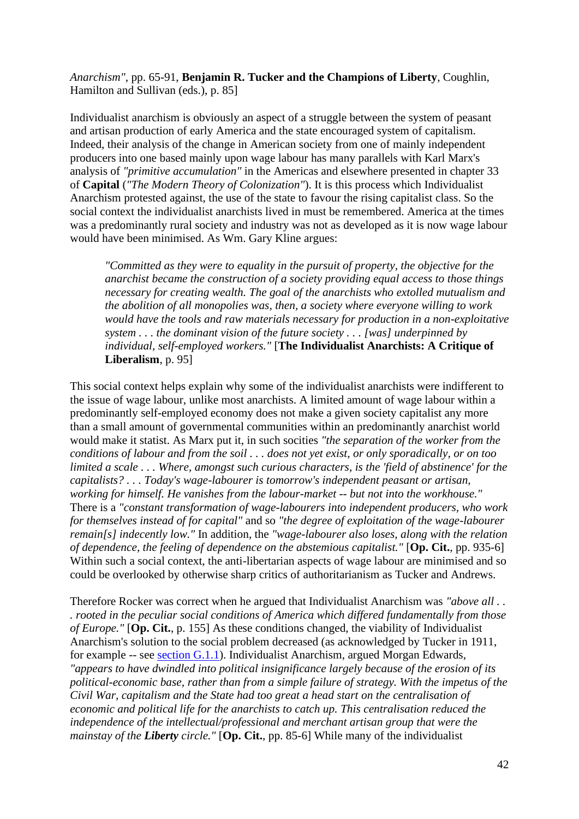*Anarchism"*, pp. 65-91, **Benjamin R. Tucker and the Champions of Liberty**, Coughlin, Hamilton and Sullivan (eds.), p. 85]

Individualist anarchism is obviously an aspect of a struggle between the system of peasant and artisan production of early America and the state encouraged system of capitalism. Indeed, their analysis of the change in American society from one of mainly independent producers into one based mainly upon wage labour has many parallels with Karl Marx's analysis of *"primitive accumulation"* in the Americas and elsewhere presented in chapter 33 of **Capital** (*"The Modern Theory of Colonization"*). It is this process which Individualist Anarchism protested against, the use of the state to favour the rising capitalist class. So the social context the individualist anarchists lived in must be remembered. America at the times was a predominantly rural society and industry was not as developed as it is now wage labour would have been minimised. As Wm. Gary Kline argues:

*"Committed as they were to equality in the pursuit of property, the objective for the anarchist became the construction of a society providing equal access to those things necessary for creating wealth. The goal of the anarchists who extolled mutualism and the abolition of all monopolies was, then, a society where everyone willing to work would have the tools and raw materials necessary for production in a non-exploitative system . . . the dominant vision of the future society . . . [was] underpinned by individual, self-employed workers."* [**The Individualist Anarchists: A Critique of Liberalism**, p. 95]

This social context helps explain why some of the individualist anarchists were indifferent to the issue of wage labour, unlike most anarchists. A limited amount of wage labour within a predominantly self-employed economy does not make a given society capitalist any more than a small amount of governmental communities within an predominantly anarchist world would make it statist. As Marx put it, in such socities *"the separation of the worker from the conditions of labour and from the soil . . . does not yet exist, or only sporadically, or on too limited a scale . . . Where, amongst such curious characters, is the 'field of abstinence' for the capitalists? . . . Today's wage-labourer is tomorrow's independent peasant or artisan, working for himself. He vanishes from the labour-market -- but not into the workhouse."* There is a *"constant transformation of wage-labourers into independent producers, who work for themselves instead of for capital"* and so *"the degree of exploitation of the wage-labourer remain[s] indecently low."* In addition, the *"wage-labourer also loses, along with the relation of dependence, the feeling of dependence on the abstemious capitalist."* [**Op. Cit.**, pp. 935-6] Within such a social context, the anti-libertarian aspects of wage labour are minimised and so could be overlooked by otherwise sharp critics of authoritarianism as Tucker and Andrews.

Therefore Rocker was correct when he argued that Individualist Anarchism was *"above all . . . rooted in the peculiar social conditions of America which differed fundamentally from those of Europe."* [**Op. Cit.**, p. 155] As these conditions changed, the viability of Individualist Anarchism's solution to the social problem decreased (as acknowledged by Tucker in 1911, for example -- see [section G.1.1\)](sectionG.html#secg11). Individualist Anarchism, argued Morgan Edwards, *"appears to have dwindled into political insignificance largely because of the erosion of its political-economic base, rather than from a simple failure of strategy. With the impetus of the Civil War, capitalism and the State had too great a head start on the centralisation of economic and political life for the anarchists to catch up. This centralisation reduced the independence of the intellectual/professional and merchant artisan group that were the mainstay of the Liberty circle."* [**Op. Cit.**, pp. 85-6] While many of the individualist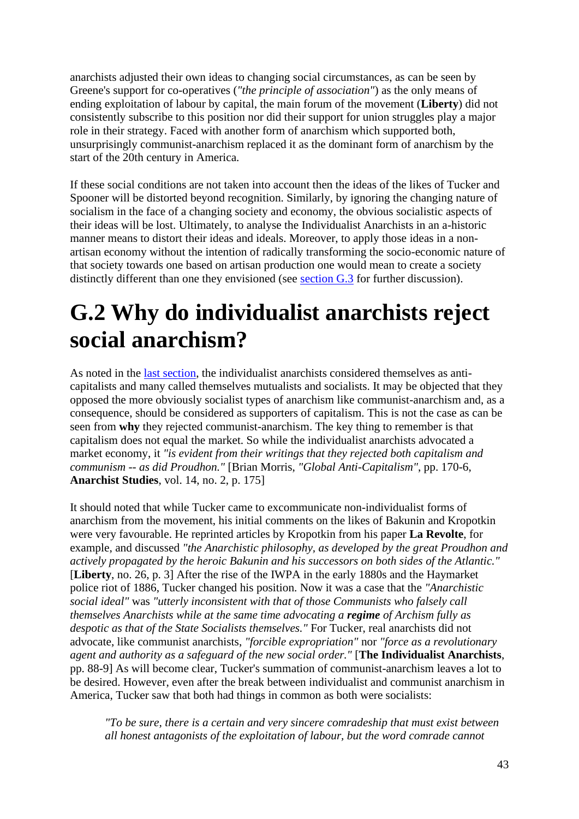anarchists adjusted their own ideas to changing social circumstances, as can be seen by Greene's support for co-operatives (*"the principle of association"*) as the only means of ending exploitation of labour by capital, the main forum of the movement (**Liberty**) did not consistently subscribe to this position nor did their support for union struggles play a major role in their strategy. Faced with another form of anarchism which supported both, unsurprisingly communist-anarchism replaced it as the dominant form of anarchism by the start of the 20th century in America.

If these social conditions are not taken into account then the ideas of the likes of Tucker and Spooner will be distorted beyond recognition. Similarly, by ignoring the changing nature of socialism in the face of a changing society and economy, the obvious socialistic aspects of their ideas will be lost. Ultimately, to analyse the Individualist Anarchists in an a-historic manner means to distort their ideas and ideals. Moreover, to apply those ideas in a nonartisan economy without the intention of radically transforming the socio-economic nature of that society towards one based on artisan production one would mean to create a society distinctly different than one they envisioned (see [section G.3](sectionG.html#secg3) for further discussion).

# **G.2 Why do individualist anarchists reject social anarchism?**

As noted in the [last section,](sectionG.html#secg1) the individualist anarchists considered themselves as anticapitalists and many called themselves mutualists and socialists. It may be objected that they opposed the more obviously socialist types of anarchism like communist-anarchism and, as a consequence, should be considered as supporters of capitalism. This is not the case as can be seen from **why** they rejected communist-anarchism. The key thing to remember is that capitalism does not equal the market. So while the individualist anarchists advocated a market economy, it *"is evident from their writings that they rejected both capitalism and communism -- as did Proudhon."* [Brian Morris, *"Global Anti-Capitalism"*, pp. 170-6, **Anarchist Studies**, vol. 14, no. 2, p. 175]

It should noted that while Tucker came to excommunicate non-individualist forms of anarchism from the movement, his initial comments on the likes of Bakunin and Kropotkin were very favourable. He reprinted articles by Kropotkin from his paper **La Revolte**, for example, and discussed *"the Anarchistic philosophy, as developed by the great Proudhon and actively propagated by the heroic Bakunin and his successors on both sides of the Atlantic."* [**Liberty**, no. 26, p. 3] After the rise of the IWPA in the early 1880s and the Haymarket police riot of 1886, Tucker changed his position. Now it was a case that the *"Anarchistic social ideal"* was *"utterly inconsistent with that of those Communists who falsely call themselves Anarchists while at the same time advocating a regime of Archism fully as despotic as that of the State Socialists themselves."* For Tucker, real anarchists did not advocate, like communist anarchists, *"forcible expropriation"* nor *"force as a revolutionary agent and authority as a safeguard of the new social order."* [**The Individualist Anarchists**, pp. 88-9] As will become clear, Tucker's summation of communist-anarchism leaves a lot to be desired. However, even after the break between individualist and communist anarchism in America, Tucker saw that both had things in common as both were socialists:

*"To be sure, there is a certain and very sincere comradeship that must exist between all honest antagonists of the exploitation of labour, but the word comrade cannot*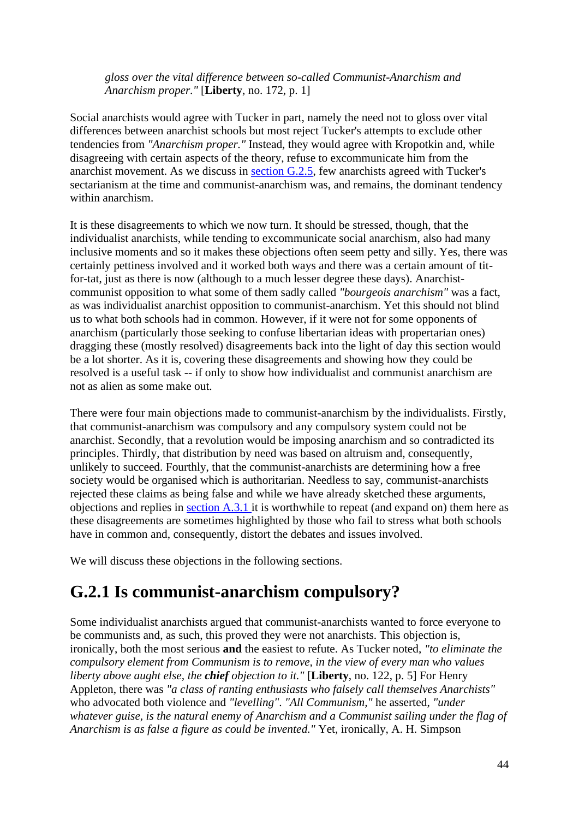#### *gloss over the vital difference between so-called Communist-Anarchism and Anarchism proper."* [**Liberty**, no. 172, p. 1]

Social anarchists would agree with Tucker in part, namely the need not to gloss over vital differences between anarchist schools but most reject Tucker's attempts to exclude other tendencies from *"Anarchism proper."* Instead, they would agree with Kropotkin and, while disagreeing with certain aspects of the theory, refuse to excommunicate him from the anarchist movement. As we discuss in [section G.2.5,](sectionG.html#secg25) few anarchists agreed with Tucker's sectarianism at the time and communist-anarchism was, and remains, the dominant tendency within anarchism.

It is these disagreements to which we now turn. It should be stressed, though, that the individualist anarchists, while tending to excommunicate social anarchism, also had many inclusive moments and so it makes these objections often seem petty and silly. Yes, there was certainly pettiness involved and it worked both ways and there was a certain amount of titfor-tat, just as there is now (although to a much lesser degree these days). Anarchistcommunist opposition to what some of them sadly called *"bourgeois anarchism"* was a fact, as was individualist anarchist opposition to communist-anarchism. Yet this should not blind us to what both schools had in common. However, if it were not for some opponents of anarchism (particularly those seeking to confuse libertarian ideas with propertarian ones) dragging these (mostly resolved) disagreements back into the light of day this section would be a lot shorter. As it is, covering these disagreements and showing how they could be resolved is a useful task -- if only to show how individualist and communist anarchism are not as alien as some make out.

There were four main objections made to communist-anarchism by the individualists. Firstly, that communist-anarchism was compulsory and any compulsory system could not be anarchist. Secondly, that a revolution would be imposing anarchism and so contradicted its principles. Thirdly, that distribution by need was based on altruism and, consequently, unlikely to succeed. Fourthly, that the communist-anarchists are determining how a free society would be organised which is authoritarian. Needless to say, communist-anarchists rejected these claims as being false and while we have already sketched these arguments, objections and replies in [section A.3.1 i](sectionA.html#seca31)t is worthwhile to repeat (and expand on) them here as these disagreements are sometimes highlighted by those who fail to stress what both schools have in common and, consequently, distort the debates and issues involved.

We will discuss these objections in the following sections.

## **G.2.1 Is communist-anarchism compulsory?**

Some individualist anarchists argued that communist-anarchists wanted to force everyone to be communists and, as such, this proved they were not anarchists. This objection is, ironically, both the most serious **and** the easiest to refute. As Tucker noted, *"to eliminate the compulsory element from Communism is to remove, in the view of every man who values liberty above aught else, the chief objection to it."* [**Liberty**, no. 122, p. 5] For Henry Appleton, there was *"a class of ranting enthusiasts who falsely call themselves Anarchists"* who advocated both violence and *"levelling"*. *"All Communism,"* he asserted, *"under whatever guise, is the natural enemy of Anarchism and a Communist sailing under the flag of Anarchism is as false a figure as could be invented."* Yet, ironically, A. H. Simpson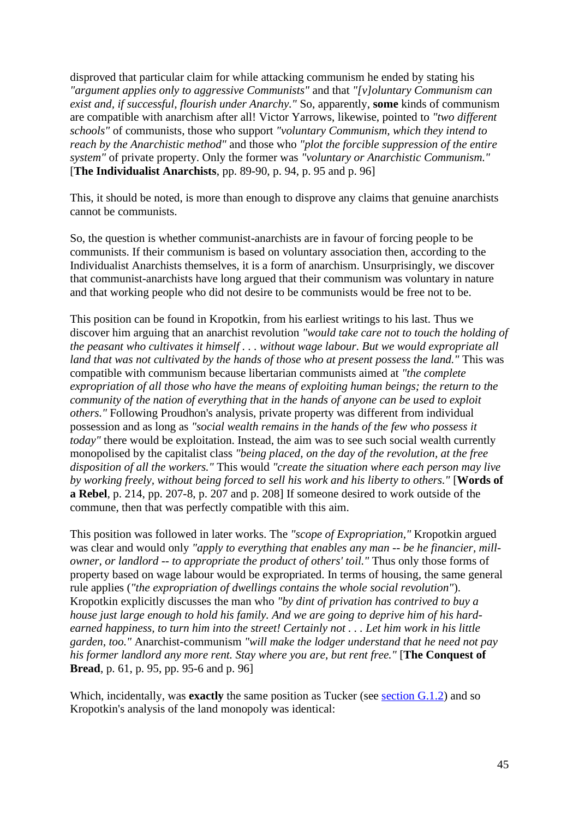disproved that particular claim for while attacking communism he ended by stating his *"argument applies only to aggressive Communists"* and that *"[v]oluntary Communism can exist and, if successful, flourish under Anarchy."* So, apparently, **some** kinds of communism are compatible with anarchism after all! Victor Yarrows, likewise, pointed to *"two different schools"* of communists, those who support *"voluntary Communism, which they intend to reach by the Anarchistic method"* and those who *"plot the forcible suppression of the entire system"* of private property. Only the former was *"voluntary or Anarchistic Communism."* [**The Individualist Anarchists**, pp. 89-90, p. 94, p. 95 and p. 96]

This, it should be noted, is more than enough to disprove any claims that genuine anarchists cannot be communists.

So, the question is whether communist-anarchists are in favour of forcing people to be communists. If their communism is based on voluntary association then, according to the Individualist Anarchists themselves, it is a form of anarchism. Unsurprisingly, we discover that communist-anarchists have long argued that their communism was voluntary in nature and that working people who did not desire to be communists would be free not to be.

This position can be found in Kropotkin, from his earliest writings to his last. Thus we discover him arguing that an anarchist revolution *"would take care not to touch the holding of the peasant who cultivates it himself . . . without wage labour. But we would expropriate all land that was not cultivated by the hands of those who at present possess the land."* This was compatible with communism because libertarian communists aimed at *"the complete expropriation of all those who have the means of exploiting human beings; the return to the community of the nation of everything that in the hands of anyone can be used to exploit others."* Following Proudhon's analysis, private property was different from individual possession and as long as *"social wealth remains in the hands of the few who possess it today"* there would be exploitation. Instead, the aim was to see such social wealth currently monopolised by the capitalist class *"being placed, on the day of the revolution, at the free disposition of all the workers."* This would *"create the situation where each person may live by working freely, without being forced to sell his work and his liberty to others."* [**Words of a Rebel**, p. 214, pp. 207-8, p. 207 and p. 208] If someone desired to work outside of the commune, then that was perfectly compatible with this aim.

This position was followed in later works. The *"scope of Expropriation,"* Kropotkin argued was clear and would only *"apply to everything that enables any man -- be he financier, millowner, or landlord -- to appropriate the product of others' toil."* Thus only those forms of property based on wage labour would be expropriated. In terms of housing, the same general rule applies (*"the expropriation of dwellings contains the whole social revolution"*). Kropotkin explicitly discusses the man who *"by dint of privation has contrived to buy a house just large enough to hold his family. And we are going to deprive him of his hardearned happiness, to turn him into the street! Certainly not . . . Let him work in his little garden, too."* Anarchist-communism *"will make the lodger understand that he need not pay his former landlord any more rent. Stay where you are, but rent free."* [**The Conquest of Bread**, p. 61, p. 95, pp. 95-6 and p. 96]

Which, incidentally, was **exactly** the same position as Tucker (see [section G.1.2\)](sectionG.html#secg12) and so Kropotkin's analysis of the land monopoly was identical: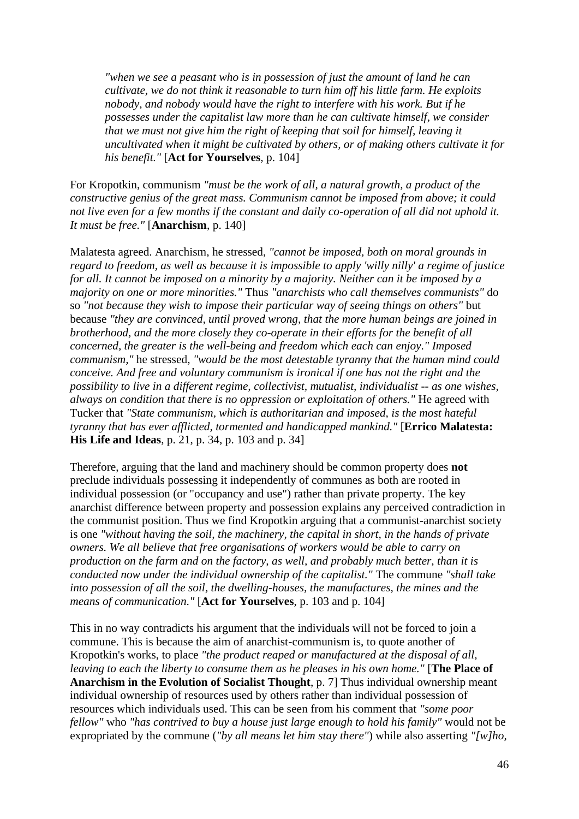*"when we see a peasant who is in possession of just the amount of land he can cultivate, we do not think it reasonable to turn him off his little farm. He exploits nobody, and nobody would have the right to interfere with his work. But if he possesses under the capitalist law more than he can cultivate himself, we consider that we must not give him the right of keeping that soil for himself, leaving it uncultivated when it might be cultivated by others, or of making others cultivate it for his benefit."* [**Act for Yourselves**, p. 104]

For Kropotkin, communism *"must be the work of all, a natural growth, a product of the constructive genius of the great mass. Communism cannot be imposed from above; it could not live even for a few months if the constant and daily co-operation of all did not uphold it. It must be free."* [**Anarchism**, p. 140]

Malatesta agreed. Anarchism, he stressed, *"cannot be imposed, both on moral grounds in regard to freedom, as well as because it is impossible to apply 'willy nilly' a regime of justice for all. It cannot be imposed on a minority by a majority. Neither can it be imposed by a majority on one or more minorities."* Thus *"anarchists who call themselves communists"* do so *"not because they wish to impose their particular way of seeing things on others"* but because *"they are convinced, until proved wrong, that the more human beings are joined in brotherhood, and the more closely they co-operate in their efforts for the benefit of all concerned, the greater is the well-being and freedom which each can enjoy." Imposed communism,"* he stressed, *"would be the most detestable tyranny that the human mind could conceive. And free and voluntary communism is ironical if one has not the right and the possibility to live in a different regime, collectivist, mutualist, individualist -- as one wishes, always on condition that there is no oppression or exploitation of others."* He agreed with Tucker that *"State communism, which is authoritarian and imposed, is the most hateful tyranny that has ever afflicted, tormented and handicapped mankind."* [**Errico Malatesta: His Life and Ideas**, p. 21, p. 34, p. 103 and p. 34]

Therefore, arguing that the land and machinery should be common property does **not** preclude individuals possessing it independently of communes as both are rooted in individual possession (or "occupancy and use") rather than private property. The key anarchist difference between property and possession explains any perceived contradiction in the communist position. Thus we find Kropotkin arguing that a communist-anarchist society is one *"without having the soil, the machinery, the capital in short, in the hands of private owners. We all believe that free organisations of workers would be able to carry on production on the farm and on the factory, as well, and probably much better, than it is conducted now under the individual ownership of the capitalist."* The commune *"shall take into possession of all the soil, the dwelling-houses, the manufactures, the mines and the means of communication."* [**Act for Yourselves**, p. 103 and p. 104]

This in no way contradicts his argument that the individuals will not be forced to join a commune. This is because the aim of anarchist-communism is, to quote another of Kropotkin's works, to place *"the product reaped or manufactured at the disposal of all, leaving to each the liberty to consume them as he pleases in his own home."* [**The Place of Anarchism in the Evolution of Socialist Thought**, p. 7] Thus individual ownership meant individual ownership of resources used by others rather than individual possession of resources which individuals used. This can be seen from his comment that *"some poor fellow"* who *"has contrived to buy a house just large enough to hold his family"* would not be expropriated by the commune (*"by all means let him stay there"*) while also asserting *"[w]ho,*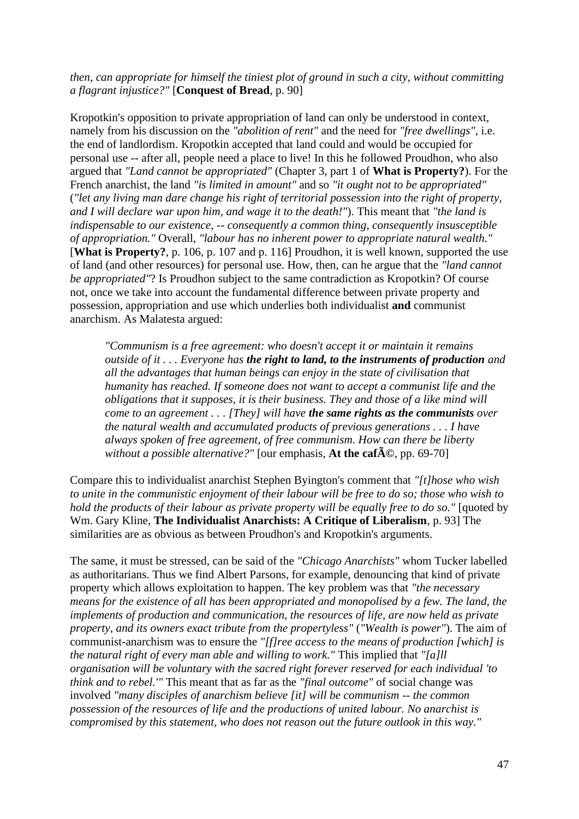*then, can appropriate for himself the tiniest plot of ground in such a city, without committing a flagrant injustice?"* [**Conquest of Bread**, p. 90]

Kropotkin's opposition to private appropriation of land can only be understood in context, namely from his discussion on the *"abolition of rent"* and the need for *"free dwellings"*, i.e. the end of landlordism. Kropotkin accepted that land could and would be occupied for personal use -- after all, people need a place to live! In this he followed Proudhon, who also argued that *"Land cannot be appropriated"* (Chapter 3, part 1 of **What is Property?**). For the French anarchist, the land *"is limited in amount"* and so *"it ought not to be appropriated"* (*"let any living man dare change his right of territorial possession into the right of property, and I will declare war upon him, and wage it to the death!"*). This meant that *"the land is indispensable to our existence, -- consequently a common thing, consequently insusceptible of appropriation."* Overall, *"labour has no inherent power to appropriate natural wealth."* [**What is Property?**, p. 106, p. 107 and p. 116] Proudhon, it is well known, supported the use of land (and other resources) for personal use. How, then, can he argue that the *"land cannot be appropriated"*? Is Proudhon subject to the same contradiction as Kropotkin? Of course not, once we take into account the fundamental difference between private property and possession, appropriation and use which underlies both individualist **and** communist anarchism. As Malatesta argued:

*"Communism is a free agreement: who doesn't accept it or maintain it remains outside of it . . . Everyone has the right to land, to the instruments of production and all the advantages that human beings can enjoy in the state of civilisation that humanity has reached. If someone does not want to accept a communist life and the obligations that it supposes, it is their business. They and those of a like mind will come to an agreement . . . [They] will have the same rights as the communists over the natural wealth and accumulated products of previous generations . . . I have always spoken of free agreement, of free communism. How can there be liberty without a possible alternative?"* [our emphasis, **At the caf** $\tilde{A}$ ©, pp. 69-70]

Compare this to individualist anarchist Stephen Byington's comment that *"[t]hose who wish to unite in the communistic enjoyment of their labour will be free to do so; those who wish to hold the products of their labour as private property will be equally free to do so."* [quoted by Wm. Gary Kline, **The Individualist Anarchists: A Critique of Liberalism**, p. 93] The similarities are as obvious as between Proudhon's and Kropotkin's arguments.

The same, it must be stressed, can be said of the *"Chicago Anarchists"* whom Tucker labelled as authoritarians. Thus we find Albert Parsons, for example, denouncing that kind of private property which allows exploitation to happen. The key problem was that *"the necessary means for the existence of all has been appropriated and monopolised by a few. The land, the implements of production and communication, the resources of life, are now held as private property, and its owners exact tribute from the propertyless"* (*"Wealth is power"*). The aim of communist-anarchism was to ensure the *"[f]ree access to the means of production [which] is the natural right of every man able and willing to work."* This implied that *"[a]ll organisation will be voluntary with the sacred right forever reserved for each individual 'to think and to rebel.'"* This meant that as far as the *"final outcome"* of social change was involved *"many disciples of anarchism believe [it] will be communism -- the common possession of the resources of life and the productions of united labour. No anarchist is compromised by this statement, who does not reason out the future outlook in this way."*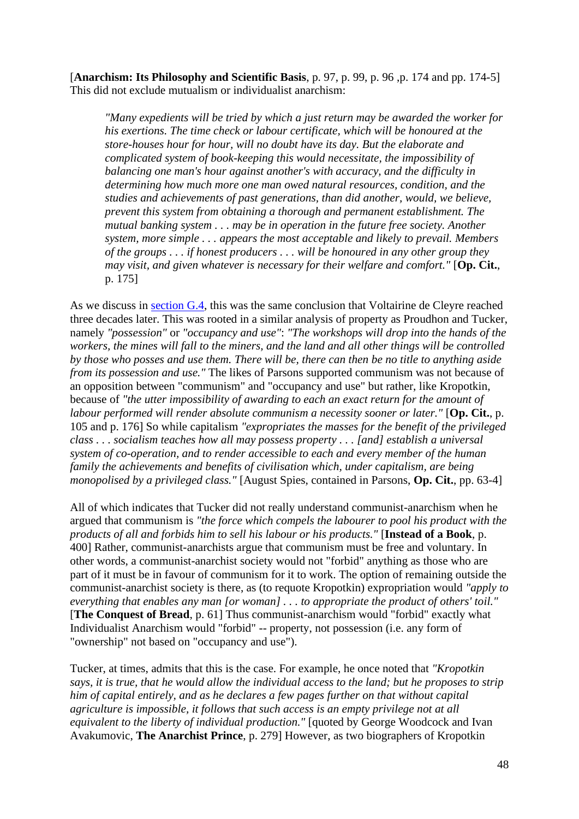[**Anarchism: Its Philosophy and Scientific Basis**, p. 97, p. 99, p. 96 ,p. 174 and pp. 174-5] This did not exclude mutualism or individualist anarchism:

*"Many expedients will be tried by which a just return may be awarded the worker for his exertions. The time check or labour certificate, which will be honoured at the store-houses hour for hour, will no doubt have its day. But the elaborate and complicated system of book-keeping this would necessitate, the impossibility of balancing one man's hour against another's with accuracy, and the difficulty in determining how much more one man owed natural resources, condition, and the studies and achievements of past generations, than did another, would, we believe, prevent this system from obtaining a thorough and permanent establishment. The mutual banking system . . . may be in operation in the future free society. Another system, more simple . . . appears the most acceptable and likely to prevail. Members of the groups . . . if honest producers . . . will be honoured in any other group they may visit, and given whatever is necessary for their welfare and comfort."* [**Op. Cit.**, p. 175]

As we discuss in [section G.4,](sectionG.html#secg4) this was the same conclusion that Voltairine de Cleyre reached three decades later. This was rooted in a similar analysis of property as Proudhon and Tucker, namely *"possession"* or *"occupancy and use"*: *"The workshops will drop into the hands of the workers, the mines will fall to the miners, and the land and all other things will be controlled by those who posses and use them. There will be, there can then be no title to anything aside from its possession and use."* The likes of Parsons supported communism was not because of an opposition between "communism" and "occupancy and use" but rather, like Kropotkin, because of *"the utter impossibility of awarding to each an exact return for the amount of labour performed will render absolute communism a necessity sooner or later."* [**Op. Cit.**, p. 105 and p. 176] So while capitalism *"expropriates the masses for the benefit of the privileged class . . . socialism teaches how all may possess property . . . [and] establish a universal system of co-operation, and to render accessible to each and every member of the human family the achievements and benefits of civilisation which, under capitalism, are being monopolised by a privileged class."* [August Spies, contained in Parsons, **Op. Cit.**, pp. 63-4]

All of which indicates that Tucker did not really understand communist-anarchism when he argued that communism is *"the force which compels the labourer to pool his product with the products of all and forbids him to sell his labour or his products."* [**Instead of a Book**, p. 400] Rather, communist-anarchists argue that communism must be free and voluntary. In other words, a communist-anarchist society would not "forbid" anything as those who are part of it must be in favour of communism for it to work. The option of remaining outside the communist-anarchist society is there, as (to requote Kropotkin) expropriation would *"apply to everything that enables any man [or woman] . . . to appropriate the product of others' toil."* [**The Conquest of Bread**, p. 61] Thus communist-anarchism would "forbid" exactly what Individualist Anarchism would "forbid" -- property, not possession (i.e. any form of "ownership" not based on "occupancy and use").

Tucker, at times, admits that this is the case. For example, he once noted that *"Kropotkin says, it is true, that he would allow the individual access to the land; but he proposes to strip him of capital entirely, and as he declares a few pages further on that without capital agriculture is impossible, it follows that such access is an empty privilege not at all equivalent to the liberty of individual production."* [quoted by George Woodcock and Ivan Avakumovic, **The Anarchist Prince**, p. 279] However, as two biographers of Kropotkin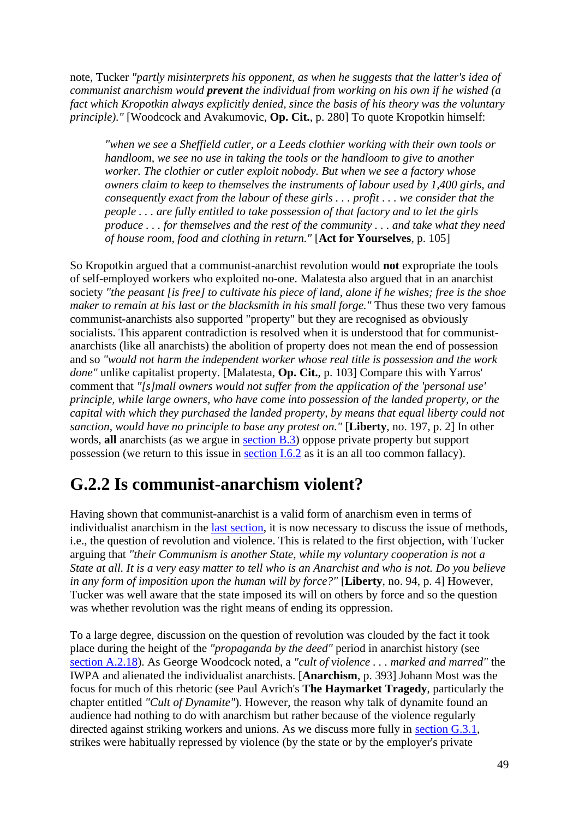note, Tucker *"partly misinterprets his opponent, as when he suggests that the latter's idea of communist anarchism would prevent the individual from working on his own if he wished (a fact which Kropotkin always explicitly denied, since the basis of his theory was the voluntary principle)."* [Woodcock and Avakumovic, **Op. Cit.**, p. 280] To quote Kropotkin himself:

*"when we see a Sheffield cutler, or a Leeds clothier working with their own tools or handloom, we see no use in taking the tools or the handloom to give to another worker. The clothier or cutler exploit nobody. But when we see a factory whose owners claim to keep to themselves the instruments of labour used by 1,400 girls, and consequently exact from the labour of these girls . . . profit . . . we consider that the people . . . are fully entitled to take possession of that factory and to let the girls produce . . . for themselves and the rest of the community . . . and take what they need of house room, food and clothing in return."* [**Act for Yourselves**, p. 105]

So Kropotkin argued that a communist-anarchist revolution would **not** expropriate the tools of self-employed workers who exploited no-one. Malatesta also argued that in an anarchist society *"the peasant [is free] to cultivate his piece of land, alone if he wishes; free is the shoe maker to remain at his last or the blacksmith in his small forge."* Thus these two very famous communist-anarchists also supported "property" but they are recognised as obviously socialists. This apparent contradiction is resolved when it is understood that for communistanarchists (like all anarchists) the abolition of property does not mean the end of possession and so *"would not harm the independent worker whose real title is possession and the work done"* unlike capitalist property. [Malatesta, **Op. Cit.**, p. 103] Compare this with Yarros' comment that *"[s]mall owners would not suffer from the application of the 'personal use' principle, while large owners, who have come into possession of the landed property, or the capital with which they purchased the landed property, by means that equal liberty could not sanction, would have no principle to base any protest on."* [**Liberty**, no. 197, p. 2] In other words, **all** anarchists (as we argue in [section B.3\)](sectionB.html#secb3) oppose private property but support possession (we return to this issue in [section I.6.2](sectionI.html#seci62) as it is an all too common fallacy).

### **G.2.2 Is communist-anarchism violent?**

Having shown that communist-anarchist is a valid form of anarchism even in terms of individualist anarchism in the [last section,](sectionG.html#secg22) it is now necessary to discuss the issue of methods, i.e., the question of revolution and violence. This is related to the first objection, with Tucker arguing that *"their Communism is another State, while my voluntary cooperation is not a State at all. It is a very easy matter to tell who is an Anarchist and who is not. Do you believe in any form of imposition upon the human will by force?"* [**Liberty**, no. 94, p. 4] However, Tucker was well aware that the state imposed its will on others by force and so the question was whether revolution was the right means of ending its oppression.

To a large degree, discussion on the question of revolution was clouded by the fact it took place during the height of the *"propaganda by the deed"* period in anarchist history (see [section A.2.18\)](sectionA.html#seca218). As George Woodcock noted, a *"cult of violence . . . marked and marred"* the IWPA and alienated the individualist anarchists. [**Anarchism**, p. 393] Johann Most was the focus for much of this rhetoric (see Paul Avrich's **The Haymarket Tragedy**, particularly the chapter entitled *"Cult of Dynamite"*). However, the reason why talk of dynamite found an audience had nothing to do with anarchism but rather because of the violence regularly directed against striking workers and unions. As we discuss more fully in [section G.3.1,](sectionG.html#secg31) strikes were habitually repressed by violence (by the state or by the employer's private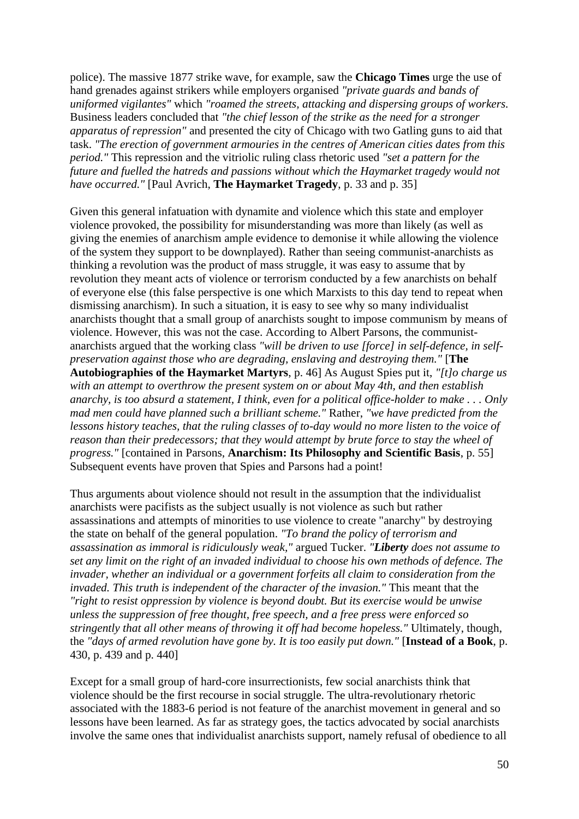police). The massive 1877 strike wave, for example, saw the **Chicago Times** urge the use of hand grenades against strikers while employers organised *"private guards and bands of uniformed vigilantes"* which *"roamed the streets, attacking and dispersing groups of workers.* Business leaders concluded that *"the chief lesson of the strike as the need for a stronger apparatus of repression"* and presented the city of Chicago with two Gatling guns to aid that task. *"The erection of government armouries in the centres of American cities dates from this period."* This repression and the vitriolic ruling class rhetoric used *"set a pattern for the future and fuelled the hatreds and passions without which the Haymarket tragedy would not have occurred."* [Paul Avrich, **The Haymarket Tragedy**, p. 33 and p. 35]

Given this general infatuation with dynamite and violence which this state and employer violence provoked, the possibility for misunderstanding was more than likely (as well as giving the enemies of anarchism ample evidence to demonise it while allowing the violence of the system they support to be downplayed). Rather than seeing communist-anarchists as thinking a revolution was the product of mass struggle, it was easy to assume that by revolution they meant acts of violence or terrorism conducted by a few anarchists on behalf of everyone else (this false perspective is one which Marxists to this day tend to repeat when dismissing anarchism). In such a situation, it is easy to see why so many individualist anarchists thought that a small group of anarchists sought to impose communism by means of violence. However, this was not the case. According to Albert Parsons, the communistanarchists argued that the working class *"will be driven to use [force] in self-defence, in selfpreservation against those who are degrading, enslaving and destroying them."* [**The Autobiographies of the Haymarket Martyrs**, p. 46] As August Spies put it, *"[t]o charge us with an attempt to overthrow the present system on or about May 4th, and then establish anarchy, is too absurd a statement, I think, even for a political office-holder to make . . . Only mad men could have planned such a brilliant scheme."* Rather, *"we have predicted from the lessons history teaches, that the ruling classes of to-day would no more listen to the voice of reason than their predecessors; that they would attempt by brute force to stay the wheel of progress."* [contained in Parsons, **Anarchism: Its Philosophy and Scientific Basis**, p. 55] Subsequent events have proven that Spies and Parsons had a point!

Thus arguments about violence should not result in the assumption that the individualist anarchists were pacifists as the subject usually is not violence as such but rather assassinations and attempts of minorities to use violence to create "anarchy" by destroying the state on behalf of the general population. *"To brand the policy of terrorism and assassination as immoral is ridiculously weak,"* argued Tucker. *"Liberty does not assume to set any limit on the right of an invaded individual to choose his own methods of defence. The invader, whether an individual or a government forfeits all claim to consideration from the invaded. This truth is independent of the character of the invasion."* This meant that the *"right to resist oppression by violence is beyond doubt. But its exercise would be unwise unless the suppression of free thought, free speech, and a free press were enforced so stringently that all other means of throwing it off had become hopeless."* Ultimately, though, the *"days of armed revolution have gone by. It is too easily put down."* [**Instead of a Book**, p. 430, p. 439 and p. 440]

Except for a small group of hard-core insurrectionists, few social anarchists think that violence should be the first recourse in social struggle. The ultra-revolutionary rhetoric associated with the 1883-6 period is not feature of the anarchist movement in general and so lessons have been learned. As far as strategy goes, the tactics advocated by social anarchists involve the same ones that individualist anarchists support, namely refusal of obedience to all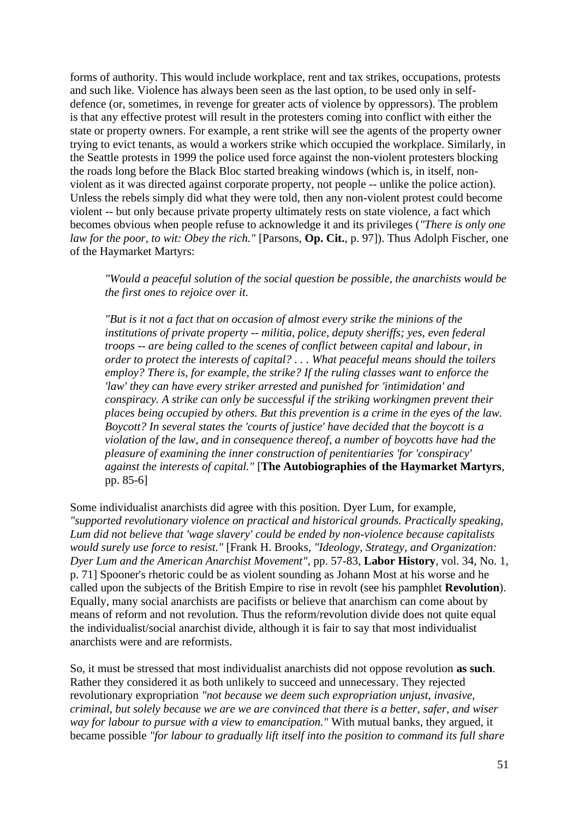forms of authority. This would include workplace, rent and tax strikes, occupations, protests and such like. Violence has always been seen as the last option, to be used only in selfdefence (or, sometimes, in revenge for greater acts of violence by oppressors). The problem is that any effective protest will result in the protesters coming into conflict with either the state or property owners. For example, a rent strike will see the agents of the property owner trying to evict tenants, as would a workers strike which occupied the workplace. Similarly, in the Seattle protests in 1999 the police used force against the non-violent protesters blocking the roads long before the Black Bloc started breaking windows (which is, in itself, nonviolent as it was directed against corporate property, not people -- unlike the police action). Unless the rebels simply did what they were told, then any non-violent protest could become violent -- but only because private property ultimately rests on state violence, a fact which becomes obvious when people refuse to acknowledge it and its privileges (*"There is only one law for the poor, to wit: Obey the rich."* [Parsons, **Op. Cit.**, p. 97]). Thus Adolph Fischer, one of the Haymarket Martyrs:

*"Would a peaceful solution of the social question be possible, the anarchists would be the first ones to rejoice over it.*

*"But is it not a fact that on occasion of almost every strike the minions of the institutions of private property -- militia, police, deputy sheriffs; yes, even federal troops -- are being called to the scenes of conflict between capital and labour, in order to protect the interests of capital? . . . What peaceful means should the toilers employ? There is, for example, the strike? If the ruling classes want to enforce the 'law' they can have every striker arrested and punished for 'intimidation' and conspiracy. A strike can only be successful if the striking workingmen prevent their places being occupied by others. But this prevention is a crime in the eyes of the law. Boycott? In several states the 'courts of justice' have decided that the boycott is a violation of the law, and in consequence thereof, a number of boycotts have had the pleasure of examining the inner construction of penitentiaries 'for 'conspiracy' against the interests of capital."* [**The Autobiographies of the Haymarket Martyrs**, pp. 85-6]

Some individualist anarchists did agree with this position. Dyer Lum, for example, *"supported revolutionary violence on practical and historical grounds. Practically speaking, Lum did not believe that 'wage slavery' could be ended by non-violence because capitalists would surely use force to resist."* [Frank H. Brooks, *"Ideology, Strategy, and Organization: Dyer Lum and the American Anarchist Movement"*, pp. 57-83, **Labor History**, vol. 34, No. 1, p. 71] Spooner's rhetoric could be as violent sounding as Johann Most at his worse and he called upon the subjects of the British Empire to rise in revolt (see his pamphlet **Revolution**). Equally, many social anarchists are pacifists or believe that anarchism can come about by means of reform and not revolution. Thus the reform/revolution divide does not quite equal the individualist/social anarchist divide, although it is fair to say that most individualist anarchists were and are reformists.

So, it must be stressed that most individualist anarchists did not oppose revolution **as such**. Rather they considered it as both unlikely to succeed and unnecessary. They rejected revolutionary expropriation *"not because we deem such expropriation unjust, invasive, criminal, but solely because we are we are convinced that there is a better, safer, and wiser way for labour to pursue with a view to emancipation."* With mutual banks, they argued, it became possible *"for labour to gradually lift itself into the position to command its full share*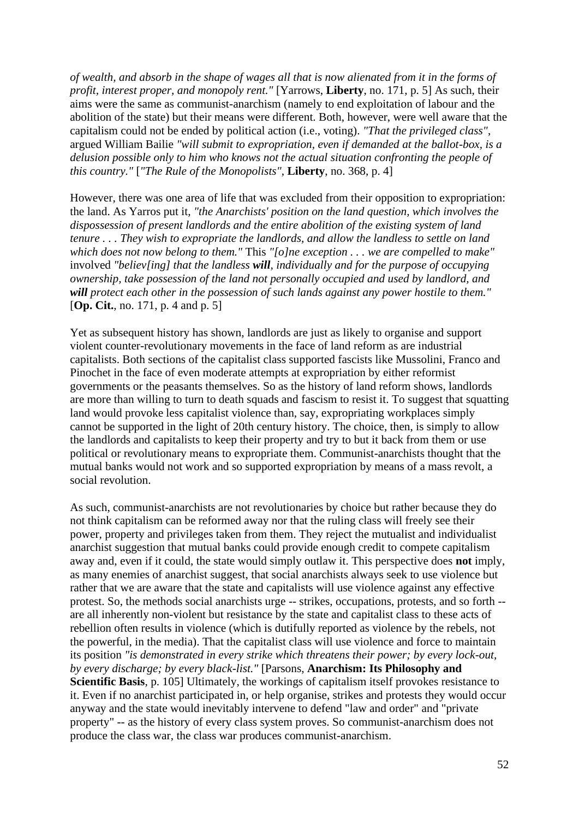*of wealth, and absorb in the shape of wages all that is now alienated from it in the forms of profit, interest proper, and monopoly rent."* [Yarrows, **Liberty**, no. 171, p. 5] As such, their aims were the same as communist-anarchism (namely to end exploitation of labour and the abolition of the state) but their means were different. Both, however, were well aware that the capitalism could not be ended by political action (i.e., voting). *"That the privileged class"*, argued William Bailie *"will submit to expropriation, even if demanded at the ballot-box, is a delusion possible only to him who knows not the actual situation confronting the people of this country."* [*"The Rule of the Monopolists"*, **Liberty**, no. 368, p. 4]

However, there was one area of life that was excluded from their opposition to expropriation: the land. As Yarros put it, *"the Anarchists' position on the land question, which involves the dispossession of present landlords and the entire abolition of the existing system of land tenure . . . They wish to expropriate the landlords, and allow the landless to settle on land which does not now belong to them."* This *"[o]ne exception . . . we are compelled to make"* involved *"believ[ing] that the landless will, individually and for the purpose of occupying ownership, take possession of the land not personally occupied and used by landlord, and will protect each other in the possession of such lands against any power hostile to them."* [**Op. Cit.**, no. 171, p. 4 and p. 5]

Yet as subsequent history has shown, landlords are just as likely to organise and support violent counter-revolutionary movements in the face of land reform as are industrial capitalists. Both sections of the capitalist class supported fascists like Mussolini, Franco and Pinochet in the face of even moderate attempts at expropriation by either reformist governments or the peasants themselves. So as the history of land reform shows, landlords are more than willing to turn to death squads and fascism to resist it. To suggest that squatting land would provoke less capitalist violence than, say, expropriating workplaces simply cannot be supported in the light of 20th century history. The choice, then, is simply to allow the landlords and capitalists to keep their property and try to but it back from them or use political or revolutionary means to expropriate them. Communist-anarchists thought that the mutual banks would not work and so supported expropriation by means of a mass revolt, a social revolution.

As such, communist-anarchists are not revolutionaries by choice but rather because they do not think capitalism can be reformed away nor that the ruling class will freely see their power, property and privileges taken from them. They reject the mutualist and individualist anarchist suggestion that mutual banks could provide enough credit to compete capitalism away and, even if it could, the state would simply outlaw it. This perspective does **not** imply, as many enemies of anarchist suggest, that social anarchists always seek to use violence but rather that we are aware that the state and capitalists will use violence against any effective protest. So, the methods social anarchists urge -- strikes, occupations, protests, and so forth - are all inherently non-violent but resistance by the state and capitalist class to these acts of rebellion often results in violence (which is dutifully reported as violence by the rebels, not the powerful, in the media). That the capitalist class will use violence and force to maintain its position *"is demonstrated in every strike which threatens their power; by every lock-out, by every discharge; by every black-list."* [Parsons, **Anarchism: Its Philosophy and Scientific Basis**, p. 105] Ultimately, the workings of capitalism itself provokes resistance to it. Even if no anarchist participated in, or help organise, strikes and protests they would occur anyway and the state would inevitably intervene to defend "law and order" and "private property" -- as the history of every class system proves. So communist-anarchism does not produce the class war, the class war produces communist-anarchism.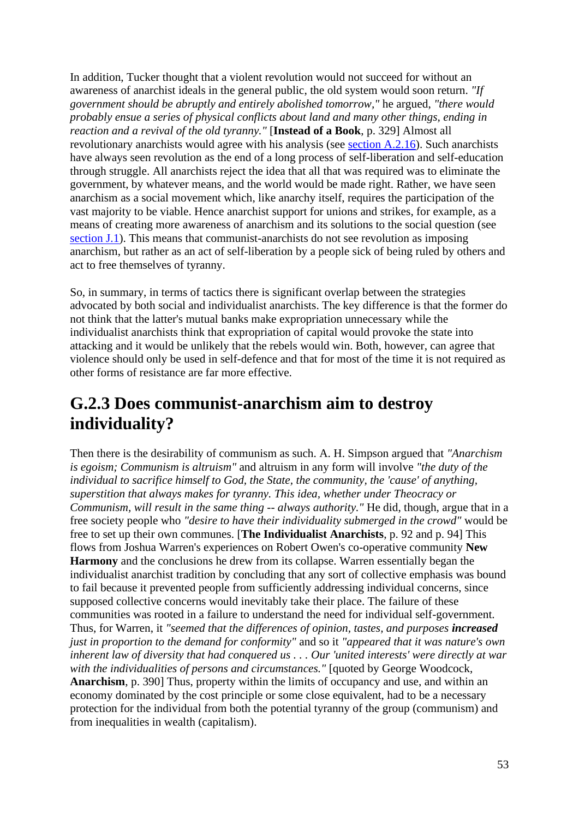In addition, Tucker thought that a violent revolution would not succeed for without an awareness of anarchist ideals in the general public, the old system would soon return. *"If government should be abruptly and entirely abolished tomorrow,"* he argued, *"there would probably ensue a series of physical conflicts about land and many other things, ending in reaction and a revival of the old tyranny."* [**Instead of a Book**, p. 329] Almost all revolutionary anarchists would agree with his analysis (see [section A.2.16\)](sectionA.html#seca216). Such anarchists have always seen revolution as the end of a long process of self-liberation and self-education through struggle. All anarchists reject the idea that all that was required was to eliminate the government, by whatever means, and the world would be made right. Rather, we have seen anarchism as a social movement which, like anarchy itself, requires the participation of the vast majority to be viable. Hence anarchist support for unions and strikes, for example, as a means of creating more awareness of anarchism and its solutions to the social question (see [section J.1\)](sectionJ.html#secj1). This means that communist-anarchists do not see revolution as imposing anarchism, but rather as an act of self-liberation by a people sick of being ruled by others and act to free themselves of tyranny.

So, in summary, in terms of tactics there is significant overlap between the strategies advocated by both social and individualist anarchists. The key difference is that the former do not think that the latter's mutual banks make expropriation unnecessary while the individualist anarchists think that expropriation of capital would provoke the state into attacking and it would be unlikely that the rebels would win. Both, however, can agree that violence should only be used in self-defence and that for most of the time it is not required as other forms of resistance are far more effective.

### **G.2.3 Does communist-anarchism aim to destroy individuality?**

Then there is the desirability of communism as such. A. H. Simpson argued that *"Anarchism is egoism; Communism is altruism"* and altruism in any form will involve *"the duty of the individual to sacrifice himself to God, the State, the community, the 'cause' of anything, superstition that always makes for tyranny. This idea, whether under Theocracy or Communism, will result in the same thing -- always authority."* He did, though, argue that in a free society people who *"desire to have their individuality submerged in the crowd"* would be free to set up their own communes. [**The Individualist Anarchists**, p. 92 and p. 94] This flows from Joshua Warren's experiences on Robert Owen's co-operative community **New Harmony** and the conclusions he drew from its collapse. Warren essentially began the individualist anarchist tradition by concluding that any sort of collective emphasis was bound to fail because it prevented people from sufficiently addressing individual concerns, since supposed collective concerns would inevitably take their place. The failure of these communities was rooted in a failure to understand the need for individual self-government. Thus, for Warren, it *"seemed that the differences of opinion, tastes, and purposes increased just in proportion to the demand for conformity"* and so it *"appeared that it was nature's own inherent law of diversity that had conquered us . . . Our 'united interests' were directly at war with the individualities of persons and circumstances."* [quoted by George Woodcock, **Anarchism**, p. 390] Thus, property within the limits of occupancy and use, and within an economy dominated by the cost principle or some close equivalent, had to be a necessary protection for the individual from both the potential tyranny of the group (communism) and from inequalities in wealth (capitalism).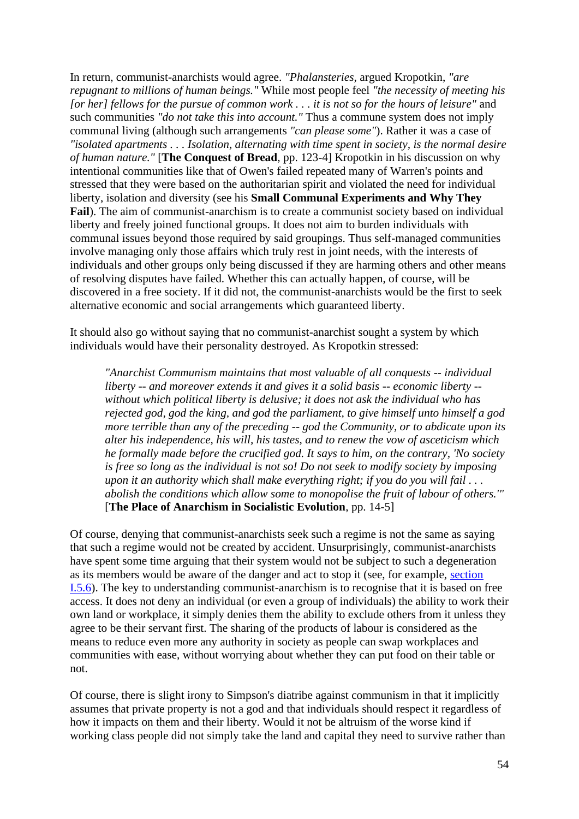In return, communist-anarchists would agree. *"Phalansteries,* argued Kropotkin, *"are repugnant to millions of human beings."* While most people feel *"the necessity of meeting his [or her] fellows for the pursue of common work . . . it is not so for the hours of leisure"* and such communities *"do not take this into account."* Thus a commune system does not imply communal living (although such arrangements *"can please some"*). Rather it was a case of *"isolated apartments . . . Isolation, alternating with time spent in society, is the normal desire of human nature."* [**The Conquest of Bread**, pp. 123-4] Kropotkin in his discussion on why intentional communities like that of Owen's failed repeated many of Warren's points and stressed that they were based on the authoritarian spirit and violated the need for individual liberty, isolation and diversity (see his **Small Communal Experiments and Why They Fail**). The aim of communist-anarchism is to create a communist society based on individual liberty and freely joined functional groups. It does not aim to burden individuals with communal issues beyond those required by said groupings. Thus self-managed communities involve managing only those affairs which truly rest in joint needs, with the interests of individuals and other groups only being discussed if they are harming others and other means of resolving disputes have failed. Whether this can actually happen, of course, will be discovered in a free society. If it did not, the communist-anarchists would be the first to seek alternative economic and social arrangements which guaranteed liberty.

It should also go without saying that no communist-anarchist sought a system by which individuals would have their personality destroyed. As Kropotkin stressed:

*"Anarchist Communism maintains that most valuable of all conquests -- individual liberty -- and moreover extends it and gives it a solid basis -- economic liberty - without which political liberty is delusive; it does not ask the individual who has rejected god, god the king, and god the parliament, to give himself unto himself a god more terrible than any of the preceding -- god the Community, or to abdicate upon its alter his independence, his will, his tastes, and to renew the vow of asceticism which he formally made before the crucified god. It says to him, on the contrary, 'No society is free so long as the individual is not so! Do not seek to modify society by imposing upon it an authority which shall make everything right; if you do you will fail . . . abolish the conditions which allow some to monopolise the fruit of labour of others.'"* [**The Place of Anarchism in Socialistic Evolution**, pp. 14-5]

Of course, denying that communist-anarchists seek such a regime is not the same as saying that such a regime would not be created by accident. Unsurprisingly, communist-anarchists have spent some time arguing that their system would not be subject to such a degeneration as its members would be aware of the danger and act to stop it (see, for example, [section](sectionI.html#seci56)  [I.5.6\)](sectionI.html#seci56). The key to understanding communist-anarchism is to recognise that it is based on free access. It does not deny an individual (or even a group of individuals) the ability to work their own land or workplace, it simply denies them the ability to exclude others from it unless they agree to be their servant first. The sharing of the products of labour is considered as the means to reduce even more any authority in society as people can swap workplaces and communities with ease, without worrying about whether they can put food on their table or not.

Of course, there is slight irony to Simpson's diatribe against communism in that it implicitly assumes that private property is not a god and that individuals should respect it regardless of how it impacts on them and their liberty. Would it not be altruism of the worse kind if working class people did not simply take the land and capital they need to survive rather than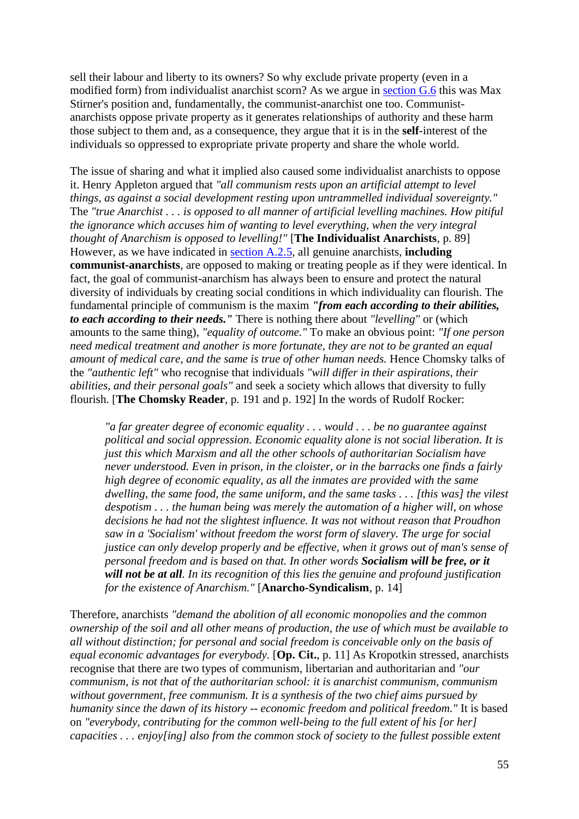sell their labour and liberty to its owners? So why exclude private property (even in a modified form) from individualist anarchist scorn? As we argue in [section G.6](sectionG.html#secg6) this was Max Stirner's position and, fundamentally, the communist-anarchist one too. Communistanarchists oppose private property as it generates relationships of authority and these harm those subject to them and, as a consequence, they argue that it is in the **self**-interest of the individuals so oppressed to expropriate private property and share the whole world.

The issue of sharing and what it implied also caused some individualist anarchists to oppose it. Henry Appleton argued that *"all communism rests upon an artificial attempt to level things, as against a social development resting upon untrammelled individual sovereignty."* The *"true Anarchist . . . is opposed to all manner of artificial levelling machines. How pitiful the ignorance which accuses him of wanting to level everything, when the very integral thought of Anarchism is opposed to levelling!"* [**The Individualist Anarchists**, p. 89] However, as we have indicated in [section A.2.5,](sectionA.html#seca25) all genuine anarchists, **including communist-anarchists**, are opposed to making or treating people as if they were identical. In fact, the goal of communist-anarchism has always been to ensure and protect the natural diversity of individuals by creating social conditions in which individuality can flourish. The fundamental principle of communism is the maxim *"from each according to their abilities, to each according to their needs."* There is nothing there about *"levelling"* or (which amounts to the same thing), *"equality of outcome."* To make an obvious point: *"If one person need medical treatment and another is more fortunate, they are not to be granted an equal amount of medical care, and the same is true of other human needs.* Hence Chomsky talks of the *"authentic left"* who recognise that individuals *"will differ in their aspirations, their abilities, and their personal goals"* and seek a society which allows that diversity to fully flourish. [**The Chomsky Reader**, p. 191 and p. 192] In the words of Rudolf Rocker:

*"a far greater degree of economic equality . . . would . . . be no guarantee against political and social oppression. Economic equality alone is not social liberation. It is just this which Marxism and all the other schools of authoritarian Socialism have never understood. Even in prison, in the cloister, or in the barracks one finds a fairly high degree of economic equality, as all the inmates are provided with the same dwelling, the same food, the same uniform, and the same tasks . . . [this was] the vilest despotism . . . the human being was merely the automation of a higher will, on whose decisions he had not the slightest influence. It was not without reason that Proudhon saw in a 'Socialism' without freedom the worst form of slavery. The urge for social justice can only develop properly and be effective, when it grows out of man's sense of personal freedom and is based on that. In other words Socialism will be free, or it will not be at all. In its recognition of this lies the genuine and profound justification for the existence of Anarchism."* [**Anarcho-Syndicalism**, p. 14]

Therefore, anarchists *"demand the abolition of all economic monopolies and the common ownership of the soil and all other means of production, the use of which must be available to all without distinction; for personal and social freedom is conceivable only on the basis of equal economic advantages for everybody.* [**Op. Cit.**, p. 11] As Kropotkin stressed, anarchists recognise that there are two types of communism, libertarian and authoritarian and *"our communism, is not that of the authoritarian school: it is anarchist communism, communism without government, free communism. It is a synthesis of the two chief aims pursued by humanity since the dawn of its history -- economic freedom and political freedom."* It is based on *"everybody, contributing for the common well-being to the full extent of his [or her] capacities . . . enjoy[ing] also from the common stock of society to the fullest possible extent*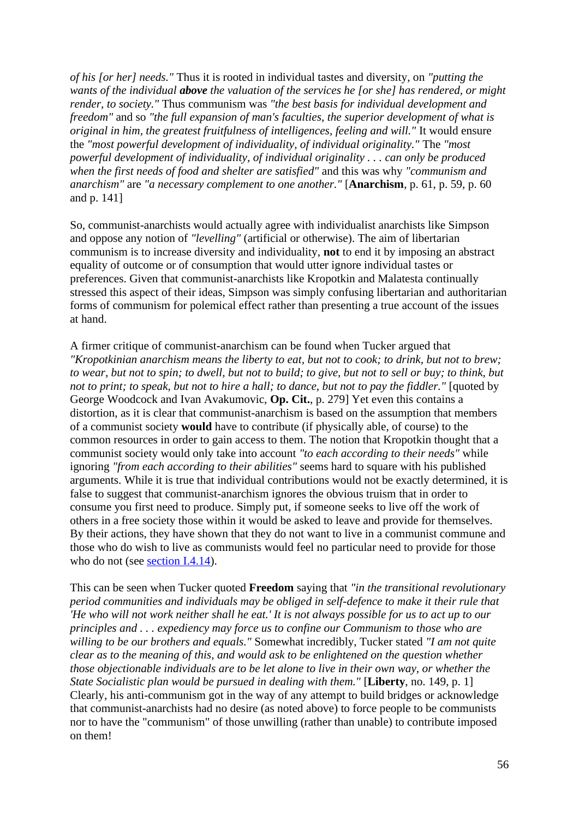*of his [or her] needs."* Thus it is rooted in individual tastes and diversity, on *"putting the wants of the individual above the valuation of the services he [or she] has rendered, or might render, to society."* Thus communism was *"the best basis for individual development and freedom"* and so *"the full expansion of man's faculties, the superior development of what is original in him, the greatest fruitfulness of intelligences, feeling and will."* It would ensure the *"most powerful development of individuality, of individual originality."* The *"most powerful development of individuality, of individual originality . . . can only be produced when the first needs of food and shelter are satisfied"* and this was why *"communism and anarchism"* are *"a necessary complement to one another."* [**Anarchism**, p. 61, p. 59, p. 60 and p. 141]

So, communist-anarchists would actually agree with individualist anarchists like Simpson and oppose any notion of *"levelling"* (artificial or otherwise). The aim of libertarian communism is to increase diversity and individuality, **not** to end it by imposing an abstract equality of outcome or of consumption that would utter ignore individual tastes or preferences. Given that communist-anarchists like Kropotkin and Malatesta continually stressed this aspect of their ideas, Simpson was simply confusing libertarian and authoritarian forms of communism for polemical effect rather than presenting a true account of the issues at hand.

A firmer critique of communist-anarchism can be found when Tucker argued that *"Kropotkinian anarchism means the liberty to eat, but not to cook; to drink, but not to brew; to wear, but not to spin; to dwell, but not to build; to give, but not to sell or buy; to think, but not to print; to speak, but not to hire a hall; to dance, but not to pay the fiddler."* [quoted by George Woodcock and Ivan Avakumovic, **Op. Cit.**, p. 279] Yet even this contains a distortion, as it is clear that communist-anarchism is based on the assumption that members of a communist society **would** have to contribute (if physically able, of course) to the common resources in order to gain access to them. The notion that Kropotkin thought that a communist society would only take into account *"to each according to their needs"* while ignoring *"from each according to their abilities"* seems hard to square with his published arguments. While it is true that individual contributions would not be exactly determined, it is false to suggest that communist-anarchism ignores the obvious truism that in order to consume you first need to produce. Simply put, if someone seeks to live off the work of others in a free society those within it would be asked to leave and provide for themselves. By their actions, they have shown that they do not want to live in a communist commune and those who do wish to live as communists would feel no particular need to provide for those who do not (see [section I.4.14\)](sectionI.html#seci414).

This can be seen when Tucker quoted **Freedom** saying that *"in the transitional revolutionary period communities and individuals may be obliged in self-defence to make it their rule that 'He who will not work neither shall he eat.' It is not always possible for us to act up to our principles and . . . expediency may force us to confine our Communism to those who are willing to be our brothers and equals."* Somewhat incredibly, Tucker stated *"I am not quite clear as to the meaning of this, and would ask to be enlightened on the question whether those objectionable individuals are to be let alone to live in their own way, or whether the State Socialistic plan would be pursued in dealing with them."* [**Liberty**, no. 149, p. 1] Clearly, his anti-communism got in the way of any attempt to build bridges or acknowledge that communist-anarchists had no desire (as noted above) to force people to be communists nor to have the "communism" of those unwilling (rather than unable) to contribute imposed on them!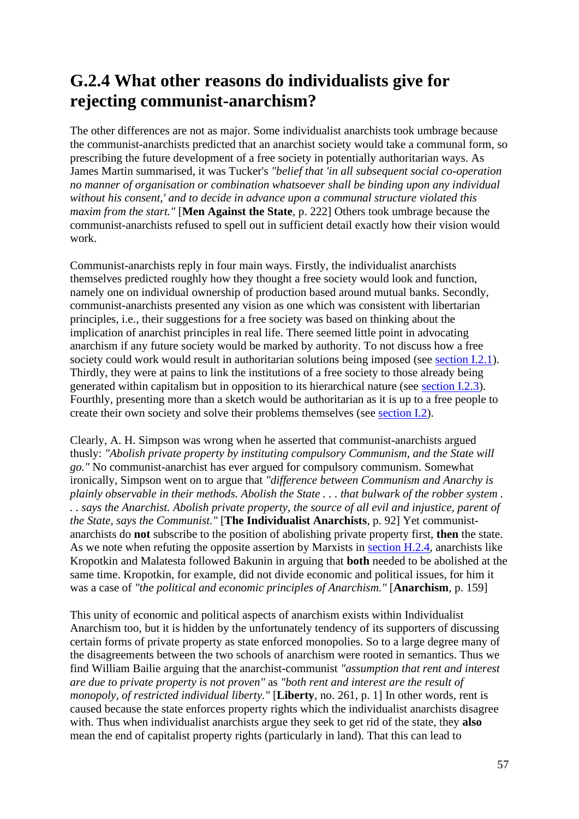## **G.2.4 What other reasons do individualists give for rejecting communist-anarchism?**

The other differences are not as major. Some individualist anarchists took umbrage because the communist-anarchists predicted that an anarchist society would take a communal form, so prescribing the future development of a free society in potentially authoritarian ways. As James Martin summarised, it was Tucker's *"belief that 'in all subsequent social co-operation no manner of organisation or combination whatsoever shall be binding upon any individual without his consent,' and to decide in advance upon a communal structure violated this maxim from the start."* [**Men Against the State**, p. 222] Others took umbrage because the communist-anarchists refused to spell out in sufficient detail exactly how their vision would work.

Communist-anarchists reply in four main ways. Firstly, the individualist anarchists themselves predicted roughly how they thought a free society would look and function, namely one on individual ownership of production based around mutual banks. Secondly, communist-anarchists presented any vision as one which was consistent with libertarian principles, i.e., their suggestions for a free society was based on thinking about the implication of anarchist principles in real life. There seemed little point in advocating anarchism if any future society would be marked by authority. To not discuss how a free society could work would result in authoritarian solutions being imposed (see [section I.2.1\)](sectionI.html#seci21). Thirdly, they were at pains to link the institutions of a free society to those already being generated within capitalism but in opposition to its hierarchical nature (see [section I.2.3\)](sectionI.html#seci23). Fourthly, presenting more than a sketch would be authoritarian as it is up to a free people to create their own society and solve their problems themselves (see [section I.2\)](sectionI.html#seci2).

Clearly, A. H. Simpson was wrong when he asserted that communist-anarchists argued thusly: *"Abolish private property by instituting compulsory Communism, and the State will go."* No communist-anarchist has ever argued for compulsory communism. Somewhat ironically, Simpson went on to argue that *"difference between Communism and Anarchy is plainly observable in their methods. Abolish the State . . . that bulwark of the robber system . . . says the Anarchist. Abolish private property, the source of all evil and injustice, parent of the State, says the Communist."* [**The Individualist Anarchists**, p. 92] Yet communistanarchists do **not** subscribe to the position of abolishing private property first, **then** the state. As we note when refuting the opposite assertion by Marxists in [section](sectionH.html#sech24) H.2.4, anarchists like Kropotkin and Malatesta followed Bakunin in arguing that **both** needed to be abolished at the same time. Kropotkin, for example, did not divide economic and political issues, for him it was a case of *"the political and economic principles of Anarchism."* [**Anarchism**, p. 159]

This unity of economic and political aspects of anarchism exists within Individualist Anarchism too, but it is hidden by the unfortunately tendency of its supporters of discussing certain forms of private property as state enforced monopolies. So to a large degree many of the disagreements between the two schools of anarchism were rooted in semantics. Thus we find William Bailie arguing that the anarchist-communist *"assumption that rent and interest are due to private property is not proven"* as *"both rent and interest are the result of monopoly, of restricted individual liberty."* [**Liberty**, no. 261, p. 1] In other words, rent is caused because the state enforces property rights which the individualist anarchists disagree with. Thus when individualist anarchists argue they seek to get rid of the state, they **also** mean the end of capitalist property rights (particularly in land). That this can lead to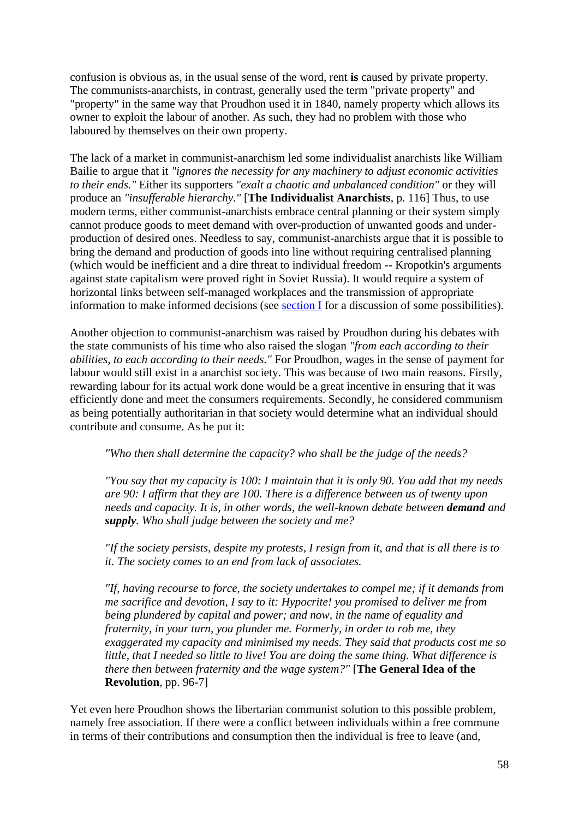confusion is obvious as, in the usual sense of the word, rent **is** caused by private property. The communists-anarchists, in contrast, generally used the term "private property" and "property" in the same way that Proudhon used it in 1840, namely property which allows its owner to exploit the labour of another. As such, they had no problem with those who laboured by themselves on their own property.

The lack of a market in communist-anarchism led some individualist anarchists like William Bailie to argue that it *"ignores the necessity for any machinery to adjust economic activities to their ends."* Either its supporters *"exalt a chaotic and unbalanced condition"* or they will produce an *"insufferable hierarchy."* [**The Individualist Anarchists**, p. 116] Thus, to use modern terms, either communist-anarchists embrace central planning or their system simply cannot produce goods to meet demand with over-production of unwanted goods and underproduction of desired ones. Needless to say, communist-anarchists argue that it is possible to bring the demand and production of goods into line without requiring centralised planning (which would be inefficient and a dire threat to individual freedom -- Kropotkin's arguments against state capitalism were proved right in Soviet Russia). It would require a system of horizontal links between self-managed workplaces and the transmission of appropriate information to make informed decisions (see [section I](sectionI.html) for a discussion of some possibilities).

Another objection to communist-anarchism was raised by Proudhon during his debates with the state communists of his time who also raised the slogan *"from each according to their abilities, to each according to their needs."* For Proudhon, wages in the sense of payment for labour would still exist in a anarchist society. This was because of two main reasons. Firstly, rewarding labour for its actual work done would be a great incentive in ensuring that it was efficiently done and meet the consumers requirements. Secondly, he considered communism as being potentially authoritarian in that society would determine what an individual should contribute and consume. As he put it:

#### *"Who then shall determine the capacity? who shall be the judge of the needs?*

*"You say that my capacity is 100: I maintain that it is only 90. You add that my needs are 90: I affirm that they are 100. There is a difference between us of twenty upon needs and capacity. It is, in other words, the well-known debate between <i>demand* and *supply. Who shall judge between the society and me?*

*"If the society persists, despite my protests, I resign from it, and that is all there is to it. The society comes to an end from lack of associates.*

*"If, having recourse to force, the society undertakes to compel me; if it demands from me sacrifice and devotion, I say to it: Hypocrite! you promised to deliver me from being plundered by capital and power; and now, in the name of equality and fraternity, in your turn, you plunder me. Formerly, in order to rob me, they exaggerated my capacity and minimised my needs. They said that products cost me so little, that I needed so little to live! You are doing the same thing. What difference is there then between fraternity and the wage system?"* [**The General Idea of the Revolution**, pp. 96-7]

Yet even here Proudhon shows the libertarian communist solution to this possible problem, namely free association. If there were a conflict between individuals within a free commune in terms of their contributions and consumption then the individual is free to leave (and,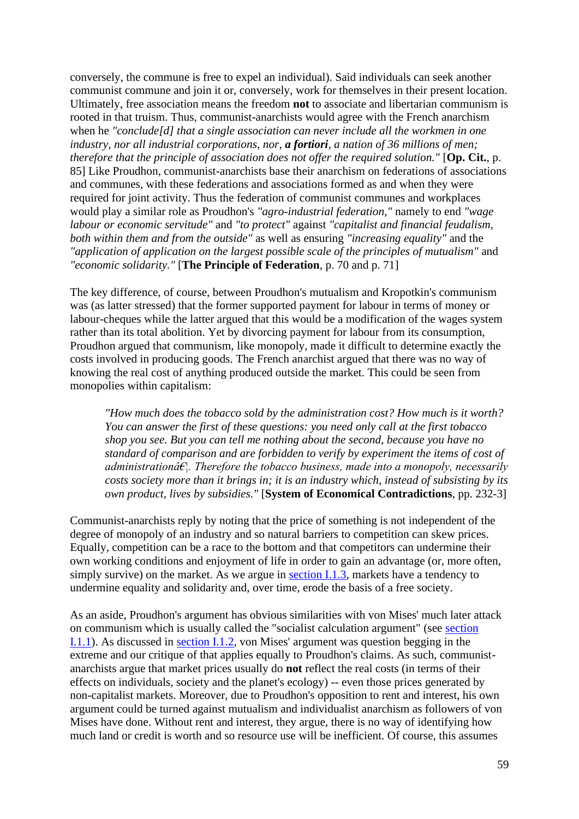conversely, the commune is free to expel an individual). Said individuals can seek another communist commune and join it or, conversely, work for themselves in their present location. Ultimately, free association means the freedom **not** to associate and libertarian communism is rooted in that truism. Thus, communist-anarchists would agree with the French anarchism when he *"conclude[d] that a single association can never include all the workmen in one industry, nor all industrial corporations, nor, a fortiori, a nation of 36 millions of men; therefore that the principle of association does not offer the required solution."* [**Op. Cit.**, p. 85] Like Proudhon, communist-anarchists base their anarchism on federations of associations and communes, with these federations and associations formed as and when they were required for joint activity. Thus the federation of communist communes and workplaces would play a similar role as Proudhon's *"agro-industrial federation,"* namely to end *"wage labour or economic servitude"* and *"to protect"* against *"capitalist and financial feudalism, both within them and from the outside"* as well as ensuring *"increasing equality"* and the *"application of application on the largest possible scale of the principles of mutualism"* and *"economic solidarity."* [**The Principle of Federation**, p. 70 and p. 71]

The key difference, of course, between Proudhon's mutualism and Kropotkin's communism was (as latter stressed) that the former supported payment for labour in terms of money or labour-cheques while the latter argued that this would be a modification of the wages system rather than its total abolition. Yet by divorcing payment for labour from its consumption, Proudhon argued that communism, like monopoly, made it difficult to determine exactly the costs involved in producing goods. The French anarchist argued that there was no way of knowing the real cost of anything produced outside the market. This could be seen from monopolies within capitalism:

*"How much does the tobacco sold by the administration cost? How much is it worth? You can answer the first of these questions: you need only call at the first tobacco shop you see. But you can tell me nothing about the second, because you have no standard of comparison and are forbidden to verify by experiment the items of cost of*   $administribution \hat{d} \epsilon$ . Therefore the tobacco business, made into a monopoly, necessarily *costs society more than it brings in; it is an industry which, instead of subsisting by its own product, lives by subsidies."* [**System of Economical Contradictions**, pp. 232-3]

Communist-anarchists reply by noting that the price of something is not independent of the degree of monopoly of an industry and so natural barriers to competition can skew prices. Equally, competition can be a race to the bottom and that competitors can undermine their own working conditions and enjoyment of life in order to gain an advantage (or, more often, simply survive) on the market. As we argue in [section I.1.3,](sectionI.html#seci13) markets have a tendency to undermine equality and solidarity and, over time, erode the basis of a free society.

As an aside, Proudhon's argument has obvious similarities with von Mises' much later attack on communism which is usually called the "socialist calculation argument" (see [section](sectionI.html#seci11)  [I.1.1\)](sectionI.html#seci11). As discussed in [section I.1.2,](sectionI.html#seci12) von Mises' argument was question begging in the extreme and our critique of that applies equally to Proudhon's claims. As such, communistanarchists argue that market prices usually do **not** reflect the real costs (in terms of their effects on individuals, society and the planet's ecology) -- even those prices generated by non-capitalist markets. Moreover, due to Proudhon's opposition to rent and interest, his own argument could be turned against mutualism and individualist anarchism as followers of von Mises have done. Without rent and interest, they argue, there is no way of identifying how much land or credit is worth and so resource use will be inefficient. Of course, this assumes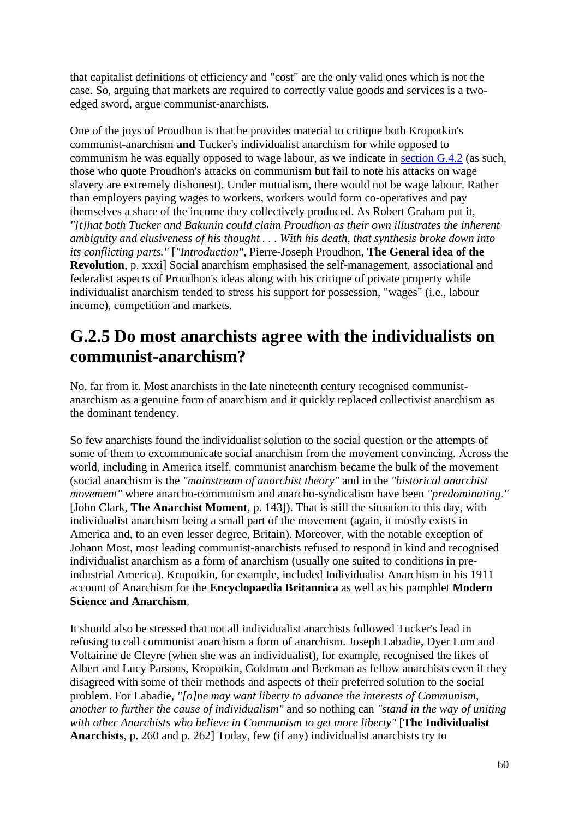that capitalist definitions of efficiency and "cost" are the only valid ones which is not the case. So, arguing that markets are required to correctly value goods and services is a twoedged sword, argue communist-anarchists.

One of the joys of Proudhon is that he provides material to critique both Kropotkin's communist-anarchism **and** Tucker's individualist anarchism for while opposed to communism he was equally opposed to wage labour, as we indicate in [section G.4.2](sectionG.html#secg42) (as such, those who quote Proudhon's attacks on communism but fail to note his attacks on wage slavery are extremely dishonest). Under mutualism, there would not be wage labour. Rather than employers paying wages to workers, workers would form co-operatives and pay themselves a share of the income they collectively produced. As Robert Graham put it, *"[t]hat both Tucker and Bakunin could claim Proudhon as their own illustrates the inherent ambiguity and elusiveness of his thought . . . With his death, that synthesis broke down into its conflicting parts."* [*"Introduction"*, Pierre-Joseph Proudhon, **The General idea of the Revolution**, p. xxxi] Social anarchism emphasised the self-management, associational and federalist aspects of Proudhon's ideas along with his critique of private property while individualist anarchism tended to stress his support for possession, "wages" (i.e., labour income), competition and markets.

### **G.2.5 Do most anarchists agree with the individualists on communist-anarchism?**

No, far from it. Most anarchists in the late nineteenth century recognised communistanarchism as a genuine form of anarchism and it quickly replaced collectivist anarchism as the dominant tendency.

So few anarchists found the individualist solution to the social question or the attempts of some of them to excommunicate social anarchism from the movement convincing. Across the world, including in America itself, communist anarchism became the bulk of the movement (social anarchism is the *"mainstream of anarchist theory"* and in the *"historical anarchist movement"* where anarcho-communism and anarcho-syndicalism have been *"predominating."* [John Clark, **The Anarchist Moment**, p. 143]). That is still the situation to this day, with individualist anarchism being a small part of the movement (again, it mostly exists in America and, to an even lesser degree, Britain). Moreover, with the notable exception of Johann Most, most leading communist-anarchists refused to respond in kind and recognised individualist anarchism as a form of anarchism (usually one suited to conditions in preindustrial America). Kropotkin, for example, included Individualist Anarchism in his 1911 account of Anarchism for the **Encyclopaedia Britannica** as well as his pamphlet **Modern Science and Anarchism**.

It should also be stressed that not all individualist anarchists followed Tucker's lead in refusing to call communist anarchism a form of anarchism. Joseph Labadie, Dyer Lum and Voltairine de Cleyre (when she was an individualist), for example, recognised the likes of Albert and Lucy Parsons, Kropotkin, Goldman and Berkman as fellow anarchists even if they disagreed with some of their methods and aspects of their preferred solution to the social problem. For Labadie, *"[o]ne may want liberty to advance the interests of Communism, another to further the cause of individualism"* and so nothing can *"stand in the way of uniting with other Anarchists who believe in Communism to get more liberty"* [**The Individualist Anarchists**, p. 260 and p. 262] Today, few (if any) individualist anarchists try to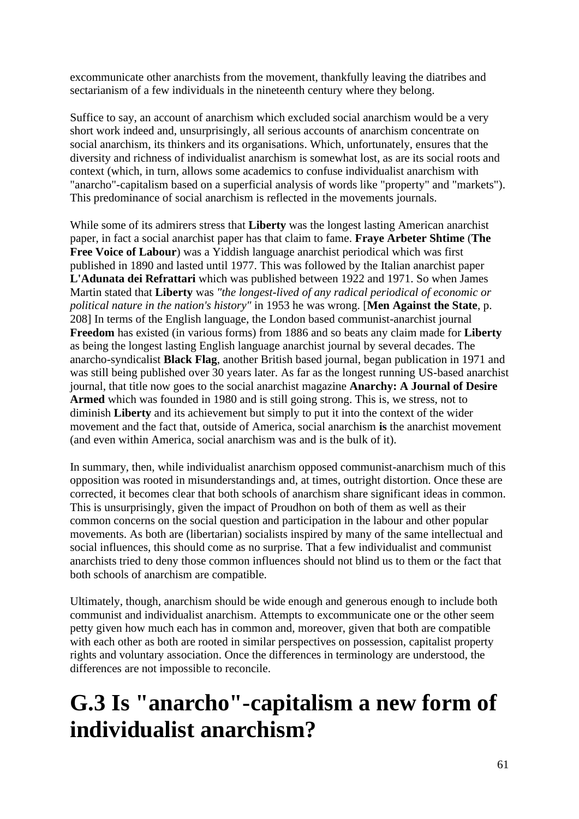excommunicate other anarchists from the movement, thankfully leaving the diatribes and sectarianism of a few individuals in the nineteenth century where they belong.

Suffice to say, an account of anarchism which excluded social anarchism would be a very short work indeed and, unsurprisingly, all serious accounts of anarchism concentrate on social anarchism, its thinkers and its organisations. Which, unfortunately, ensures that the diversity and richness of individualist anarchism is somewhat lost, as are its social roots and context (which, in turn, allows some academics to confuse individualist anarchism with "anarcho"-capitalism based on a superficial analysis of words like "property" and "markets"). This predominance of social anarchism is reflected in the movements journals.

While some of its admirers stress that **Liberty** was the longest lasting American anarchist paper, in fact a social anarchist paper has that claim to fame. **Fraye Arbeter Shtime** (**The Free Voice of Labour**) was a Yiddish language anarchist periodical which was first published in 1890 and lasted until 1977. This was followed by the Italian anarchist paper **L'Adunata dei Refrattari** which was published between 1922 and 1971. So when James Martin stated that **Liberty** was *"the longest-lived of any radical periodical of economic or political nature in the nation's history"* in 1953 he was wrong. [**Men Against the State**, p. 208] In terms of the English language, the London based communist-anarchist journal **Freedom** has existed (in various forms) from 1886 and so beats any claim made for **Liberty** as being the longest lasting English language anarchist journal by several decades. The anarcho-syndicalist **Black Flag**, another British based journal, began publication in 1971 and was still being published over 30 years later. As far as the longest running US-based anarchist journal, that title now goes to the social anarchist magazine **Anarchy: A Journal of Desire Armed** which was founded in 1980 and is still going strong. This is, we stress, not to diminish **Liberty** and its achievement but simply to put it into the context of the wider movement and the fact that, outside of America, social anarchism **is** the anarchist movement (and even within America, social anarchism was and is the bulk of it).

In summary, then, while individualist anarchism opposed communist-anarchism much of this opposition was rooted in misunderstandings and, at times, outright distortion. Once these are corrected, it becomes clear that both schools of anarchism share significant ideas in common. This is unsurprisingly, given the impact of Proudhon on both of them as well as their common concerns on the social question and participation in the labour and other popular movements. As both are (libertarian) socialists inspired by many of the same intellectual and social influences, this should come as no surprise. That a few individualist and communist anarchists tried to deny those common influences should not blind us to them or the fact that both schools of anarchism are compatible.

Ultimately, though, anarchism should be wide enough and generous enough to include both communist and individualist anarchism. Attempts to excommunicate one or the other seem petty given how much each has in common and, moreover, given that both are compatible with each other as both are rooted in similar perspectives on possession, capitalist property rights and voluntary association. Once the differences in terminology are understood, the differences are not impossible to reconcile.

# **G.3 Is "anarcho"-capitalism a new form of individualist anarchism?**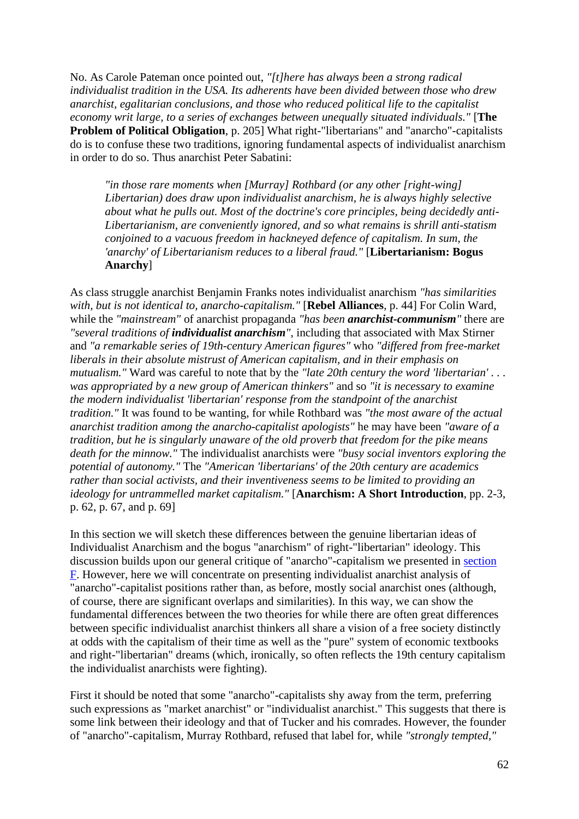No. As Carole Pateman once pointed out, *"[t]here has always been a strong radical individualist tradition in the USA. Its adherents have been divided between those who drew anarchist, egalitarian conclusions, and those who reduced political life to the capitalist economy writ large, to a series of exchanges between unequally situated individuals."* [**The Problem of Political Obligation**, p. 205] What right-"libertarians" and "anarcho"-capitalists do is to confuse these two traditions, ignoring fundamental aspects of individualist anarchism in order to do so. Thus anarchist Peter Sabatini:

*"in those rare moments when [Murray] Rothbard (or any other [right-wing] Libertarian) does draw upon individualist anarchism, he is always highly selective about what he pulls out. Most of the doctrine's core principles, being decidedly anti-Libertarianism, are conveniently ignored, and so what remains is shrill anti-statism conjoined to a vacuous freedom in hackneyed defence of capitalism. In sum, the 'anarchy' of Libertarianism reduces to a liberal fraud."* [**Libertarianism: Bogus Anarchy**]

As class struggle anarchist Benjamin Franks notes individualist anarchism *"has similarities with, but is not identical to, anarcho-capitalism."* [**Rebel Alliances**, p. 44] For Colin Ward, while the *"mainstream"* of anarchist propaganda *"has been anarchist-communism"* there are *"several traditions of individualist anarchism"*, including that associated with Max Stirner and *"a remarkable series of 19th-century American figures"* who *"differed from free-market liberals in their absolute mistrust of American capitalism, and in their emphasis on mutualism."* Ward was careful to note that by the *"late 20th century the word 'libertarian' . . . was appropriated by a new group of American thinkers"* and so *"it is necessary to examine the modern individualist 'libertarian' response from the standpoint of the anarchist tradition."* It was found to be wanting, for while Rothbard was *"the most aware of the actual anarchist tradition among the anarcho-capitalist apologists"* he may have been *"aware of a tradition, but he is singularly unaware of the old proverb that freedom for the pike means death for the minnow."* The individualist anarchists were *"busy social inventors exploring the potential of autonomy."* The *"American 'libertarians' of the 20th century are academics rather than social activists, and their inventiveness seems to be limited to providing an ideology for untrammelled market capitalism."* [**Anarchism: A Short Introduction**, pp. 2-3, p. 62, p. 67, and p. 69]

In this section we will sketch these differences between the genuine libertarian ideas of Individualist Anarchism and the bogus "anarchism" of right-"libertarian" ideology. This discussion builds upon our general critique of "anarcho"-capitalism we presented in [section](sectionF.html)  [F.](sectionF.html) However, here we will concentrate on presenting individualist anarchist analysis of "anarcho"-capitalist positions rather than, as before, mostly social anarchist ones (although, of course, there are significant overlaps and similarities). In this way, we can show the fundamental differences between the two theories for while there are often great differences between specific individualist anarchist thinkers all share a vision of a free society distinctly at odds with the capitalism of their time as well as the "pure" system of economic textbooks and right-"libertarian" dreams (which, ironically, so often reflects the 19th century capitalism the individualist anarchists were fighting).

First it should be noted that some "anarcho"-capitalists shy away from the term, preferring such expressions as "market anarchist" or "individualist anarchist." This suggests that there is some link between their ideology and that of Tucker and his comrades. However, the founder of "anarcho"-capitalism, Murray Rothbard, refused that label for, while *"strongly tempted,"*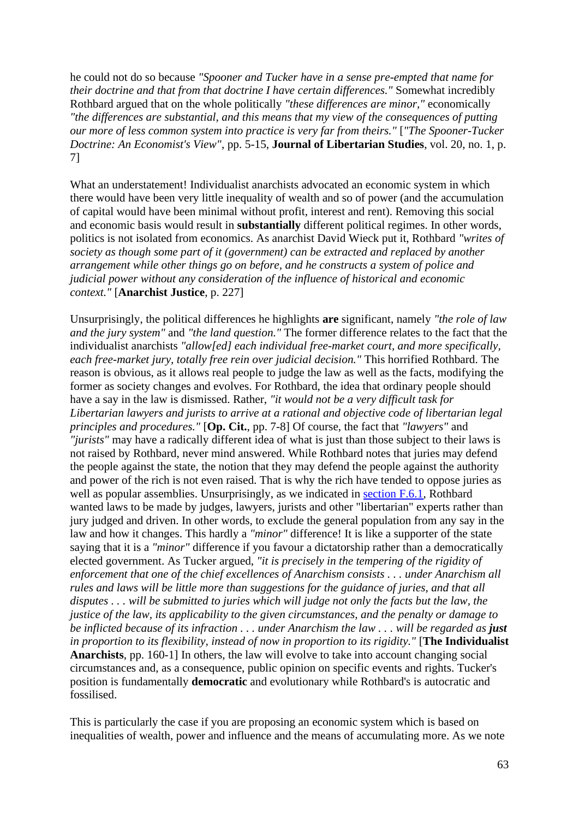he could not do so because *"Spooner and Tucker have in a sense pre-empted that name for their doctrine and that from that doctrine I have certain differences."* Somewhat incredibly Rothbard argued that on the whole politically *"these differences are minor,"* economically *"the differences are substantial, and this means that my view of the consequences of putting our more of less common system into practice is very far from theirs."* [*"The Spooner-Tucker Doctrine: An Economist's View"*, pp. 5-15, **Journal of Libertarian Studies**, vol. 20, no. 1, p. 7]

What an understatement! Individualist anarchists advocated an economic system in which there would have been very little inequality of wealth and so of power (and the accumulation of capital would have been minimal without profit, interest and rent). Removing this social and economic basis would result in **substantially** different political regimes. In other words, politics is not isolated from economics. As anarchist David Wieck put it, Rothbard *"writes of society as though some part of it (government) can be extracted and replaced by another arrangement while other things go on before, and he constructs a system of police and judicial power without any consideration of the influence of historical and economic context."* [**Anarchist Justice**, p. 227]

Unsurprisingly, the political differences he highlights **are** significant, namely *"the role of law and the jury system"* and *"the land question."* The former difference relates to the fact that the individualist anarchists *"allow[ed] each individual free-market court, and more specifically, each free-market jury, totally free rein over judicial decision."* This horrified Rothbard. The reason is obvious, as it allows real people to judge the law as well as the facts, modifying the former as society changes and evolves. For Rothbard, the idea that ordinary people should have a say in the law is dismissed. Rather, *"it would not be a very difficult task for Libertarian lawyers and jurists to arrive at a rational and objective code of libertarian legal principles and procedures."* [**Op. Cit.**, pp. 7-8] Of course, the fact that *"lawyers"* and *"jurists"* may have a radically different idea of what is just than those subject to their laws is not raised by Rothbard, never mind answered. While Rothbard notes that juries may defend the people against the state, the notion that they may defend the people against the authority and power of the rich is not even raised. That is why the rich have tended to oppose juries as well as popular assemblies. Unsurprisingly, as we indicated in [section F.6.1,](sectionF.html#secf61) Rothbard wanted laws to be made by judges, lawyers, jurists and other "libertarian" experts rather than jury judged and driven. In other words, to exclude the general population from any say in the law and how it changes. This hardly a *"minor"* difference! It is like a supporter of the state saying that it is a *"minor"* difference if you favour a dictatorship rather than a democratically elected government. As Tucker argued, *"it is precisely in the tempering of the rigidity of enforcement that one of the chief excellences of Anarchism consists . . . under Anarchism all rules and laws will be little more than suggestions for the guidance of juries, and that all disputes . . . will be submitted to juries which will judge not only the facts but the law, the justice of the law, its applicability to the given circumstances, and the penalty or damage to be inflicted because of its infraction . . . under Anarchism the law . . . will be regarded as just in proportion to its flexibility, instead of now in proportion to its rigidity."* [**The Individualist Anarchists**, pp. 160-1] In others, the law will evolve to take into account changing social circumstances and, as a consequence, public opinion on specific events and rights. Tucker's position is fundamentally **democratic** and evolutionary while Rothbard's is autocratic and fossilised.

This is particularly the case if you are proposing an economic system which is based on inequalities of wealth, power and influence and the means of accumulating more. As we note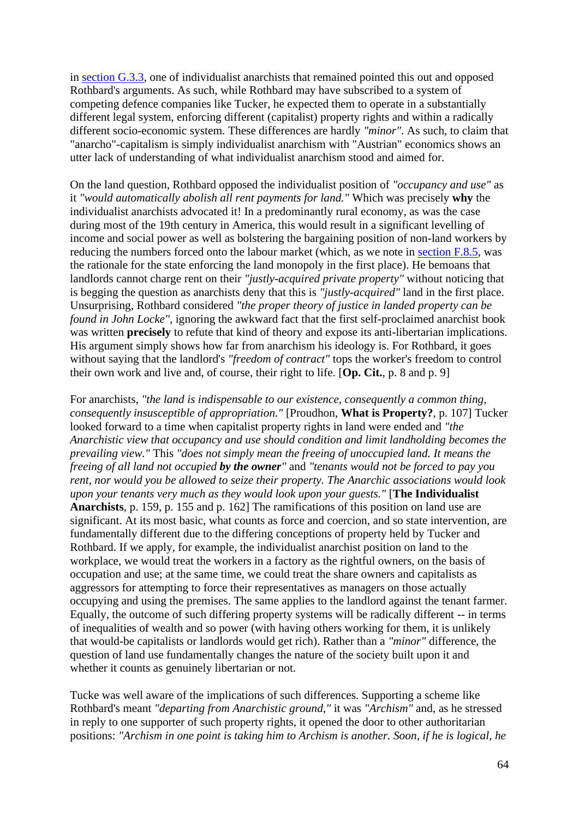in [section G.3.3,](sectionG.html#secg33) one of individualist anarchists that remained pointed this out and opposed Rothbard's arguments. As such, while Rothbard may have subscribed to a system of competing defence companies like Tucker, he expected them to operate in a substantially different legal system, enforcing different (capitalist) property rights and within a radically different socio-economic system. These differences are hardly *"minor"*. As such, to claim that "anarcho"-capitalism is simply individualist anarchism with "Austrian" economics shows an utter lack of understanding of what individualist anarchism stood and aimed for.

On the land question, Rothbard opposed the individualist position of *"occupancy and use"* as it *"would automatically abolish all rent payments for land."* Which was precisely **why** the individualist anarchists advocated it! In a predominantly rural economy, as was the case during most of the 19th century in America, this would result in a significant levelling of income and social power as well as bolstering the bargaining position of non-land workers by reducing the numbers forced onto the labour market (which, as we note in [section F.8.5,](sectionF.html#secf85) was the rationale for the state enforcing the land monopoly in the first place). He bemoans that landlords cannot charge rent on their *"justly-acquired private property"* without noticing that is begging the question as anarchists deny that this is *"justly-acquired"* land in the first place. Unsurprising, Rothbard considered *"the proper theory of justice in landed property can be found in John Locke"*, ignoring the awkward fact that the first self-proclaimed anarchist book was written **precisely** to refute that kind of theory and expose its anti-libertarian implications. His argument simply shows how far from anarchism his ideology is. For Rothbard, it goes without saying that the landlord's *"freedom of contract"* tops the worker's freedom to control their own work and live and, of course, their right to life. [**Op. Cit.**, p. 8 and p. 9]

For anarchists, *"the land is indispensable to our existence, consequently a common thing, consequently insusceptible of appropriation."* [Proudhon, **What is Property?**, p. 107] Tucker looked forward to a time when capitalist property rights in land were ended and *"the Anarchistic view that occupancy and use should condition and limit landholding becomes the prevailing view."* This *"does not simply mean the freeing of unoccupied land. It means the freeing of all land not occupied by the owner"* and *"tenants would not be forced to pay you rent, nor would you be allowed to seize their property. The Anarchic associations would look upon your tenants very much as they would look upon your guests."* [**The Individualist Anarchists**, p. 159, p. 155 and p. 162] The ramifications of this position on land use are significant. At its most basic, what counts as force and coercion, and so state intervention, are fundamentally different due to the differing conceptions of property held by Tucker and Rothbard. If we apply, for example, the individualist anarchist position on land to the workplace, we would treat the workers in a factory as the rightful owners, on the basis of occupation and use; at the same time, we could treat the share owners and capitalists as aggressors for attempting to force their representatives as managers on those actually occupying and using the premises. The same applies to the landlord against the tenant farmer. Equally, the outcome of such differing property systems will be radically different -- in terms of inequalities of wealth and so power (with having others working for them, it is unlikely that would-be capitalists or landlords would get rich). Rather than a *"minor"* difference, the question of land use fundamentally changes the nature of the society built upon it and whether it counts as genuinely libertarian or not.

Tucke was well aware of the implications of such differences. Supporting a scheme like Rothbard's meant *"departing from Anarchistic ground,"* it was *"Archism"* and, as he stressed in reply to one supporter of such property rights, it opened the door to other authoritarian positions: *"Archism in one point is taking him to Archism is another. Soon, if he is logical, he*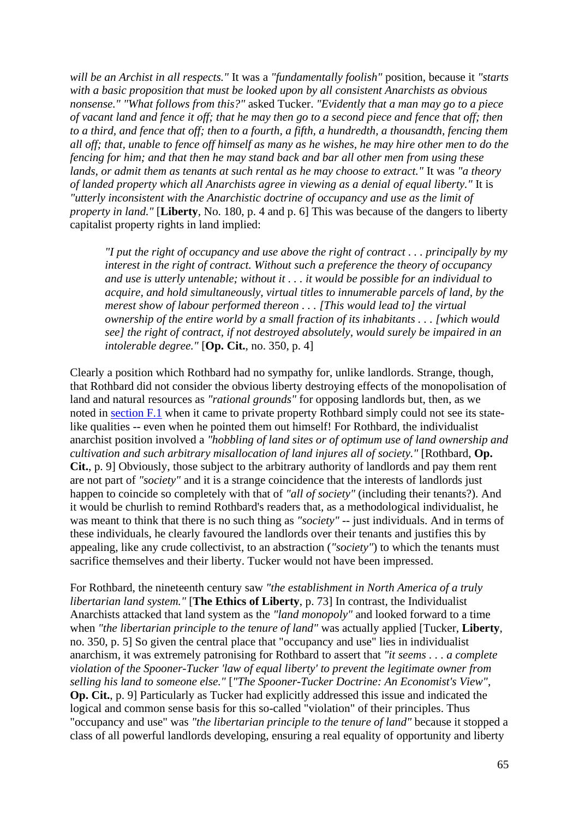*will be an Archist in all respects."* It was a *"fundamentally foolish"* position, because it *"starts with a basic proposition that must be looked upon by all consistent Anarchists as obvious nonsense." "What follows from this?"* asked Tucker. *"Evidently that a man may go to a piece of vacant land and fence it off; that he may then go to a second piece and fence that off; then to a third, and fence that off; then to a fourth, a fifth, a hundredth, a thousandth, fencing them all off; that, unable to fence off himself as many as he wishes, he may hire other men to do the fencing for him; and that then he may stand back and bar all other men from using these lands, or admit them as tenants at such rental as he may choose to extract."* It was *"a theory of landed property which all Anarchists agree in viewing as a denial of equal liberty."* It is *"utterly inconsistent with the Anarchistic doctrine of occupancy and use as the limit of property in land."* [**Liberty**, No. 180, p. 4 and p. 6] This was because of the dangers to liberty capitalist property rights in land implied:

*"I put the right of occupancy and use above the right of contract . . . principally by my interest in the right of contract. Without such a preference the theory of occupancy and use is utterly untenable; without it . . . it would be possible for an individual to acquire, and hold simultaneously, virtual titles to innumerable parcels of land, by the merest show of labour performed thereon . . . [This would lead to] the virtual ownership of the entire world by a small fraction of its inhabitants . . . [which would see] the right of contract, if not destroyed absolutely, would surely be impaired in an intolerable degree."* [**Op. Cit.**, no. 350, p. 4]

Clearly a position which Rothbard had no sympathy for, unlike landlords. Strange, though, that Rothbard did not consider the obvious liberty destroying effects of the monopolisation of land and natural resources as *"rational grounds"* for opposing landlords but, then, as we noted in [section F.1](sectionF.html#secf1) when it came to private property Rothbard simply could not see its statelike qualities -- even when he pointed them out himself! For Rothbard, the individualist anarchist position involved a *"hobbling of land sites or of optimum use of land ownership and cultivation and such arbitrary misallocation of land injures all of society."* [Rothbard, **Op. Cit.**, p. 9] Obviously, those subject to the arbitrary authority of landlords and pay them rent are not part of *"society"* and it is a strange coincidence that the interests of landlords just happen to coincide so completely with that of *"all of society"* (including their tenants?). And it would be churlish to remind Rothbard's readers that, as a methodological individualist, he was meant to think that there is no such thing as *"society"* -- just individuals. And in terms of these individuals, he clearly favoured the landlords over their tenants and justifies this by appealing, like any crude collectivist, to an abstraction (*"society"*) to which the tenants must sacrifice themselves and their liberty. Tucker would not have been impressed.

For Rothbard, the nineteenth century saw *"the establishment in North America of a truly libertarian land system."* [**The Ethics of Liberty**, p. 73] In contrast, the Individualist Anarchists attacked that land system as the *"land monopoly"* and looked forward to a time when *"the libertarian principle to the tenure of land"* was actually applied [Tucker, **Liberty**, no. 350, p. 5] So given the central place that "occupancy and use" lies in individualist anarchism, it was extremely patronising for Rothbard to assert that *"it seems . . . a complete violation of the Spooner-Tucker 'law of equal liberty' to prevent the legitimate owner from selling his land to someone else."* [*"The Spooner-Tucker Doctrine: An Economist's View"*, **Op. Cit.**, p. 9] Particularly as Tucker had explicitly addressed this issue and indicated the logical and common sense basis for this so-called "violation" of their principles. Thus "occupancy and use" was *"the libertarian principle to the tenure of land"* because it stopped a class of all powerful landlords developing, ensuring a real equality of opportunity and liberty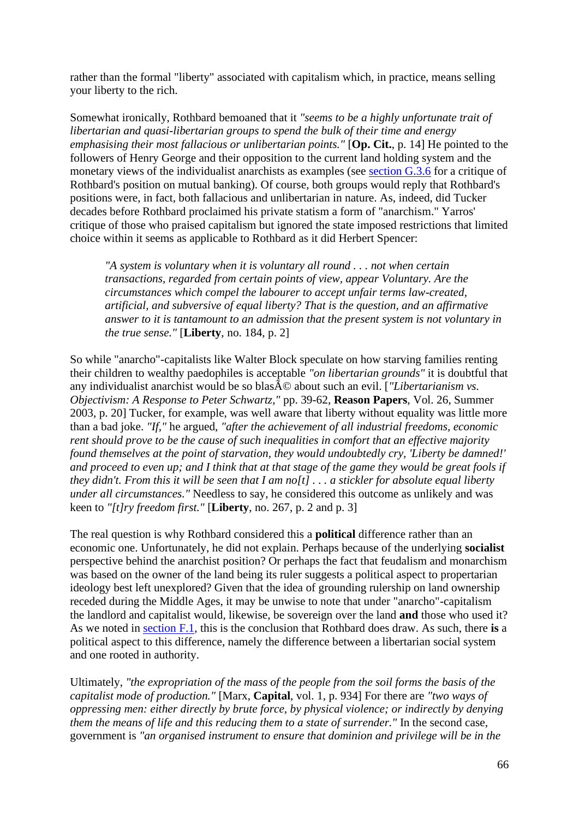rather than the formal "liberty" associated with capitalism which, in practice, means selling your liberty to the rich.

Somewhat ironically, Rothbard bemoaned that it *"seems to be a highly unfortunate trait of libertarian and quasi-libertarian groups to spend the bulk of their time and energy emphasising their most fallacious or unlibertarian points."* [**Op. Cit.**, p. 14] He pointed to the followers of Henry George and their opposition to the current land holding system and the monetary views of the individualist anarchists as examples (see [section G.3.6](sectionG.html#secg36) for a critique of Rothbard's position on mutual banking). Of course, both groups would reply that Rothbard's positions were, in fact, both fallacious and unlibertarian in nature. As, indeed, did Tucker decades before Rothbard proclaimed his private statism a form of "anarchism." Yarros' critique of those who praised capitalism but ignored the state imposed restrictions that limited choice within it seems as applicable to Rothbard as it did Herbert Spencer:

*"A system is voluntary when it is voluntary all round . . . not when certain transactions, regarded from certain points of view, appear Voluntary. Are the circumstances which compel the labourer to accept unfair terms law-created, artificial, and subversive of equal liberty? That is the question, and an affirmative answer to it is tantamount to an admission that the present system is not voluntary in the true sense."* [**Liberty**, no. 184, p. 2]

So while "anarcho"-capitalists like Walter Block speculate on how starving families renting their children to wealthy paedophiles is acceptable *"on libertarian grounds"* it is doubtful that any individualist anarchist would be so blas $\tilde{A}$ © about such an evil. [*"Libertarianism vs. Objectivism: A Response to Peter Schwartz,"* pp. 39-62, **Reason Papers**, Vol. 26, Summer 2003, p. 20] Tucker, for example, was well aware that liberty without equality was little more than a bad joke. *"If,"* he argued, *"after the achievement of all industrial freedoms, economic rent should prove to be the cause of such inequalities in comfort that an effective majority found themselves at the point of starvation, they would undoubtedly cry, 'Liberty be damned!' and proceed to even up; and I think that at that stage of the game they would be great fools if they didn't. From this it will be seen that I am no[t] . . . a stickler for absolute equal liberty under all circumstances."* Needless to say, he considered this outcome as unlikely and was keen to *"[t]ry freedom first."* [**Liberty**, no. 267, p. 2 and p. 3]

The real question is why Rothbard considered this a **political** difference rather than an economic one. Unfortunately, he did not explain. Perhaps because of the underlying **socialist** perspective behind the anarchist position? Or perhaps the fact that feudalism and monarchism was based on the owner of the land being its ruler suggests a political aspect to propertarian ideology best left unexplored? Given that the idea of grounding rulership on land ownership receded during the Middle Ages, it may be unwise to note that under "anarcho"-capitalism the landlord and capitalist would, likewise, be sovereign over the land **and** those who used it? As we noted in [section F.1,](sectionF.html#secf1) this is the conclusion that Rothbard does draw. As such, there **is** a political aspect to this difference, namely the difference between a libertarian social system and one rooted in authority.

Ultimately, *"the expropriation of the mass of the people from the soil forms the basis of the capitalist mode of production."* [Marx, **Capital**, vol. 1, p. 934] For there are *"two ways of oppressing men: either directly by brute force, by physical violence; or indirectly by denying them the means of life and this reducing them to a state of surrender."* In the second case, government is *"an organised instrument to ensure that dominion and privilege will be in the*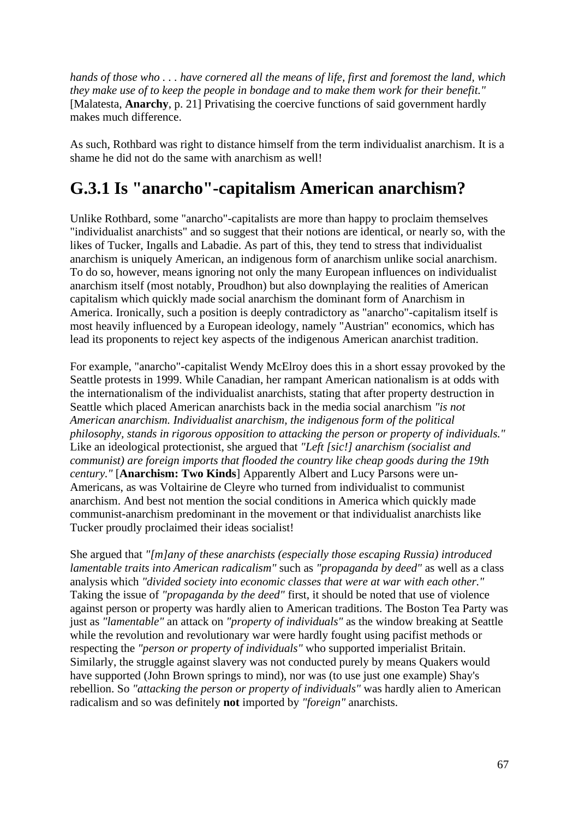*hands of those who . . . have cornered all the means of life, first and foremost the land, which they make use of to keep the people in bondage and to make them work for their benefit."* [Malatesta, **Anarchy**, p. 21] Privatising the coercive functions of said government hardly makes much difference.

As such, Rothbard was right to distance himself from the term individualist anarchism. It is a shame he did not do the same with anarchism as well!

# **G.3.1 Is "anarcho"-capitalism American anarchism?**

Unlike Rothbard, some "anarcho"-capitalists are more than happy to proclaim themselves "individualist anarchists" and so suggest that their notions are identical, or nearly so, with the likes of Tucker, Ingalls and Labadie. As part of this, they tend to stress that individualist anarchism is uniquely American, an indigenous form of anarchism unlike social anarchism. To do so, however, means ignoring not only the many European influences on individualist anarchism itself (most notably, Proudhon) but also downplaying the realities of American capitalism which quickly made social anarchism the dominant form of Anarchism in America. Ironically, such a position is deeply contradictory as "anarcho"-capitalism itself is most heavily influenced by a European ideology, namely "Austrian" economics, which has lead its proponents to reject key aspects of the indigenous American anarchist tradition.

For example, "anarcho"-capitalist Wendy McElroy does this in a short essay provoked by the Seattle protests in 1999. While Canadian, her rampant American nationalism is at odds with the internationalism of the individualist anarchists, stating that after property destruction in Seattle which placed American anarchists back in the media social anarchism *"is not American anarchism. Individualist anarchism, the indigenous form of the political philosophy, stands in rigorous opposition to attacking the person or property of individuals."* Like an ideological protectionist, she argued that *"Left [sic!] anarchism (socialist and communist) are foreign imports that flooded the country like cheap goods during the 19th century."* [**Anarchism: Two Kinds**] Apparently Albert and Lucy Parsons were un-Americans, as was Voltairine de Cleyre who turned from individualist to communist anarchism. And best not mention the social conditions in America which quickly made communist-anarchism predominant in the movement or that individualist anarchists like Tucker proudly proclaimed their ideas socialist!

She argued that *"[m]any of these anarchists (especially those escaping Russia) introduced lamentable traits into American radicalism"* such as *"propaganda by deed"* as well as a class analysis which *"divided society into economic classes that were at war with each other."* Taking the issue of *"propaganda by the deed"* first, it should be noted that use of violence against person or property was hardly alien to American traditions. The Boston Tea Party was just as *"lamentable"* an attack on *"property of individuals"* as the window breaking at Seattle while the revolution and revolutionary war were hardly fought using pacifist methods or respecting the *"person or property of individuals"* who supported imperialist Britain. Similarly, the struggle against slavery was not conducted purely by means Quakers would have supported (John Brown springs to mind), nor was (to use just one example) Shay's rebellion. So *"attacking the person or property of individuals"* was hardly alien to American radicalism and so was definitely **not** imported by *"foreign"* anarchists.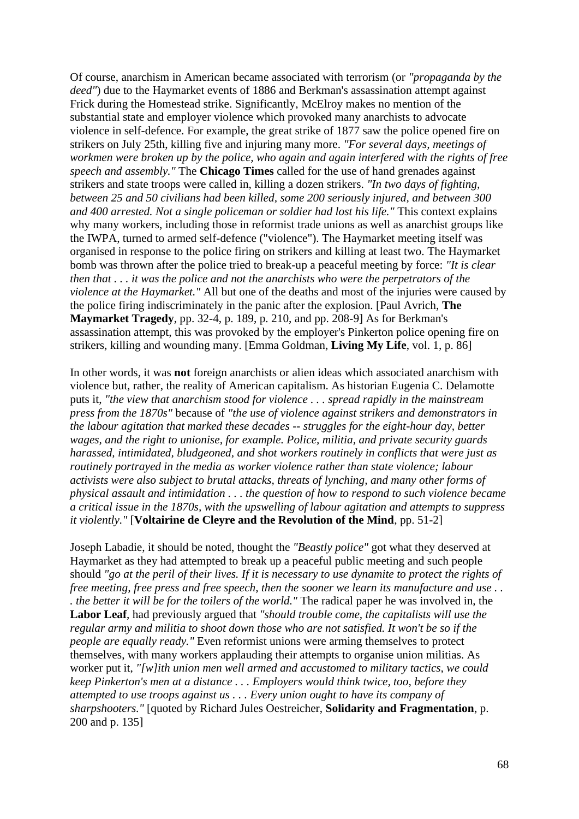Of course, anarchism in American became associated with terrorism (or *"propaganda by the deed"*) due to the Haymarket events of 1886 and Berkman's assassination attempt against Frick during the Homestead strike. Significantly, McElroy makes no mention of the substantial state and employer violence which provoked many anarchists to advocate violence in self-defence. For example, the great strike of 1877 saw the police opened fire on strikers on July 25th, killing five and injuring many more. *"For several days, meetings of workmen were broken up by the police, who again and again interfered with the rights of free speech and assembly."* The **Chicago Times** called for the use of hand grenades against strikers and state troops were called in, killing a dozen strikers. *"In two days of fighting, between 25 and 50 civilians had been killed, some 200 seriously injured, and between 300 and 400 arrested. Not a single policeman or soldier had lost his life."* This context explains why many workers, including those in reformist trade unions as well as anarchist groups like the IWPA, turned to armed self-defence ("violence"). The Haymarket meeting itself was organised in response to the police firing on strikers and killing at least two. The Haymarket bomb was thrown after the police tried to break-up a peaceful meeting by force: *"It is clear then that . . . it was the police and not the anarchists who were the perpetrators of the violence at the Haymarket."* All but one of the deaths and most of the injuries were caused by the police firing indiscriminately in the panic after the explosion. [Paul Avrich, **The Maymarket Tragedy**, pp. 32-4, p. 189, p. 210, and pp. 208-9] As for Berkman's assassination attempt, this was provoked by the employer's Pinkerton police opening fire on strikers, killing and wounding many. [Emma Goldman, **Living My Life**, vol. 1, p. 86]

In other words, it was **not** foreign anarchists or alien ideas which associated anarchism with violence but, rather, the reality of American capitalism. As historian Eugenia C. Delamotte puts it, *"the view that anarchism stood for violence . . . spread rapidly in the mainstream press from the 1870s"* because of *"the use of violence against strikers and demonstrators in the labour agitation that marked these decades -- struggles for the eight-hour day, better wages, and the right to unionise, for example. Police, militia, and private security guards harassed, intimidated, bludgeoned, and shot workers routinely in conflicts that were just as routinely portrayed in the media as worker violence rather than state violence; labour activists were also subject to brutal attacks, threats of lynching, and many other forms of physical assault and intimidation . . . the question of how to respond to such violence became a critical issue in the 1870s, with the upswelling of labour agitation and attempts to suppress it violently."* [**Voltairine de Cleyre and the Revolution of the Mind**, pp. 51-2]

Joseph Labadie, it should be noted, thought the *"Beastly police"* got what they deserved at Haymarket as they had attempted to break up a peaceful public meeting and such people should *"go at the peril of their lives. If it is necessary to use dynamite to protect the rights of free meeting, free press and free speech, then the sooner we learn its manufacture and use . . . the better it will be for the toilers of the world."* The radical paper he was involved in, the **Labor Leaf**, had previously argued that *"should trouble come, the capitalists will use the regular army and militia to shoot down those who are not satisfied. It won't be so if the people are equally ready."* Even reformist unions were arming themselves to protect themselves, with many workers applauding their attempts to organise union militias. As worker put it, *"[w]ith union men well armed and accustomed to military tactics, we could keep Pinkerton's men at a distance . . . Employers would think twice, too, before they attempted to use troops against us . . . Every union ought to have its company of sharpshooters."* [quoted by Richard Jules Oestreicher, **Solidarity and Fragmentation**, p. 200 and p. 135]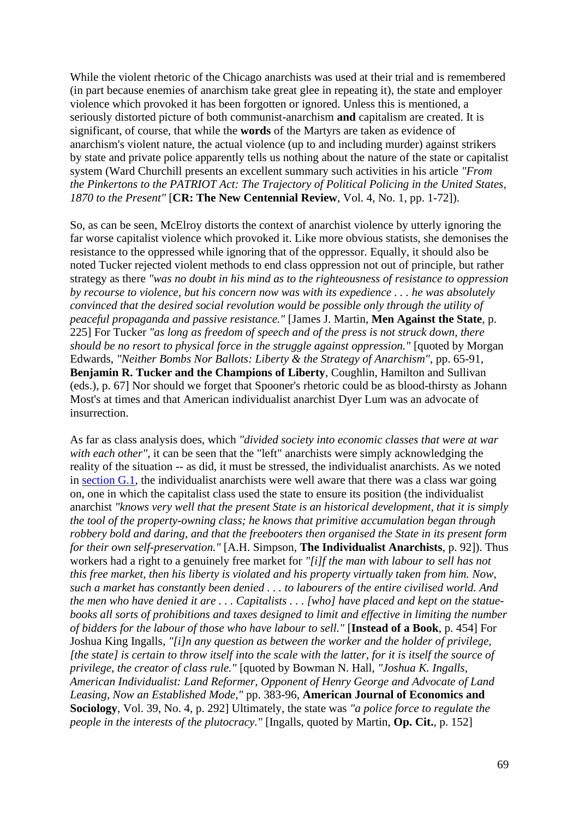While the violent rhetoric of the Chicago anarchists was used at their trial and is remembered (in part because enemies of anarchism take great glee in repeating it), the state and employer violence which provoked it has been forgotten or ignored. Unless this is mentioned, a seriously distorted picture of both communist-anarchism **and** capitalism are created. It is significant, of course, that while the **words** of the Martyrs are taken as evidence of anarchism's violent nature, the actual violence (up to and including murder) against strikers by state and private police apparently tells us nothing about the nature of the state or capitalist system (Ward Churchill presents an excellent summary such activities in his article *"From the Pinkertons to the PATRIOT Act: The Trajectory of Political Policing in the United States, 1870 to the Present"* [**CR: The New Centennial Review**, Vol. 4, No. 1, pp. 1-72]).

So, as can be seen, McElroy distorts the context of anarchist violence by utterly ignoring the far worse capitalist violence which provoked it. Like more obvious statists, she demonises the resistance to the oppressed while ignoring that of the oppressor. Equally, it should also be noted Tucker rejected violent methods to end class oppression not out of principle, but rather strategy as there *"was no doubt in his mind as to the righteousness of resistance to oppression by recourse to violence, but his concern now was with its expedience . . . he was absolutely convinced that the desired social revolution would be possible only through the utility of peaceful propaganda and passive resistance."* [James J. Martin, **Men Against the State**, p. 225] For Tucker *"as long as freedom of speech and of the press is not struck down, there should be no resort to physical force in the struggle against oppression."* [quoted by Morgan Edwards, *"Neither Bombs Nor Ballots: Liberty & the Strategy of Anarchism"*, pp. 65-91, **Benjamin R. Tucker and the Champions of Liberty**, Coughlin, Hamilton and Sullivan (eds.), p. 67] Nor should we forget that Spooner's rhetoric could be as blood-thirsty as Johann Most's at times and that American individualist anarchist Dyer Lum was an advocate of insurrection.

As far as class analysis does, which *"divided society into economic classes that were at war with each other"*, it can be seen that the "left" anarchists were simply acknowledging the reality of the situation -- as did, it must be stressed, the individualist anarchists. As we noted in [section G.1,](sectionG.html#secg1) the individualist anarchists were well aware that there was a class war going on, one in which the capitalist class used the state to ensure its position (the individualist anarchist *"knows very well that the present State is an historical development, that it is simply the tool of the property-owning class; he knows that primitive accumulation began through robbery bold and daring, and that the freebooters then organised the State in its present form for their own self-preservation."* [A.H. Simpson, **The Individualist Anarchists**, p. 92]). Thus workers had a right to a genuinely free market for *"[i]f the man with labour to sell has not this free market, then his liberty is violated and his property virtually taken from him. Now, such a market has constantly been denied . . . to labourers of the entire civilised world. And the men who have denied it are . . . Capitalists . . . [who] have placed and kept on the statuebooks all sorts of prohibitions and taxes designed to limit and effective in limiting the number of bidders for the labour of those who have labour to sell."* [**Instead of a Book**, p. 454] For Joshua King Ingalls, *"[i]n any question as between the worker and the holder of privilege, [the state] is certain to throw itself into the scale with the latter, for it is itself the source of privilege, the creator of class rule."* [quoted by Bowman N. Hall, *"Joshua K. Ingalls, American Individualist: Land Reformer, Opponent of Henry George and Advocate of Land Leasing, Now an Established Mode,"* pp. 383-96, **American Journal of Economics and Sociology**, Vol. 39, No. 4, p. 292] Ultimately, the state was *"a police force to regulate the people in the interests of the plutocracy."* [Ingalls, quoted by Martin, **Op. Cit.**, p. 152]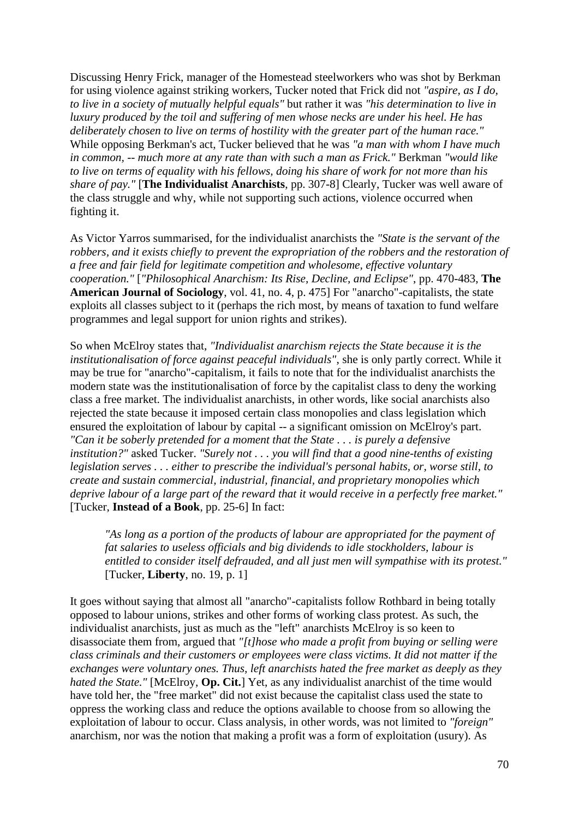Discussing Henry Frick, manager of the Homestead steelworkers who was shot by Berkman for using violence against striking workers, Tucker noted that Frick did not *"aspire, as I do, to live in a society of mutually helpful equals"* but rather it was *"his determination to live in luxury produced by the toil and suffering of men whose necks are under his heel. He has deliberately chosen to live on terms of hostility with the greater part of the human race."* While opposing Berkman's act, Tucker believed that he was *"a man with whom I have much in common, -- much more at any rate than with such a man as Frick."* Berkman *"would like to live on terms of equality with his fellows, doing his share of work for not more than his share of pay."* [**The Individualist Anarchists**, pp. 307-8] Clearly, Tucker was well aware of the class struggle and why, while not supporting such actions, violence occurred when fighting it.

As Victor Yarros summarised, for the individualist anarchists the *"State is the servant of the robbers, and it exists chiefly to prevent the expropriation of the robbers and the restoration of a free and fair field for legitimate competition and wholesome, effective voluntary cooperation."* [*"Philosophical Anarchism: Its Rise, Decline, and Eclipse"*, pp. 470-483, **The American Journal of Sociology**, vol. 41, no. 4, p. 475] For "anarcho"-capitalists, the state exploits all classes subject to it (perhaps the rich most, by means of taxation to fund welfare programmes and legal support for union rights and strikes).

So when McElroy states that, *"Individualist anarchism rejects the State because it is the institutionalisation of force against peaceful individuals"*, she is only partly correct. While it may be true for "anarcho"-capitalism, it fails to note that for the individualist anarchists the modern state was the institutionalisation of force by the capitalist class to deny the working class a free market. The individualist anarchists, in other words, like social anarchists also rejected the state because it imposed certain class monopolies and class legislation which ensured the exploitation of labour by capital -- a significant omission on McElroy's part. *"Can it be soberly pretended for a moment that the State . . . is purely a defensive institution?"* asked Tucker. *"Surely not . . . you will find that a good nine-tenths of existing legislation serves . . . either to prescribe the individual's personal habits, or, worse still, to create and sustain commercial, industrial, financial, and proprietary monopolies which deprive labour of a large part of the reward that it would receive in a perfectly free market."* [Tucker, **Instead of a Book**, pp. 25-6] In fact:

*"As long as a portion of the products of labour are appropriated for the payment of fat salaries to useless officials and big dividends to idle stockholders, labour is entitled to consider itself defrauded, and all just men will sympathise with its protest."* [Tucker, **Liberty**, no. 19, p. 1]

It goes without saying that almost all "anarcho"-capitalists follow Rothbard in being totally opposed to labour unions, strikes and other forms of working class protest. As such, the individualist anarchists, just as much as the "left" anarchists McElroy is so keen to disassociate them from, argued that *"[t]hose who made a profit from buying or selling were class criminals and their customers or employees were class victims. It did not matter if the exchanges were voluntary ones. Thus, left anarchists hated the free market as deeply as they hated the State."* [McElroy, **Op. Cit.**] Yet, as any individualist anarchist of the time would have told her, the "free market" did not exist because the capitalist class used the state to oppress the working class and reduce the options available to choose from so allowing the exploitation of labour to occur. Class analysis, in other words, was not limited to *"foreign"* anarchism, nor was the notion that making a profit was a form of exploitation (usury). As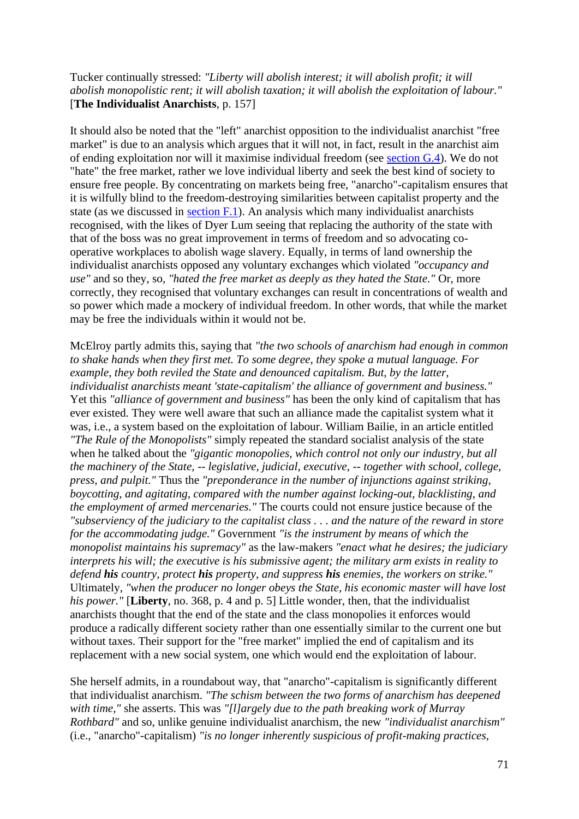#### Tucker continually stressed: *"Liberty will abolish interest; it will abolish profit; it will abolish monopolistic rent; it will abolish taxation; it will abolish the exploitation of labour."* [**The Individualist Anarchists**, p. 157]

It should also be noted that the "left" anarchist opposition to the individualist anarchist "free market" is due to an analysis which argues that it will not, in fact, result in the anarchist aim of ending exploitation nor will it maximise individual freedom (see [section G.4\)](sectionG.html#secg4). We do not "hate" the free market, rather we love individual liberty and seek the best kind of society to ensure free people. By concentrating on markets being free, "anarcho"-capitalism ensures that it is wilfully blind to the freedom-destroying similarities between capitalist property and the state (as we discussed in [section F.1\)](sectionF.html#secf1). An analysis which many individualist anarchists recognised, with the likes of Dyer Lum seeing that replacing the authority of the state with that of the boss was no great improvement in terms of freedom and so advocating cooperative workplaces to abolish wage slavery. Equally, in terms of land ownership the individualist anarchists opposed any voluntary exchanges which violated *"occupancy and use"* and so they, so, *"hated the free market as deeply as they hated the State."* Or, more correctly, they recognised that voluntary exchanges can result in concentrations of wealth and so power which made a mockery of individual freedom. In other words, that while the market may be free the individuals within it would not be.

McElroy partly admits this, saying that *"the two schools of anarchism had enough in common to shake hands when they first met. To some degree, they spoke a mutual language. For example, they both reviled the State and denounced capitalism. But, by the latter, individualist anarchists meant 'state-capitalism' the alliance of government and business."* Yet this *"alliance of government and business"* has been the only kind of capitalism that has ever existed. They were well aware that such an alliance made the capitalist system what it was, i.e., a system based on the exploitation of labour. William Bailie, in an article entitled *"The Rule of the Monopolists"* simply repeated the standard socialist analysis of the state when he talked about the *"gigantic monopolies, which control not only our industry, but all the machinery of the State, -- legislative, judicial, executive, -- together with school, college, press, and pulpit."* Thus the *"preponderance in the number of injunctions against striking, boycotting, and agitating, compared with the number against locking-out, blacklisting, and the employment of armed mercenaries."* The courts could not ensure justice because of the *"subserviency of the judiciary to the capitalist class . . . and the nature of the reward in store for the accommodating judge."* Government *"is the instrument by means of which the monopolist maintains his supremacy"* as the law-makers *"enact what he desires; the judiciary interprets his will; the executive is his submissive agent; the military arm exists in reality to defend his country, protect his property, and suppress his enemies, the workers on strike."* Ultimately, *"when the producer no longer obeys the State, his economic master will have lost his power."* [**Liberty**, no. 368, p. 4 and p. 5] Little wonder, then, that the individualist anarchists thought that the end of the state and the class monopolies it enforces would produce a radically different society rather than one essentially similar to the current one but without taxes. Their support for the "free market" implied the end of capitalism and its replacement with a new social system, one which would end the exploitation of labour.

She herself admits, in a roundabout way, that "anarcho"-capitalism is significantly different that individualist anarchism. *"The schism between the two forms of anarchism has deepened with time,"* she asserts. This was *"[l]argely due to the path breaking work of Murray Rothbard"* and so, unlike genuine individualist anarchism, the new *"individualist anarchism"* (i.e., "anarcho"-capitalism) *"is no longer inherently suspicious of profit-making practices,*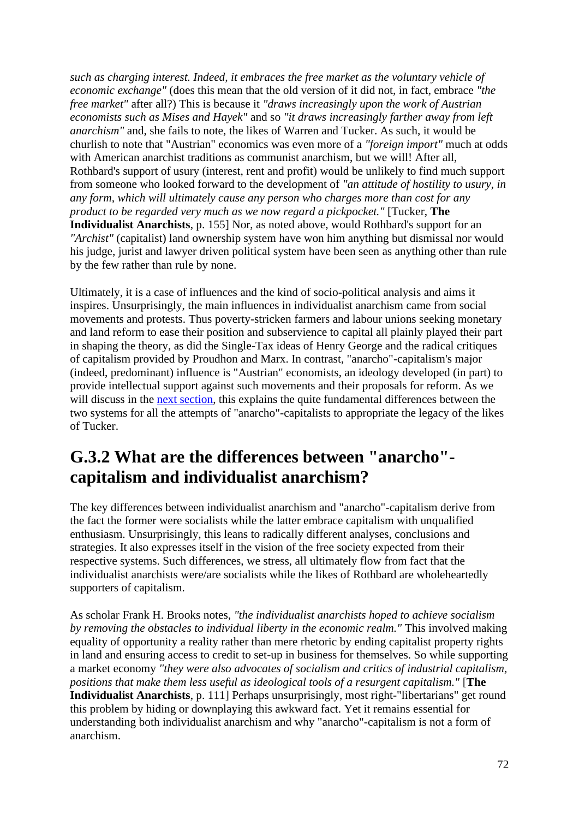*such as charging interest. Indeed, it embraces the free market as the voluntary vehicle of economic exchange"* (does this mean that the old version of it did not, in fact, embrace *"the free market"* after all?) This is because it *"draws increasingly upon the work of Austrian economists such as Mises and Hayek"* and so *"it draws increasingly farther away from left anarchism"* and, she fails to note, the likes of Warren and Tucker. As such, it would be churlish to note that "Austrian" economics was even more of a *"foreign import"* much at odds with American anarchist traditions as communist anarchism, but we will! After all, Rothbard's support of usury (interest, rent and profit) would be unlikely to find much support from someone who looked forward to the development of *"an attitude of hostility to usury, in any form, which will ultimately cause any person who charges more than cost for any product to be regarded very much as we now regard a pickpocket."* [Tucker, **The Individualist Anarchists**, p. 155] Nor, as noted above, would Rothbard's support for an *"Archist"* (capitalist) land ownership system have won him anything but dismissal nor would his judge, jurist and lawyer driven political system have been seen as anything other than rule by the few rather than rule by none.

Ultimately, it is a case of influences and the kind of socio-political analysis and aims it inspires. Unsurprisingly, the main influences in individualist anarchism came from social movements and protests. Thus poverty-stricken farmers and labour unions seeking monetary and land reform to ease their position and subservience to capital all plainly played their part in shaping the theory, as did the Single-Tax ideas of Henry George and the radical critiques of capitalism provided by Proudhon and Marx. In contrast, "anarcho"-capitalism's major (indeed, predominant) influence is "Austrian" economists, an ideology developed (in part) to provide intellectual support against such movements and their proposals for reform. As we will discuss in the [next section,](sectionG.html#secg32) this explains the quite fundamental differences between the two systems for all the attempts of "anarcho"-capitalists to appropriate the legacy of the likes of Tucker.

## **G.3.2 What are the differences between "anarcho" capitalism and individualist anarchism?**

The key differences between individualist anarchism and "anarcho"-capitalism derive from the fact the former were socialists while the latter embrace capitalism with unqualified enthusiasm. Unsurprisingly, this leans to radically different analyses, conclusions and strategies. It also expresses itself in the vision of the free society expected from their respective systems. Such differences, we stress, all ultimately flow from fact that the individualist anarchists were/are socialists while the likes of Rothbard are wholeheartedly supporters of capitalism.

As scholar Frank H. Brooks notes, *"the individualist anarchists hoped to achieve socialism by removing the obstacles to individual liberty in the economic realm."* This involved making equality of opportunity a reality rather than mere rhetoric by ending capitalist property rights in land and ensuring access to credit to set-up in business for themselves. So while supporting a market economy *"they were also advocates of socialism and critics of industrial capitalism, positions that make them less useful as ideological tools of a resurgent capitalism."* [**The Individualist Anarchists**, p. 111] Perhaps unsurprisingly, most right-"libertarians" get round this problem by hiding or downplaying this awkward fact. Yet it remains essential for understanding both individualist anarchism and why "anarcho"-capitalism is not a form of anarchism.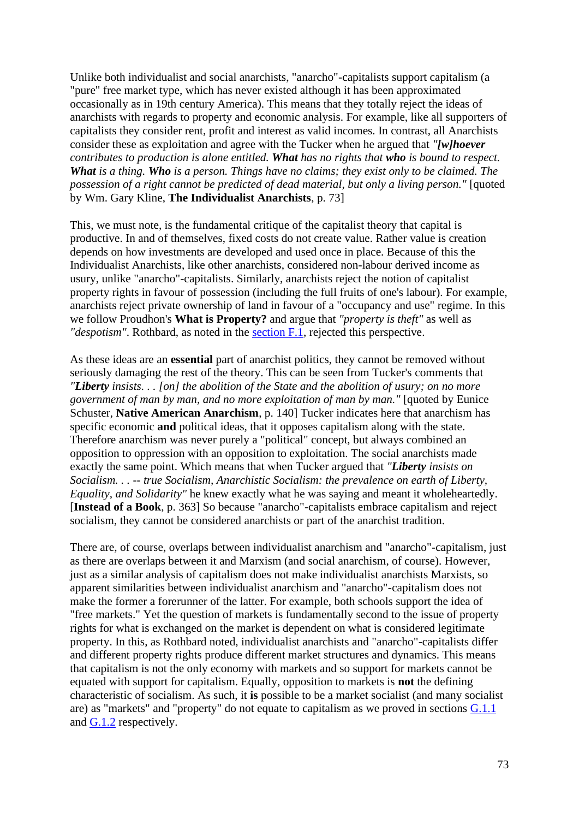Unlike both individualist and social anarchists, "anarcho"-capitalists support capitalism (a "pure" free market type, which has never existed although it has been approximated occasionally as in 19th century America). This means that they totally reject the ideas of anarchists with regards to property and economic analysis. For example, like all supporters of capitalists they consider rent, profit and interest as valid incomes. In contrast, all Anarchists consider these as exploitation and agree with the Tucker when he argued that *"[w]hoever contributes to production is alone entitled. What has no rights that who is bound to respect. What is a thing. Who is a person. Things have no claims; they exist only to be claimed. The possession of a right cannot be predicted of dead material, but only a living person."* [quoted by Wm. Gary Kline, **The Individualist Anarchists**, p. 73]

This, we must note, is the fundamental critique of the capitalist theory that capital is productive. In and of themselves, fixed costs do not create value. Rather value is creation depends on how investments are developed and used once in place. Because of this the Individualist Anarchists, like other anarchists, considered non-labour derived income as usury, unlike "anarcho"-capitalists. Similarly, anarchists reject the notion of capitalist property rights in favour of possession (including the full fruits of one's labour). For example, anarchists reject private ownership of land in favour of a "occupancy and use" regime. In this we follow Proudhon's **What is Property?** and argue that *"property is theft"* as well as *"despotism"*. Rothbard, as noted in the [section F.1,](sectionF.html#secf1) rejected this perspective.

As these ideas are an **essential** part of anarchist politics, they cannot be removed without seriously damaging the rest of the theory. This can be seen from Tucker's comments that *"Liberty insists. . . [on] the abolition of the State and the abolition of usury; on no more government of man by man, and no more exploitation of man by man."* [quoted by Eunice Schuster, **Native American Anarchism**, p. 140] Tucker indicates here that anarchism has specific economic **and** political ideas, that it opposes capitalism along with the state. Therefore anarchism was never purely a "political" concept, but always combined an opposition to oppression with an opposition to exploitation. The social anarchists made exactly the same point. Which means that when Tucker argued that *"Liberty insists on Socialism. . . -- true Socialism, Anarchistic Socialism: the prevalence on earth of Liberty, Equality, and Solidarity"* he knew exactly what he was saying and meant it wholeheartedly. [**Instead of a Book**, p. 363] So because "anarcho"-capitalists embrace capitalism and reject socialism, they cannot be considered anarchists or part of the anarchist tradition.

There are, of course, overlaps between individualist anarchism and "anarcho"-capitalism, just as there are overlaps between it and Marxism (and social anarchism, of course). However, just as a similar analysis of capitalism does not make individualist anarchists Marxists, so apparent similarities between individualist anarchism and "anarcho"-capitalism does not make the former a forerunner of the latter. For example, both schools support the idea of "free markets." Yet the question of markets is fundamentally second to the issue of property rights for what is exchanged on the market is dependent on what is considered legitimate property. In this, as Rothbard noted, individualist anarchists and "anarcho"-capitalists differ and different property rights produce different market structures and dynamics. This means that capitalism is not the only economy with markets and so support for markets cannot be equated with support for capitalism. Equally, opposition to markets is **not** the defining characteristic of socialism. As such, it **is** possible to be a market socialist (and many socialist are) as "markets" and "property" do not equate to capitalism as we proved in sections [G.1.1](sectionG.html#secg11) and [G.1.2](sectionG.html#secg12) respectively.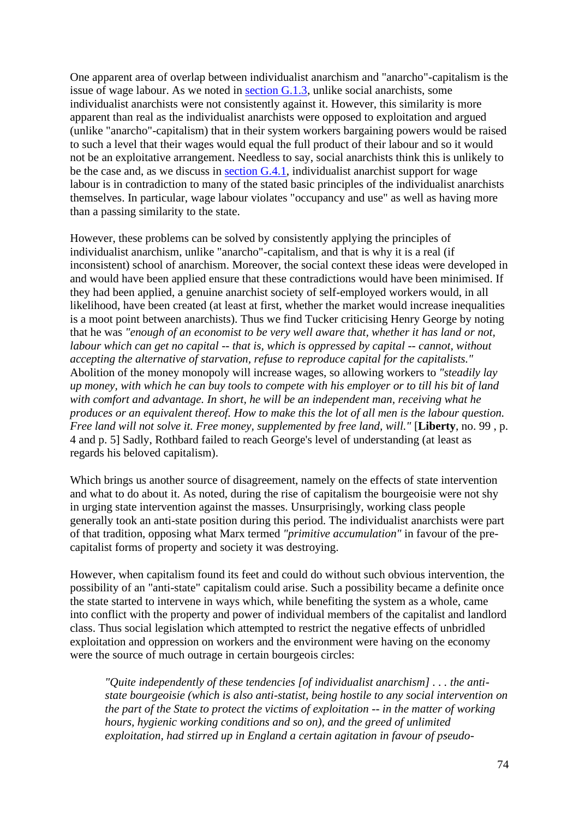One apparent area of overlap between individualist anarchism and "anarcho"-capitalism is the issue of wage labour. As we noted in [section G.1.3,](sectionG.html#secg13) unlike social anarchists, some individualist anarchists were not consistently against it. However, this similarity is more apparent than real as the individualist anarchists were opposed to exploitation and argued (unlike "anarcho"-capitalism) that in their system workers bargaining powers would be raised to such a level that their wages would equal the full product of their labour and so it would not be an exploitative arrangement. Needless to say, social anarchists think this is unlikely to be the case and, as we discuss in [section G.4.1,](sectionG.html#secg41) individualist anarchist support for wage labour is in contradiction to many of the stated basic principles of the individualist anarchists themselves. In particular, wage labour violates "occupancy and use" as well as having more than a passing similarity to the state.

However, these problems can be solved by consistently applying the principles of individualist anarchism, unlike "anarcho"-capitalism, and that is why it is a real (if inconsistent) school of anarchism. Moreover, the social context these ideas were developed in and would have been applied ensure that these contradictions would have been minimised. If they had been applied, a genuine anarchist society of self-employed workers would, in all likelihood, have been created (at least at first, whether the market would increase inequalities is a moot point between anarchists). Thus we find Tucker criticising Henry George by noting that he was *"enough of an economist to be very well aware that, whether it has land or not, labour which can get no capital -- that is, which is oppressed by capital -- cannot, without accepting the alternative of starvation, refuse to reproduce capital for the capitalists."* Abolition of the money monopoly will increase wages, so allowing workers to *"steadily lay up money, with which he can buy tools to compete with his employer or to till his bit of land with comfort and advantage. In short, he will be an independent man, receiving what he produces or an equivalent thereof. How to make this the lot of all men is the labour question. Free land will not solve it. Free money, supplemented by free land, will."* [**Liberty**, no. 99 , p. 4 and p. 5] Sadly, Rothbard failed to reach George's level of understanding (at least as regards his beloved capitalism).

Which brings us another source of disagreement, namely on the effects of state intervention and what to do about it. As noted, during the rise of capitalism the bourgeoisie were not shy in urging state intervention against the masses. Unsurprisingly, working class people generally took an anti-state position during this period. The individualist anarchists were part of that tradition, opposing what Marx termed *"primitive accumulation"* in favour of the precapitalist forms of property and society it was destroying.

However, when capitalism found its feet and could do without such obvious intervention, the possibility of an "anti-state" capitalism could arise. Such a possibility became a definite once the state started to intervene in ways which, while benefiting the system as a whole, came into conflict with the property and power of individual members of the capitalist and landlord class. Thus social legislation which attempted to restrict the negative effects of unbridled exploitation and oppression on workers and the environment were having on the economy were the source of much outrage in certain bourgeois circles:

*"Quite independently of these tendencies [of individualist anarchism] . . . the antistate bourgeoisie (which is also anti-statist, being hostile to any social intervention on the part of the State to protect the victims of exploitation -- in the matter of working hours, hygienic working conditions and so on), and the greed of unlimited exploitation, had stirred up in England a certain agitation in favour of pseudo-*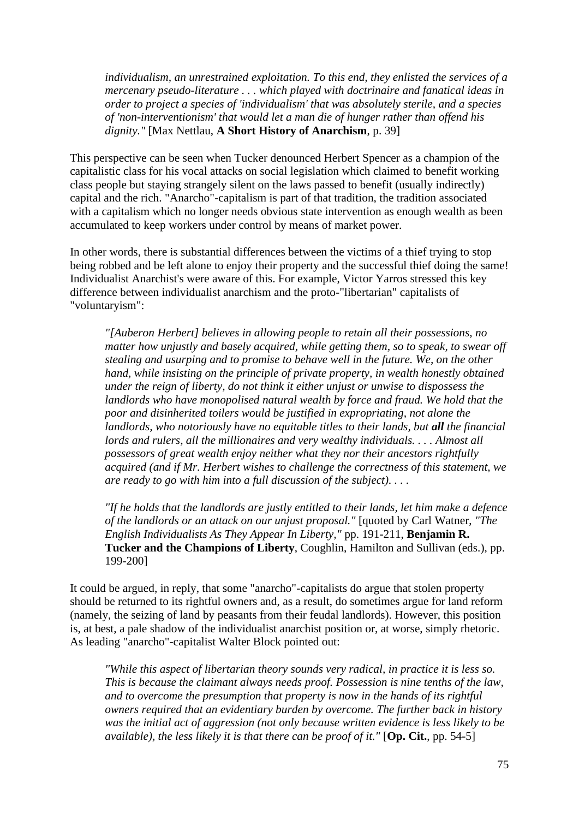*individualism, an unrestrained exploitation. To this end, they enlisted the services of a mercenary pseudo-literature . . . which played with doctrinaire and fanatical ideas in order to project a species of 'individualism' that was absolutely sterile, and a species of 'non-interventionism' that would let a man die of hunger rather than offend his dignity."* [Max Nettlau, **A Short History of Anarchism**, p. 39]

This perspective can be seen when Tucker denounced Herbert Spencer as a champion of the capitalistic class for his vocal attacks on social legislation which claimed to benefit working class people but staying strangely silent on the laws passed to benefit (usually indirectly) capital and the rich. "Anarcho"-capitalism is part of that tradition, the tradition associated with a capitalism which no longer needs obvious state intervention as enough wealth as been accumulated to keep workers under control by means of market power.

In other words, there is substantial differences between the victims of a thief trying to stop being robbed and be left alone to enjoy their property and the successful thief doing the same! Individualist Anarchist's were aware of this. For example, Victor Yarros stressed this key difference between individualist anarchism and the proto-"libertarian" capitalists of "voluntaryism":

*"[Auberon Herbert] believes in allowing people to retain all their possessions, no matter how unjustly and basely acquired, while getting them, so to speak, to swear off stealing and usurping and to promise to behave well in the future. We, on the other hand, while insisting on the principle of private property, in wealth honestly obtained under the reign of liberty, do not think it either unjust or unwise to dispossess the*  landlords who have monopolised natural wealth by force and fraud. We hold that the *poor and disinherited toilers would be justified in expropriating, not alone the landlords, who notoriously have no equitable titles to their lands, but all the financial lords and rulers, all the millionaires and very wealthy individuals. . . . Almost all possessors of great wealth enjoy neither what they nor their ancestors rightfully acquired (and if Mr. Herbert wishes to challenge the correctness of this statement, we are ready to go with him into a full discussion of the subject). . . .* 

*"If he holds that the landlords are justly entitled to their lands, let him make a defence of the landlords or an attack on our unjust proposal."* [quoted by Carl Watner, *"The English Individualists As They Appear In Liberty,"* pp. 191-211, **Benjamin R. Tucker and the Champions of Liberty**, Coughlin, Hamilton and Sullivan (eds.), pp. 199-200]

It could be argued, in reply, that some "anarcho"-capitalists do argue that stolen property should be returned to its rightful owners and, as a result, do sometimes argue for land reform (namely, the seizing of land by peasants from their feudal landlords). However, this position is, at best, a pale shadow of the individualist anarchist position or, at worse, simply rhetoric. As leading "anarcho"-capitalist Walter Block pointed out:

*"While this aspect of libertarian theory sounds very radical, in practice it is less so. This is because the claimant always needs proof. Possession is nine tenths of the law, and to overcome the presumption that property is now in the hands of its rightful owners required that an evidentiary burden by overcome. The further back in history was the initial act of aggression (not only because written evidence is less likely to be available), the less likely it is that there can be proof of it."* [**Op. Cit.**, pp. 54-5]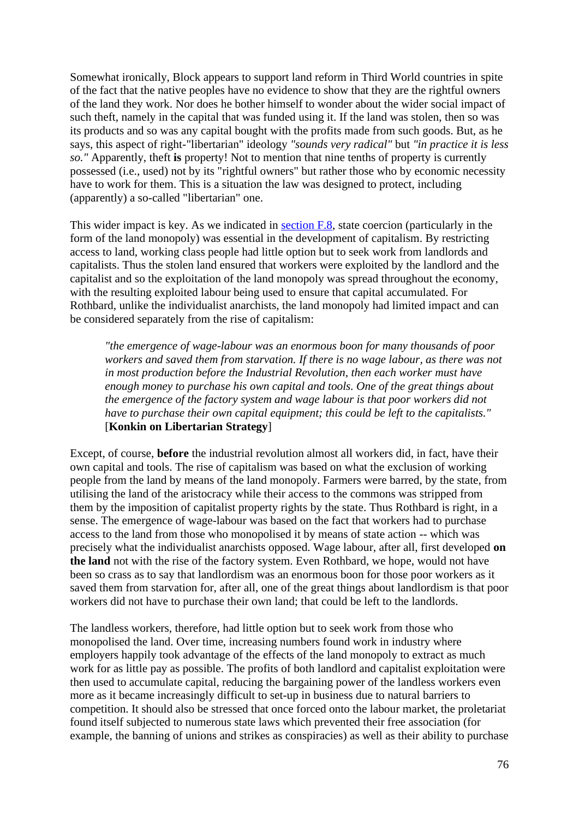Somewhat ironically, Block appears to support land reform in Third World countries in spite of the fact that the native peoples have no evidence to show that they are the rightful owners of the land they work. Nor does he bother himself to wonder about the wider social impact of such theft, namely in the capital that was funded using it. If the land was stolen, then so was its products and so was any capital bought with the profits made from such goods. But, as he says, this aspect of right-"libertarian" ideology *"sounds very radical"* but *"in practice it is less so."* Apparently, theft **is** property! Not to mention that nine tenths of property is currently possessed (i.e., used) not by its "rightful owners" but rather those who by economic necessity have to work for them. This is a situation the law was designed to protect, including (apparently) a so-called "libertarian" one.

This wider impact is key. As we indicated in [section F.8,](sectionF.html#secf8) state coercion (particularly in the form of the land monopoly) was essential in the development of capitalism. By restricting access to land, working class people had little option but to seek work from landlords and capitalists. Thus the stolen land ensured that workers were exploited by the landlord and the capitalist and so the exploitation of the land monopoly was spread throughout the economy, with the resulting exploited labour being used to ensure that capital accumulated. For Rothbard, unlike the individualist anarchists, the land monopoly had limited impact and can be considered separately from the rise of capitalism:

*"the emergence of wage-labour was an enormous boon for many thousands of poor workers and saved them from starvation. If there is no wage labour, as there was not in most production before the Industrial Revolution, then each worker must have enough money to purchase his own capital and tools. One of the great things about the emergence of the factory system and wage labour is that poor workers did not have to purchase their own capital equipment; this could be left to the capitalists."* [**Konkin on Libertarian Strategy**]

Except, of course, **before** the industrial revolution almost all workers did, in fact, have their own capital and tools. The rise of capitalism was based on what the exclusion of working people from the land by means of the land monopoly. Farmers were barred, by the state, from utilising the land of the aristocracy while their access to the commons was stripped from them by the imposition of capitalist property rights by the state. Thus Rothbard is right, in a sense. The emergence of wage-labour was based on the fact that workers had to purchase access to the land from those who monopolised it by means of state action -- which was precisely what the individualist anarchists opposed. Wage labour, after all, first developed **on the land** not with the rise of the factory system. Even Rothbard, we hope, would not have been so crass as to say that landlordism was an enormous boon for those poor workers as it saved them from starvation for, after all, one of the great things about landlordism is that poor workers did not have to purchase their own land; that could be left to the landlords.

The landless workers, therefore, had little option but to seek work from those who monopolised the land. Over time, increasing numbers found work in industry where employers happily took advantage of the effects of the land monopoly to extract as much work for as little pay as possible. The profits of both landlord and capitalist exploitation were then used to accumulate capital, reducing the bargaining power of the landless workers even more as it became increasingly difficult to set-up in business due to natural barriers to competition. It should also be stressed that once forced onto the labour market, the proletariat found itself subjected to numerous state laws which prevented their free association (for example, the banning of unions and strikes as conspiracies) as well as their ability to purchase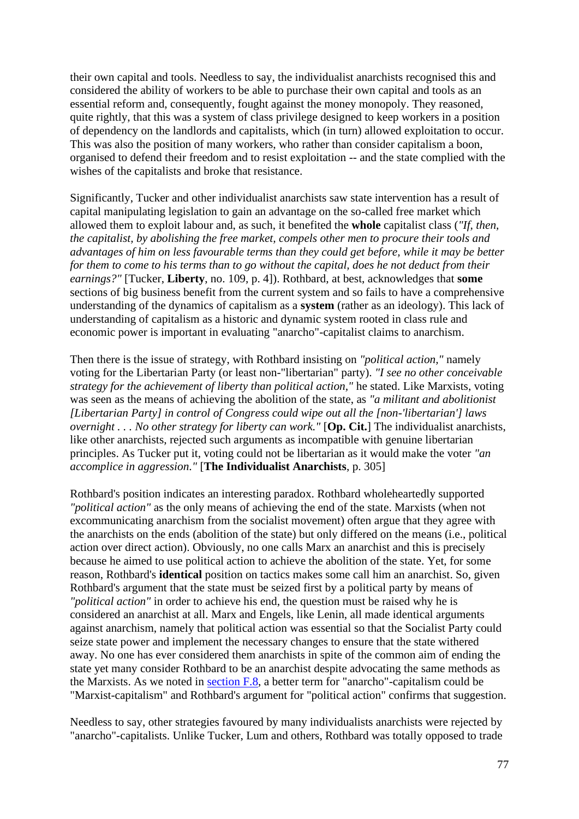their own capital and tools. Needless to say, the individualist anarchists recognised this and considered the ability of workers to be able to purchase their own capital and tools as an essential reform and, consequently, fought against the money monopoly. They reasoned, quite rightly, that this was a system of class privilege designed to keep workers in a position of dependency on the landlords and capitalists, which (in turn) allowed exploitation to occur. This was also the position of many workers, who rather than consider capitalism a boon, organised to defend their freedom and to resist exploitation -- and the state complied with the wishes of the capitalists and broke that resistance.

Significantly, Tucker and other individualist anarchists saw state intervention has a result of capital manipulating legislation to gain an advantage on the so-called free market which allowed them to exploit labour and, as such, it benefited the **whole** capitalist class (*"If, then, the capitalist, by abolishing the free market, compels other men to procure their tools and advantages of him on less favourable terms than they could get before, while it may be better for them to come to his terms than to go without the capital, does he not deduct from their earnings?"* [Tucker, **Liberty**, no. 109, p. 4]). Rothbard, at best, acknowledges that **some** sections of big business benefit from the current system and so fails to have a comprehensive understanding of the dynamics of capitalism as a **system** (rather as an ideology). This lack of understanding of capitalism as a historic and dynamic system rooted in class rule and economic power is important in evaluating "anarcho"-capitalist claims to anarchism.

Then there is the issue of strategy, with Rothbard insisting on *"political action,"* namely voting for the Libertarian Party (or least non-"libertarian" party). *"I see no other conceivable strategy for the achievement of liberty than political action,"* he stated. Like Marxists, voting was seen as the means of achieving the abolition of the state, as *"a militant and abolitionist [Libertarian Party] in control of Congress could wipe out all the [non-'libertarian'] laws overnight . . . No other strategy for liberty can work."* [**Op. Cit.**] The individualist anarchists, like other anarchists, rejected such arguments as incompatible with genuine libertarian principles. As Tucker put it, voting could not be libertarian as it would make the voter *"an accomplice in aggression."* [**The Individualist Anarchists**, p. 305]

Rothbard's position indicates an interesting paradox. Rothbard wholeheartedly supported *"political action"* as the only means of achieving the end of the state. Marxists (when not excommunicating anarchism from the socialist movement) often argue that they agree with the anarchists on the ends (abolition of the state) but only differed on the means (i.e., political action over direct action). Obviously, no one calls Marx an anarchist and this is precisely because he aimed to use political action to achieve the abolition of the state. Yet, for some reason, Rothbard's **identical** position on tactics makes some call him an anarchist. So, given Rothbard's argument that the state must be seized first by a political party by means of *"political action"* in order to achieve his end, the question must be raised why he is considered an anarchist at all. Marx and Engels, like Lenin, all made identical arguments against anarchism, namely that political action was essential so that the Socialist Party could seize state power and implement the necessary changes to ensure that the state withered away. No one has ever considered them anarchists in spite of the common aim of ending the state yet many consider Rothbard to be an anarchist despite advocating the same methods as the Marxists. As we noted in [section F.8,](sectionF.html#secf8) a better term for "anarcho"-capitalism could be "Marxist-capitalism" and Rothbard's argument for "political action" confirms that suggestion.

Needless to say, other strategies favoured by many individualists anarchists were rejected by "anarcho"-capitalists. Unlike Tucker, Lum and others, Rothbard was totally opposed to trade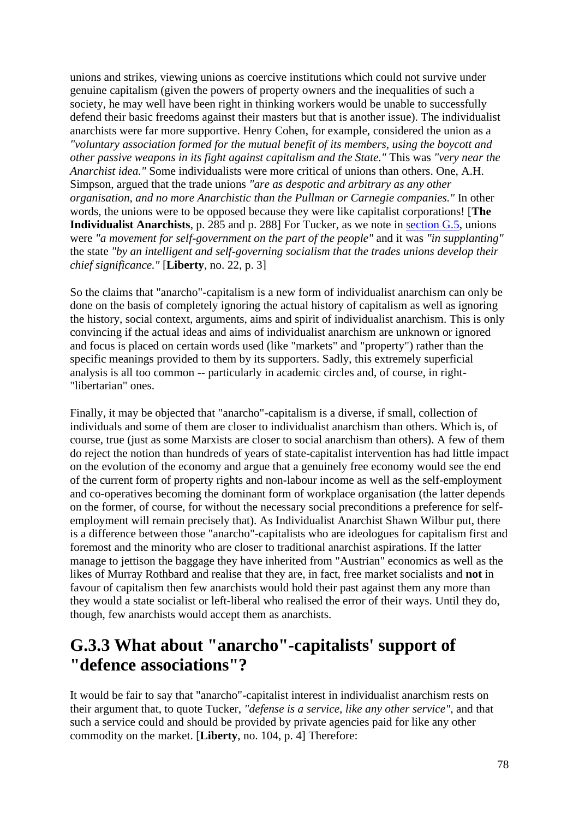unions and strikes, viewing unions as coercive institutions which could not survive under genuine capitalism (given the powers of property owners and the inequalities of such a society, he may well have been right in thinking workers would be unable to successfully defend their basic freedoms against their masters but that is another issue). The individualist anarchists were far more supportive. Henry Cohen, for example, considered the union as a *"voluntary association formed for the mutual benefit of its members, using the boycott and other passive weapons in its fight against capitalism and the State."* This was *"very near the Anarchist idea."* Some individualists were more critical of unions than others. One, A.H. Simpson, argued that the trade unions *"are as despotic and arbitrary as any other organisation, and no more Anarchistic than the Pullman or Carnegie companies."* In other words, the unions were to be opposed because they were like capitalist corporations! [**The Individualist Anarchists**, p. 285 and p. 288] For Tucker, as we note in [section G.5,](sectionG.html#secg5) unions were *"a movement for self-government on the part of the people"* and it was *"in supplanting"* the state *"by an intelligent and self-governing socialism that the trades unions develop their chief significance."* [**Liberty**, no. 22, p. 3]

So the claims that "anarcho"-capitalism is a new form of individualist anarchism can only be done on the basis of completely ignoring the actual history of capitalism as well as ignoring the history, social context, arguments, aims and spirit of individualist anarchism. This is only convincing if the actual ideas and aims of individualist anarchism are unknown or ignored and focus is placed on certain words used (like "markets" and "property") rather than the specific meanings provided to them by its supporters. Sadly, this extremely superficial analysis is all too common -- particularly in academic circles and, of course, in right- "libertarian" ones.

Finally, it may be objected that "anarcho"-capitalism is a diverse, if small, collection of individuals and some of them are closer to individualist anarchism than others. Which is, of course, true (just as some Marxists are closer to social anarchism than others). A few of them do reject the notion than hundreds of years of state-capitalist intervention has had little impact on the evolution of the economy and argue that a genuinely free economy would see the end of the current form of property rights and non-labour income as well as the self-employment and co-operatives becoming the dominant form of workplace organisation (the latter depends on the former, of course, for without the necessary social preconditions a preference for selfemployment will remain precisely that). As Individualist Anarchist Shawn Wilbur put, there is a difference between those "anarcho"-capitalists who are ideologues for capitalism first and foremost and the minority who are closer to traditional anarchist aspirations. If the latter manage to jettison the baggage they have inherited from "Austrian" economics as well as the likes of Murray Rothbard and realise that they are, in fact, free market socialists and **not** in favour of capitalism then few anarchists would hold their past against them any more than they would a state socialist or left-liberal who realised the error of their ways. Until they do, though, few anarchists would accept them as anarchists.

#### **G.3.3 What about "anarcho"-capitalists' support of "defence associations"?**

It would be fair to say that "anarcho"-capitalist interest in individualist anarchism rests on their argument that, to quote Tucker, *"defense is a service, like any other service"*, and that such a service could and should be provided by private agencies paid for like any other commodity on the market. [**Liberty**, no. 104, p. 4] Therefore: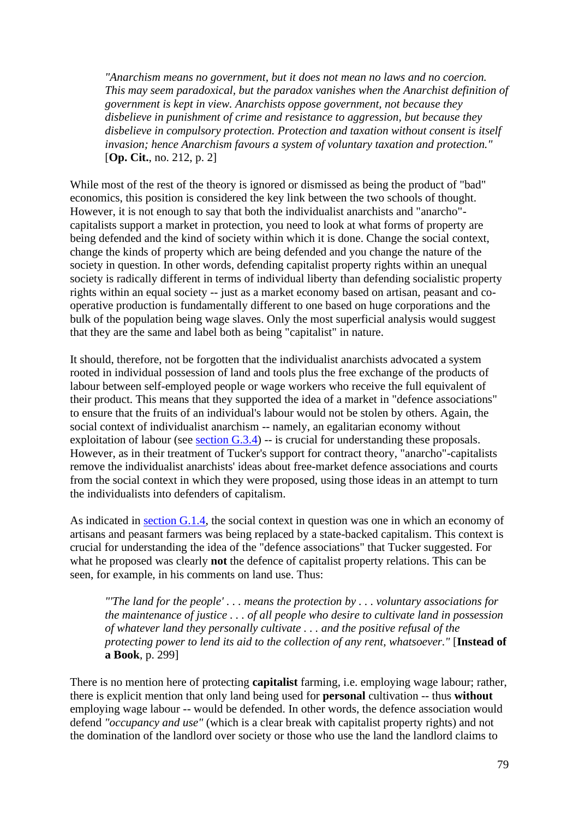*"Anarchism means no government, but it does not mean no laws and no coercion. This may seem paradoxical, but the paradox vanishes when the Anarchist definition of government is kept in view. Anarchists oppose government, not because they disbelieve in punishment of crime and resistance to aggression, but because they disbelieve in compulsory protection. Protection and taxation without consent is itself invasion; hence Anarchism favours a system of voluntary taxation and protection."* [**Op. Cit.**, no. 212, p. 2]

While most of the rest of the theory is ignored or dismissed as being the product of "bad" economics, this position is considered the key link between the two schools of thought. However, it is not enough to say that both the individualist anarchists and "anarcho" capitalists support a market in protection, you need to look at what forms of property are being defended and the kind of society within which it is done. Change the social context, change the kinds of property which are being defended and you change the nature of the society in question. In other words, defending capitalist property rights within an unequal society is radically different in terms of individual liberty than defending socialistic property rights within an equal society -- just as a market economy based on artisan, peasant and cooperative production is fundamentally different to one based on huge corporations and the bulk of the population being wage slaves. Only the most superficial analysis would suggest that they are the same and label both as being "capitalist" in nature.

It should, therefore, not be forgotten that the individualist anarchists advocated a system rooted in individual possession of land and tools plus the free exchange of the products of labour between self-employed people or wage workers who receive the full equivalent of their product. This means that they supported the idea of a market in "defence associations" to ensure that the fruits of an individual's labour would not be stolen by others. Again, the social context of individualist anarchism -- namely, an egalitarian economy without exploitation of labour (see section  $G(3.4)$  -- is crucial for understanding these proposals. However, as in their treatment of Tucker's support for contract theory, "anarcho"-capitalists remove the individualist anarchists' ideas about free-market defence associations and courts from the social context in which they were proposed, using those ideas in an attempt to turn the individualists into defenders of capitalism.

As indicated in [section G.1.4,](sectionG.html#secg14) the social context in question was one in which an economy of artisans and peasant farmers was being replaced by a state-backed capitalism. This context is crucial for understanding the idea of the "defence associations" that Tucker suggested. For what he proposed was clearly **not** the defence of capitalist property relations. This can be seen, for example, in his comments on land use. Thus:

*"'The land for the people' . . . means the protection by . . . voluntary associations for the maintenance of justice . . . of all people who desire to cultivate land in possession of whatever land they personally cultivate . . . and the positive refusal of the protecting power to lend its aid to the collection of any rent, whatsoever."* [**Instead of a Book**, p. 299]

There is no mention here of protecting **capitalist** farming, i.e. employing wage labour; rather, there is explicit mention that only land being used for **personal** cultivation -- thus **without** employing wage labour -- would be defended. In other words, the defence association would defend *"occupancy and use"* (which is a clear break with capitalist property rights) and not the domination of the landlord over society or those who use the land the landlord claims to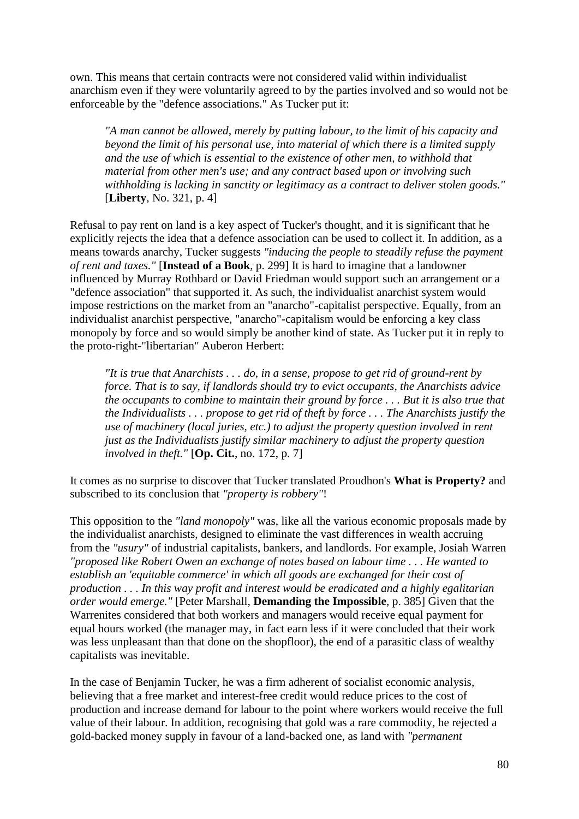own. This means that certain contracts were not considered valid within individualist anarchism even if they were voluntarily agreed to by the parties involved and so would not be enforceable by the "defence associations." As Tucker put it:

*"A man cannot be allowed, merely by putting labour, to the limit of his capacity and beyond the limit of his personal use, into material of which there is a limited supply and the use of which is essential to the existence of other men, to withhold that material from other men's use; and any contract based upon or involving such withholding is lacking in sanctity or legitimacy as a contract to deliver stolen goods."* [**Liberty**, No. 321, p. 4]

Refusal to pay rent on land is a key aspect of Tucker's thought, and it is significant that he explicitly rejects the idea that a defence association can be used to collect it. In addition, as a means towards anarchy, Tucker suggests *"inducing the people to steadily refuse the payment of rent and taxes."* [**Instead of a Book**, p. 299] It is hard to imagine that a landowner influenced by Murray Rothbard or David Friedman would support such an arrangement or a "defence association" that supported it. As such, the individualist anarchist system would impose restrictions on the market from an "anarcho"-capitalist perspective. Equally, from an individualist anarchist perspective, "anarcho"-capitalism would be enforcing a key class monopoly by force and so would simply be another kind of state. As Tucker put it in reply to the proto-right-"libertarian" Auberon Herbert:

*"It is true that Anarchists . . . do, in a sense, propose to get rid of ground-rent by force. That is to say, if landlords should try to evict occupants, the Anarchists advice the occupants to combine to maintain their ground by force . . . But it is also true that the Individualists . . . propose to get rid of theft by force . . . The Anarchists justify the use of machinery (local juries, etc.) to adjust the property question involved in rent just as the Individualists justify similar machinery to adjust the property question involved in theft."* [**Op. Cit.**, no. 172, p. 7]

It comes as no surprise to discover that Tucker translated Proudhon's **What is Property?** and subscribed to its conclusion that *"property is robbery"*!

This opposition to the *"land monopoly"* was, like all the various economic proposals made by the individualist anarchists, designed to eliminate the vast differences in wealth accruing from the *"usury"* of industrial capitalists, bankers, and landlords. For example, Josiah Warren *"proposed like Robert Owen an exchange of notes based on labour time . . . He wanted to establish an 'equitable commerce' in which all goods are exchanged for their cost of production . . . In this way profit and interest would be eradicated and a highly egalitarian order would emerge."* [Peter Marshall, **Demanding the Impossible**, p. 385] Given that the Warrenites considered that both workers and managers would receive equal payment for equal hours worked (the manager may, in fact earn less if it were concluded that their work was less unpleasant than that done on the shopfloor), the end of a parasitic class of wealthy capitalists was inevitable.

In the case of Benjamin Tucker, he was a firm adherent of socialist economic analysis, believing that a free market and interest-free credit would reduce prices to the cost of production and increase demand for labour to the point where workers would receive the full value of their labour. In addition, recognising that gold was a rare commodity, he rejected a gold-backed money supply in favour of a land-backed one, as land with *"permanent*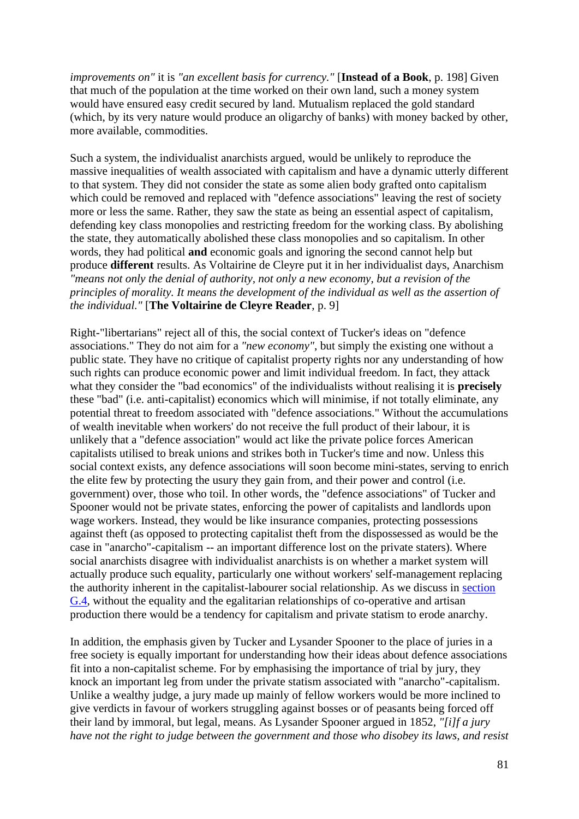*improvements on"* it is *"an excellent basis for currency."* [**Instead of a Book**, p. 198] Given that much of the population at the time worked on their own land, such a money system would have ensured easy credit secured by land. Mutualism replaced the gold standard (which, by its very nature would produce an oligarchy of banks) with money backed by other, more available, commodities.

Such a system, the individualist anarchists argued, would be unlikely to reproduce the massive inequalities of wealth associated with capitalism and have a dynamic utterly different to that system. They did not consider the state as some alien body grafted onto capitalism which could be removed and replaced with "defence associations" leaving the rest of society more or less the same. Rather, they saw the state as being an essential aspect of capitalism, defending key class monopolies and restricting freedom for the working class. By abolishing the state, they automatically abolished these class monopolies and so capitalism. In other words, they had political **and** economic goals and ignoring the second cannot help but produce **different** results. As Voltairine de Cleyre put it in her individualist days, Anarchism *"means not only the denial of authority, not only a new economy, but a revision of the principles of morality. It means the development of the individual as well as the assertion of the individual."* [**The Voltairine de Cleyre Reader**, p. 9]

Right-"libertarians" reject all of this, the social context of Tucker's ideas on "defence associations." They do not aim for a *"new economy"*, but simply the existing one without a public state. They have no critique of capitalist property rights nor any understanding of how such rights can produce economic power and limit individual freedom. In fact, they attack what they consider the "bad economics" of the individualists without realising it is **precisely** these "bad" (i.e. anti-capitalist) economics which will minimise, if not totally eliminate, any potential threat to freedom associated with "defence associations." Without the accumulations of wealth inevitable when workers' do not receive the full product of their labour, it is unlikely that a "defence association" would act like the private police forces American capitalists utilised to break unions and strikes both in Tucker's time and now. Unless this social context exists, any defence associations will soon become mini-states, serving to enrich the elite few by protecting the usury they gain from, and their power and control (i.e. government) over, those who toil. In other words, the "defence associations" of Tucker and Spooner would not be private states, enforcing the power of capitalists and landlords upon wage workers. Instead, they would be like insurance companies, protecting possessions against theft (as opposed to protecting capitalist theft from the dispossessed as would be the case in "anarcho"-capitalism -- an important difference lost on the private staters). Where social anarchists disagree with individualist anarchists is on whether a market system will actually produce such equality, particularly one without workers' self-management replacing the authority inherent in the capitalist-labourer social relationship. As we discuss in [section](sectionG.html#secg4)  [G.4,](sectionG.html#secg4) without the equality and the egalitarian relationships of co-operative and artisan production there would be a tendency for capitalism and private statism to erode anarchy.

In addition, the emphasis given by Tucker and Lysander Spooner to the place of juries in a free society is equally important for understanding how their ideas about defence associations fit into a non-capitalist scheme. For by emphasising the importance of trial by jury, they knock an important leg from under the private statism associated with "anarcho"-capitalism. Unlike a wealthy judge, a jury made up mainly of fellow workers would be more inclined to give verdicts in favour of workers struggling against bosses or of peasants being forced off their land by immoral, but legal, means. As Lysander Spooner argued in 1852, *"[i]f a jury have not the right to judge between the government and those who disobey its laws, and resist*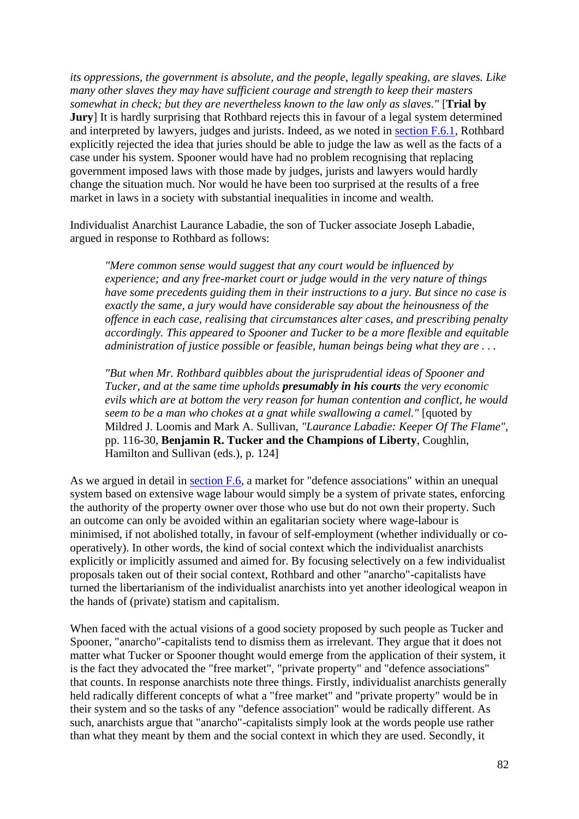*its oppressions, the government is absolute, and the people, legally speaking, are slaves. Like many other slaves they may have sufficient courage and strength to keep their masters somewhat in check; but they are nevertheless known to the law only as slaves."* [**Trial by Jury**] It is hardly surprising that Rothbard rejects this in favour of a legal system determined and interpreted by lawyers, judges and jurists. Indeed, as we noted in [section F.6.1,](sectionF.html#secf61) Rothbard explicitly rejected the idea that juries should be able to judge the law as well as the facts of a case under his system. Spooner would have had no problem recognising that replacing government imposed laws with those made by judges, jurists and lawyers would hardly change the situation much. Nor would he have been too surprised at the results of a free market in laws in a society with substantial inequalities in income and wealth.

Individualist Anarchist Laurance Labadie, the son of Tucker associate Joseph Labadie, argued in response to Rothbard as follows:

*"Mere common sense would suggest that any court would be influenced by experience; and any free-market court or judge would in the very nature of things have some precedents guiding them in their instructions to a jury. But since no case is exactly the same, a jury would have considerable say about the heinousness of the offence in each case, realising that circumstances alter cases, and prescribing penalty accordingly. This appeared to Spooner and Tucker to be a more flexible and equitable administration of justice possible or feasible, human beings being what they are . . .*

*"But when Mr. Rothbard quibbles about the jurisprudential ideas of Spooner and Tucker, and at the same time upholds presumably in his courts the very economic evils which are at bottom the very reason for human contention and conflict, he would seem to be a man who chokes at a gnat while swallowing a camel."* [quoted by Mildred J. Loomis and Mark A. Sullivan, *"Laurance Labadie: Keeper Of The Flame"*, pp. 116-30, **Benjamin R. Tucker and the Champions of Liberty**, Coughlin, Hamilton and Sullivan (eds.), p. 124]

As we argued in detail in [section F.6,](sectionF.html#secf6) a market for "defence associations" within an unequal system based on extensive wage labour would simply be a system of private states, enforcing the authority of the property owner over those who use but do not own their property. Such an outcome can only be avoided within an egalitarian society where wage-labour is minimised, if not abolished totally, in favour of self-employment (whether individually or cooperatively). In other words, the kind of social context which the individualist anarchists explicitly or implicitly assumed and aimed for. By focusing selectively on a few individualist proposals taken out of their social context, Rothbard and other "anarcho"-capitalists have turned the libertarianism of the individualist anarchists into yet another ideological weapon in the hands of (private) statism and capitalism.

When faced with the actual visions of a good society proposed by such people as Tucker and Spooner, "anarcho"-capitalists tend to dismiss them as irrelevant. They argue that it does not matter what Tucker or Spooner thought would emerge from the application of their system, it is the fact they advocated the "free market", "private property" and "defence associations" that counts. In response anarchists note three things. Firstly, individualist anarchists generally held radically different concepts of what a "free market" and "private property" would be in their system and so the tasks of any "defence association" would be radically different. As such, anarchists argue that "anarcho"-capitalists simply look at the words people use rather than what they meant by them and the social context in which they are used. Secondly, it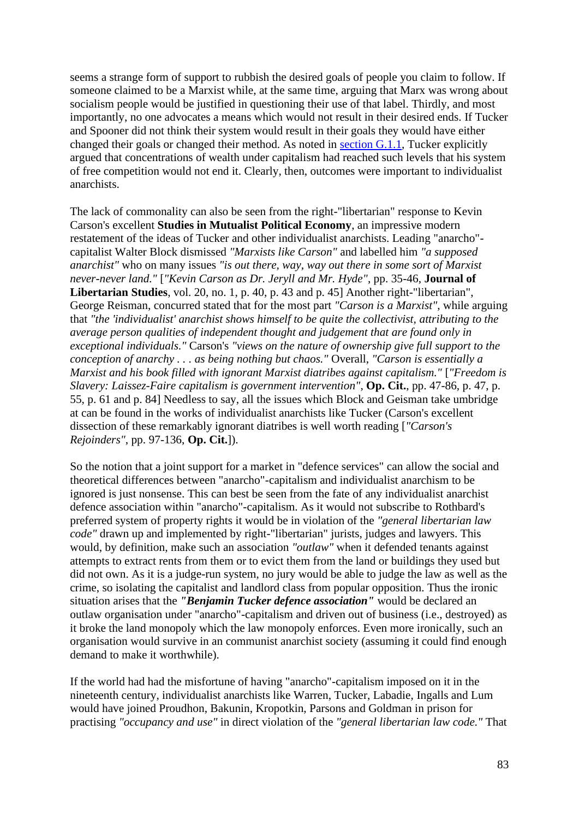seems a strange form of support to rubbish the desired goals of people you claim to follow. If someone claimed to be a Marxist while, at the same time, arguing that Marx was wrong about socialism people would be justified in questioning their use of that label. Thirdly, and most importantly, no one advocates a means which would not result in their desired ends. If Tucker and Spooner did not think their system would result in their goals they would have either changed their goals or changed their method. As noted in [section G.1.1,](sectionG.html#secg11) Tucker explicitly argued that concentrations of wealth under capitalism had reached such levels that his system of free competition would not end it. Clearly, then, outcomes were important to individualist anarchists.

The lack of commonality can also be seen from the right-"libertarian" response to Kevin Carson's excellent **Studies in Mutualist Political Economy**, an impressive modern restatement of the ideas of Tucker and other individualist anarchists. Leading "anarcho" capitalist Walter Block dismissed *"Marxists like Carson"* and labelled him *"a supposed anarchist"* who on many issues *"is out there, way, way out there in some sort of Marxist never-never land."* [*"Kevin Carson as Dr. Jeryll and Mr. Hyde"*, pp. 35-46, **Journal of Libertarian Studies**, vol. 20, no. 1, p. 40, p. 43 and p. 45] Another right-"libertarian", George Reisman, concurred stated that for the most part *"Carson is a Marxist"*, while arguing that *"the 'individualist' anarchist shows himself to be quite the collectivist, attributing to the average person qualities of independent thought and judgement that are found only in exceptional individuals."* Carson's *"views on the nature of ownership give full support to the conception of anarchy . . . as being nothing but chaos."* Overall, *"Carson is essentially a Marxist and his book filled with ignorant Marxist diatribes against capitalism."* [*"Freedom is Slavery: Laissez-Faire capitalism is government intervention"*, **Op. Cit.**, pp. 47-86, p. 47, p. 55, p. 61 and p. 84] Needless to say, all the issues which Block and Geisman take umbridge at can be found in the works of individualist anarchists like Tucker (Carson's excellent dissection of these remarkably ignorant diatribes is well worth reading [*"Carson's Rejoinders"*, pp. 97-136, **Op. Cit.**]).

So the notion that a joint support for a market in "defence services" can allow the social and theoretical differences between "anarcho"-capitalism and individualist anarchism to be ignored is just nonsense. This can best be seen from the fate of any individualist anarchist defence association within "anarcho"-capitalism. As it would not subscribe to Rothbard's preferred system of property rights it would be in violation of the *"general libertarian law code"* drawn up and implemented by right-"libertarian" jurists, judges and lawyers. This would, by definition, make such an association *"outlaw"* when it defended tenants against attempts to extract rents from them or to evict them from the land or buildings they used but did not own. As it is a judge-run system, no jury would be able to judge the law as well as the crime, so isolating the capitalist and landlord class from popular opposition. Thus the ironic situation arises that the *"Benjamin Tucker defence association"* would be declared an outlaw organisation under "anarcho"-capitalism and driven out of business (i.e., destroyed) as it broke the land monopoly which the law monopoly enforces. Even more ironically, such an organisation would survive in an communist anarchist society (assuming it could find enough demand to make it worthwhile).

If the world had had the misfortune of having "anarcho"-capitalism imposed on it in the nineteenth century, individualist anarchists like Warren, Tucker, Labadie, Ingalls and Lum would have joined Proudhon, Bakunin, Kropotkin, Parsons and Goldman in prison for practising *"occupancy and use"* in direct violation of the *"general libertarian law code."* That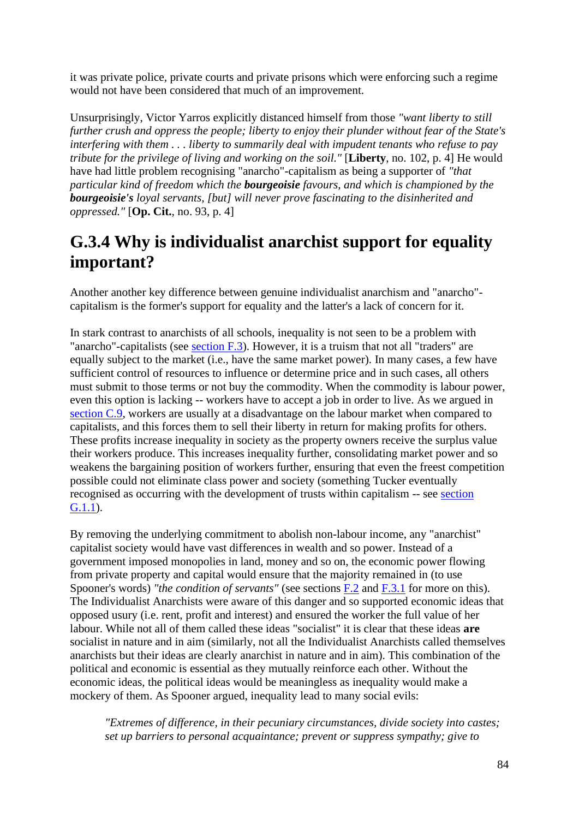it was private police, private courts and private prisons which were enforcing such a regime would not have been considered that much of an improvement.

Unsurprisingly, Victor Yarros explicitly distanced himself from those *"want liberty to still further crush and oppress the people; liberty to enjoy their plunder without fear of the State's interfering with them . . . liberty to summarily deal with impudent tenants who refuse to pay tribute for the privilege of living and working on the soil."* [**Liberty**, no. 102, p. 4] He would have had little problem recognising "anarcho"-capitalism as being a supporter of *"that particular kind of freedom which the bourgeoisie favours, and which is championed by the bourgeoisie's loyal servants, [but] will never prove fascinating to the disinherited and oppressed."* [**Op. Cit.**, no. 93, p. 4]

## **G.3.4 Why is individualist anarchist support for equality important?**

Another another key difference between genuine individualist anarchism and "anarcho" capitalism is the former's support for equality and the latter's a lack of concern for it.

In stark contrast to anarchists of all schools, inequality is not seen to be a problem with "anarcho"-capitalists (see section  $F(3)$ ). However, it is a truism that not all "traders" are equally subject to the market (i.e., have the same market power). In many cases, a few have sufficient control of resources to influence or determine price and in such cases, all others must submit to those terms or not buy the commodity. When the commodity is labour power, even this option is lacking -- workers have to accept a job in order to live. As we argued in [section C.9,](sectionC.html#secc9) workers are usually at a disadvantage on the labour market when compared to capitalists, and this forces them to sell their liberty in return for making profits for others. These profits increase inequality in society as the property owners receive the surplus value their workers produce. This increases inequality further, consolidating market power and so weakens the bargaining position of workers further, ensuring that even the freest competition possible could not eliminate class power and society (something Tucker eventually recognised as occurring with the development of trusts within capitalism -- see [section](sectionG.html#secg11)  [G.1.1\)](sectionG.html#secg11).

By removing the underlying commitment to abolish non-labour income, any "anarchist" capitalist society would have vast differences in wealth and so power. Instead of a government imposed monopolies in land, money and so on, the economic power flowing from private property and capital would ensure that the majority remained in (to use Spooner's words) *"the condition of servants"* (see sections [F.2](sectionF.html#secf2) and [F.3.1](sectionF.html#secf31) for more on this). The Individualist Anarchists were aware of this danger and so supported economic ideas that opposed usury (i.e. rent, profit and interest) and ensured the worker the full value of her labour. While not all of them called these ideas "socialist" it is clear that these ideas **are** socialist in nature and in aim (similarly, not all the Individualist Anarchists called themselves anarchists but their ideas are clearly anarchist in nature and in aim). This combination of the political and economic is essential as they mutually reinforce each other. Without the economic ideas, the political ideas would be meaningless as inequality would make a mockery of them. As Spooner argued, inequality lead to many social evils:

*"Extremes of difference, in their pecuniary circumstances, divide society into castes; set up barriers to personal acquaintance; prevent or suppress sympathy; give to*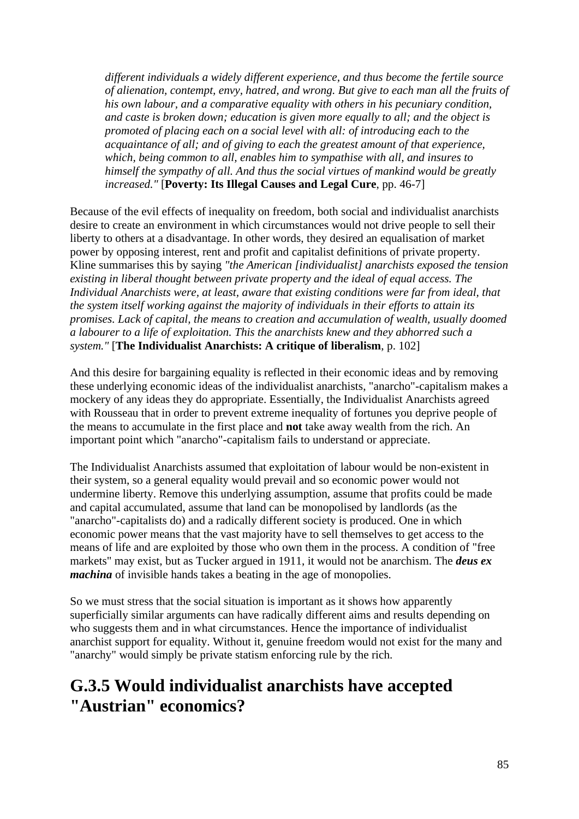*different individuals a widely different experience, and thus become the fertile source of alienation, contempt, envy, hatred, and wrong. But give to each man all the fruits of his own labour, and a comparative equality with others in his pecuniary condition, and caste is broken down; education is given more equally to all; and the object is promoted of placing each on a social level with all: of introducing each to the acquaintance of all; and of giving to each the greatest amount of that experience, which, being common to all, enables him to sympathise with all, and insures to himself the sympathy of all. And thus the social virtues of mankind would be greatly increased."* [**Poverty: Its Illegal Causes and Legal Cure**, pp. 46-7]

Because of the evil effects of inequality on freedom, both social and individualist anarchists desire to create an environment in which circumstances would not drive people to sell their liberty to others at a disadvantage. In other words, they desired an equalisation of market power by opposing interest, rent and profit and capitalist definitions of private property. Kline summarises this by saying *"the American [individualist] anarchists exposed the tension existing in liberal thought between private property and the ideal of equal access. The Individual Anarchists were, at least, aware that existing conditions were far from ideal, that the system itself working against the majority of individuals in their efforts to attain its promises. Lack of capital, the means to creation and accumulation of wealth, usually doomed a labourer to a life of exploitation. This the anarchists knew and they abhorred such a system."* [**The Individualist Anarchists: A critique of liberalism**, p. 102]

And this desire for bargaining equality is reflected in their economic ideas and by removing these underlying economic ideas of the individualist anarchists, "anarcho"-capitalism makes a mockery of any ideas they do appropriate. Essentially, the Individualist Anarchists agreed with Rousseau that in order to prevent extreme inequality of fortunes you deprive people of the means to accumulate in the first place and **not** take away wealth from the rich. An important point which "anarcho"-capitalism fails to understand or appreciate.

The Individualist Anarchists assumed that exploitation of labour would be non-existent in their system, so a general equality would prevail and so economic power would not undermine liberty. Remove this underlying assumption, assume that profits could be made and capital accumulated, assume that land can be monopolised by landlords (as the "anarcho"-capitalists do) and a radically different society is produced. One in which economic power means that the vast majority have to sell themselves to get access to the means of life and are exploited by those who own them in the process. A condition of "free markets" may exist, but as Tucker argued in 1911, it would not be anarchism. The *deus ex machina* of invisible hands takes a beating in the age of monopolies.

So we must stress that the social situation is important as it shows how apparently superficially similar arguments can have radically different aims and results depending on who suggests them and in what circumstances. Hence the importance of individualist anarchist support for equality. Without it, genuine freedom would not exist for the many and "anarchy" would simply be private statism enforcing rule by the rich.

#### **G.3.5 Would individualist anarchists have accepted "Austrian" economics?**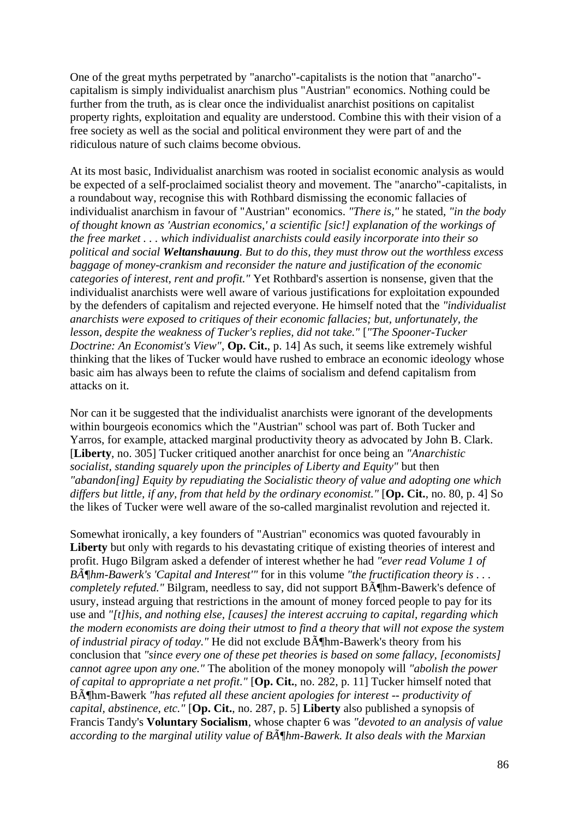One of the great myths perpetrated by "anarcho"-capitalists is the notion that "anarcho" capitalism is simply individualist anarchism plus "Austrian" economics. Nothing could be further from the truth, as is clear once the individualist anarchist positions on capitalist property rights, exploitation and equality are understood. Combine this with their vision of a free society as well as the social and political environment they were part of and the ridiculous nature of such claims become obvious.

At its most basic, Individualist anarchism was rooted in socialist economic analysis as would be expected of a self-proclaimed socialist theory and movement. The "anarcho"-capitalists, in a roundabout way, recognise this with Rothbard dismissing the economic fallacies of individualist anarchism in favour of "Austrian" economics. *"There is,"* he stated, *"in the body of thought known as 'Austrian economics,' a scientific [sic!] explanation of the workings of the free market . . . which individualist anarchists could easily incorporate into their so political and social Weltanshauung. But to do this, they must throw out the worthless excess baggage of money-crankism and reconsider the nature and justification of the economic categories of interest, rent and profit."* Yet Rothbard's assertion is nonsense, given that the individualist anarchists were well aware of various justifications for exploitation expounded by the defenders of capitalism and rejected everyone. He himself noted that the *"individualist anarchists were exposed to critiques of their economic fallacies; but, unfortunately, the lesson, despite the weakness of Tucker's replies, did not take."* [*"The Spooner-Tucker Doctrine: An Economist's View"*, **Op. Cit.**, p. 14] As such, it seems like extremely wishful thinking that the likes of Tucker would have rushed to embrace an economic ideology whose basic aim has always been to refute the claims of socialism and defend capitalism from attacks on it.

Nor can it be suggested that the individualist anarchists were ignorant of the developments within bourgeois economics which the "Austrian" school was part of. Both Tucker and Yarros, for example, attacked marginal productivity theory as advocated by John B. Clark. [**Liberty**, no. 305] Tucker critiqued another anarchist for once being an *"Anarchistic socialist, standing squarely upon the principles of Liberty and Equity"* but then *"abandon[ing] Equity by repudiating the Socialistic theory of value and adopting one which differs but little, if any, from that held by the ordinary economist."* [**Op. Cit.**, no. 80, p. 4] So the likes of Tucker were well aware of the so-called marginalist revolution and rejected it.

Somewhat ironically, a key founders of "Austrian" economics was quoted favourably in Liberty but only with regards to his devastating critique of existing theories of interest and profit. Hugo Bilgram asked a defender of interest whether he had *"ever read Volume 1 of Böhm-Bawerk's 'Capital and Interest'"* for in this volume *"the fructification theory is . . . completely refuted.*" Bilgram, needless to say, did not support BA hm-Bawerk's defence of usury, instead arguing that restrictions in the amount of money forced people to pay for its use and *"[t]his, and nothing else, [causes] the interest accruing to capital, regarding which the modern economists are doing their utmost to find a theory that will not expose the system of industrial piracy of today.*" He did not exclude  $\overline{B}\tilde{A}\parallel m-Bawerk$ 's theory from his conclusion that *"since every one of these pet theories is based on some fallacy, [economists] cannot agree upon any one."* The abolition of the money monopoly will *"abolish the power of capital to appropriate a net profit."* [**Op. Cit.**, no. 282, p. 11] Tucker himself noted that Böhm-Bawerk *"has refuted all these ancient apologies for interest -- productivity of capital, abstinence, etc."* [**Op. Cit.**, no. 287, p. 5] **Liberty** also published a synopsis of Francis Tandy's **Voluntary Socialism**, whose chapter 6 was *"devoted to an analysis of value according to the marginal utility value of Böhm-Bawerk. It also deals with the Marxian*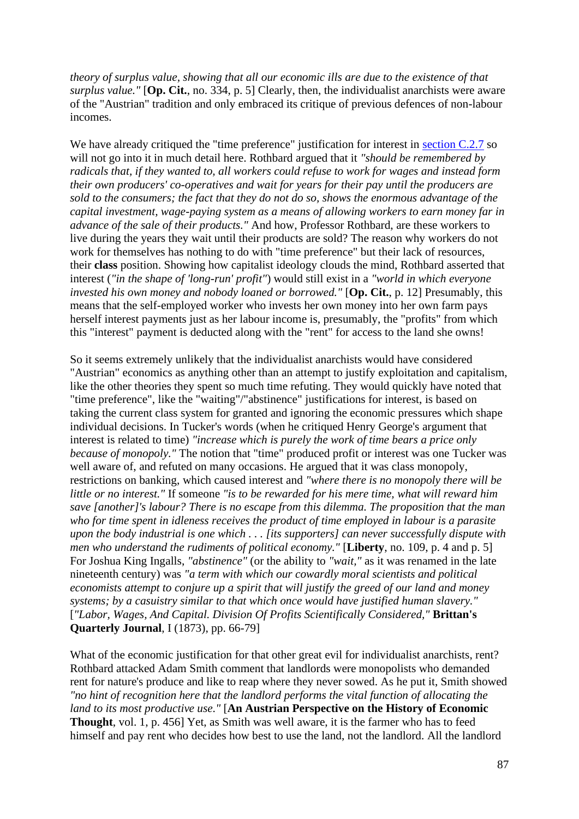*theory of surplus value, showing that all our economic ills are due to the existence of that surplus value."* [**Op. Cit.**, no. 334, p. 5] Clearly, then, the individualist anarchists were aware of the "Austrian" tradition and only embraced its critique of previous defences of non-labour incomes.

We have already critiqued the "time preference" justification for interest in [section C.2.7](sectionC.html#secc27) so will not go into it in much detail here. Rothbard argued that it *"should be remembered by radicals that, if they wanted to, all workers could refuse to work for wages and instead form their own producers' co-operatives and wait for years for their pay until the producers are sold to the consumers; the fact that they do not do so, shows the enormous advantage of the capital investment, wage-paying system as a means of allowing workers to earn money far in advance of the sale of their products."* And how, Professor Rothbard, are these workers to live during the years they wait until their products are sold? The reason why workers do not work for themselves has nothing to do with "time preference" but their lack of resources, their **class** position. Showing how capitalist ideology clouds the mind, Rothbard asserted that interest (*"in the shape of 'long-run' profit"*) would still exist in a *"world in which everyone invested his own money and nobody loaned or borrowed."* [**Op. Cit.**, p. 12] Presumably, this means that the self-employed worker who invests her own money into her own farm pays herself interest payments just as her labour income is, presumably, the "profits" from which this "interest" payment is deducted along with the "rent" for access to the land she owns!

So it seems extremely unlikely that the individualist anarchists would have considered "Austrian" economics as anything other than an attempt to justify exploitation and capitalism, like the other theories they spent so much time refuting. They would quickly have noted that "time preference", like the "waiting"/"abstinence" justifications for interest, is based on taking the current class system for granted and ignoring the economic pressures which shape individual decisions. In Tucker's words (when he critiqued Henry George's argument that interest is related to time) *"increase which is purely the work of time bears a price only because of monopoly."* The notion that "time" produced profit or interest was one Tucker was well aware of, and refuted on many occasions. He argued that it was class monopoly, restrictions on banking, which caused interest and *"where there is no monopoly there will be little or no interest."* If someone *"is to be rewarded for his mere time, what will reward him save [another]'s labour? There is no escape from this dilemma. The proposition that the man who for time spent in idleness receives the product of time employed in labour is a parasite upon the body industrial is one which . . . [its supporters] can never successfully dispute with men who understand the rudiments of political economy."* [**Liberty**, no. 109, p. 4 and p. 5] For Joshua King Ingalls, *"abstinence"* (or the ability to *"wait,"* as it was renamed in the late nineteenth century) was *"a term with which our cowardly moral scientists and political economists attempt to conjure up a spirit that will justify the greed of our land and money systems; by a casuistry similar to that which once would have justified human slavery."* [*"Labor, Wages, And Capital. Division Of Profits Scientifically Considered,"* **Brittan's Quarterly Journal**, I (1873), pp. 66-79]

What of the economic justification for that other great evil for individualist anarchists, rent? Rothbard attacked Adam Smith comment that landlords were monopolists who demanded rent for nature's produce and like to reap where they never sowed. As he put it, Smith showed *"no hint of recognition here that the landlord performs the vital function of allocating the land to its most productive use."* [**An Austrian Perspective on the History of Economic Thought**, vol. 1, p. 456] Yet, as Smith was well aware, it is the farmer who has to feed himself and pay rent who decides how best to use the land, not the landlord. All the landlord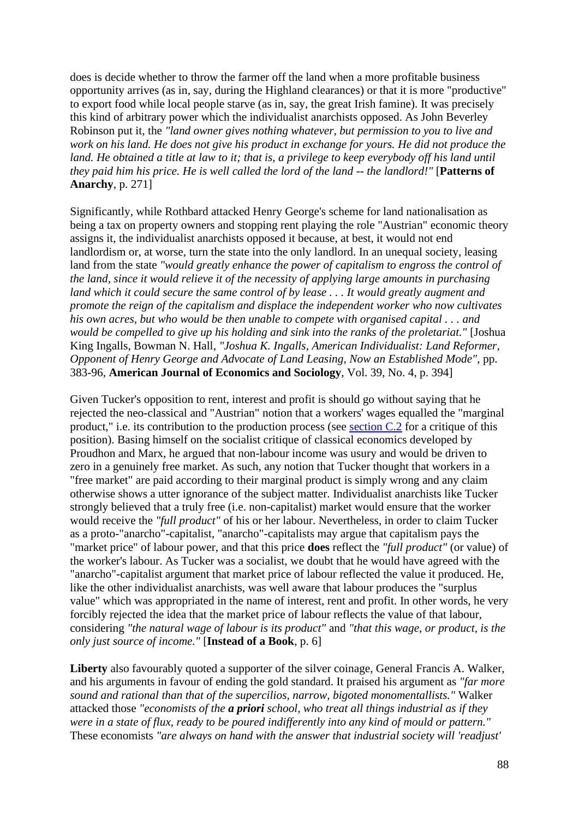does is decide whether to throw the farmer off the land when a more profitable business opportunity arrives (as in, say, during the Highland clearances) or that it is more "productive" to export food while local people starve (as in, say, the great Irish famine). It was precisely this kind of arbitrary power which the individualist anarchists opposed. As John Beverley Robinson put it, the *"land owner gives nothing whatever, but permission to you to live and work on his land. He does not give his product in exchange for yours. He did not produce the land. He obtained a title at law to it; that is, a privilege to keep everybody off his land until they paid him his price. He is well called the lord of the land -- the landlord!"* [**Patterns of Anarchy**, p. 271]

Significantly, while Rothbard attacked Henry George's scheme for land nationalisation as being a tax on property owners and stopping rent playing the role "Austrian" economic theory assigns it, the individualist anarchists opposed it because, at best, it would not end landlordism or, at worse, turn the state into the only landlord. In an unequal society, leasing land from the state *"would greatly enhance the power of capitalism to engross the control of the land, since it would relieve it of the necessity of applying large amounts in purchasing land which it could secure the same control of by lease . . . It would greatly augment and promote the reign of the capitalism and displace the independent worker who now cultivates his own acres, but who would be then unable to compete with organised capital . . . and would be compelled to give up his holding and sink into the ranks of the proletariat."* [Joshua King Ingalls, Bowman N. Hall, *"Joshua K. Ingalls, American Individualist: Land Reformer, Opponent of Henry George and Advocate of Land Leasing, Now an Established Mode"*, pp. 383-96, **American Journal of Economics and Sociology**, Vol. 39, No. 4, p. 394]

Given Tucker's opposition to rent, interest and profit is should go without saying that he rejected the neo-classical and "Austrian" notion that a workers' wages equalled the "marginal product," i.e. its contribution to the production process (see section  $C<sub>1</sub>2$  for a critique of this position). Basing himself on the socialist critique of classical economics developed by Proudhon and Marx, he argued that non-labour income was usury and would be driven to zero in a genuinely free market. As such, any notion that Tucker thought that workers in a "free market" are paid according to their marginal product is simply wrong and any claim otherwise shows a utter ignorance of the subject matter. Individualist anarchists like Tucker strongly believed that a truly free (i.e. non-capitalist) market would ensure that the worker would receive the *"full product"* of his or her labour. Nevertheless, in order to claim Tucker as a proto-"anarcho"-capitalist, "anarcho"-capitalists may argue that capitalism pays the "market price" of labour power, and that this price **does** reflect the *"full product"* (or value) of the worker's labour. As Tucker was a socialist, we doubt that he would have agreed with the "anarcho"-capitalist argument that market price of labour reflected the value it produced. He, like the other individualist anarchists, was well aware that labour produces the "surplus value" which was appropriated in the name of interest, rent and profit. In other words, he very forcibly rejected the idea that the market price of labour reflects the value of that labour, considering *"the natural wage of labour is its product"* and *"that this wage, or product, is the only just source of income."* [**Instead of a Book**, p. 6]

**Liberty** also favourably quoted a supporter of the silver coinage, General Francis A. Walker, and his arguments in favour of ending the gold standard. It praised his argument as *"far more sound and rational than that of the supercilios, narrow, bigoted monomentallists."* Walker attacked those *"economists of the a priori school, who treat all things industrial as if they were in a state of flux, ready to be poured indifferently into any kind of mould or pattern."* These economists *"are always on hand with the answer that industrial society will 'readjust'*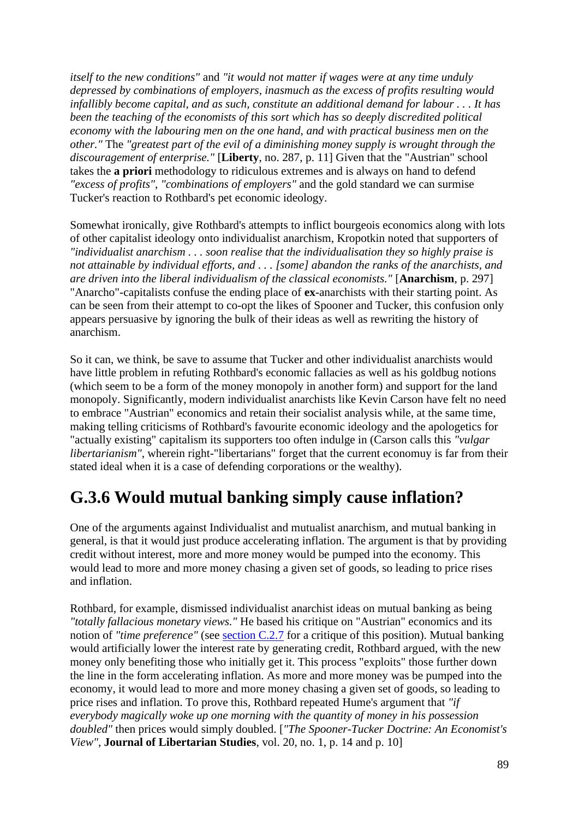*itself to the new conditions"* and *"it would not matter if wages were at any time unduly depressed by combinations of employers, inasmuch as the excess of profits resulting would infallibly become capital, and as such, constitute an additional demand for labour . . . It has been the teaching of the economists of this sort which has so deeply discredited political economy with the labouring men on the one hand, and with practical business men on the other."* The *"greatest part of the evil of a diminishing money supply is wrought through the discouragement of enterprise."* [**Liberty**, no. 287, p. 11] Given that the "Austrian" school takes the **a priori** methodology to ridiculous extremes and is always on hand to defend *"excess of profits"*, *"combinations of employers"* and the gold standard we can surmise Tucker's reaction to Rothbard's pet economic ideology.

Somewhat ironically, give Rothbard's attempts to inflict bourgeois economics along with lots of other capitalist ideology onto individualist anarchism, Kropotkin noted that supporters of *"individualist anarchism . . . soon realise that the individualisation they so highly praise is not attainable by individual efforts, and . . . [some] abandon the ranks of the anarchists, and are driven into the liberal individualism of the classical economists."* [**Anarchism**, p. 297] "Anarcho"-capitalists confuse the ending place of **ex**-anarchists with their starting point. As can be seen from their attempt to co-opt the likes of Spooner and Tucker, this confusion only appears persuasive by ignoring the bulk of their ideas as well as rewriting the history of anarchism.

So it can, we think, be save to assume that Tucker and other individualist anarchists would have little problem in refuting Rothbard's economic fallacies as well as his goldbug notions (which seem to be a form of the money monopoly in another form) and support for the land monopoly. Significantly, modern individualist anarchists like Kevin Carson have felt no need to embrace "Austrian" economics and retain their socialist analysis while, at the same time, making telling criticisms of Rothbard's favourite economic ideology and the apologetics for "actually existing" capitalism its supporters too often indulge in (Carson calls this *"vulgar libertarianism"*, wherein right-"libertarians" forget that the current economuy is far from their stated ideal when it is a case of defending corporations or the wealthy).

## **G.3.6 Would mutual banking simply cause inflation?**

One of the arguments against Individualist and mutualist anarchism, and mutual banking in general, is that it would just produce accelerating inflation. The argument is that by providing credit without interest, more and more money would be pumped into the economy. This would lead to more and more money chasing a given set of goods, so leading to price rises and inflation.

Rothbard, for example, dismissed individualist anarchist ideas on mutual banking as being *"totally fallacious monetary views."* He based his critique on "Austrian" economics and its notion of *"time preference"* (see [section C.2.7](sectionC.html#secc27) for a critique of this position). Mutual banking would artificially lower the interest rate by generating credit, Rothbard argued, with the new money only benefiting those who initially get it. This process "exploits" those further down the line in the form accelerating inflation. As more and more money was be pumped into the economy, it would lead to more and more money chasing a given set of goods, so leading to price rises and inflation. To prove this, Rothbard repeated Hume's argument that *"if everybody magically woke up one morning with the quantity of money in his possession doubled"* then prices would simply doubled. [*"The Spooner-Tucker Doctrine: An Economist's View"*, **Journal of Libertarian Studies**, vol. 20, no. 1, p. 14 and p. 10]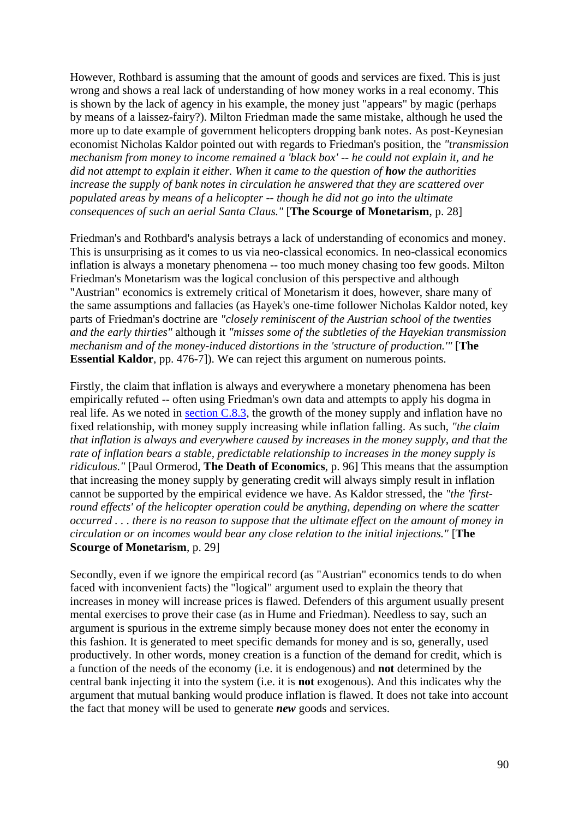However, Rothbard is assuming that the amount of goods and services are fixed. This is just wrong and shows a real lack of understanding of how money works in a real economy. This is shown by the lack of agency in his example, the money just "appears" by magic (perhaps by means of a laissez-fairy?). Milton Friedman made the same mistake, although he used the more up to date example of government helicopters dropping bank notes. As post-Keynesian economist Nicholas Kaldor pointed out with regards to Friedman's position, the *"transmission mechanism from money to income remained a 'black box' -- he could not explain it, and he did not attempt to explain it either. When it came to the question of how the authorities increase the supply of bank notes in circulation he answered that they are scattered over populated areas by means of a helicopter -- though he did not go into the ultimate consequences of such an aerial Santa Claus."* [**The Scourge of Monetarism**, p. 28]

Friedman's and Rothbard's analysis betrays a lack of understanding of economics and money. This is unsurprising as it comes to us via neo-classical economics. In neo-classical economics inflation is always a monetary phenomena -- too much money chasing too few goods. Milton Friedman's Monetarism was the logical conclusion of this perspective and although "Austrian" economics is extremely critical of Monetarism it does, however, share many of the same assumptions and fallacies (as Hayek's one-time follower Nicholas Kaldor noted, key parts of Friedman's doctrine are *"closely reminiscent of the Austrian school of the twenties and the early thirties"* although it *"misses some of the subtleties of the Hayekian transmission mechanism and of the money-induced distortions in the 'structure of production.'"* [**The Essential Kaldor**, pp. 476-7]). We can reject this argument on numerous points.

Firstly, the claim that inflation is always and everywhere a monetary phenomena has been empirically refuted -- often using Friedman's own data and attempts to apply his dogma in real life. As we noted in [section C.8.3,](sectionC.html#secc83) the growth of the money supply and inflation have no fixed relationship, with money supply increasing while inflation falling. As such, *"the claim that inflation is always and everywhere caused by increases in the money supply, and that the rate of inflation bears a stable, predictable relationship to increases in the money supply is ridiculous."* [Paul Ormerod, **The Death of Economics**, p. 96] This means that the assumption that increasing the money supply by generating credit will always simply result in inflation cannot be supported by the empirical evidence we have. As Kaldor stressed, the *"the 'firstround effects' of the helicopter operation could be anything, depending on where the scatter occurred . . . there is no reason to suppose that the ultimate effect on the amount of money in circulation or on incomes would bear any close relation to the initial injections."* [**The Scourge of Monetarism**, p. 29]

Secondly, even if we ignore the empirical record (as "Austrian" economics tends to do when faced with inconvenient facts) the "logical" argument used to explain the theory that increases in money will increase prices is flawed. Defenders of this argument usually present mental exercises to prove their case (as in Hume and Friedman). Needless to say, such an argument is spurious in the extreme simply because money does not enter the economy in this fashion. It is generated to meet specific demands for money and is so, generally, used productively. In other words, money creation is a function of the demand for credit, which is a function of the needs of the economy (i.e. it is endogenous) and **not** determined by the central bank injecting it into the system (i.e. it is **not** exogenous). And this indicates why the argument that mutual banking would produce inflation is flawed. It does not take into account the fact that money will be used to generate *new* goods and services.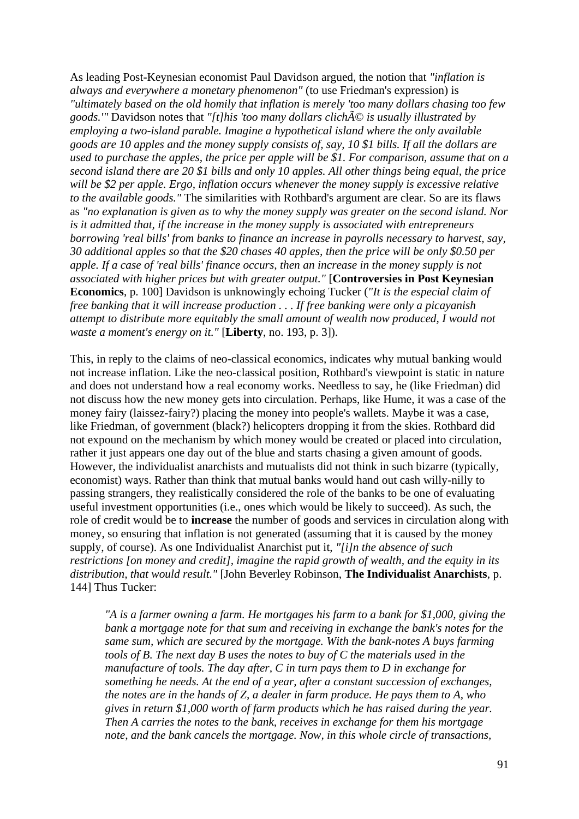As leading Post-Keynesian economist Paul Davidson argued, the notion that *"inflation is always and everywhere a monetary phenomenon"* (to use Friedman's expression) is *"ultimately based on the old homily that inflation is merely 'too many dollars chasing too few goods.'"* Davidson notes that *"[t]his 'too many dollars cliché is usually illustrated by employing a two-island parable. Imagine a hypothetical island where the only available goods are 10 apples and the money supply consists of, say, 10 \$1 bills. If all the dollars are used to purchase the apples, the price per apple will be \$1. For comparison, assume that on a second island there are 20 \$1 bills and only 10 apples. All other things being equal, the price will be \$2 per apple. Ergo, inflation occurs whenever the money supply is excessive relative to the available goods."* The similarities with Rothbard's argument are clear. So are its flaws as *"no explanation is given as to why the money supply was greater on the second island. Nor is it admitted that, if the increase in the money supply is associated with entrepreneurs borrowing 'real bills' from banks to finance an increase in payrolls necessary to harvest, say, 30 additional apples so that the \$20 chases 40 apples, then the price will be only \$0.50 per apple. If a case of 'real bills' finance occurs, then an increase in the money supply is not associated with higher prices but with greater output."* [**Controversies in Post Keynesian Economics**, p. 100] Davidson is unknowingly echoing Tucker (*"It is the especial claim of free banking that it will increase production . . . If free banking were only a picayanish attempt to distribute more equitably the small amount of wealth now produced, I would not waste a moment's energy on it."* [**Liberty**, no. 193, p. 3]).

This, in reply to the claims of neo-classical economics, indicates why mutual banking would not increase inflation. Like the neo-classical position, Rothbard's viewpoint is static in nature and does not understand how a real economy works. Needless to say, he (like Friedman) did not discuss how the new money gets into circulation. Perhaps, like Hume, it was a case of the money fairy (laissez-fairy?) placing the money into people's wallets. Maybe it was a case, like Friedman, of government (black?) helicopters dropping it from the skies. Rothbard did not expound on the mechanism by which money would be created or placed into circulation, rather it just appears one day out of the blue and starts chasing a given amount of goods. However, the individualist anarchists and mutualists did not think in such bizarre (typically, economist) ways. Rather than think that mutual banks would hand out cash willy-nilly to passing strangers, they realistically considered the role of the banks to be one of evaluating useful investment opportunities (i.e., ones which would be likely to succeed). As such, the role of credit would be to **increase** the number of goods and services in circulation along with money, so ensuring that inflation is not generated (assuming that it is caused by the money supply, of course). As one Individualist Anarchist put it, *"[i]n the absence of such restrictions [on money and credit], imagine the rapid growth of wealth, and the equity in its distribution, that would result."* [John Beverley Robinson, **The Individualist Anarchists**, p. 144] Thus Tucker:

*"A is a farmer owning a farm. He mortgages his farm to a bank for \$1,000, giving the bank a mortgage note for that sum and receiving in exchange the bank's notes for the same sum, which are secured by the mortgage. With the bank-notes A buys farming tools of B. The next day B uses the notes to buy of C the materials used in the manufacture of tools. The day after, C in turn pays them to D in exchange for something he needs. At the end of a year, after a constant succession of exchanges, the notes are in the hands of Z, a dealer in farm produce. He pays them to A, who gives in return \$1,000 worth of farm products which he has raised during the year. Then A carries the notes to the bank, receives in exchange for them his mortgage note, and the bank cancels the mortgage. Now, in this whole circle of transactions,*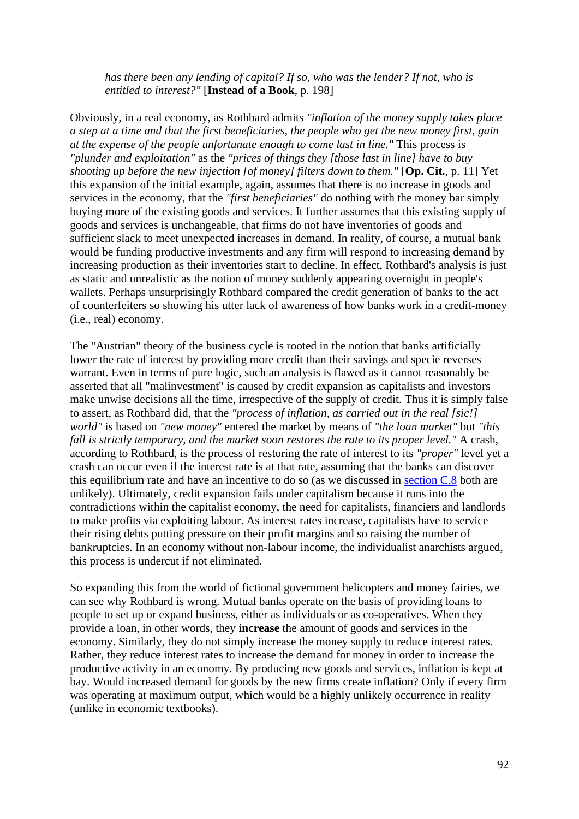#### *has there been any lending of capital? If so, who was the lender? If not, who is entitled to interest?"* [**Instead of a Book**, p. 198]

Obviously, in a real economy, as Rothbard admits *"inflation of the money supply takes place a step at a time and that the first beneficiaries, the people who get the new money first, gain at the expense of the people unfortunate enough to come last in line."* This process is *"plunder and exploitation"* as the *"prices of things they [those last in line] have to buy shooting up before the new injection [of money] filters down to them."* [**Op. Cit.**, p. 11] Yet this expansion of the initial example, again, assumes that there is no increase in goods and services in the economy, that the *"first beneficiaries"* do nothing with the money bar simply buying more of the existing goods and services. It further assumes that this existing supply of goods and services is unchangeable, that firms do not have inventories of goods and sufficient slack to meet unexpected increases in demand. In reality, of course, a mutual bank would be funding productive investments and any firm will respond to increasing demand by increasing production as their inventories start to decline. In effect, Rothbard's analysis is just as static and unrealistic as the notion of money suddenly appearing overnight in people's wallets. Perhaps unsurprisingly Rothbard compared the credit generation of banks to the act of counterfeiters so showing his utter lack of awareness of how banks work in a credit-money (i.e., real) economy.

The "Austrian" theory of the business cycle is rooted in the notion that banks artificially lower the rate of interest by providing more credit than their savings and specie reverses warrant. Even in terms of pure logic, such an analysis is flawed as it cannot reasonably be asserted that all "malinvestment" is caused by credit expansion as capitalists and investors make unwise decisions all the time, irrespective of the supply of credit. Thus it is simply false to assert, as Rothbard did, that the *"process of inflation, as carried out in the real [sic!] world"* is based on *"new money"* entered the market by means of *"the loan market"* but *"this fall is strictly temporary, and the market soon restores the rate to its proper level."* A crash, according to Rothbard, is the process of restoring the rate of interest to its *"proper"* level yet a crash can occur even if the interest rate is at that rate, assuming that the banks can discover this equilibrium rate and have an incentive to do so (as we discussed in [section C.8](sectionC.html#secc8) both are unlikely). Ultimately, credit expansion fails under capitalism because it runs into the contradictions within the capitalist economy, the need for capitalists, financiers and landlords to make profits via exploiting labour. As interest rates increase, capitalists have to service their rising debts putting pressure on their profit margins and so raising the number of bankruptcies. In an economy without non-labour income, the individualist anarchists argued, this process is undercut if not eliminated.

So expanding this from the world of fictional government helicopters and money fairies, we can see why Rothbard is wrong. Mutual banks operate on the basis of providing loans to people to set up or expand business, either as individuals or as co-operatives. When they provide a loan, in other words, they **increase** the amount of goods and services in the economy. Similarly, they do not simply increase the money supply to reduce interest rates. Rather, they reduce interest rates to increase the demand for money in order to increase the productive activity in an economy. By producing new goods and services, inflation is kept at bay. Would increased demand for goods by the new firms create inflation? Only if every firm was operating at maximum output, which would be a highly unlikely occurrence in reality (unlike in economic textbooks).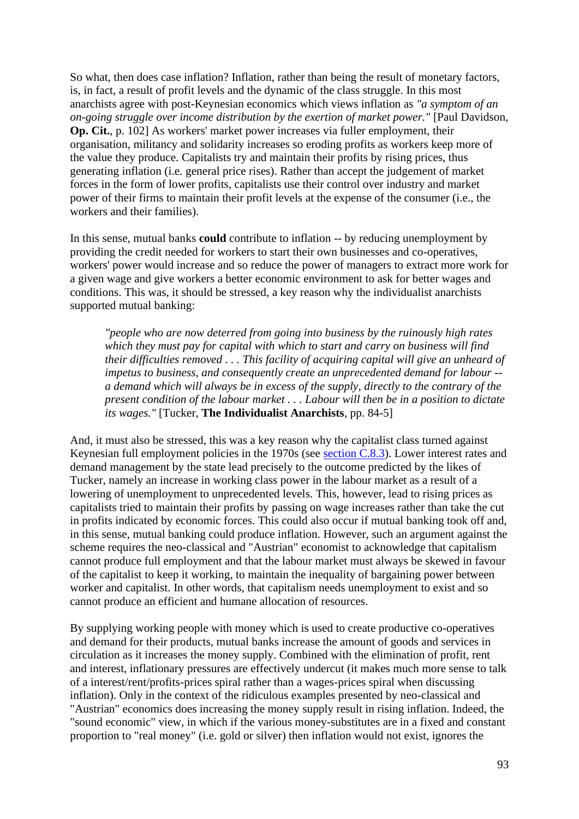So what, then does case inflation? Inflation, rather than being the result of monetary factors, is, in fact, a result of profit levels and the dynamic of the class struggle. In this most anarchists agree with post-Keynesian economics which views inflation as *"a symptom of an on-going struggle over income distribution by the exertion of market power."* [Paul Davidson, **Op. Cit.**, p. 102] As workers' market power increases via fuller employment, their organisation, militancy and solidarity increases so eroding profits as workers keep more of the value they produce. Capitalists try and maintain their profits by rising prices, thus generating inflation (i.e. general price rises). Rather than accept the judgement of market forces in the form of lower profits, capitalists use their control over industry and market power of their firms to maintain their profit levels at the expense of the consumer (i.e., the workers and their families).

In this sense, mutual banks **could** contribute to inflation -- by reducing unemployment by providing the credit needed for workers to start their own businesses and co-operatives, workers' power would increase and so reduce the power of managers to extract more work for a given wage and give workers a better economic environment to ask for better wages and conditions. This was, it should be stressed, a key reason why the individualist anarchists supported mutual banking:

*"people who are now deterred from going into business by the ruinously high rates which they must pay for capital with which to start and carry on business will find their difficulties removed . . . This facility of acquiring capital will give an unheard of impetus to business, and consequently create an unprecedented demand for labour - a demand which will always be in excess of the supply, directly to the contrary of the present condition of the labour market . . . Labour will then be in a position to dictate its wages."* [Tucker, **The Individualist Anarchists**, pp. 84-5]

And, it must also be stressed, this was a key reason why the capitalist class turned against Keynesian full employment policies in the 1970s (see [section C.8.3\)](sectionC.html#secc83). Lower interest rates and demand management by the state lead precisely to the outcome predicted by the likes of Tucker, namely an increase in working class power in the labour market as a result of a lowering of unemployment to unprecedented levels. This, however, lead to rising prices as capitalists tried to maintain their profits by passing on wage increases rather than take the cut in profits indicated by economic forces. This could also occur if mutual banking took off and, in this sense, mutual banking could produce inflation. However, such an argument against the scheme requires the neo-classical and "Austrian" economist to acknowledge that capitalism cannot produce full employment and that the labour market must always be skewed in favour of the capitalist to keep it working, to maintain the inequality of bargaining power between worker and capitalist. In other words, that capitalism needs unemployment to exist and so cannot produce an efficient and humane allocation of resources.

By supplying working people with money which is used to create productive co-operatives and demand for their products, mutual banks increase the amount of goods and services in circulation as it increases the money supply. Combined with the elimination of profit, rent and interest, inflationary pressures are effectively undercut (it makes much more sense to talk of a interest/rent/profits-prices spiral rather than a wages-prices spiral when discussing inflation). Only in the context of the ridiculous examples presented by neo-classical and "Austrian" economics does increasing the money supply result in rising inflation. Indeed, the "sound economic" view, in which if the various money-substitutes are in a fixed and constant proportion to "real money" (i.e. gold or silver) then inflation would not exist, ignores the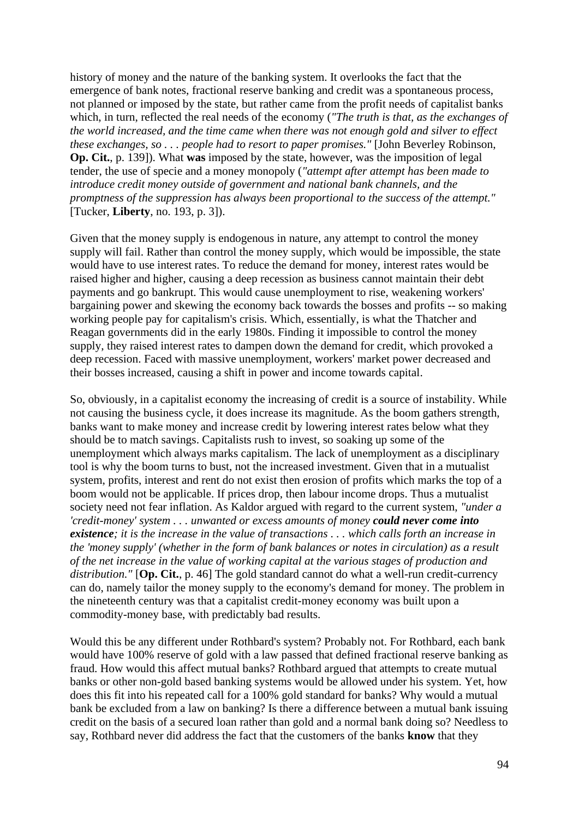history of money and the nature of the banking system. It overlooks the fact that the emergence of bank notes, fractional reserve banking and credit was a spontaneous process, not planned or imposed by the state, but rather came from the profit needs of capitalist banks which, in turn, reflected the real needs of the economy (*"The truth is that, as the exchanges of the world increased, and the time came when there was not enough gold and silver to effect these exchanges, so . . . people had to resort to paper promises."* [John Beverley Robinson, **Op. Cit.**, p. 139]). What **was** imposed by the state, however, was the imposition of legal tender, the use of specie and a money monopoly (*"attempt after attempt has been made to introduce credit money outside of government and national bank channels, and the promptness of the suppression has always been proportional to the success of the attempt."* [Tucker, **Liberty**, no. 193, p. 3]).

Given that the money supply is endogenous in nature, any attempt to control the money supply will fail. Rather than control the money supply, which would be impossible, the state would have to use interest rates. To reduce the demand for money, interest rates would be raised higher and higher, causing a deep recession as business cannot maintain their debt payments and go bankrupt. This would cause unemployment to rise, weakening workers' bargaining power and skewing the economy back towards the bosses and profits -- so making working people pay for capitalism's crisis. Which, essentially, is what the Thatcher and Reagan governments did in the early 1980s. Finding it impossible to control the money supply, they raised interest rates to dampen down the demand for credit, which provoked a deep recession. Faced with massive unemployment, workers' market power decreased and their bosses increased, causing a shift in power and income towards capital.

So, obviously, in a capitalist economy the increasing of credit is a source of instability. While not causing the business cycle, it does increase its magnitude. As the boom gathers strength, banks want to make money and increase credit by lowering interest rates below what they should be to match savings. Capitalists rush to invest, so soaking up some of the unemployment which always marks capitalism. The lack of unemployment as a disciplinary tool is why the boom turns to bust, not the increased investment. Given that in a mutualist system, profits, interest and rent do not exist then erosion of profits which marks the top of a boom would not be applicable. If prices drop, then labour income drops. Thus a mutualist society need not fear inflation. As Kaldor argued with regard to the current system, *"under a 'credit-money' system . . . unwanted or excess amounts of money could never come into existence; it is the increase in the value of transactions . . . which calls forth an increase in the 'money supply' (whether in the form of bank balances or notes in circulation) as a result of the net increase in the value of working capital at the various stages of production and distribution."* [**Op. Cit.**, p. 46] The gold standard cannot do what a well-run credit-currency can do, namely tailor the money supply to the economy's demand for money. The problem in the nineteenth century was that a capitalist credit-money economy was built upon a commodity-money base, with predictably bad results.

Would this be any different under Rothbard's system? Probably not. For Rothbard, each bank would have 100% reserve of gold with a law passed that defined fractional reserve banking as fraud. How would this affect mutual banks? Rothbard argued that attempts to create mutual banks or other non-gold based banking systems would be allowed under his system. Yet, how does this fit into his repeated call for a 100% gold standard for banks? Why would a mutual bank be excluded from a law on banking? Is there a difference between a mutual bank issuing credit on the basis of a secured loan rather than gold and a normal bank doing so? Needless to say, Rothbard never did address the fact that the customers of the banks **know** that they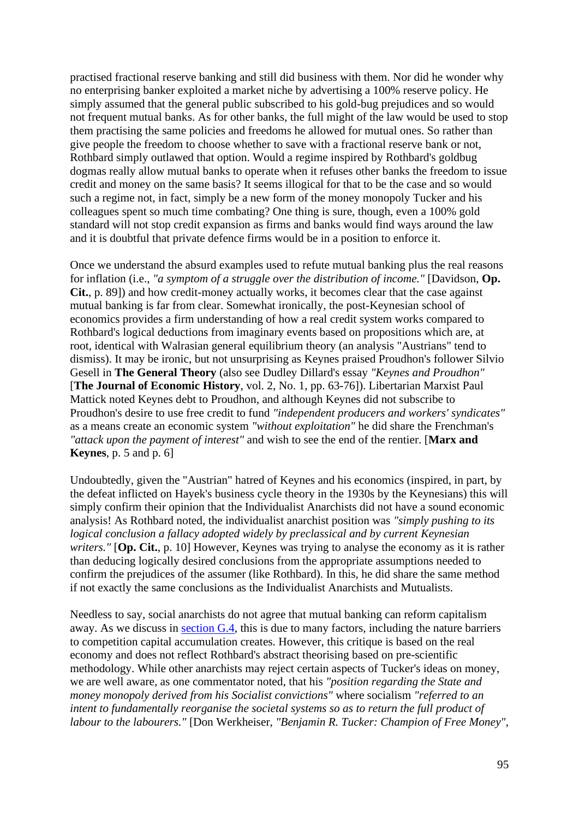practised fractional reserve banking and still did business with them. Nor did he wonder why no enterprising banker exploited a market niche by advertising a 100% reserve policy. He simply assumed that the general public subscribed to his gold-bug prejudices and so would not frequent mutual banks. As for other banks, the full might of the law would be used to stop them practising the same policies and freedoms he allowed for mutual ones. So rather than give people the freedom to choose whether to save with a fractional reserve bank or not, Rothbard simply outlawed that option. Would a regime inspired by Rothbard's goldbug dogmas really allow mutual banks to operate when it refuses other banks the freedom to issue credit and money on the same basis? It seems illogical for that to be the case and so would such a regime not, in fact, simply be a new form of the money monopoly Tucker and his colleagues spent so much time combating? One thing is sure, though, even a 100% gold standard will not stop credit expansion as firms and banks would find ways around the law and it is doubtful that private defence firms would be in a position to enforce it.

Once we understand the absurd examples used to refute mutual banking plus the real reasons for inflation (i.e., *"a symptom of a struggle over the distribution of income."* [Davidson, **Op. Cit.**, p. 89]) and how credit-money actually works, it becomes clear that the case against mutual banking is far from clear. Somewhat ironically, the post-Keynesian school of economics provides a firm understanding of how a real credit system works compared to Rothbard's logical deductions from imaginary events based on propositions which are, at root, identical with Walrasian general equilibrium theory (an analysis "Austrians" tend to dismiss). It may be ironic, but not unsurprising as Keynes praised Proudhon's follower Silvio Gesell in **The General Theory** (also see Dudley Dillard's essay *"Keynes and Proudhon"* [**The Journal of Economic History**, vol. 2, No. 1, pp. 63-76]). Libertarian Marxist Paul Mattick noted Keynes debt to Proudhon, and although Keynes did not subscribe to Proudhon's desire to use free credit to fund *"independent producers and workers' syndicates"* as a means create an economic system *"without exploitation"* he did share the Frenchman's *"attack upon the payment of interest"* and wish to see the end of the rentier. [**Marx and Keynes**, p. 5 and p. 6]

Undoubtedly, given the "Austrian" hatred of Keynes and his economics (inspired, in part, by the defeat inflicted on Hayek's business cycle theory in the 1930s by the Keynesians) this will simply confirm their opinion that the Individualist Anarchists did not have a sound economic analysis! As Rothbard noted, the individualist anarchist position was *"simply pushing to its logical conclusion a fallacy adopted widely by preclassical and by current Keynesian writers."* [**Op. Cit.**, p. 10] However, Keynes was trying to analyse the economy as it is rather than deducing logically desired conclusions from the appropriate assumptions needed to confirm the prejudices of the assumer (like Rothbard). In this, he did share the same method if not exactly the same conclusions as the Individualist Anarchists and Mutualists.

Needless to say, social anarchists do not agree that mutual banking can reform capitalism away. As we discuss in [section G.4,](sectionG.html#secg4) this is due to many factors, including the nature barriers to competition capital accumulation creates. However, this critique is based on the real economy and does not reflect Rothbard's abstract theorising based on pre-scientific methodology. While other anarchists may reject certain aspects of Tucker's ideas on money, we are well aware, as one commentator noted, that his *"position regarding the State and money monopoly derived from his Socialist convictions"* where socialism *"referred to an intent to fundamentally reorganise the societal systems so as to return the full product of labour to the labourers."* [Don Werkheiser, *"Benjamin R. Tucker: Champion of Free Money"*,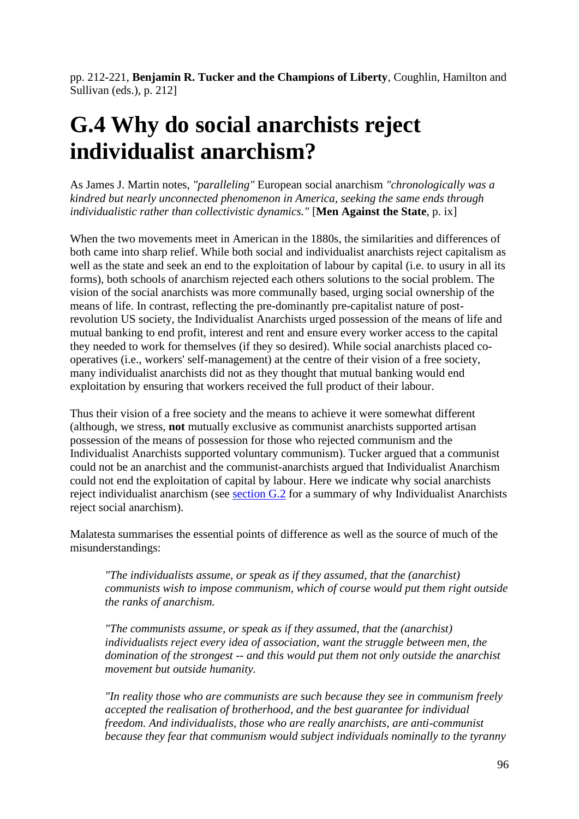pp. 212-221, **Benjamin R. Tucker and the Champions of Liberty**, Coughlin, Hamilton and Sullivan (eds.), p. 212]

# **G.4 Why do social anarchists reject individualist anarchism?**

As James J. Martin notes, *"paralleling"* European social anarchism *"chronologically was a kindred but nearly unconnected phenomenon in America, seeking the same ends through individualistic rather than collectivistic dynamics."* [**Men Against the State**, p. ix]

When the two movements meet in American in the 1880s, the similarities and differences of both came into sharp relief. While both social and individualist anarchists reject capitalism as well as the state and seek an end to the exploitation of labour by capital (i.e. to usury in all its forms), both schools of anarchism rejected each others solutions to the social problem. The vision of the social anarchists was more communally based, urging social ownership of the means of life. In contrast, reflecting the pre-dominantly pre-capitalist nature of postrevolution US society, the Individualist Anarchists urged possession of the means of life and mutual banking to end profit, interest and rent and ensure every worker access to the capital they needed to work for themselves (if they so desired). While social anarchists placed cooperatives (i.e., workers' self-management) at the centre of their vision of a free society, many individualist anarchists did not as they thought that mutual banking would end exploitation by ensuring that workers received the full product of their labour.

Thus their vision of a free society and the means to achieve it were somewhat different (although, we stress, **not** mutually exclusive as communist anarchists supported artisan possession of the means of possession for those who rejected communism and the Individualist Anarchists supported voluntary communism). Tucker argued that a communist could not be an anarchist and the communist-anarchists argued that Individualist Anarchism could not end the exploitation of capital by labour. Here we indicate why social anarchists reject individualist anarchism (see [section G.2](sectionG.html#secg2) for a summary of why Individualist Anarchists reject social anarchism).

Malatesta summarises the essential points of difference as well as the source of much of the misunderstandings:

*"The individualists assume, or speak as if they assumed, that the (anarchist) communists wish to impose communism, which of course would put them right outside the ranks of anarchism.*

*"The communists assume, or speak as if they assumed, that the (anarchist) individualists reject every idea of association, want the struggle between men, the domination of the strongest -- and this would put them not only outside the anarchist movement but outside humanity.*

*"In reality those who are communists are such because they see in communism freely accepted the realisation of brotherhood, and the best guarantee for individual freedom. And individualists, those who are really anarchists, are anti-communist because they fear that communism would subject individuals nominally to the tyranny*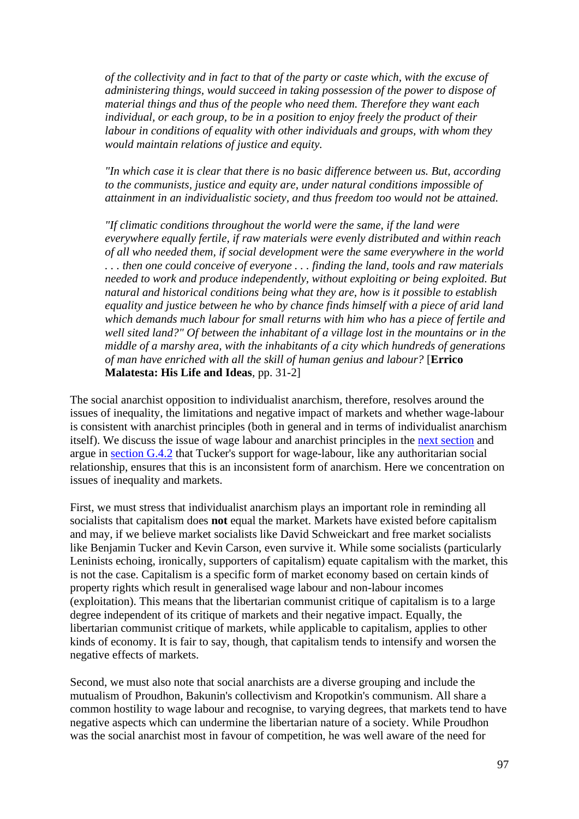*of the collectivity and in fact to that of the party or caste which, with the excuse of administering things, would succeed in taking possession of the power to dispose of material things and thus of the people who need them. Therefore they want each individual, or each group, to be in a position to enjoy freely the product of their labour in conditions of equality with other individuals and groups, with whom they would maintain relations of justice and equity.*

*"In which case it is clear that there is no basic difference between us. But, according to the communists, justice and equity are, under natural conditions impossible of attainment in an individualistic society, and thus freedom too would not be attained.*

*"If climatic conditions throughout the world were the same, if the land were everywhere equally fertile, if raw materials were evenly distributed and within reach of all who needed them, if social development were the same everywhere in the world . . . then one could conceive of everyone . . . finding the land, tools and raw materials needed to work and produce independently, without exploiting or being exploited. But natural and historical conditions being what they are, how is it possible to establish equality and justice between he who by chance finds himself with a piece of arid land which demands much labour for small returns with him who has a piece of fertile and well sited land?" Of between the inhabitant of a village lost in the mountains or in the middle of a marshy area, with the inhabitants of a city which hundreds of generations of man have enriched with all the skill of human genius and labour?* [**Errico Malatesta: His Life and Ideas**, pp. 31-2]

The social anarchist opposition to individualist anarchism, therefore, resolves around the issues of inequality, the limitations and negative impact of markets and whether wage-labour is consistent with anarchist principles (both in general and in terms of individualist anarchism itself). We discuss the issue of wage labour and anarchist principles in the [next section](sectionG.html#secg41) and argue in [section G.4.2](sectionG.html#secg42) that Tucker's support for wage-labour, like any authoritarian social relationship, ensures that this is an inconsistent form of anarchism. Here we concentration on issues of inequality and markets.

First, we must stress that individualist anarchism plays an important role in reminding all socialists that capitalism does **not** equal the market. Markets have existed before capitalism and may, if we believe market socialists like David Schweickart and free market socialists like Benjamin Tucker and Kevin Carson, even survive it. While some socialists (particularly Leninists echoing, ironically, supporters of capitalism) equate capitalism with the market, this is not the case. Capitalism is a specific form of market economy based on certain kinds of property rights which result in generalised wage labour and non-labour incomes (exploitation). This means that the libertarian communist critique of capitalism is to a large degree independent of its critique of markets and their negative impact. Equally, the libertarian communist critique of markets, while applicable to capitalism, applies to other kinds of economy. It is fair to say, though, that capitalism tends to intensify and worsen the negative effects of markets.

Second, we must also note that social anarchists are a diverse grouping and include the mutualism of Proudhon, Bakunin's collectivism and Kropotkin's communism. All share a common hostility to wage labour and recognise, to varying degrees, that markets tend to have negative aspects which can undermine the libertarian nature of a society. While Proudhon was the social anarchist most in favour of competition, he was well aware of the need for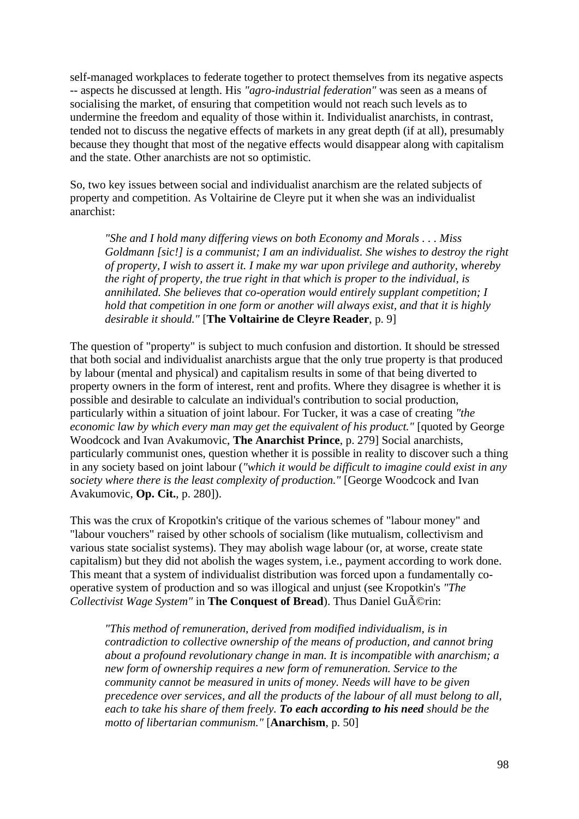self-managed workplaces to federate together to protect themselves from its negative aspects -- aspects he discussed at length. His *"agro-industrial federation"* was seen as a means of socialising the market, of ensuring that competition would not reach such levels as to undermine the freedom and equality of those within it. Individualist anarchists, in contrast, tended not to discuss the negative effects of markets in any great depth (if at all), presumably because they thought that most of the negative effects would disappear along with capitalism and the state. Other anarchists are not so optimistic.

So, two key issues between social and individualist anarchism are the related subjects of property and competition. As Voltairine de Cleyre put it when she was an individualist anarchist:

*"She and I hold many differing views on both Economy and Morals . . . Miss Goldmann [sic!] is a communist; I am an individualist. She wishes to destroy the right of property, I wish to assert it. I make my war upon privilege and authority, whereby the right of property, the true right in that which is proper to the individual, is annihilated. She believes that co-operation would entirely supplant competition; I hold that competition in one form or another will always exist, and that it is highly desirable it should."* [**The Voltairine de Cleyre Reader**, p. 9]

The question of "property" is subject to much confusion and distortion. It should be stressed that both social and individualist anarchists argue that the only true property is that produced by labour (mental and physical) and capitalism results in some of that being diverted to property owners in the form of interest, rent and profits. Where they disagree is whether it is possible and desirable to calculate an individual's contribution to social production, particularly within a situation of joint labour. For Tucker, it was a case of creating *"the economic law by which every man may get the equivalent of his product."* [quoted by George Woodcock and Ivan Avakumovic, **The Anarchist Prince**, p. 279] Social anarchists, particularly communist ones, question whether it is possible in reality to discover such a thing in any society based on joint labour (*"which it would be difficult to imagine could exist in any society where there is the least complexity of production."* [George Woodcock and Ivan Avakumovic, **Op. Cit.**, p. 280]).

This was the crux of Kropotkin's critique of the various schemes of "labour money" and "labour vouchers" raised by other schools of socialism (like mutualism, collectivism and various state socialist systems). They may abolish wage labour (or, at worse, create state capitalism) but they did not abolish the wages system, i.e., payment according to work done. This meant that a system of individualist distribution was forced upon a fundamentally cooperative system of production and so was illogical and unjust (see Kropotkin's *"The Collectivist Wage System"* in **The Conquest of Bread**). Thus Daniel Guérin:

*"This method of remuneration, derived from modified individualism, is in contradiction to collective ownership of the means of production, and cannot bring about a profound revolutionary change in man. It is incompatible with anarchism; a new form of ownership requires a new form of remuneration. Service to the community cannot be measured in units of money. Needs will have to be given precedence over services, and all the products of the labour of all must belong to all, each to take his share of them freely. To each according to his need should be the motto of libertarian communism."* [**Anarchism**, p. 50]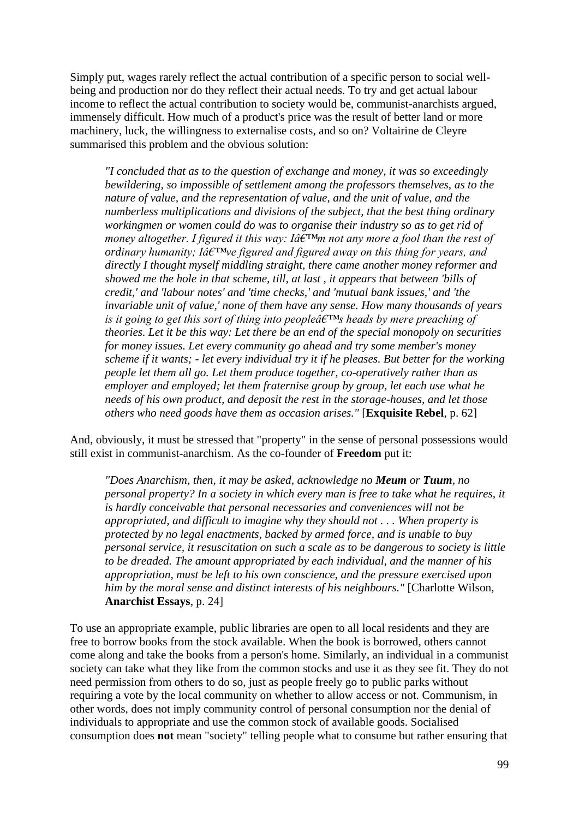Simply put, wages rarely reflect the actual contribution of a specific person to social wellbeing and production nor do they reflect their actual needs. To try and get actual labour income to reflect the actual contribution to society would be, communist-anarchists argued, immensely difficult. How much of a product's price was the result of better land or more machinery, luck, the willingness to externalise costs, and so on? Voltairine de Cleyre summarised this problem and the obvious solution:

*"I concluded that as to the question of exchange and money, it was so exceedingly bewildering, so impossible of settlement among the professors themselves, as to the nature of value, and the representation of value, and the unit of value, and the numberless multiplications and divisions of the subject, that the best thing ordinary workingmen or women could do was to organise their industry so as to get rid of money altogether. I figured it this way: I a* $\epsilon$ <sup>TM</sup>*m not any more a fool than the rest of ordinary humanity; Iâ* $\epsilon^{\text{TM}}$  *ve figured and figured away on this thing for years, and directly I thought myself middling straight, there came another money reformer and showed me the hole in that scheme, till, at last , it appears that between 'bills of credit,' and 'labour notes' and 'time checks,' and 'mutual bank issues,' and 'the invariable unit of value,' none of them have any sense. How many thousands of years is it going to get this sort of thing into people* $\hat{\alpha} \in T^M$ *s heads by mere preaching of theories. Let it be this way: Let there be an end of the special monopoly on securities for money issues. Let every community go ahead and try some member's money scheme if it wants; - let every individual try it if he pleases. But better for the working people let them all go. Let them produce together, co-operatively rather than as employer and employed; let them fraternise group by group, let each use what he needs of his own product, and deposit the rest in the storage-houses, and let those others who need goods have them as occasion arises."* [**Exquisite Rebel**, p. 62]

And, obviously, it must be stressed that "property" in the sense of personal possessions would still exist in communist-anarchism. As the co-founder of **Freedom** put it:

*"Does Anarchism, then, it may be asked, acknowledge no Meum or Tuum, no personal property? In a society in which every man is free to take what he requires, it is hardly conceivable that personal necessaries and conveniences will not be appropriated, and difficult to imagine why they should not . . . When property is protected by no legal enactments, backed by armed force, and is unable to buy personal service, it resuscitation on such a scale as to be dangerous to society is little to be dreaded. The amount appropriated by each individual, and the manner of his appropriation, must be left to his own conscience, and the pressure exercised upon him by the moral sense and distinct interests of his neighbours."* [Charlotte Wilson, **Anarchist Essays**, p. 24]

To use an appropriate example, public libraries are open to all local residents and they are free to borrow books from the stock available. When the book is borrowed, others cannot come along and take the books from a person's home. Similarly, an individual in a communist society can take what they like from the common stocks and use it as they see fit. They do not need permission from others to do so, just as people freely go to public parks without requiring a vote by the local community on whether to allow access or not. Communism, in other words, does not imply community control of personal consumption nor the denial of individuals to appropriate and use the common stock of available goods. Socialised consumption does **not** mean "society" telling people what to consume but rather ensuring that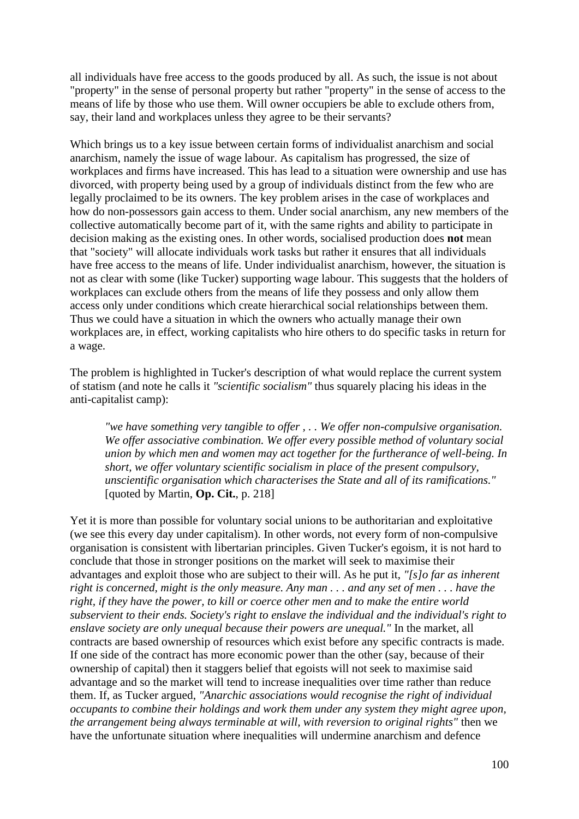all individuals have free access to the goods produced by all. As such, the issue is not about "property" in the sense of personal property but rather "property" in the sense of access to the means of life by those who use them. Will owner occupiers be able to exclude others from, say, their land and workplaces unless they agree to be their servants?

Which brings us to a key issue between certain forms of individualist anarchism and social anarchism, namely the issue of wage labour. As capitalism has progressed, the size of workplaces and firms have increased. This has lead to a situation were ownership and use has divorced, with property being used by a group of individuals distinct from the few who are legally proclaimed to be its owners. The key problem arises in the case of workplaces and how do non-possessors gain access to them. Under social anarchism, any new members of the collective automatically become part of it, with the same rights and ability to participate in decision making as the existing ones. In other words, socialised production does **not** mean that "society" will allocate individuals work tasks but rather it ensures that all individuals have free access to the means of life. Under individualist anarchism, however, the situation is not as clear with some (like Tucker) supporting wage labour. This suggests that the holders of workplaces can exclude others from the means of life they possess and only allow them access only under conditions which create hierarchical social relationships between them. Thus we could have a situation in which the owners who actually manage their own workplaces are, in effect, working capitalists who hire others to do specific tasks in return for a wage.

The problem is highlighted in Tucker's description of what would replace the current system of statism (and note he calls it *"scientific socialism"* thus squarely placing his ideas in the anti-capitalist camp):

*"we have something very tangible to offer , . . We offer non-compulsive organisation. We offer associative combination. We offer every possible method of voluntary social union by which men and women may act together for the furtherance of well-being. In short, we offer voluntary scientific socialism in place of the present compulsory, unscientific organisation which characterises the State and all of its ramifications."* [quoted by Martin, **Op. Cit.**, p. 218]

Yet it is more than possible for voluntary social unions to be authoritarian and exploitative (we see this every day under capitalism). In other words, not every form of non-compulsive organisation is consistent with libertarian principles. Given Tucker's egoism, it is not hard to conclude that those in stronger positions on the market will seek to maximise their advantages and exploit those who are subject to their will. As he put it, *"[s]o far as inherent right is concerned, might is the only measure. Any man . . . and any set of men . . . have the right, if they have the power, to kill or coerce other men and to make the entire world subservient to their ends. Society's right to enslave the individual and the individual's right to enslave society are only unequal because their powers are unequal."* In the market, all contracts are based ownership of resources which exist before any specific contracts is made. If one side of the contract has more economic power than the other (say, because of their ownership of capital) then it staggers belief that egoists will not seek to maximise said advantage and so the market will tend to increase inequalities over time rather than reduce them. If, as Tucker argued, *"Anarchic associations would recognise the right of individual occupants to combine their holdings and work them under any system they might agree upon, the arrangement being always terminable at will, with reversion to original rights"* then we have the unfortunate situation where inequalities will undermine anarchism and defence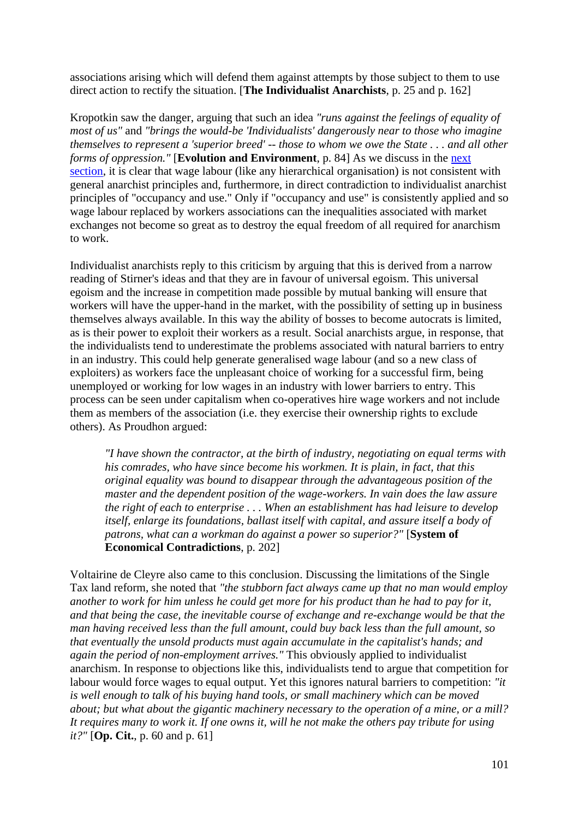associations arising which will defend them against attempts by those subject to them to use direct action to rectify the situation. [**The Individualist Anarchists**, p. 25 and p. 162]

Kropotkin saw the danger, arguing that such an idea *"runs against the feelings of equality of most of us"* and *"brings the would-be 'Individualists' dangerously near to those who imagine themselves to represent a 'superior breed' -- those to whom we owe the State . . . and all other forms of oppression."* [**Evolution and Environment**, p. 84] As we discuss in the [next](sectionG.html#secg41)  [section,](sectionG.html#secg41) it is clear that wage labour (like any hierarchical organisation) is not consistent with general anarchist principles and, furthermore, in direct contradiction to individualist anarchist principles of "occupancy and use." Only if "occupancy and use" is consistently applied and so wage labour replaced by workers associations can the inequalities associated with market exchanges not become so great as to destroy the equal freedom of all required for anarchism to work.

Individualist anarchists reply to this criticism by arguing that this is derived from a narrow reading of Stirner's ideas and that they are in favour of universal egoism. This universal egoism and the increase in competition made possible by mutual banking will ensure that workers will have the upper-hand in the market, with the possibility of setting up in business themselves always available. In this way the ability of bosses to become autocrats is limited, as is their power to exploit their workers as a result. Social anarchists argue, in response, that the individualists tend to underestimate the problems associated with natural barriers to entry in an industry. This could help generate generalised wage labour (and so a new class of exploiters) as workers face the unpleasant choice of working for a successful firm, being unemployed or working for low wages in an industry with lower barriers to entry. This process can be seen under capitalism when co-operatives hire wage workers and not include them as members of the association (i.e. they exercise their ownership rights to exclude others). As Proudhon argued:

*"I have shown the contractor, at the birth of industry, negotiating on equal terms with his comrades, who have since become his workmen. It is plain, in fact, that this original equality was bound to disappear through the advantageous position of the master and the dependent position of the wage-workers. In vain does the law assure the right of each to enterprise . . . When an establishment has had leisure to develop itself, enlarge its foundations, ballast itself with capital, and assure itself a body of patrons, what can a workman do against a power so superior?"* [**System of Economical Contradictions**, p. 202]

Voltairine de Cleyre also came to this conclusion. Discussing the limitations of the Single Tax land reform, she noted that *"the stubborn fact always came up that no man would employ another to work for him unless he could get more for his product than he had to pay for it, and that being the case, the inevitable course of exchange and re-exchange would be that the man having received less than the full amount, could buy back less than the full amount, so that eventually the unsold products must again accumulate in the capitalist's hands; and again the period of non-employment arrives."* This obviously applied to individualist anarchism. In response to objections like this, individualists tend to argue that competition for labour would force wages to equal output. Yet this ignores natural barriers to competition: *"it is well enough to talk of his buying hand tools, or small machinery which can be moved about; but what about the gigantic machinery necessary to the operation of a mine, or a mill? It requires many to work it. If one owns it, will he not make the others pay tribute for using it?"* [**Op. Cit.**, p. 60 and p. 61]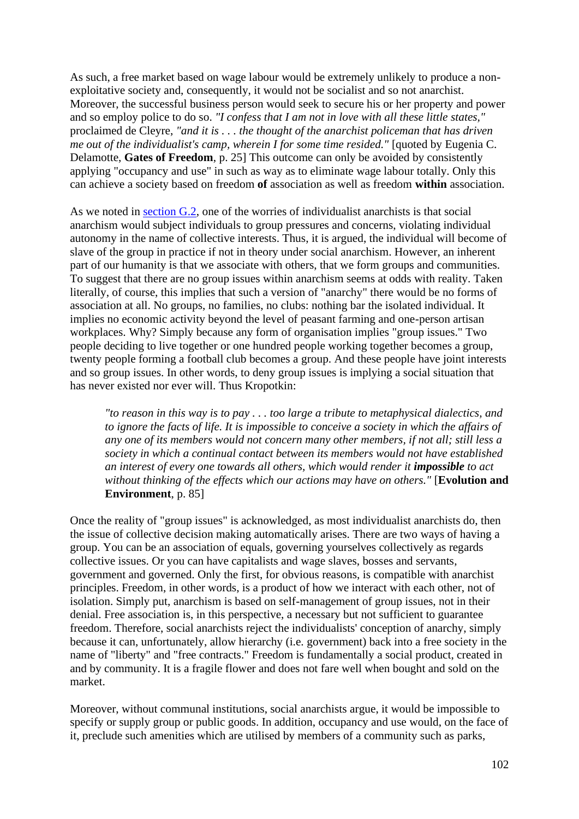As such, a free market based on wage labour would be extremely unlikely to produce a nonexploitative society and, consequently, it would not be socialist and so not anarchist. Moreover, the successful business person would seek to secure his or her property and power and so employ police to do so. *"I confess that I am not in love with all these little states,"* proclaimed de Cleyre, *"and it is . . . the thought of the anarchist policeman that has driven me out of the individualist's camp, wherein I for some time resided."* [quoted by Eugenia C. Delamotte, **Gates of Freedom**, p. 25] This outcome can only be avoided by consistently applying "occupancy and use" in such as way as to eliminate wage labour totally. Only this can achieve a society based on freedom **of** association as well as freedom **within** association.

As we noted in [section G.2,](sectionG.html#secg2) one of the worries of individualist anarchists is that social anarchism would subject individuals to group pressures and concerns, violating individual autonomy in the name of collective interests. Thus, it is argued, the individual will become of slave of the group in practice if not in theory under social anarchism. However, an inherent part of our humanity is that we associate with others, that we form groups and communities. To suggest that there are no group issues within anarchism seems at odds with reality. Taken literally, of course, this implies that such a version of "anarchy" there would be no forms of association at all. No groups, no families, no clubs: nothing bar the isolated individual. It implies no economic activity beyond the level of peasant farming and one-person artisan workplaces. Why? Simply because any form of organisation implies "group issues." Two people deciding to live together or one hundred people working together becomes a group, twenty people forming a football club becomes a group. And these people have joint interests and so group issues. In other words, to deny group issues is implying a social situation that has never existed nor ever will. Thus Kropotkin:

*"to reason in this way is to pay . . . too large a tribute to metaphysical dialectics, and to ignore the facts of life. It is impossible to conceive a society in which the affairs of any one of its members would not concern many other members, if not all; still less a society in which a continual contact between its members would not have established an interest of every one towards all others, which would render it impossible to act without thinking of the effects which our actions may have on others."* [**Evolution and Environment**, p. 85]

Once the reality of "group issues" is acknowledged, as most individualist anarchists do, then the issue of collective decision making automatically arises. There are two ways of having a group. You can be an association of equals, governing yourselves collectively as regards collective issues. Or you can have capitalists and wage slaves, bosses and servants, government and governed. Only the first, for obvious reasons, is compatible with anarchist principles. Freedom, in other words, is a product of how we interact with each other, not of isolation. Simply put, anarchism is based on self-management of group issues, not in their denial. Free association is, in this perspective, a necessary but not sufficient to guarantee freedom. Therefore, social anarchists reject the individualists' conception of anarchy, simply because it can, unfortunately, allow hierarchy (i.e. government) back into a free society in the name of "liberty" and "free contracts." Freedom is fundamentally a social product, created in and by community. It is a fragile flower and does not fare well when bought and sold on the market.

Moreover, without communal institutions, social anarchists argue, it would be impossible to specify or supply group or public goods. In addition, occupancy and use would, on the face of it, preclude such amenities which are utilised by members of a community such as parks,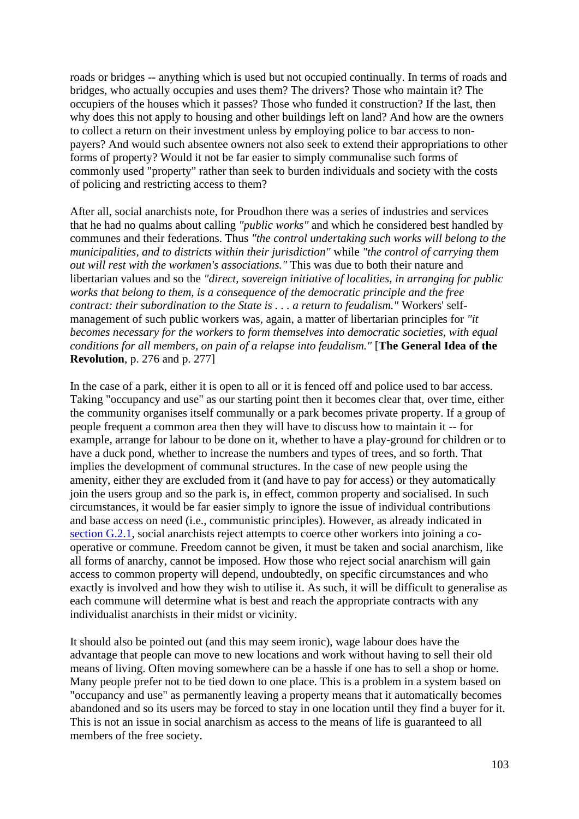roads or bridges -- anything which is used but not occupied continually. In terms of roads and bridges, who actually occupies and uses them? The drivers? Those who maintain it? The occupiers of the houses which it passes? Those who funded it construction? If the last, then why does this not apply to housing and other buildings left on land? And how are the owners to collect a return on their investment unless by employing police to bar access to nonpayers? And would such absentee owners not also seek to extend their appropriations to other forms of property? Would it not be far easier to simply communalise such forms of commonly used "property" rather than seek to burden individuals and society with the costs of policing and restricting access to them?

After all, social anarchists note, for Proudhon there was a series of industries and services that he had no qualms about calling *"public works"* and which he considered best handled by communes and their federations. Thus *"the control undertaking such works will belong to the municipalities, and to districts within their jurisdiction"* while *"the control of carrying them out will rest with the workmen's associations."* This was due to both their nature and libertarian values and so the *"direct, sovereign initiative of localities, in arranging for public works that belong to them, is a consequence of the democratic principle and the free contract: their subordination to the State is . . . a return to feudalism."* Workers' selfmanagement of such public workers was, again, a matter of libertarian principles for *"it becomes necessary for the workers to form themselves into democratic societies, with equal conditions for all members, on pain of a relapse into feudalism."* [**The General Idea of the Revolution**, p. 276 and p. 277]

In the case of a park, either it is open to all or it is fenced off and police used to bar access. Taking "occupancy and use" as our starting point then it becomes clear that, over time, either the community organises itself communally or a park becomes private property. If a group of people frequent a common area then they will have to discuss how to maintain it -- for example, arrange for labour to be done on it, whether to have a play-ground for children or to have a duck pond, whether to increase the numbers and types of trees, and so forth. That implies the development of communal structures. In the case of new people using the amenity, either they are excluded from it (and have to pay for access) or they automatically join the users group and so the park is, in effect, common property and socialised. In such circumstances, it would be far easier simply to ignore the issue of individual contributions and base access on need (i.e., communistic principles). However, as already indicated in [section G.2.1,](sectionG.html#secg21) social anarchists reject attempts to coerce other workers into joining a cooperative or commune. Freedom cannot be given, it must be taken and social anarchism, like all forms of anarchy, cannot be imposed. How those who reject social anarchism will gain access to common property will depend, undoubtedly, on specific circumstances and who exactly is involved and how they wish to utilise it. As such, it will be difficult to generalise as each commune will determine what is best and reach the appropriate contracts with any individualist anarchists in their midst or vicinity.

It should also be pointed out (and this may seem ironic), wage labour does have the advantage that people can move to new locations and work without having to sell their old means of living. Often moving somewhere can be a hassle if one has to sell a shop or home. Many people prefer not to be tied down to one place. This is a problem in a system based on "occupancy and use" as permanently leaving a property means that it automatically becomes abandoned and so its users may be forced to stay in one location until they find a buyer for it. This is not an issue in social anarchism as access to the means of life is guaranteed to all members of the free society.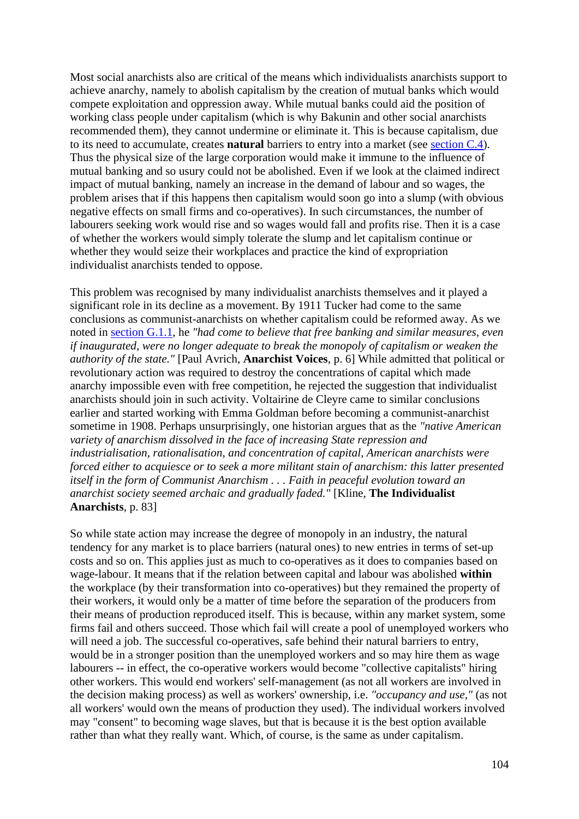Most social anarchists also are critical of the means which individualists anarchists support to achieve anarchy, namely to abolish capitalism by the creation of mutual banks which would compete exploitation and oppression away. While mutual banks could aid the position of working class people under capitalism (which is why Bakunin and other social anarchists recommended them), they cannot undermine or eliminate it. This is because capitalism, due to its need to accumulate, creates **natural** barriers to entry into a market (see [section C.4\)](sectionC.html#secc4). Thus the physical size of the large corporation would make it immune to the influence of mutual banking and so usury could not be abolished. Even if we look at the claimed indirect impact of mutual banking, namely an increase in the demand of labour and so wages, the problem arises that if this happens then capitalism would soon go into a slump (with obvious negative effects on small firms and co-operatives). In such circumstances, the number of labourers seeking work would rise and so wages would fall and profits rise. Then it is a case of whether the workers would simply tolerate the slump and let capitalism continue or whether they would seize their workplaces and practice the kind of expropriation individualist anarchists tended to oppose.

This problem was recognised by many individualist anarchists themselves and it played a significant role in its decline as a movement. By 1911 Tucker had come to the same conclusions as communist-anarchists on whether capitalism could be reformed away. As we noted in [section G.1.1,](sectionG.html#secg11) he *"had come to believe that free banking and similar measures, even if inaugurated, were no longer adequate to break the monopoly of capitalism or weaken the authority of the state."* [Paul Avrich, **Anarchist Voices**, p. 6] While admitted that political or revolutionary action was required to destroy the concentrations of capital which made anarchy impossible even with free competition, he rejected the suggestion that individualist anarchists should join in such activity. Voltairine de Cleyre came to similar conclusions earlier and started working with Emma Goldman before becoming a communist-anarchist sometime in 1908. Perhaps unsurprisingly, one historian argues that as the *"native American variety of anarchism dissolved in the face of increasing State repression and industrialisation, rationalisation, and concentration of capital, American anarchists were forced either to acquiesce or to seek a more militant stain of anarchism: this latter presented itself in the form of Communist Anarchism . . . Faith in peaceful evolution toward an anarchist society seemed archaic and gradually faded."* [Kline, **The Individualist Anarchists**, p. 83]

So while state action may increase the degree of monopoly in an industry, the natural tendency for any market is to place barriers (natural ones) to new entries in terms of set-up costs and so on. This applies just as much to co-operatives as it does to companies based on wage-labour. It means that if the relation between capital and labour was abolished **within** the workplace (by their transformation into co-operatives) but they remained the property of their workers, it would only be a matter of time before the separation of the producers from their means of production reproduced itself. This is because, within any market system, some firms fail and others succeed. Those which fail will create a pool of unemployed workers who will need a job. The successful co-operatives, safe behind their natural barriers to entry, would be in a stronger position than the unemployed workers and so may hire them as wage labourers -- in effect, the co-operative workers would become "collective capitalists" hiring other workers. This would end workers' self-management (as not all workers are involved in the decision making process) as well as workers' ownership, i.e. *"occupancy and use,"* (as not all workers' would own the means of production they used). The individual workers involved may "consent" to becoming wage slaves, but that is because it is the best option available rather than what they really want. Which, of course, is the same as under capitalism.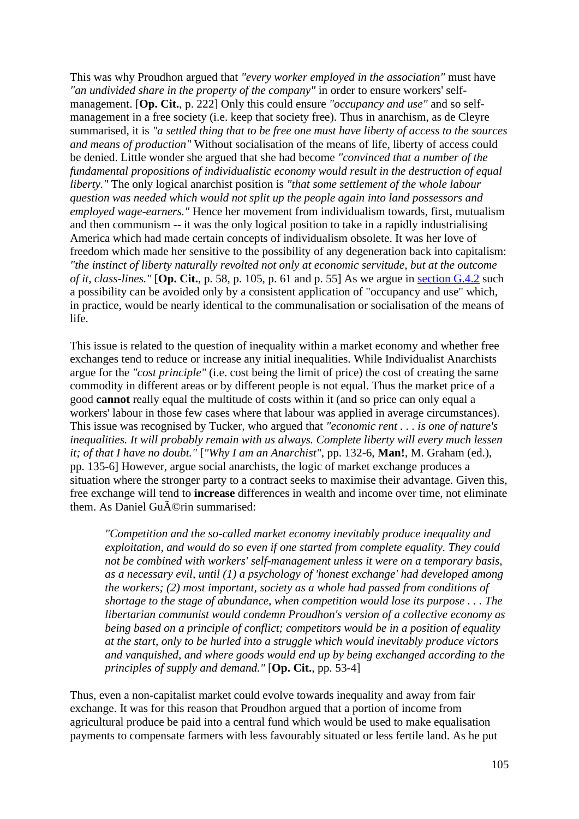This was why Proudhon argued that *"every worker employed in the association"* must have *"an undivided share in the property of the company"* in order to ensure workers' selfmanagement. [**Op. Cit.**, p. 222] Only this could ensure *"occupancy and use"* and so selfmanagement in a free society (i.e. keep that society free). Thus in anarchism, as de Cleyre summarised, it is *"a settled thing that to be free one must have liberty of access to the sources and means of production"* Without socialisation of the means of life, liberty of access could be denied. Little wonder she argued that she had become *"convinced that a number of the fundamental propositions of individualistic economy would result in the destruction of equal liberty."* The only logical anarchist position is *"that some settlement of the whole labour question was needed which would not split up the people again into land possessors and employed wage-earners."* Hence her movement from individualism towards, first, mutualism and then communism -- it was the only logical position to take in a rapidly industrialising America which had made certain concepts of individualism obsolete. It was her love of freedom which made her sensitive to the possibility of any degeneration back into capitalism: *"the instinct of liberty naturally revolted not only at economic servitude, but at the outcome of it, class-lines."* [**Op. Cit.**, p. 58, p. 105, p. 61 and p. 55] As we argue in [section G.4.2](sectionG.html#secg42) such a possibility can be avoided only by a consistent application of "occupancy and use" which, in practice, would be nearly identical to the communalisation or socialisation of the means of life.

This issue is related to the question of inequality within a market economy and whether free exchanges tend to reduce or increase any initial inequalities. While Individualist Anarchists argue for the *"cost principle"* (i.e. cost being the limit of price) the cost of creating the same commodity in different areas or by different people is not equal. Thus the market price of a good **cannot** really equal the multitude of costs within it (and so price can only equal a workers' labour in those few cases where that labour was applied in average circumstances). This issue was recognised by Tucker, who argued that *"economic rent . . . is one of nature's inequalities. It will probably remain with us always. Complete liberty will every much lessen it; of that I have no doubt."* [*"Why I am an Anarchist"*, pp. 132-6, **Man!**, M. Graham (ed.), pp. 135-6] However, argue social anarchists, the logic of market exchange produces a situation where the stronger party to a contract seeks to maximise their advantage. Given this, free exchange will tend to **increase** differences in wealth and income over time, not eliminate them. As Daniel Gu $\tilde{A}$ ©rin summarised:

*"Competition and the so-called market economy inevitably produce inequality and exploitation, and would do so even if one started from complete equality. They could not be combined with workers' self-management unless it were on a temporary basis, as a necessary evil, until (1) a psychology of 'honest exchange' had developed among the workers; (2) most important, society as a whole had passed from conditions of shortage to the stage of abundance, when competition would lose its purpose . . . The libertarian communist would condemn Proudhon's version of a collective economy as being based on a principle of conflict; competitors would be in a position of equality at the start, only to be hurled into a struggle which would inevitably produce victors and vanquished, and where goods would end up by being exchanged according to the principles of supply and demand."* [**Op. Cit.**, pp. 53-4]

Thus, even a non-capitalist market could evolve towards inequality and away from fair exchange. It was for this reason that Proudhon argued that a portion of income from agricultural produce be paid into a central fund which would be used to make equalisation payments to compensate farmers with less favourably situated or less fertile land. As he put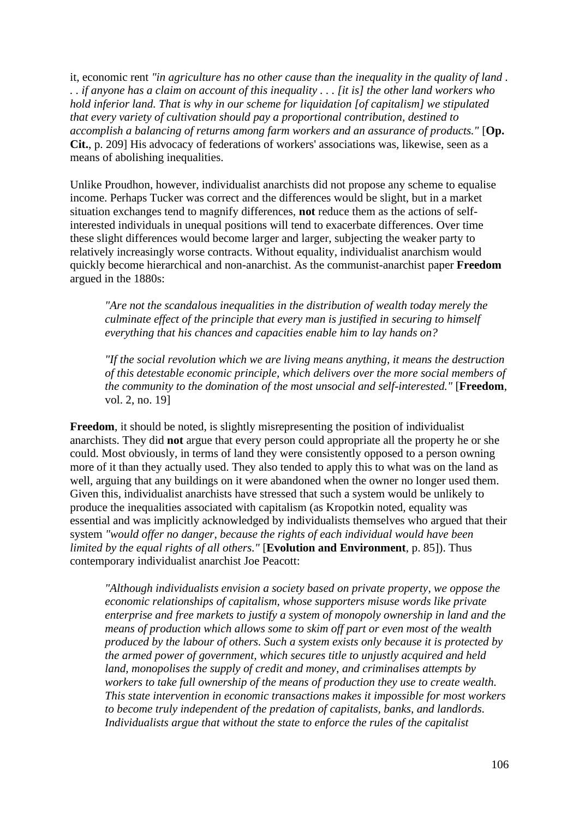it, economic rent *"in agriculture has no other cause than the inequality in the quality of land . . . if anyone has a claim on account of this inequality . . . [it is] the other land workers who hold inferior land. That is why in our scheme for liquidation [of capitalism] we stipulated that every variety of cultivation should pay a proportional contribution, destined to accomplish a balancing of returns among farm workers and an assurance of products."* [**Op. Cit.**, p. 209] His advocacy of federations of workers' associations was, likewise, seen as a means of abolishing inequalities.

Unlike Proudhon, however, individualist anarchists did not propose any scheme to equalise income. Perhaps Tucker was correct and the differences would be slight, but in a market situation exchanges tend to magnify differences, **not** reduce them as the actions of selfinterested individuals in unequal positions will tend to exacerbate differences. Over time these slight differences would become larger and larger, subjecting the weaker party to relatively increasingly worse contracts. Without equality, individualist anarchism would quickly become hierarchical and non-anarchist. As the communist-anarchist paper **Freedom** argued in the 1880s:

*"Are not the scandalous inequalities in the distribution of wealth today merely the culminate effect of the principle that every man is justified in securing to himself everything that his chances and capacities enable him to lay hands on?*

*"If the social revolution which we are living means anything, it means the destruction of this detestable economic principle, which delivers over the more social members of the community to the domination of the most unsocial and self-interested."* [**Freedom**, vol. 2, no. 19]

**Freedom**, it should be noted, is slightly misrepresenting the position of individualist anarchists. They did **not** argue that every person could appropriate all the property he or she could. Most obviously, in terms of land they were consistently opposed to a person owning more of it than they actually used. They also tended to apply this to what was on the land as well, arguing that any buildings on it were abandoned when the owner no longer used them. Given this, individualist anarchists have stressed that such a system would be unlikely to produce the inequalities associated with capitalism (as Kropotkin noted, equality was essential and was implicitly acknowledged by individualists themselves who argued that their system *"would offer no danger, because the rights of each individual would have been limited by the equal rights of all others."* [**Evolution and Environment**, p. 85]). Thus contemporary individualist anarchist Joe Peacott:

*"Although individualists envision a society based on private property, we oppose the economic relationships of capitalism, whose supporters misuse words like private enterprise and free markets to justify a system of monopoly ownership in land and the means of production which allows some to skim off part or even most of the wealth produced by the labour of others. Such a system exists only because it is protected by the armed power of government, which secures title to unjustly acquired and held land, monopolises the supply of credit and money, and criminalises attempts by workers to take full ownership of the means of production they use to create wealth. This state intervention in economic transactions makes it impossible for most workers to become truly independent of the predation of capitalists, banks, and landlords. Individualists argue that without the state to enforce the rules of the capitalist*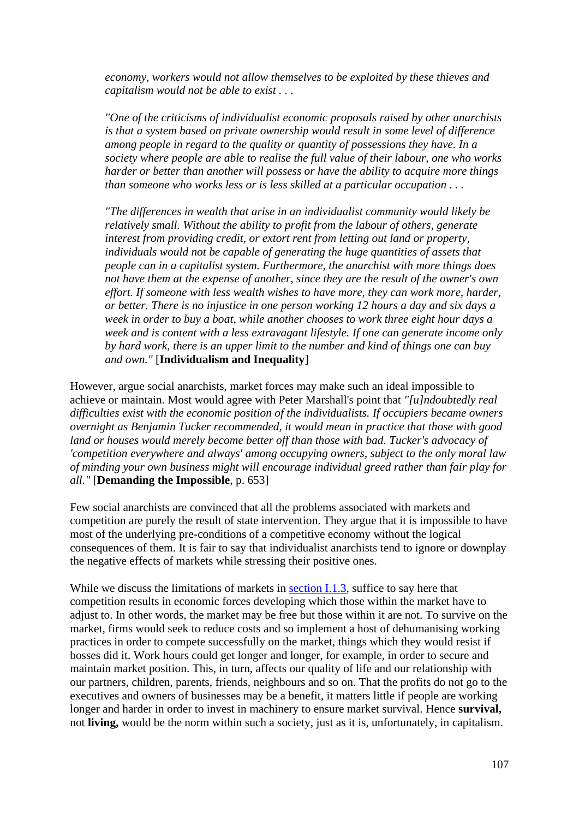*economy, workers would not allow themselves to be exploited by these thieves and capitalism would not be able to exist . . .*

*"One of the criticisms of individualist economic proposals raised by other anarchists is that a system based on private ownership would result in some level of difference among people in regard to the quality or quantity of possessions they have. In a society where people are able to realise the full value of their labour, one who works harder or better than another will possess or have the ability to acquire more things than someone who works less or is less skilled at a particular occupation . . .*

*"The differences in wealth that arise in an individualist community would likely be relatively small. Without the ability to profit from the labour of others, generate interest from providing credit, or extort rent from letting out land or property, individuals would not be capable of generating the huge quantities of assets that people can in a capitalist system. Furthermore, the anarchist with more things does not have them at the expense of another, since they are the result of the owner's own effort. If someone with less wealth wishes to have more, they can work more, harder, or better. There is no injustice in one person working 12 hours a day and six days a week in order to buy a boat, while another chooses to work three eight hour days a week and is content with a less extravagant lifestyle. If one can generate income only by hard work, there is an upper limit to the number and kind of things one can buy and own."* [**Individualism and Inequality**]

However, argue social anarchists, market forces may make such an ideal impossible to achieve or maintain. Most would agree with Peter Marshall's point that *"[u]ndoubtedly real difficulties exist with the economic position of the individualists. If occupiers became owners overnight as Benjamin Tucker recommended, it would mean in practice that those with good land or houses would merely become better off than those with bad. Tucker's advocacy of 'competition everywhere and always' among occupying owners, subject to the only moral law of minding your own business might will encourage individual greed rather than fair play for all."* [**Demanding the Impossible**, p. 653]

Few social anarchists are convinced that all the problems associated with markets and competition are purely the result of state intervention. They argue that it is impossible to have most of the underlying pre-conditions of a competitive economy without the logical consequences of them. It is fair to say that individualist anarchists tend to ignore or downplay the negative effects of markets while stressing their positive ones.

While we discuss the limitations of markets in [section I.1.3,](sectionI.html#seci13) suffice to say here that competition results in economic forces developing which those within the market have to adjust to. In other words, the market may be free but those within it are not. To survive on the market, firms would seek to reduce costs and so implement a host of dehumanising working practices in order to compete successfully on the market, things which they would resist if bosses did it. Work hours could get longer and longer, for example, in order to secure and maintain market position. This, in turn, affects our quality of life and our relationship with our partners, children, parents, friends, neighbours and so on. That the profits do not go to the executives and owners of businesses may be a benefit, it matters little if people are working longer and harder in order to invest in machinery to ensure market survival. Hence **survival,** not **living,** would be the norm within such a society, just as it is, unfortunately, in capitalism.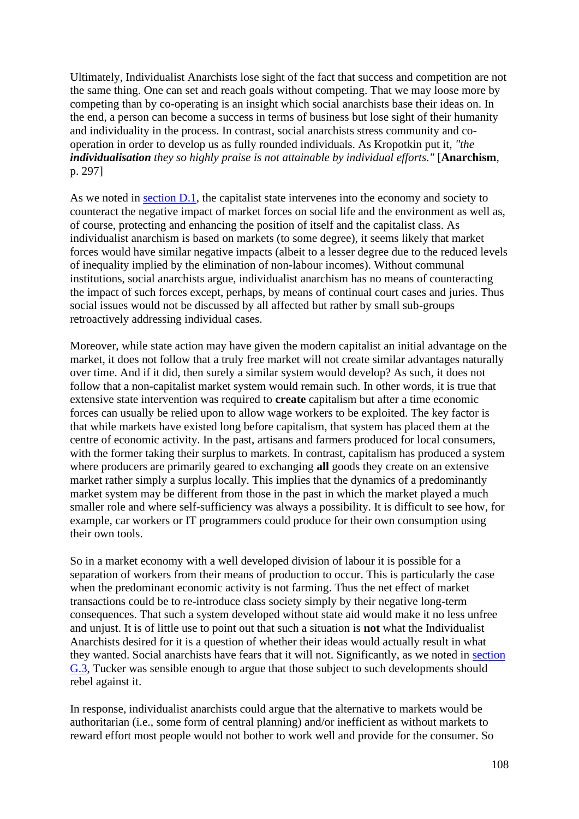Ultimately, Individualist Anarchists lose sight of the fact that success and competition are not the same thing. One can set and reach goals without competing. That we may loose more by competing than by co-operating is an insight which social anarchists base their ideas on. In the end, a person can become a success in terms of business but lose sight of their humanity and individuality in the process. In contrast, social anarchists stress community and cooperation in order to develop us as fully rounded individuals. As Kropotkin put it, *"the individualisation they so highly praise is not attainable by individual efforts."* [**Anarchism**, p. 297]

As we noted in [section D.1,](sectionD.html#secd1) the capitalist state intervenes into the economy and society to counteract the negative impact of market forces on social life and the environment as well as, of course, protecting and enhancing the position of itself and the capitalist class. As individualist anarchism is based on markets (to some degree), it seems likely that market forces would have similar negative impacts (albeit to a lesser degree due to the reduced levels of inequality implied by the elimination of non-labour incomes). Without communal institutions, social anarchists argue, individualist anarchism has no means of counteracting the impact of such forces except, perhaps, by means of continual court cases and juries. Thus social issues would not be discussed by all affected but rather by small sub-groups retroactively addressing individual cases.

Moreover, while state action may have given the modern capitalist an initial advantage on the market, it does not follow that a truly free market will not create similar advantages naturally over time. And if it did, then surely a similar system would develop? As such, it does not follow that a non-capitalist market system would remain such. In other words, it is true that extensive state intervention was required to **create** capitalism but after a time economic forces can usually be relied upon to allow wage workers to be exploited. The key factor is that while markets have existed long before capitalism, that system has placed them at the centre of economic activity. In the past, artisans and farmers produced for local consumers, with the former taking their surplus to markets. In contrast, capitalism has produced a system where producers are primarily geared to exchanging **all** goods they create on an extensive market rather simply a surplus locally. This implies that the dynamics of a predominantly market system may be different from those in the past in which the market played a much smaller role and where self-sufficiency was always a possibility. It is difficult to see how, for example, car workers or IT programmers could produce for their own consumption using their own tools.

So in a market economy with a well developed division of labour it is possible for a separation of workers from their means of production to occur. This is particularly the case when the predominant economic activity is not farming. Thus the net effect of market transactions could be to re-introduce class society simply by their negative long-term consequences. That such a system developed without state aid would make it no less unfree and unjust. It is of little use to point out that such a situation is **not** what the Individualist Anarchists desired for it is a question of whether their ideas would actually result in what they wanted. Social anarchists have fears that it will not. Significantly, as we noted in [section](sectionG.html#secg3)  [G.3,](sectionG.html#secg3) Tucker was sensible enough to argue that those subject to such developments should rebel against it.

In response, individualist anarchists could argue that the alternative to markets would be authoritarian (i.e., some form of central planning) and/or inefficient as without markets to reward effort most people would not bother to work well and provide for the consumer. So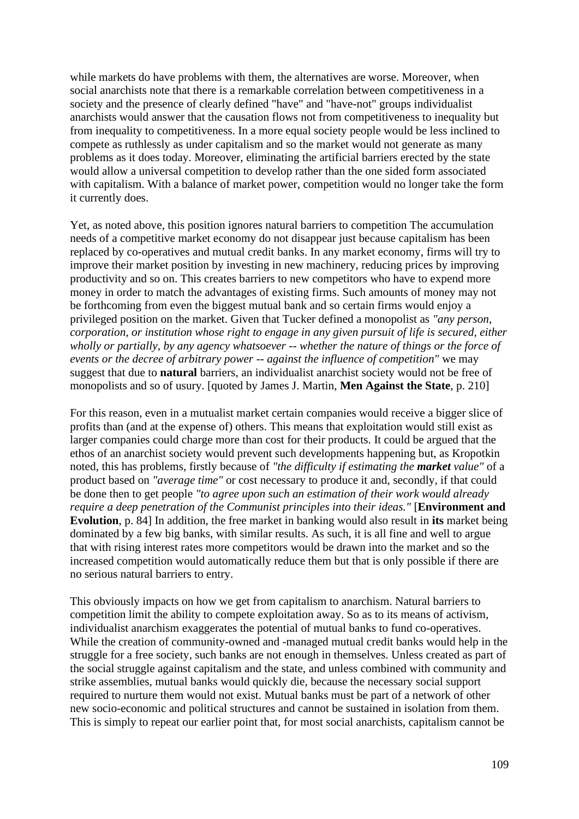while markets do have problems with them, the alternatives are worse. Moreover, when social anarchists note that there is a remarkable correlation between competitiveness in a society and the presence of clearly defined "have" and "have-not" groups individualist anarchists would answer that the causation flows not from competitiveness to inequality but from inequality to competitiveness. In a more equal society people would be less inclined to compete as ruthlessly as under capitalism and so the market would not generate as many problems as it does today. Moreover, eliminating the artificial barriers erected by the state would allow a universal competition to develop rather than the one sided form associated with capitalism. With a balance of market power, competition would no longer take the form it currently does.

Yet, as noted above, this position ignores natural barriers to competition The accumulation needs of a competitive market economy do not disappear just because capitalism has been replaced by co-operatives and mutual credit banks. In any market economy, firms will try to improve their market position by investing in new machinery, reducing prices by improving productivity and so on. This creates barriers to new competitors who have to expend more money in order to match the advantages of existing firms. Such amounts of money may not be forthcoming from even the biggest mutual bank and so certain firms would enjoy a privileged position on the market. Given that Tucker defined a monopolist as *"any person, corporation, or institution whose right to engage in any given pursuit of life is secured, either wholly or partially, by any agency whatsoever -- whether the nature of things or the force of events or the decree of arbitrary power -- against the influence of competition"* we may suggest that due to **natural** barriers, an individualist anarchist society would not be free of monopolists and so of usury. [quoted by James J. Martin, **Men Against the State**, p. 210]

For this reason, even in a mutualist market certain companies would receive a bigger slice of profits than (and at the expense of) others. This means that exploitation would still exist as larger companies could charge more than cost for their products. It could be argued that the ethos of an anarchist society would prevent such developments happening but, as Kropotkin noted, this has problems, firstly because of *"the difficulty if estimating the market value"* of a product based on *"average time"* or cost necessary to produce it and, secondly, if that could be done then to get people *"to agree upon such an estimation of their work would already require a deep penetration of the Communist principles into their ideas."* [**Environment and Evolution**, p. 84] In addition, the free market in banking would also result in **its** market being dominated by a few big banks, with similar results. As such, it is all fine and well to argue that with rising interest rates more competitors would be drawn into the market and so the increased competition would automatically reduce them but that is only possible if there are no serious natural barriers to entry.

This obviously impacts on how we get from capitalism to anarchism. Natural barriers to competition limit the ability to compete exploitation away. So as to its means of activism, individualist anarchism exaggerates the potential of mutual banks to fund co-operatives. While the creation of community-owned and -managed mutual credit banks would help in the struggle for a free society, such banks are not enough in themselves. Unless created as part of the social struggle against capitalism and the state, and unless combined with community and strike assemblies, mutual banks would quickly die, because the necessary social support required to nurture them would not exist. Mutual banks must be part of a network of other new socio-economic and political structures and cannot be sustained in isolation from them. This is simply to repeat our earlier point that, for most social anarchists, capitalism cannot be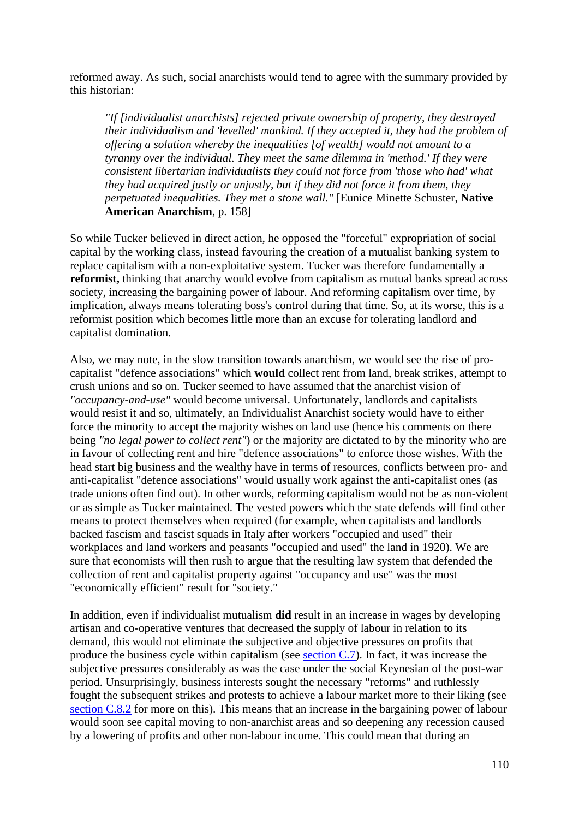reformed away. As such, social anarchists would tend to agree with the summary provided by this historian:

*"If [individualist anarchists] rejected private ownership of property, they destroyed their individualism and 'levelled' mankind. If they accepted it, they had the problem of offering a solution whereby the inequalities [of wealth] would not amount to a tyranny over the individual. They meet the same dilemma in 'method.' If they were consistent libertarian individualists they could not force from 'those who had' what they had acquired justly or unjustly, but if they did not force it from them, they perpetuated inequalities. They met a stone wall."* [Eunice Minette Schuster, **Native American Anarchism**, p. 158]

So while Tucker believed in direct action, he opposed the "forceful" expropriation of social capital by the working class, instead favouring the creation of a mutualist banking system to replace capitalism with a non-exploitative system. Tucker was therefore fundamentally a **reformist,** thinking that anarchy would evolve from capitalism as mutual banks spread across society, increasing the bargaining power of labour. And reforming capitalism over time, by implication, always means tolerating boss's control during that time. So, at its worse, this is a reformist position which becomes little more than an excuse for tolerating landlord and capitalist domination.

Also, we may note, in the slow transition towards anarchism, we would see the rise of procapitalist "defence associations" which **would** collect rent from land, break strikes, attempt to crush unions and so on. Tucker seemed to have assumed that the anarchist vision of *"occupancy-and-use"* would become universal. Unfortunately, landlords and capitalists would resist it and so, ultimately, an Individualist Anarchist society would have to either force the minority to accept the majority wishes on land use (hence his comments on there being *"no legal power to collect rent"*) or the majority are dictated to by the minority who are in favour of collecting rent and hire "defence associations" to enforce those wishes. With the head start big business and the wealthy have in terms of resources, conflicts between pro- and anti-capitalist "defence associations" would usually work against the anti-capitalist ones (as trade unions often find out). In other words, reforming capitalism would not be as non-violent or as simple as Tucker maintained. The vested powers which the state defends will find other means to protect themselves when required (for example, when capitalists and landlords backed fascism and fascist squads in Italy after workers "occupied and used" their workplaces and land workers and peasants "occupied and used" the land in 1920). We are sure that economists will then rush to argue that the resulting law system that defended the collection of rent and capitalist property against "occupancy and use" was the most "economically efficient" result for "society."

In addition, even if individualist mutualism **did** result in an increase in wages by developing artisan and co-operative ventures that decreased the supply of labour in relation to its demand, this would not eliminate the subjective and objective pressures on profits that produce the business cycle within capitalism (see [section C.7\)](sectionC.html#secc7). In fact, it was increase the subjective pressures considerably as was the case under the social Keynesian of the post-war period. Unsurprisingly, business interests sought the necessary "reforms" and ruthlessly fought the subsequent strikes and protests to achieve a labour market more to their liking (see [section C.8.2](sectionC.html#secc82) for more on this). This means that an increase in the bargaining power of labour would soon see capital moving to non-anarchist areas and so deepening any recession caused by a lowering of profits and other non-labour income. This could mean that during an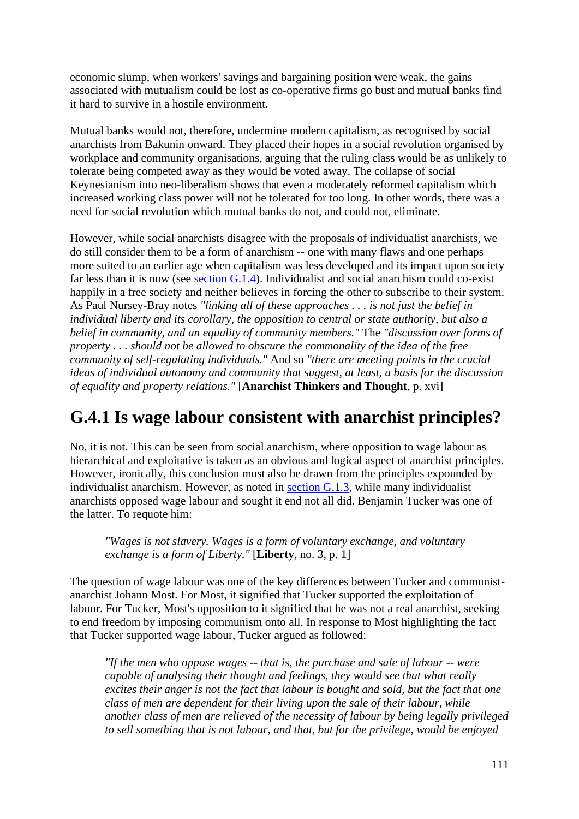economic slump, when workers' savings and bargaining position were weak, the gains associated with mutualism could be lost as co-operative firms go bust and mutual banks find it hard to survive in a hostile environment.

Mutual banks would not, therefore, undermine modern capitalism, as recognised by social anarchists from Bakunin onward. They placed their hopes in a social revolution organised by workplace and community organisations, arguing that the ruling class would be as unlikely to tolerate being competed away as they would be voted away. The collapse of social Keynesianism into neo-liberalism shows that even a moderately reformed capitalism which increased working class power will not be tolerated for too long. In other words, there was a need for social revolution which mutual banks do not, and could not, eliminate.

However, while social anarchists disagree with the proposals of individualist anarchists, we do still consider them to be a form of anarchism -- one with many flaws and one perhaps more suited to an earlier age when capitalism was less developed and its impact upon society far less than it is now (see  $\frac{\text{section } G.1.4}{\text{Total}}$ ). Individualist and social anarchism could co-exist happily in a free society and neither believes in forcing the other to subscribe to their system. As Paul Nursey-Bray notes *"linking all of these approaches . . . is not just the belief in individual liberty and its corollary, the opposition to central or state authority, but also a belief in community, and an equality of community members."* The *"discussion over forms of property . . . should not be allowed to obscure the commonality of the idea of the free community of self-regulating individuals."* And so *"there are meeting points in the crucial ideas of individual autonomy and community that suggest, at least, a basis for the discussion of equality and property relations."* [**Anarchist Thinkers and Thought**, p. xvi]

### **G.4.1 Is wage labour consistent with anarchist principles?**

No, it is not. This can be seen from social anarchism, where opposition to wage labour as hierarchical and exploitative is taken as an obvious and logical aspect of anarchist principles. However, ironically, this conclusion must also be drawn from the principles expounded by individualist anarchism. However, as noted in [section G.1.3,](sectionG.html#secg13) while many individualist anarchists opposed wage labour and sought it end not all did. Benjamin Tucker was one of the latter. To requote him:

*"Wages is not slavery. Wages is a form of voluntary exchange, and voluntary exchange is a form of Liberty."* [**Liberty**, no. 3, p. 1]

The question of wage labour was one of the key differences between Tucker and communistanarchist Johann Most. For Most, it signified that Tucker supported the exploitation of labour. For Tucker, Most's opposition to it signified that he was not a real anarchist, seeking to end freedom by imposing communism onto all. In response to Most highlighting the fact that Tucker supported wage labour, Tucker argued as followed:

*"If the men who oppose wages -- that is, the purchase and sale of labour -- were capable of analysing their thought and feelings, they would see that what really excites their anger is not the fact that labour is bought and sold, but the fact that one class of men are dependent for their living upon the sale of their labour, while another class of men are relieved of the necessity of labour by being legally privileged to sell something that is not labour, and that, but for the privilege, would be enjoyed*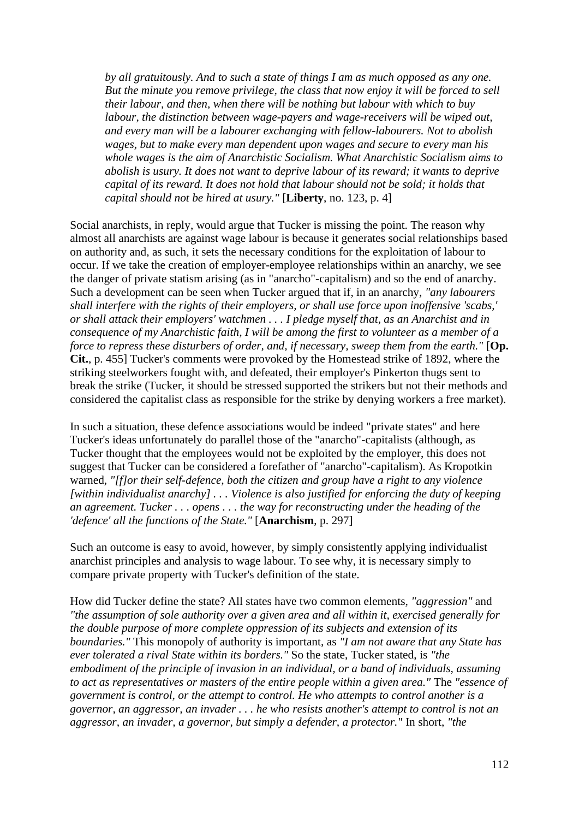*by all gratuitously. And to such a state of things I am as much opposed as any one. But the minute you remove privilege, the class that now enjoy it will be forced to sell their labour, and then, when there will be nothing but labour with which to buy labour, the distinction between wage-payers and wage-receivers will be wiped out, and every man will be a labourer exchanging with fellow-labourers. Not to abolish wages, but to make every man dependent upon wages and secure to every man his whole wages is the aim of Anarchistic Socialism. What Anarchistic Socialism aims to abolish is usury. It does not want to deprive labour of its reward; it wants to deprive capital of its reward. It does not hold that labour should not be sold; it holds that capital should not be hired at usury."* [**Liberty**, no. 123, p. 4]

Social anarchists, in reply, would argue that Tucker is missing the point. The reason why almost all anarchists are against wage labour is because it generates social relationships based on authority and, as such, it sets the necessary conditions for the exploitation of labour to occur. If we take the creation of employer-employee relationships within an anarchy, we see the danger of private statism arising (as in "anarcho"-capitalism) and so the end of anarchy. Such a development can be seen when Tucker argued that if, in an anarchy, *"any labourers shall interfere with the rights of their employers, or shall use force upon inoffensive 'scabs,' or shall attack their employers' watchmen . . . I pledge myself that, as an Anarchist and in consequence of my Anarchistic faith, I will be among the first to volunteer as a member of a force to repress these disturbers of order, and, if necessary, sweep them from the earth."* [**Op. Cit.**, p. 455] Tucker's comments were provoked by the Homestead strike of 1892, where the striking steelworkers fought with, and defeated, their employer's Pinkerton thugs sent to break the strike (Tucker, it should be stressed supported the strikers but not their methods and considered the capitalist class as responsible for the strike by denying workers a free market).

In such a situation, these defence associations would be indeed "private states" and here Tucker's ideas unfortunately do parallel those of the "anarcho"-capitalists (although, as Tucker thought that the employees would not be exploited by the employer, this does not suggest that Tucker can be considered a forefather of "anarcho"-capitalism). As Kropotkin warned, *"[f]or their self-defence, both the citizen and group have a right to any violence [within individualist anarchy] . . . Violence is also justified for enforcing the duty of keeping an agreement. Tucker . . . opens . . . the way for reconstructing under the heading of the 'defence' all the functions of the State."* [**Anarchism**, p. 297]

Such an outcome is easy to avoid, however, by simply consistently applying individualist anarchist principles and analysis to wage labour. To see why, it is necessary simply to compare private property with Tucker's definition of the state.

How did Tucker define the state? All states have two common elements, *"aggression"* and *"the assumption of sole authority over a given area and all within it, exercised generally for the double purpose of more complete oppression of its subjects and extension of its boundaries."* This monopoly of authority is important, as *"I am not aware that any State has ever tolerated a rival State within its borders."* So the state, Tucker stated, is *"the embodiment of the principle of invasion in an individual, or a band of individuals, assuming to act as representatives or masters of the entire people within a given area."* The *"essence of government is control, or the attempt to control. He who attempts to control another is a governor, an aggressor, an invader . . . he who resists another's attempt to control is not an aggressor, an invader, a governor, but simply a defender, a protector."* In short, *"the*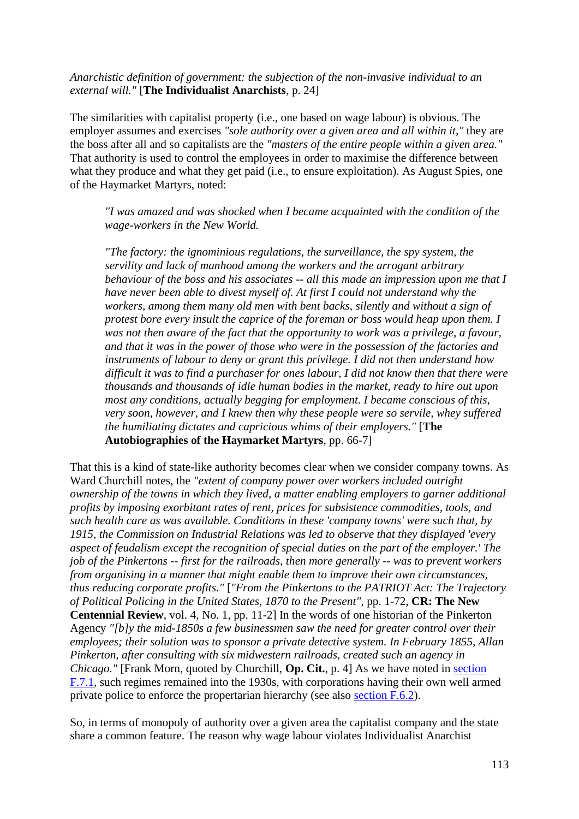#### *Anarchistic definition of government: the subjection of the non-invasive individual to an external will."* [**The Individualist Anarchists**, p. 24]

The similarities with capitalist property (i.e., one based on wage labour) is obvious. The employer assumes and exercises *"sole authority over a given area and all within it,"* they are the boss after all and so capitalists are the *"masters of the entire people within a given area."* That authority is used to control the employees in order to maximise the difference between what they produce and what they get paid (i.e., to ensure exploitation). As August Spies, one of the Haymarket Martyrs, noted:

*"I was amazed and was shocked when I became acquainted with the condition of the wage-workers in the New World.*

*"The factory: the ignominious regulations, the surveillance, the spy system, the servility and lack of manhood among the workers and the arrogant arbitrary behaviour of the boss and his associates -- all this made an impression upon me that I have never been able to divest myself of. At first I could not understand why the workers, among them many old men with bent backs, silently and without a sign of protest bore every insult the caprice of the foreman or boss would heap upon them. I was not then aware of the fact that the opportunity to work was a privilege, a favour, and that it was in the power of those who were in the possession of the factories and instruments of labour to deny or grant this privilege. I did not then understand how difficult it was to find a purchaser for ones labour, I did not know then that there were thousands and thousands of idle human bodies in the market, ready to hire out upon most any conditions, actually begging for employment. I became conscious of this, very soon, however, and I knew then why these people were so servile, whey suffered the humiliating dictates and capricious whims of their employers."* [**The Autobiographies of the Haymarket Martyrs**, pp. 66-7]

That this is a kind of state-like authority becomes clear when we consider company towns. As Ward Churchill notes, the *"extent of company power over workers included outright ownership of the towns in which they lived, a matter enabling employers to garner additional profits by imposing exorbitant rates of rent, prices for subsistence commodities, tools, and such health care as was available. Conditions in these 'company towns' were such that, by 1915, the Commission on Industrial Relations was led to observe that they displayed 'every aspect of feudalism except the recognition of special duties on the part of the employer.' The job of the Pinkertons -- first for the railroads, then more generally -- was to prevent workers from organising in a manner that might enable them to improve their own circumstances, thus reducing corporate profits."* [*"From the Pinkertons to the PATRIOT Act: The Trajectory of Political Policing in the United States, 1870 to the Present"*, pp. 1-72, **CR: The New Centennial Review**, vol. 4, No. 1, pp. 11-2] In the words of one historian of the Pinkerton Agency *"[b]y the mid-1850s a few businessmen saw the need for greater control over their employees; their solution was to sponsor a private detective system. In February 1855, Allan Pinkerton, after consulting with six midwestern railroads, created such an agency in Chicago."* [Frank Morn, quoted by Churchill, **Op. Cit.**, p. 4] As we have noted in [section](sectionF.html#secf671)  [F.7.1,](sectionF.html#secf671) such regimes remained into the 1930s, with corporations having their own well armed private police to enforce the propertarian hierarchy (see also [section F.6.2\)](sectionF.html#secf62).

So, in terms of monopoly of authority over a given area the capitalist company and the state share a common feature. The reason why wage labour violates Individualist Anarchist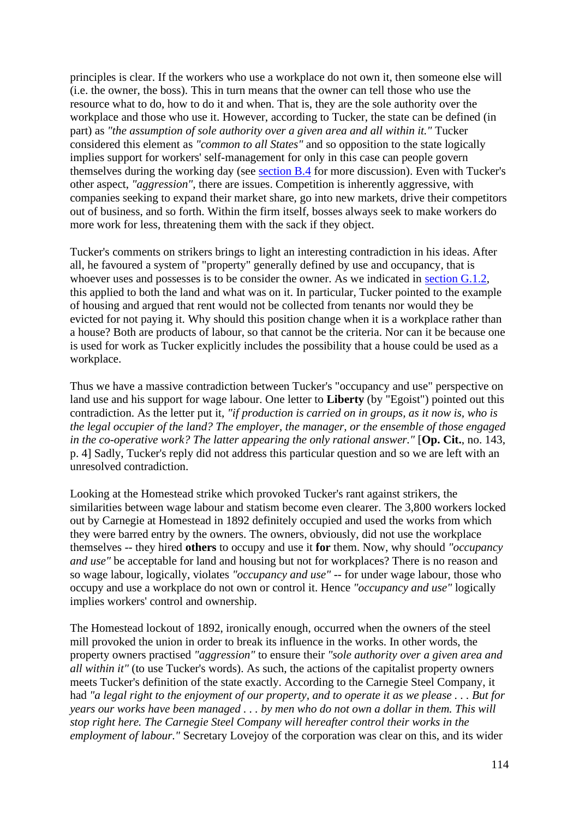principles is clear. If the workers who use a workplace do not own it, then someone else will (i.e. the owner, the boss). This in turn means that the owner can tell those who use the resource what to do, how to do it and when. That is, they are the sole authority over the workplace and those who use it. However, according to Tucker, the state can be defined (in part) as *"the assumption of sole authority over a given area and all within it."* Tucker considered this element as *"common to all States"* and so opposition to the state logically implies support for workers' self-management for only in this case can people govern themselves during the working day (see [section B.4](sectionB.html#secb4) for more discussion). Even with Tucker's other aspect, *"aggression"*, there are issues. Competition is inherently aggressive, with companies seeking to expand their market share, go into new markets, drive their competitors out of business, and so forth. Within the firm itself, bosses always seek to make workers do more work for less, threatening them with the sack if they object.

Tucker's comments on strikers brings to light an interesting contradiction in his ideas. After all, he favoured a system of "property" generally defined by use and occupancy, that is whoever uses and possesses is to be consider the owner. As we indicated in [section G.1.2,](sectionG.html#secg12) this applied to both the land and what was on it. In particular, Tucker pointed to the example of housing and argued that rent would not be collected from tenants nor would they be evicted for not paying it. Why should this position change when it is a workplace rather than a house? Both are products of labour, so that cannot be the criteria. Nor can it be because one is used for work as Tucker explicitly includes the possibility that a house could be used as a workplace.

Thus we have a massive contradiction between Tucker's "occupancy and use" perspective on land use and his support for wage labour. One letter to **Liberty** (by "Egoist") pointed out this contradiction. As the letter put it, *"if production is carried on in groups, as it now is, who is the legal occupier of the land? The employer, the manager, or the ensemble of those engaged in the co-operative work? The latter appearing the only rational answer."* [**Op. Cit.**, no. 143, p. 4] Sadly, Tucker's reply did not address this particular question and so we are left with an unresolved contradiction.

Looking at the Homestead strike which provoked Tucker's rant against strikers, the similarities between wage labour and statism become even clearer. The 3,800 workers locked out by Carnegie at Homestead in 1892 definitely occupied and used the works from which they were barred entry by the owners. The owners, obviously, did not use the workplace themselves -- they hired **others** to occupy and use it **for** them. Now, why should *"occupancy and use"* be acceptable for land and housing but not for workplaces? There is no reason and so wage labour, logically, violates *"occupancy and use"* -- for under wage labour, those who occupy and use a workplace do not own or control it. Hence *"occupancy and use"* logically implies workers' control and ownership.

The Homestead lockout of 1892, ironically enough, occurred when the owners of the steel mill provoked the union in order to break its influence in the works. In other words, the property owners practised *"aggression"* to ensure their *"sole authority over a given area and all within it"* (to use Tucker's words). As such, the actions of the capitalist property owners meets Tucker's definition of the state exactly. According to the Carnegie Steel Company, it had *"a legal right to the enjoyment of our property, and to operate it as we please . . . But for years our works have been managed . . . by men who do not own a dollar in them. This will stop right here. The Carnegie Steel Company will hereafter control their works in the employment of labour."* Secretary Lovejoy of the corporation was clear on this, and its wider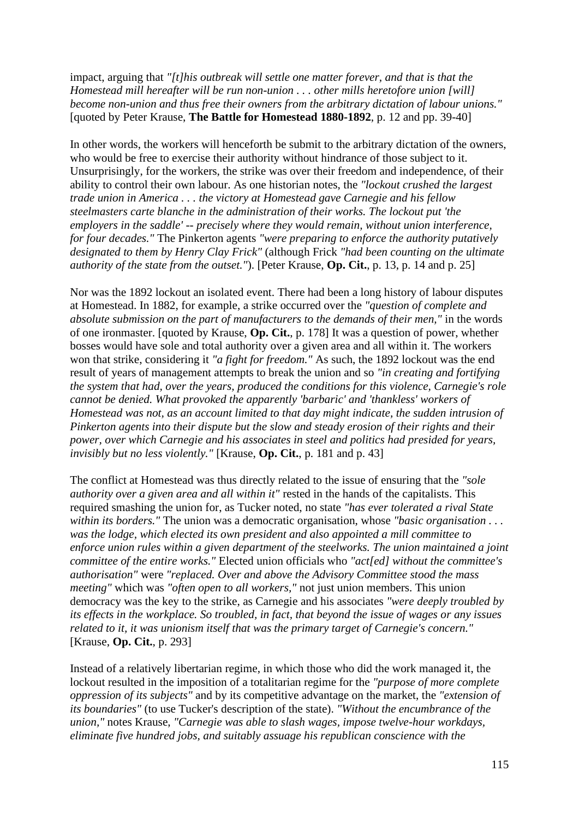impact, arguing that *"[t]his outbreak will settle one matter forever, and that is that the Homestead mill hereafter will be run non-union . . . other mills heretofore union [will] become non-union and thus free their owners from the arbitrary dictation of labour unions."* [quoted by Peter Krause, **The Battle for Homestead 1880-1892**, p. 12 and pp. 39-40]

In other words, the workers will henceforth be submit to the arbitrary dictation of the owners, who would be free to exercise their authority without hindrance of those subject to it. Unsurprisingly, for the workers, the strike was over their freedom and independence, of their ability to control their own labour. As one historian notes, the *"lockout crushed the largest trade union in America . . . the victory at Homestead gave Carnegie and his fellow steelmasters carte blanche in the administration of their works. The lockout put 'the employers in the saddle' -- precisely where they would remain, without union interference, for four decades."* The Pinkerton agents *"were preparing to enforce the authority putatively designated to them by Henry Clay Frick"* (although Frick *"had been counting on the ultimate authority of the state from the outset."*). [Peter Krause, **Op. Cit.**, p. 13, p. 14 and p. 25]

Nor was the 1892 lockout an isolated event. There had been a long history of labour disputes at Homestead. In 1882, for example, a strike occurred over the *"question of complete and absolute submission on the part of manufacturers to the demands of their men,"* in the words of one ironmaster. [quoted by Krause, **Op. Cit.**, p. 178] It was a question of power, whether bosses would have sole and total authority over a given area and all within it. The workers won that strike, considering it *"a fight for freedom."* As such, the 1892 lockout was the end result of years of management attempts to break the union and so *"in creating and fortifying the system that had, over the years, produced the conditions for this violence, Carnegie's role cannot be denied. What provoked the apparently 'barbaric' and 'thankless' workers of Homestead was not, as an account limited to that day might indicate, the sudden intrusion of Pinkerton agents into their dispute but the slow and steady erosion of their rights and their power, over which Carnegie and his associates in steel and politics had presided for years, invisibly but no less violently."* [Krause, **Op. Cit.**, p. 181 and p. 43]

The conflict at Homestead was thus directly related to the issue of ensuring that the *"sole authority over a given area and all within it"* rested in the hands of the capitalists. This required smashing the union for, as Tucker noted, no state *"has ever tolerated a rival State within its borders."* The union was a democratic organisation, whose *"basic organisation . . . was the lodge, which elected its own president and also appointed a mill committee to enforce union rules within a given department of the steelworks. The union maintained a joint committee of the entire works."* Elected union officials who *"act[ed] without the committee's authorisation"* were *"replaced. Over and above the Advisory Committee stood the mass meeting"* which was *"often open to all workers,"* not just union members. This union democracy was the key to the strike, as Carnegie and his associates *"were deeply troubled by its effects in the workplace. So troubled, in fact, that beyond the issue of wages or any issues related to it, it was unionism itself that was the primary target of Carnegie's concern."* [Krause, **Op. Cit.**, p. 293]

Instead of a relatively libertarian regime, in which those who did the work managed it, the lockout resulted in the imposition of a totalitarian regime for the *"purpose of more complete oppression of its subjects"* and by its competitive advantage on the market, the *"extension of its boundaries"* (to use Tucker's description of the state). *"Without the encumbrance of the union,"* notes Krause, *"Carnegie was able to slash wages, impose twelve-hour workdays, eliminate five hundred jobs, and suitably assuage his republican conscience with the*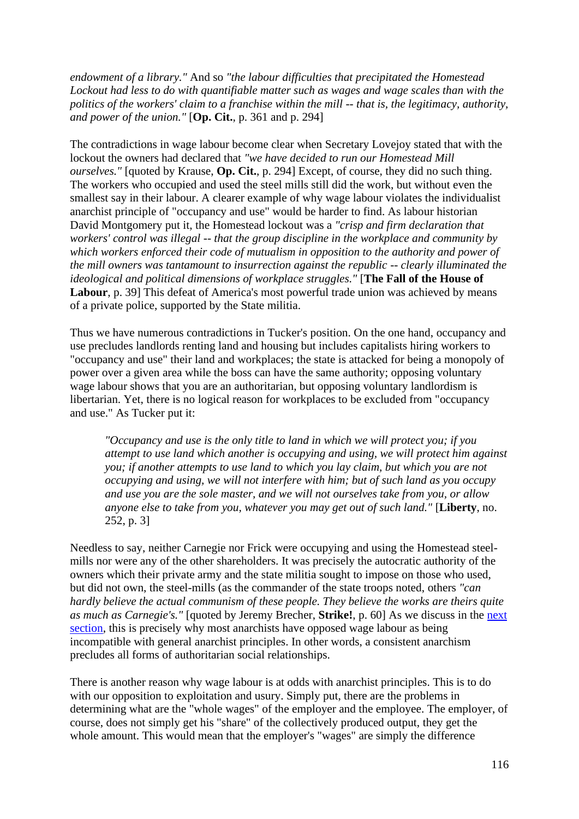*endowment of a library."* And so *"the labour difficulties that precipitated the Homestead Lockout had less to do with quantifiable matter such as wages and wage scales than with the politics of the workers' claim to a franchise within the mill -- that is, the legitimacy, authority, and power of the union."* [**Op. Cit.**, p. 361 and p. 294]

The contradictions in wage labour become clear when Secretary Lovejoy stated that with the lockout the owners had declared that *"we have decided to run our Homestead Mill ourselves."* [quoted by Krause, **Op. Cit.**, p. 294] Except, of course, they did no such thing. The workers who occupied and used the steel mills still did the work, but without even the smallest say in their labour. A clearer example of why wage labour violates the individualist anarchist principle of "occupancy and use" would be harder to find. As labour historian David Montgomery put it, the Homestead lockout was a *"crisp and firm declaration that workers' control was illegal -- that the group discipline in the workplace and community by which workers enforced their code of mutualism in opposition to the authority and power of the mill owners was tantamount to insurrection against the republic -- clearly illuminated the ideological and political dimensions of workplace struggles."* [**The Fall of the House of Labour**, p. 39] This defeat of America's most powerful trade union was achieved by means of a private police, supported by the State militia.

Thus we have numerous contradictions in Tucker's position. On the one hand, occupancy and use precludes landlords renting land and housing but includes capitalists hiring workers to "occupancy and use" their land and workplaces; the state is attacked for being a monopoly of power over a given area while the boss can have the same authority; opposing voluntary wage labour shows that you are an authoritarian, but opposing voluntary landlordism is libertarian. Yet, there is no logical reason for workplaces to be excluded from "occupancy and use." As Tucker put it:

*"Occupancy and use is the only title to land in which we will protect you; if you attempt to use land which another is occupying and using, we will protect him against you; if another attempts to use land to which you lay claim, but which you are not occupying and using, we will not interfere with him; but of such land as you occupy and use you are the sole master, and we will not ourselves take from you, or allow anyone else to take from you, whatever you may get out of such land."* [**Liberty**, no. 252, p. 3]

Needless to say, neither Carnegie nor Frick were occupying and using the Homestead steelmills nor were any of the other shareholders. It was precisely the autocratic authority of the owners which their private army and the state militia sought to impose on those who used, but did not own, the steel-mills (as the commander of the state troops noted, others *"can hardly believe the actual communism of these people. They believe the works are theirs quite as much as Carnegie's."* [quoted by Jeremy Brecher, **Strike!**, p. 60] As we discuss in the [next](sectionG.html#secg42)  [section,](sectionG.html#secg42) this is precisely why most anarchists have opposed wage labour as being incompatible with general anarchist principles. In other words, a consistent anarchism precludes all forms of authoritarian social relationships.

There is another reason why wage labour is at odds with anarchist principles. This is to do with our opposition to exploitation and usury. Simply put, there are the problems in determining what are the "whole wages" of the employer and the employee. The employer, of course, does not simply get his "share" of the collectively produced output, they get the whole amount. This would mean that the employer's "wages" are simply the difference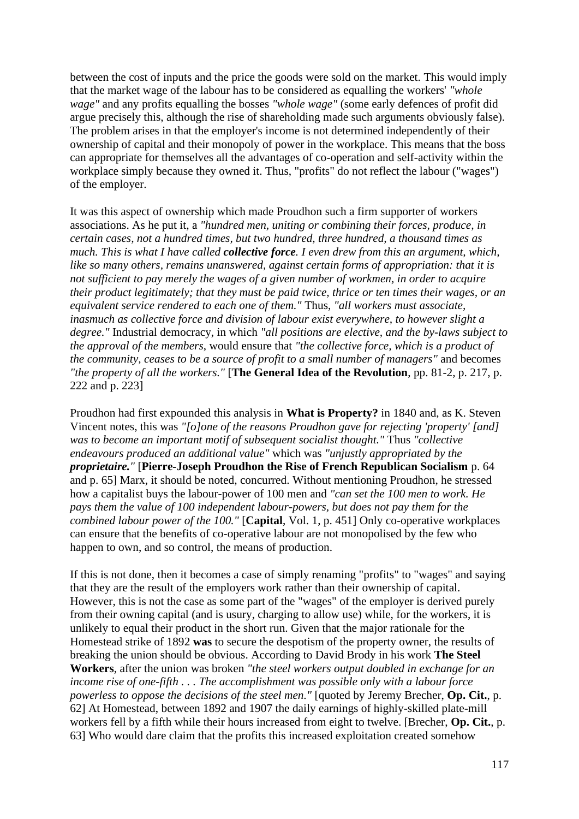between the cost of inputs and the price the goods were sold on the market. This would imply that the market wage of the labour has to be considered as equalling the workers' *"whole wage"* and any profits equalling the bosses *"whole wage"* (some early defences of profit did argue precisely this, although the rise of shareholding made such arguments obviously false). The problem arises in that the employer's income is not determined independently of their ownership of capital and their monopoly of power in the workplace. This means that the boss can appropriate for themselves all the advantages of co-operation and self-activity within the workplace simply because they owned it. Thus, "profits" do not reflect the labour ("wages") of the employer.

It was this aspect of ownership which made Proudhon such a firm supporter of workers associations. As he put it, a *"hundred men, uniting or combining their forces, produce, in certain cases, not a hundred times, but two hundred, three hundred, a thousand times as much. This is what I have called collective force. I even drew from this an argument, which, like so many others, remains unanswered, against certain forms of appropriation: that it is not sufficient to pay merely the wages of a given number of workmen, in order to acquire their product legitimately; that they must be paid twice, thrice or ten times their wages, or an equivalent service rendered to each one of them."* Thus, *"all workers must associate, inasmuch as collective force and division of labour exist everywhere, to however slight a degree."* Industrial democracy, in which *"all positions are elective, and the by-laws subject to the approval of the members*, would ensure that *"the collective force, which is a product of the community, ceases to be a source of profit to a small number of managers"* and becomes *"the property of all the workers."* [**The General Idea of the Revolution**, pp. 81-2, p. 217, p. 222 and p. 223]

Proudhon had first expounded this analysis in **What is Property?** in 1840 and, as K. Steven Vincent notes, this was *"[o]one of the reasons Proudhon gave for rejecting 'property' [and] was to become an important motif of subsequent socialist thought."* Thus *"collective endeavours produced an additional value"* which was *"unjustly appropriated by the proprietaire."* [**Pierre-Joseph Proudhon the Rise of French Republican Socialism** p. 64 and p. 65] Marx, it should be noted, concurred. Without mentioning Proudhon, he stressed how a capitalist buys the labour-power of 100 men and *"can set the 100 men to work. He pays them the value of 100 independent labour-powers, but does not pay them for the combined labour power of the 100."* [**Capital**, Vol. 1, p. 451] Only co-operative workplaces can ensure that the benefits of co-operative labour are not monopolised by the few who happen to own, and so control, the means of production.

If this is not done, then it becomes a case of simply renaming "profits" to "wages" and saying that they are the result of the employers work rather than their ownership of capital. However, this is not the case as some part of the "wages" of the employer is derived purely from their owning capital (and is usury, charging to allow use) while, for the workers, it is unlikely to equal their product in the short run. Given that the major rationale for the Homestead strike of 1892 **was** to secure the despotism of the property owner, the results of breaking the union should be obvious. According to David Brody in his work **The Steel Workers**, after the union was broken *"the steel workers output doubled in exchange for an income rise of one-fifth . . . The accomplishment was possible only with a labour force powerless to oppose the decisions of the steel men."* [quoted by Jeremy Brecher, **Op. Cit.**, p. 62] At Homestead, between 1892 and 1907 the daily earnings of highly-skilled plate-mill workers fell by a fifth while their hours increased from eight to twelve. [Brecher, **Op. Cit.**, p. 63] Who would dare claim that the profits this increased exploitation created somehow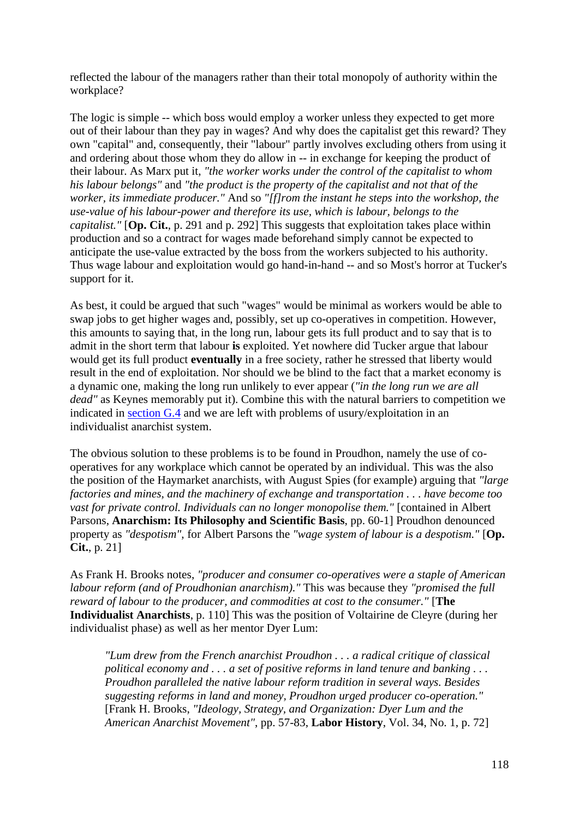reflected the labour of the managers rather than their total monopoly of authority within the workplace?

The logic is simple -- which boss would employ a worker unless they expected to get more out of their labour than they pay in wages? And why does the capitalist get this reward? They own "capital" and, consequently, their "labour" partly involves excluding others from using it and ordering about those whom they do allow in -- in exchange for keeping the product of their labour. As Marx put it, *"the worker works under the control of the capitalist to whom his labour belongs"* and *"the product is the property of the capitalist and not that of the worker, its immediate producer."* And so *"[f]rom the instant he steps into the workshop, the use-value of his labour-power and therefore its use, which is labour, belongs to the capitalist."* [**Op. Cit.**, p. 291 and p. 292] This suggests that exploitation takes place within production and so a contract for wages made beforehand simply cannot be expected to anticipate the use-value extracted by the boss from the workers subjected to his authority. Thus wage labour and exploitation would go hand-in-hand -- and so Most's horror at Tucker's support for it.

As best, it could be argued that such "wages" would be minimal as workers would be able to swap jobs to get higher wages and, possibly, set up co-operatives in competition. However, this amounts to saying that, in the long run, labour gets its full product and to say that is to admit in the short term that labour **is** exploited. Yet nowhere did Tucker argue that labour would get its full product **eventually** in a free society, rather he stressed that liberty would result in the end of exploitation. Nor should we be blind to the fact that a market economy is a dynamic one, making the long run unlikely to ever appear (*"in the long run we are all dead"* as Keynes memorably put it). Combine this with the natural barriers to competition we indicated in [section G.4](sectionG.html#secg4) and we are left with problems of usury/exploitation in an individualist anarchist system.

The obvious solution to these problems is to be found in Proudhon, namely the use of cooperatives for any workplace which cannot be operated by an individual. This was the also the position of the Haymarket anarchists, with August Spies (for example) arguing that *"large factories and mines, and the machinery of exchange and transportation . . . have become too vast for private control. Individuals can no longer monopolise them."* [contained in Albert Parsons, **Anarchism: Its Philosophy and Scientific Basis**, pp. 60-1] Proudhon denounced property as *"despotism"*, for Albert Parsons the *"wage system of labour is a despotism."* [**Op. Cit.**, p. 21]

As Frank H. Brooks notes, *"producer and consumer co-operatives were a staple of American labour reform (and of Proudhonian anarchism)."* This was because they *"promised the full reward of labour to the producer, and commodities at cost to the consumer."* [**The Individualist Anarchists**, p. 110] This was the position of Voltairine de Cleyre (during her individualist phase) as well as her mentor Dyer Lum:

*"Lum drew from the French anarchist Proudhon . . . a radical critique of classical political economy and . . . a set of positive reforms in land tenure and banking . . . Proudhon paralleled the native labour reform tradition in several ways. Besides suggesting reforms in land and money, Proudhon urged producer co-operation."* [Frank H. Brooks, *"Ideology, Strategy, and Organization: Dyer Lum and the American Anarchist Movement"*, pp. 57-83, **Labor History**, Vol. 34, No. 1, p. 72]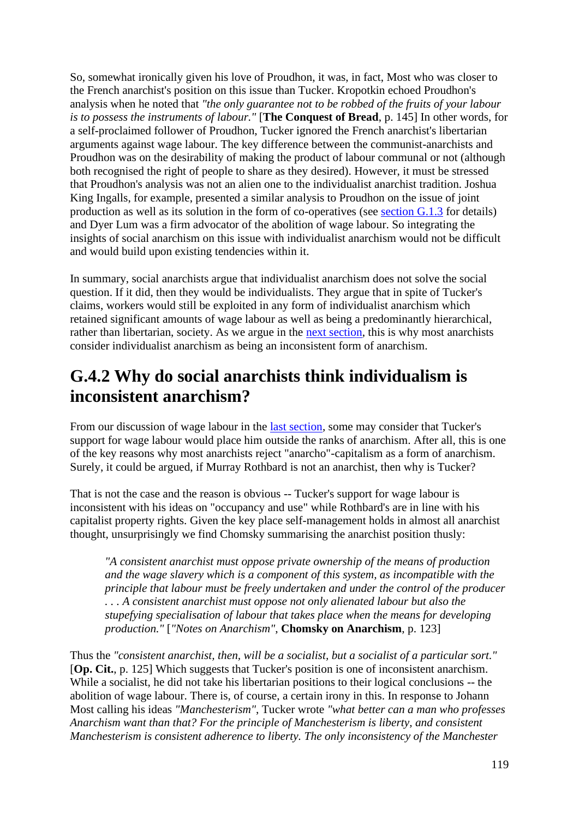So, somewhat ironically given his love of Proudhon, it was, in fact, Most who was closer to the French anarchist's position on this issue than Tucker. Kropotkin echoed Proudhon's analysis when he noted that *"the only guarantee not to be robbed of the fruits of your labour is to possess the instruments of labour."* [**The Conquest of Bread**, p. 145] In other words, for a self-proclaimed follower of Proudhon, Tucker ignored the French anarchist's libertarian arguments against wage labour. The key difference between the communist-anarchists and Proudhon was on the desirability of making the product of labour communal or not (although both recognised the right of people to share as they desired). However, it must be stressed that Proudhon's analysis was not an alien one to the individualist anarchist tradition. Joshua King Ingalls, for example, presented a similar analysis to Proudhon on the issue of joint production as well as its solution in the form of co-operatives (see [section G.1.3](sectionG.html#secg13) for details) and Dyer Lum was a firm advocator of the abolition of wage labour. So integrating the insights of social anarchism on this issue with individualist anarchism would not be difficult and would build upon existing tendencies within it.

In summary, social anarchists argue that individualist anarchism does not solve the social question. If it did, then they would be individualists. They argue that in spite of Tucker's claims, workers would still be exploited in any form of individualist anarchism which retained significant amounts of wage labour as well as being a predominantly hierarchical, rather than libertarian, society. As we argue in the [next section,](sectionG.html#secg42) this is why most anarchists consider individualist anarchism as being an inconsistent form of anarchism.

## **G.4.2 Why do social anarchists think individualism is inconsistent anarchism?**

From our discussion of wage labour in the [last section,](sectionG.html#secg41) some may consider that Tucker's support for wage labour would place him outside the ranks of anarchism. After all, this is one of the key reasons why most anarchists reject "anarcho"-capitalism as a form of anarchism. Surely, it could be argued, if Murray Rothbard is not an anarchist, then why is Tucker?

That is not the case and the reason is obvious -- Tucker's support for wage labour is inconsistent with his ideas on "occupancy and use" while Rothbard's are in line with his capitalist property rights. Given the key place self-management holds in almost all anarchist thought, unsurprisingly we find Chomsky summarising the anarchist position thusly:

*"A consistent anarchist must oppose private ownership of the means of production and the wage slavery which is a component of this system, as incompatible with the principle that labour must be freely undertaken and under the control of the producer . . . A consistent anarchist must oppose not only alienated labour but also the stupefying specialisation of labour that takes place when the means for developing production."* [*"Notes on Anarchism"*, **Chomsky on Anarchism**, p. 123]

Thus the *"consistent anarchist, then, will be a socialist, but a socialist of a particular sort."* [**Op. Cit.**, p. 125] Which suggests that Tucker's position is one of inconsistent anarchism. While a socialist, he did not take his libertarian positions to their logical conclusions -- the abolition of wage labour. There is, of course, a certain irony in this. In response to Johann Most calling his ideas *"Manchesterism"*, Tucker wrote *"what better can a man who professes Anarchism want than that? For the principle of Manchesterism is liberty, and consistent Manchesterism is consistent adherence to liberty. The only inconsistency of the Manchester*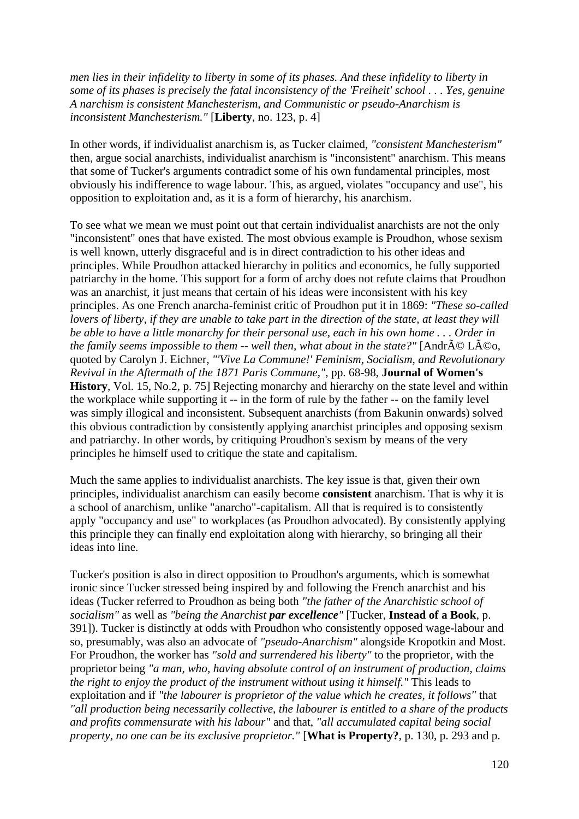*men lies in their infidelity to liberty in some of its phases. And these infidelity to liberty in some of its phases is precisely the fatal inconsistency of the 'Freiheit' school . . . Yes, genuine A narchism is consistent Manchesterism, and Communistic or pseudo-Anarchism is inconsistent Manchesterism."* [**Liberty**, no. 123, p. 4]

In other words, if individualist anarchism is, as Tucker claimed, *"consistent Manchesterism"* then, argue social anarchists, individualist anarchism is "inconsistent" anarchism. This means that some of Tucker's arguments contradict some of his own fundamental principles, most obviously his indifference to wage labour. This, as argued, violates "occupancy and use", his opposition to exploitation and, as it is a form of hierarchy, his anarchism.

To see what we mean we must point out that certain individualist anarchists are not the only "inconsistent" ones that have existed. The most obvious example is Proudhon, whose sexism is well known, utterly disgraceful and is in direct contradiction to his other ideas and principles. While Proudhon attacked hierarchy in politics and economics, he fully supported patriarchy in the home. This support for a form of archy does not refute claims that Proudhon was an anarchist, it just means that certain of his ideas were inconsistent with his key principles. As one French anarcha-feminist critic of Proudhon put it in 1869: *"These so-called lovers of liberty, if they are unable to take part in the direction of the state, at least they will be able to have a little monarchy for their personal use, each in his own home . . . Order in the family seems impossible to them -- well then, what about in the state?"* [Andr $\tilde{A} \mathbb{O}$  L $\tilde{A} \mathbb{O}$ o, quoted by Carolyn J. Eichner, *"'Vive La Commune!' Feminism, Socialism, and Revolutionary Revival in the Aftermath of the 1871 Paris Commune,"*, pp. 68-98, **Journal of Women's History**, Vol. 15, No.2, p. 75] Rejecting monarchy and hierarchy on the state level and within the workplace while supporting it -- in the form of rule by the father -- on the family level was simply illogical and inconsistent. Subsequent anarchists (from Bakunin onwards) solved this obvious contradiction by consistently applying anarchist principles and opposing sexism and patriarchy. In other words, by critiquing Proudhon's sexism by means of the very principles he himself used to critique the state and capitalism.

Much the same applies to individualist anarchists. The key issue is that, given their own principles, individualist anarchism can easily become **consistent** anarchism. That is why it is a school of anarchism, unlike "anarcho"-capitalism. All that is required is to consistently apply "occupancy and use" to workplaces (as Proudhon advocated). By consistently applying this principle they can finally end exploitation along with hierarchy, so bringing all their ideas into line.

Tucker's position is also in direct opposition to Proudhon's arguments, which is somewhat ironic since Tucker stressed being inspired by and following the French anarchist and his ideas (Tucker referred to Proudhon as being both *"the father of the Anarchistic school of socialism"* as well as *"being the Anarchist par excellence"* [Tucker, **Instead of a Book**, p. 391]). Tucker is distinctly at odds with Proudhon who consistently opposed wage-labour and so, presumably, was also an advocate of *"pseudo-Anarchism"* alongside Kropotkin and Most. For Proudhon, the worker has *"sold and surrendered his liberty"* to the proprietor, with the proprietor being *"a man, who, having absolute control of an instrument of production, claims the right to enjoy the product of the instrument without using it himself."* This leads to exploitation and if *"the labourer is proprietor of the value which he creates, it follows"* that *"all production being necessarily collective, the labourer is entitled to a share of the products and profits commensurate with his labour"* and that, *"all accumulated capital being social property, no one can be its exclusive proprietor."* [**What is Property?**, p. 130, p. 293 and p.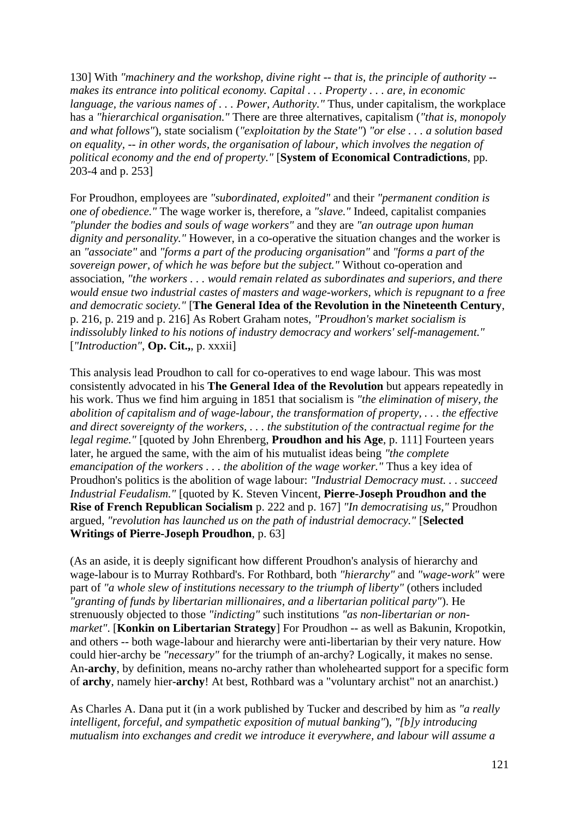130] With *"machinery and the workshop, divine right -- that is, the principle of authority - makes its entrance into political economy. Capital . . . Property . . . are, in economic language, the various names of . . . Power, Authority."* Thus, under capitalism, the workplace has a *"hierarchical organisation."* There are three alternatives, capitalism (*"that is, monopoly and what follows"*), state socialism (*"exploitation by the State"*) *"or else . . . a solution based on equality, -- in other words, the organisation of labour, which involves the negation of political economy and the end of property."* [**System of Economical Contradictions**, pp. 203-4 and p. 253]

For Proudhon, employees are *"subordinated, exploited"* and their *"permanent condition is one of obedience."* The wage worker is, therefore, a *"slave."* Indeed, capitalist companies *"plunder the bodies and souls of wage workers"* and they are *"an outrage upon human dignity and personality."* However, in a co-operative the situation changes and the worker is an *"associate"* and *"forms a part of the producing organisation"* and *"forms a part of the sovereign power, of which he was before but the subject."* Without co-operation and association, *"the workers . . . would remain related as subordinates and superiors, and there would ensue two industrial castes of masters and wage-workers, which is repugnant to a free and democratic society."* [**The General Idea of the Revolution in the Nineteenth Century**, p. 216, p. 219 and p. 216] As Robert Graham notes, *"Proudhon's market socialism is indissolubly linked to his notions of industry democracy and workers' self-management."* [*"Introduction"*, **Op. Cit.,**, p. xxxii]

This analysis lead Proudhon to call for co-operatives to end wage labour. This was most consistently advocated in his **The General Idea of the Revolution** but appears repeatedly in his work. Thus we find him arguing in 1851 that socialism is *"the elimination of misery, the abolition of capitalism and of wage-labour, the transformation of property, . . . the effective and direct sovereignty of the workers, . . . the substitution of the contractual regime for the legal regime."* [quoted by John Ehrenberg, **Proudhon and his Age**, p. 111] Fourteen years later, he argued the same, with the aim of his mutualist ideas being *"the complete emancipation of the workers . . . the abolition of the wage worker."* Thus a key idea of Proudhon's politics is the abolition of wage labour: *"Industrial Democracy must. . . succeed Industrial Feudalism."* [quoted by K. Steven Vincent, **Pierre-Joseph Proudhon and the Rise of French Republican Socialism** p. 222 and p. 167] *"In democratising us,"* Proudhon argued, *"revolution has launched us on the path of industrial democracy."* [**Selected Writings of Pierre-Joseph Proudhon**, p. 63]

(As an aside, it is deeply significant how different Proudhon's analysis of hierarchy and wage-labour is to Murray Rothbard's. For Rothbard, both *"hierarchy"* and *"wage-work"* were part of *"a whole slew of institutions necessary to the triumph of liberty"* (others included *"granting of funds by libertarian millionaires, and a libertarian political party"*). He strenuously objected to those *"indicting"* such institutions *"as non-libertarian or nonmarket"*. [**Konkin on Libertarian Strategy**] For Proudhon -- as well as Bakunin, Kropotkin, and others -- both wage-labour and hierarchy were anti-libertarian by their very nature. How could hier-archy be *"necessary"* for the triumph of an-archy? Logically, it makes no sense. An-**archy**, by definition, means no-archy rather than wholehearted support for a specific form of **archy**, namely hier-**archy**! At best, Rothbard was a "voluntary archist" not an anarchist.)

As Charles A. Dana put it (in a work published by Tucker and described by him as *"a really intelligent, forceful, and sympathetic exposition of mutual banking"*), *"[b]y introducing mutualism into exchanges and credit we introduce it everywhere, and labour will assume a*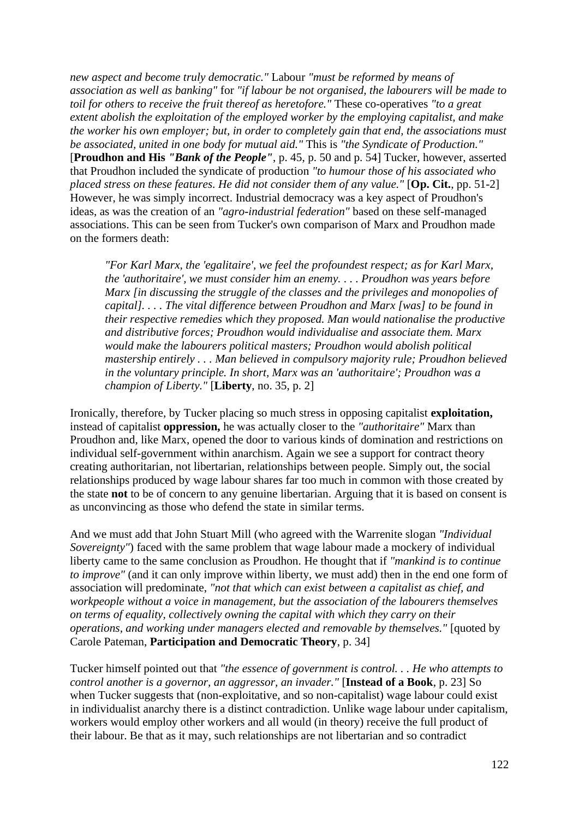*new aspect and become truly democratic."* Labour *"must be reformed by means of association as well as banking"* for *"if labour be not organised, the labourers will be made to toil for others to receive the fruit thereof as heretofore."* These co-operatives *"to a great extent abolish the exploitation of the employed worker by the employing capitalist, and make the worker his own employer; but, in order to completely gain that end, the associations must be associated, united in one body for mutual aid."* This is *"the Syndicate of Production."* [**Proudhon and His** *"Bank of the People"*, p. 45, p. 50 and p. 54] Tucker, however, asserted that Proudhon included the syndicate of production *"to humour those of his associated who placed stress on these features. He did not consider them of any value."* [**Op. Cit.**, pp. 51-2] However, he was simply incorrect. Industrial democracy was a key aspect of Proudhon's ideas, as was the creation of an *"agro-industrial federation"* based on these self-managed associations. This can be seen from Tucker's own comparison of Marx and Proudhon made on the formers death:

*"For Karl Marx, the 'egalitaire', we feel the profoundest respect; as for Karl Marx, the 'authoritaire', we must consider him an enemy. . . . Proudhon was years before Marx [in discussing the struggle of the classes and the privileges and monopolies of capital]. . . . The vital difference between Proudhon and Marx [was] to be found in their respective remedies which they proposed. Man would nationalise the productive and distributive forces; Proudhon would individualise and associate them. Marx would make the labourers political masters; Proudhon would abolish political mastership entirely . . . Man believed in compulsory majority rule; Proudhon believed in the voluntary principle. In short, Marx was an 'authoritaire'; Proudhon was a champion of Liberty."* [**Liberty**, no. 35, p. 2]

Ironically, therefore, by Tucker placing so much stress in opposing capitalist **exploitation,** instead of capitalist **oppression,** he was actually closer to the *"authoritaire"* Marx than Proudhon and, like Marx, opened the door to various kinds of domination and restrictions on individual self-government within anarchism. Again we see a support for contract theory creating authoritarian, not libertarian, relationships between people. Simply out, the social relationships produced by wage labour shares far too much in common with those created by the state **not** to be of concern to any genuine libertarian. Arguing that it is based on consent is as unconvincing as those who defend the state in similar terms.

And we must add that John Stuart Mill (who agreed with the Warrenite slogan *"Individual Sovereignty"*) faced with the same problem that wage labour made a mockery of individual liberty came to the same conclusion as Proudhon. He thought that if *"mankind is to continue to improve"* (and it can only improve within liberty, we must add) then in the end one form of association will predominate, *"not that which can exist between a capitalist as chief, and workpeople without a voice in management, but the association of the labourers themselves on terms of equality, collectively owning the capital with which they carry on their operations, and working under managers elected and removable by themselves."* [quoted by Carole Pateman, **Participation and Democratic Theory**, p. 34]

Tucker himself pointed out that *"the essence of government is control. . . He who attempts to control another is a governor, an aggressor, an invader."* [**Instead of a Book**, p. 23] So when Tucker suggests that (non-exploitative, and so non-capitalist) wage labour could exist in individualist anarchy there is a distinct contradiction. Unlike wage labour under capitalism, workers would employ other workers and all would (in theory) receive the full product of their labour. Be that as it may, such relationships are not libertarian and so contradict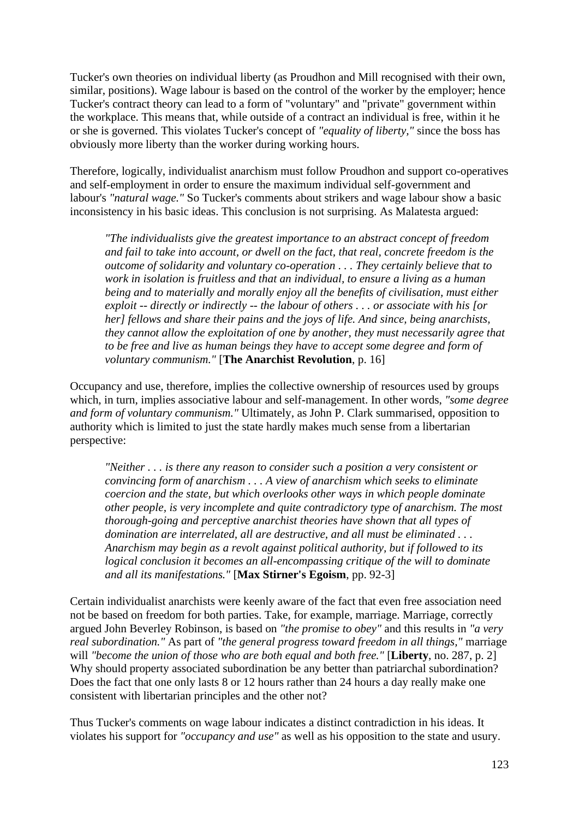Tucker's own theories on individual liberty (as Proudhon and Mill recognised with their own, similar, positions). Wage labour is based on the control of the worker by the employer; hence Tucker's contract theory can lead to a form of "voluntary" and "private" government within the workplace. This means that, while outside of a contract an individual is free, within it he or she is governed. This violates Tucker's concept of *"equality of liberty,"* since the boss has obviously more liberty than the worker during working hours.

Therefore, logically, individualist anarchism must follow Proudhon and support co-operatives and self-employment in order to ensure the maximum individual self-government and labour's *"natural wage."* So Tucker's comments about strikers and wage labour show a basic inconsistency in his basic ideas. This conclusion is not surprising. As Malatesta argued:

*"The individualists give the greatest importance to an abstract concept of freedom and fail to take into account, or dwell on the fact, that real, concrete freedom is the outcome of solidarity and voluntary co-operation . . . They certainly believe that to work in isolation is fruitless and that an individual, to ensure a living as a human being and to materially and morally enjoy all the benefits of civilisation, must either exploit -- directly or indirectly -- the labour of others . . . or associate with his [or her] fellows and share their pains and the joys of life. And since, being anarchists, they cannot allow the exploitation of one by another, they must necessarily agree that to be free and live as human beings they have to accept some degree and form of voluntary communism."* [**The Anarchist Revolution**, p. 16]

Occupancy and use, therefore, implies the collective ownership of resources used by groups which, in turn, implies associative labour and self-management. In other words, *"some degree and form of voluntary communism."* Ultimately, as John P. Clark summarised, opposition to authority which is limited to just the state hardly makes much sense from a libertarian perspective:

*"Neither . . . is there any reason to consider such a position a very consistent or convincing form of anarchism . . . A view of anarchism which seeks to eliminate coercion and the state, but which overlooks other ways in which people dominate other people, is very incomplete and quite contradictory type of anarchism. The most thorough-going and perceptive anarchist theories have shown that all types of domination are interrelated, all are destructive, and all must be eliminated . . . Anarchism may begin as a revolt against political authority, but if followed to its logical conclusion it becomes an all-encompassing critique of the will to dominate and all its manifestations."* [**Max Stirner's Egoism**, pp. 92-3]

Certain individualist anarchists were keenly aware of the fact that even free association need not be based on freedom for both parties. Take, for example, marriage. Marriage, correctly argued John Beverley Robinson, is based on *"the promise to obey"* and this results in *"a very real subordination."* As part of *"the general progress toward freedom in all things,"* marriage will *"become the union of those who are both equal and both free."* [**Liberty**, no. 287, p. 2] Why should property associated subordination be any better than patriarchal subordination? Does the fact that one only lasts 8 or 12 hours rather than 24 hours a day really make one consistent with libertarian principles and the other not?

Thus Tucker's comments on wage labour indicates a distinct contradiction in his ideas. It violates his support for *"occupancy and use"* as well as his opposition to the state and usury.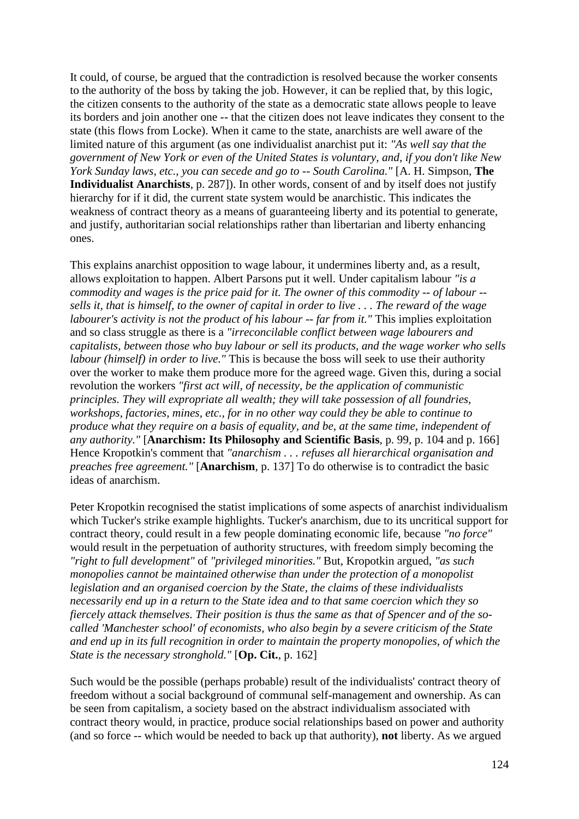It could, of course, be argued that the contradiction is resolved because the worker consents to the authority of the boss by taking the job. However, it can be replied that, by this logic, the citizen consents to the authority of the state as a democratic state allows people to leave its borders and join another one -- that the citizen does not leave indicates they consent to the state (this flows from Locke). When it came to the state, anarchists are well aware of the limited nature of this argument (as one individualist anarchist put it: *"As well say that the government of New York or even of the United States is voluntary, and, if you don't like New York Sunday laws, etc., you can secede and go to -- South Carolina."* [A. H. Simpson, **The Individualist Anarchists**, p. 287]). In other words, consent of and by itself does not justify hierarchy for if it did, the current state system would be anarchistic. This indicates the weakness of contract theory as a means of guaranteeing liberty and its potential to generate, and justify, authoritarian social relationships rather than libertarian and liberty enhancing ones.

This explains anarchist opposition to wage labour, it undermines liberty and, as a result, allows exploitation to happen. Albert Parsons put it well. Under capitalism labour *"is a commodity and wages is the price paid for it. The owner of this commodity -- of labour - sells it, that is himself, to the owner of capital in order to live . . . The reward of the wage labourer's activity is not the product of his labour -- far from it."* This implies exploitation and so class struggle as there is a *"irreconcilable conflict between wage labourers and capitalists, between those who buy labour or sell its products, and the wage worker who sells labour (himself) in order to live."* This is because the boss will seek to use their authority over the worker to make them produce more for the agreed wage. Given this, during a social revolution the workers *"first act will, of necessity, be the application of communistic principles. They will expropriate all wealth; they will take possession of all foundries, workshops, factories, mines, etc., for in no other way could they be able to continue to produce what they require on a basis of equality, and be, at the same time, independent of any authority."* [**Anarchism: Its Philosophy and Scientific Basis**, p. 99, p. 104 and p. 166] Hence Kropotkin's comment that *"anarchism . . . refuses all hierarchical organisation and preaches free agreement."* [**Anarchism**, p. 137] To do otherwise is to contradict the basic ideas of anarchism.

Peter Kropotkin recognised the statist implications of some aspects of anarchist individualism which Tucker's strike example highlights. Tucker's anarchism, due to its uncritical support for contract theory, could result in a few people dominating economic life, because *"no force"* would result in the perpetuation of authority structures, with freedom simply becoming the *"right to full development"* of *"privileged minorities."* But, Kropotkin argued, *"as such monopolies cannot be maintained otherwise than under the protection of a monopolist legislation and an organised coercion by the State, the claims of these individualists necessarily end up in a return to the State idea and to that same coercion which they so fiercely attack themselves. Their position is thus the same as that of Spencer and of the socalled 'Manchester school' of economists, who also begin by a severe criticism of the State and end up in its full recognition in order to maintain the property monopolies, of which the State is the necessary stronghold."* [**Op. Cit.**, p. 162]

Such would be the possible (perhaps probable) result of the individualists' contract theory of freedom without a social background of communal self-management and ownership. As can be seen from capitalism, a society based on the abstract individualism associated with contract theory would, in practice, produce social relationships based on power and authority (and so force -- which would be needed to back up that authority), **not** liberty. As we argued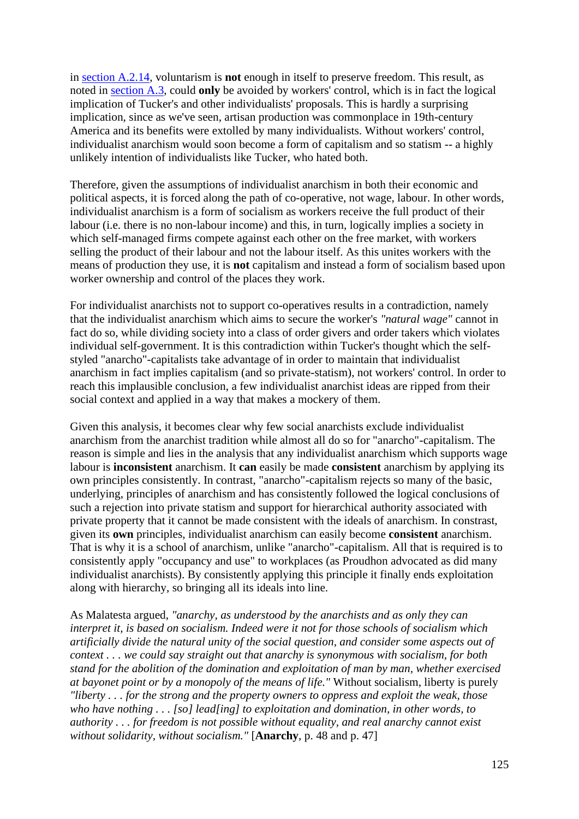in [section A.2.14,](sectionA.html#seca214) voluntarism is **not** enough in itself to preserve freedom. This result, as noted in [section A.3,](sectionA.html#seca3) could **only** be avoided by workers' control, which is in fact the logical implication of Tucker's and other individualists' proposals. This is hardly a surprising implication, since as we've seen, artisan production was commonplace in 19th-century America and its benefits were extolled by many individualists. Without workers' control, individualist anarchism would soon become a form of capitalism and so statism -- a highly unlikely intention of individualists like Tucker, who hated both.

Therefore, given the assumptions of individualist anarchism in both their economic and political aspects, it is forced along the path of co-operative, not wage, labour. In other words, individualist anarchism is a form of socialism as workers receive the full product of their labour (i.e. there is no non-labour income) and this, in turn, logically implies a society in which self-managed firms compete against each other on the free market, with workers selling the product of their labour and not the labour itself. As this unites workers with the means of production they use, it is **not** capitalism and instead a form of socialism based upon worker ownership and control of the places they work.

For individualist anarchists not to support co-operatives results in a contradiction, namely that the individualist anarchism which aims to secure the worker's *"natural wage"* cannot in fact do so, while dividing society into a class of order givers and order takers which violates individual self-government. It is this contradiction within Tucker's thought which the selfstyled "anarcho"-capitalists take advantage of in order to maintain that individualist anarchism in fact implies capitalism (and so private-statism), not workers' control. In order to reach this implausible conclusion, a few individualist anarchist ideas are ripped from their social context and applied in a way that makes a mockery of them.

Given this analysis, it becomes clear why few social anarchists exclude individualist anarchism from the anarchist tradition while almost all do so for "anarcho"-capitalism. The reason is simple and lies in the analysis that any individualist anarchism which supports wage labour is **inconsistent** anarchism. It **can** easily be made **consistent** anarchism by applying its own principles consistently. In contrast, "anarcho"-capitalism rejects so many of the basic, underlying, principles of anarchism and has consistently followed the logical conclusions of such a rejection into private statism and support for hierarchical authority associated with private property that it cannot be made consistent with the ideals of anarchism. In constrast, given its **own** principles, individualist anarchism can easily become **consistent** anarchism. That is why it is a school of anarchism, unlike "anarcho"-capitalism. All that is required is to consistently apply "occupancy and use" to workplaces (as Proudhon advocated as did many individualist anarchists). By consistently applying this principle it finally ends exploitation along with hierarchy, so bringing all its ideals into line.

As Malatesta argued, *"anarchy, as understood by the anarchists and as only they can interpret it, is based on socialism. Indeed were it not for those schools of socialism which artificially divide the natural unity of the social question, and consider some aspects out of context . . . we could say straight out that anarchy is synonymous with socialism, for both stand for the abolition of the domination and exploitation of man by man, whether exercised at bayonet point or by a monopoly of the means of life."* Without socialism, liberty is purely *"liberty . . . for the strong and the property owners to oppress and exploit the weak, those who have nothing . . . [so] lead[ing] to exploitation and domination, in other words, to authority . . . for freedom is not possible without equality, and real anarchy cannot exist without solidarity, without socialism."* [**Anarchy**, p. 48 and p. 47]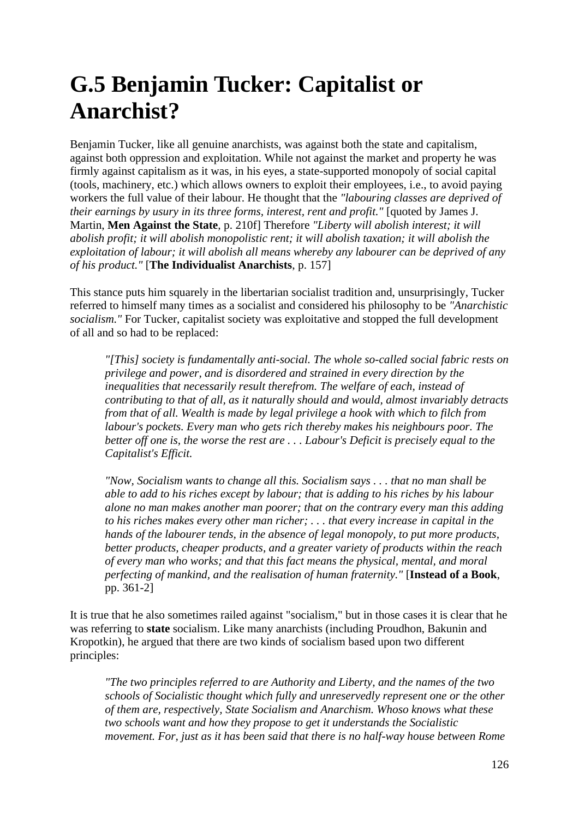# **G.5 Benjamin Tucker: Capitalist or Anarchist?**

Benjamin Tucker, like all genuine anarchists, was against both the state and capitalism, against both oppression and exploitation. While not against the market and property he was firmly against capitalism as it was, in his eyes, a state-supported monopoly of social capital (tools, machinery, etc.) which allows owners to exploit their employees, i.e., to avoid paying workers the full value of their labour. He thought that the *"labouring classes are deprived of their earnings by usury in its three forms, interest, rent and profit."* [quoted by James J. Martin, **Men Against the State**, p. 210f] Therefore *"Liberty will abolish interest; it will abolish profit; it will abolish monopolistic rent; it will abolish taxation; it will abolish the exploitation of labour; it will abolish all means whereby any labourer can be deprived of any of his product."* [**The Individualist Anarchists**, p. 157]

This stance puts him squarely in the libertarian socialist tradition and, unsurprisingly, Tucker referred to himself many times as a socialist and considered his philosophy to be *"Anarchistic socialism."* For Tucker, capitalist society was exploitative and stopped the full development of all and so had to be replaced:

*"[This] society is fundamentally anti-social. The whole so-called social fabric rests on privilege and power, and is disordered and strained in every direction by the inequalities that necessarily result therefrom. The welfare of each, instead of contributing to that of all, as it naturally should and would, almost invariably detracts from that of all. Wealth is made by legal privilege a hook with which to filch from labour's pockets. Every man who gets rich thereby makes his neighbours poor. The better off one is, the worse the rest are . . . Labour's Deficit is precisely equal to the Capitalist's Efficit.*

*"Now, Socialism wants to change all this. Socialism says . . . that no man shall be able to add to his riches except by labour; that is adding to his riches by his labour alone no man makes another man poorer; that on the contrary every man this adding to his riches makes every other man richer; . . . that every increase in capital in the hands of the labourer tends, in the absence of legal monopoly, to put more products, better products, cheaper products, and a greater variety of products within the reach of every man who works; and that this fact means the physical, mental, and moral perfecting of mankind, and the realisation of human fraternity."* [**Instead of a Book**, pp. 361-2]

It is true that he also sometimes railed against "socialism," but in those cases it is clear that he was referring to **state** socialism. Like many anarchists (including Proudhon, Bakunin and Kropotkin), he argued that there are two kinds of socialism based upon two different principles:

*"The two principles referred to are Authority and Liberty, and the names of the two schools of Socialistic thought which fully and unreservedly represent one or the other of them are, respectively, State Socialism and Anarchism. Whoso knows what these two schools want and how they propose to get it understands the Socialistic movement. For, just as it has been said that there is no half-way house between Rome*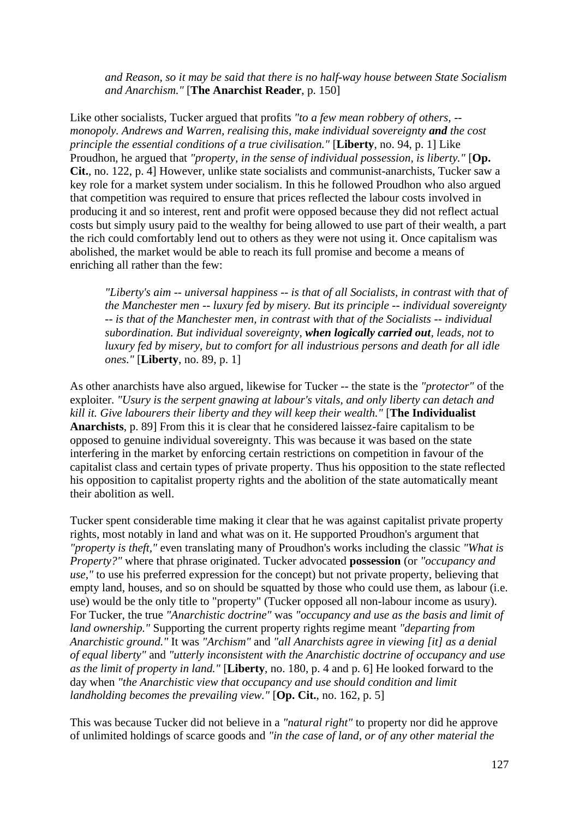*and Reason, so it may be said that there is no half-way house between State Socialism and Anarchism."* [**The Anarchist Reader**, p. 150]

Like other socialists, Tucker argued that profits *"to a few mean robbery of others, - monopoly. Andrews and Warren, realising this, make individual sovereignty and the cost principle the essential conditions of a true civilisation."* [**Liberty**, no. 94, p. 1] Like Proudhon, he argued that *"property, in the sense of individual possession, is liberty."* [**Op. Cit.**, no. 122, p. 4] However, unlike state socialists and communist-anarchists, Tucker saw a key role for a market system under socialism. In this he followed Proudhon who also argued that competition was required to ensure that prices reflected the labour costs involved in producing it and so interest, rent and profit were opposed because they did not reflect actual costs but simply usury paid to the wealthy for being allowed to use part of their wealth, a part the rich could comfortably lend out to others as they were not using it. Once capitalism was abolished, the market would be able to reach its full promise and become a means of enriching all rather than the few:

*"Liberty's aim -- universal happiness -- is that of all Socialists, in contrast with that of the Manchester men -- luxury fed by misery. But its principle -- individual sovereignty -- is that of the Manchester men, in contrast with that of the Socialists -- individual subordination. But individual sovereignty, when logically carried out, leads, not to luxury fed by misery, but to comfort for all industrious persons and death for all idle ones."* [**Liberty**, no. 89, p. 1]

As other anarchists have also argued, likewise for Tucker -- the state is the *"protector"* of the exploiter. *"Usury is the serpent gnawing at labour's vitals, and only liberty can detach and kill it. Give labourers their liberty and they will keep their wealth."* [**The Individualist Anarchists**, p. 89] From this it is clear that he considered laissez-faire capitalism to be opposed to genuine individual sovereignty. This was because it was based on the state interfering in the market by enforcing certain restrictions on competition in favour of the capitalist class and certain types of private property. Thus his opposition to the state reflected his opposition to capitalist property rights and the abolition of the state automatically meant their abolition as well.

Tucker spent considerable time making it clear that he was against capitalist private property rights, most notably in land and what was on it. He supported Proudhon's argument that *"property is theft,"* even translating many of Proudhon's works including the classic *"What is Property?"* where that phrase originated. Tucker advocated **possession** (or *"occupancy and use,"* to use his preferred expression for the concept) but not private property, believing that empty land, houses, and so on should be squatted by those who could use them, as labour (i.e. use) would be the only title to "property" (Tucker opposed all non-labour income as usury). For Tucker, the true *"Anarchistic doctrine"* was *"occupancy and use as the basis and limit of land ownership."* Supporting the current property rights regime meant *"departing from Anarchistic ground."* It was *"Archism"* and *"all Anarchists agree in viewing [it] as a denial of equal liberty"* and *"utterly inconsistent with the Anarchistic doctrine of occupancy and use as the limit of property in land."* [**Liberty**, no. 180, p. 4 and p. 6] He looked forward to the day when *"the Anarchistic view that occupancy and use should condition and limit landholding becomes the prevailing view."* [**Op. Cit.**, no. 162, p. 5]

This was because Tucker did not believe in a *"natural right"* to property nor did he approve of unlimited holdings of scarce goods and *"in the case of land, or of any other material the*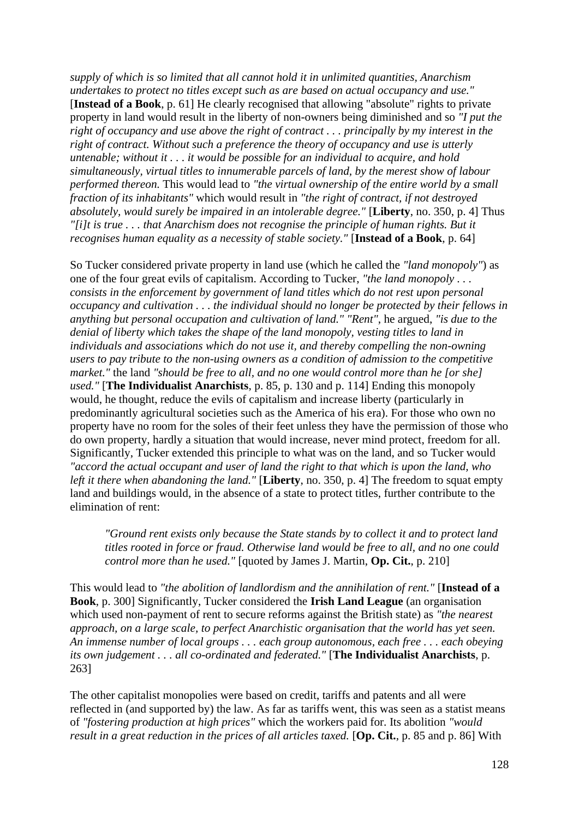*supply of which is so limited that all cannot hold it in unlimited quantities, Anarchism undertakes to protect no titles except such as are based on actual occupancy and use."* [**Instead of a Book**, p. 61] He clearly recognised that allowing "absolute" rights to private property in land would result in the liberty of non-owners being diminished and so *"I put the right of occupancy and use above the right of contract . . . principally by my interest in the right of contract. Without such a preference the theory of occupancy and use is utterly untenable; without it . . . it would be possible for an individual to acquire, and hold simultaneously, virtual titles to innumerable parcels of land, by the merest show of labour performed thereon.* This would lead to *"the virtual ownership of the entire world by a small fraction of its inhabitants"* which would result in *"the right of contract, if not destroyed absolutely, would surely be impaired in an intolerable degree."* [**Liberty**, no. 350, p. 4] Thus *"[i]t is true . . . that Anarchism does not recognise the principle of human rights. But it recognises human equality as a necessity of stable society."* [**Instead of a Book**, p. 64]

So Tucker considered private property in land use (which he called the *"land monopoly"*) as one of the four great evils of capitalism. According to Tucker, *"the land monopoly . . . consists in the enforcement by government of land titles which do not rest upon personal occupancy and cultivation . . . the individual should no longer be protected by their fellows in anything but personal occupation and cultivation of land." "Rent"*, he argued, *"is due to the denial of liberty which takes the shape of the land monopoly, vesting titles to land in individuals and associations which do not use it, and thereby compelling the non-owning users to pay tribute to the non-using owners as a condition of admission to the competitive market."* the land *"should be free to all, and no one would control more than he [or she] used."* [**The Individualist Anarchists**, p. 85, p. 130 and p. 114] Ending this monopoly would, he thought, reduce the evils of capitalism and increase liberty (particularly in predominantly agricultural societies such as the America of his era). For those who own no property have no room for the soles of their feet unless they have the permission of those who do own property, hardly a situation that would increase, never mind protect, freedom for all. Significantly, Tucker extended this principle to what was on the land, and so Tucker would *"accord the actual occupant and user of land the right to that which is upon the land, who left it there when abandoning the land."* [**Liberty**, no. 350, p. 4] The freedom to squat empty land and buildings would, in the absence of a state to protect titles, further contribute to the elimination of rent:

*"Ground rent exists only because the State stands by to collect it and to protect land titles rooted in force or fraud. Otherwise land would be free to all, and no one could control more than he used."* [quoted by James J. Martin, **Op. Cit.**, p. 210]

This would lead to *"the abolition of landlordism and the annihilation of rent."* [**Instead of a Book**, p. 300] Significantly, Tucker considered the **Irish Land League** (an organisation which used non-payment of rent to secure reforms against the British state) as *"the nearest approach, on a large scale, to perfect Anarchistic organisation that the world has yet seen. An immense number of local groups . . . each group autonomous, each free . . . each obeying its own judgement . . . all co-ordinated and federated."* [**The Individualist Anarchists**, p. 263]

The other capitalist monopolies were based on credit, tariffs and patents and all were reflected in (and supported by) the law. As far as tariffs went, this was seen as a statist means of *"fostering production at high prices"* which the workers paid for. Its abolition *"would result in a great reduction in the prices of all articles taxed.* [**Op. Cit.**, p. 85 and p. 86] With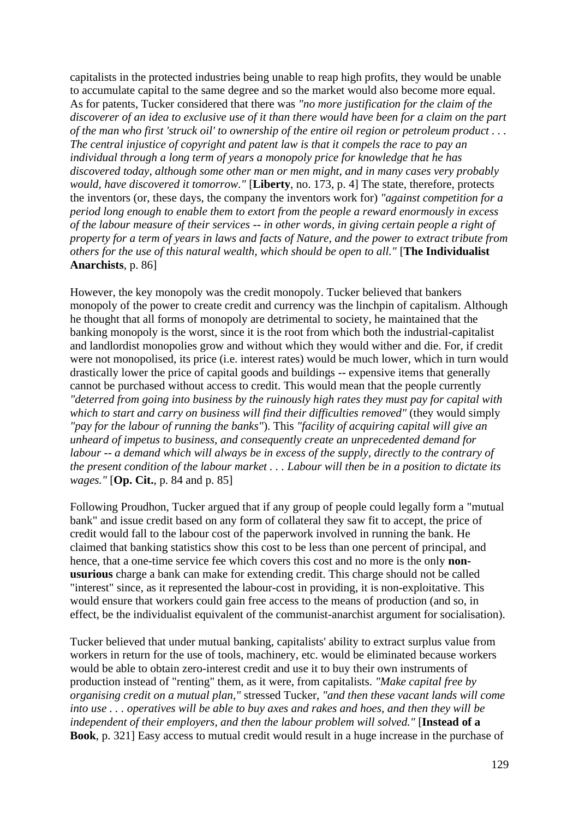capitalists in the protected industries being unable to reap high profits, they would be unable to accumulate capital to the same degree and so the market would also become more equal. As for patents, Tucker considered that there was *"no more justification for the claim of the discoverer of an idea to exclusive use of it than there would have been for a claim on the part of the man who first 'struck oil' to ownership of the entire oil region or petroleum product . . . The central injustice of copyright and patent law is that it compels the race to pay an individual through a long term of years a monopoly price for knowledge that he has discovered today, although some other man or men might, and in many cases very probably would, have discovered it tomorrow."* [**Liberty**, no. 173, p. 4] The state, therefore, protects the inventors (or, these days, the company the inventors work for) *"against competition for a period long enough to enable them to extort from the people a reward enormously in excess of the labour measure of their services -- in other words, in giving certain people a right of property for a term of years in laws and facts of Nature, and the power to extract tribute from others for the use of this natural wealth, which should be open to all."* [**The Individualist Anarchists**, p. 86]

However, the key monopoly was the credit monopoly. Tucker believed that bankers monopoly of the power to create credit and currency was the linchpin of capitalism. Although he thought that all forms of monopoly are detrimental to society, he maintained that the banking monopoly is the worst, since it is the root from which both the industrial-capitalist and landlordist monopolies grow and without which they would wither and die. For, if credit were not monopolised, its price (i.e. interest rates) would be much lower, which in turn would drastically lower the price of capital goods and buildings -- expensive items that generally cannot be purchased without access to credit. This would mean that the people currently *"deterred from going into business by the ruinously high rates they must pay for capital with which to start and carry on business will find their difficulties removed"* (they would simply *"pay for the labour of running the banks"*). This *"facility of acquiring capital will give an unheard of impetus to business, and consequently create an unprecedented demand for labour -- a demand which will always be in excess of the supply, directly to the contrary of the present condition of the labour market . . . Labour will then be in a position to dictate its wages."* [**Op. Cit.**, p. 84 and p. 85]

Following Proudhon, Tucker argued that if any group of people could legally form a "mutual bank" and issue credit based on any form of collateral they saw fit to accept, the price of credit would fall to the labour cost of the paperwork involved in running the bank. He claimed that banking statistics show this cost to be less than one percent of principal, and hence, that a one-time service fee which covers this cost and no more is the only **nonusurious** charge a bank can make for extending credit. This charge should not be called "interest" since, as it represented the labour-cost in providing, it is non-exploitative. This would ensure that workers could gain free access to the means of production (and so, in effect, be the individualist equivalent of the communist-anarchist argument for socialisation).

Tucker believed that under mutual banking, capitalists' ability to extract surplus value from workers in return for the use of tools, machinery, etc. would be eliminated because workers would be able to obtain zero-interest credit and use it to buy their own instruments of production instead of "renting" them, as it were, from capitalists. *"Make capital free by organising credit on a mutual plan,"* stressed Tucker, *"and then these vacant lands will come into use . . . operatives will be able to buy axes and rakes and hoes, and then they will be independent of their employers, and then the labour problem will solved."* [**Instead of a Book**, p. 321] Easy access to mutual credit would result in a huge increase in the purchase of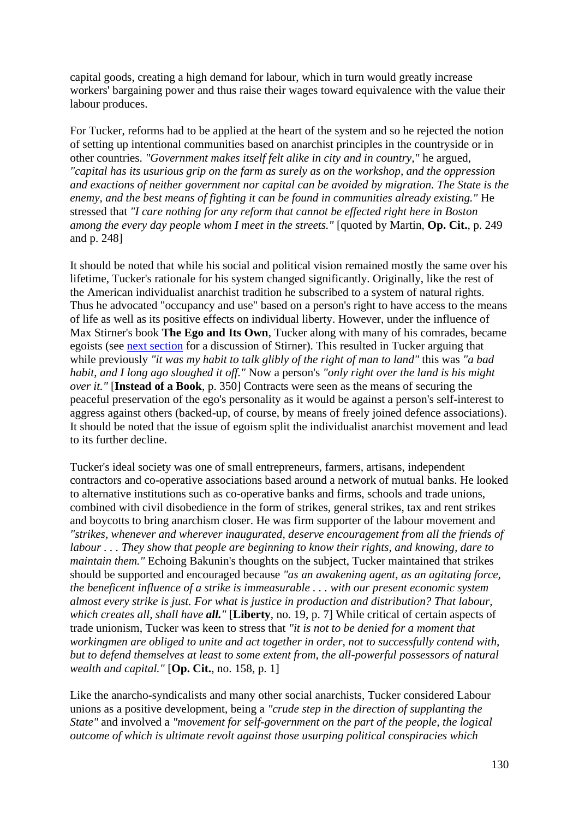capital goods, creating a high demand for labour, which in turn would greatly increase workers' bargaining power and thus raise their wages toward equivalence with the value their labour produces.

For Tucker, reforms had to be applied at the heart of the system and so he rejected the notion of setting up intentional communities based on anarchist principles in the countryside or in other countries. *"Government makes itself felt alike in city and in country,"* he argued, *"capital has its usurious grip on the farm as surely as on the workshop, and the oppression and exactions of neither government nor capital can be avoided by migration. The State is the enemy, and the best means of fighting it can be found in communities already existing."* He stressed that *"I care nothing for any reform that cannot be effected right here in Boston among the every day people whom I meet in the streets."* [quoted by Martin, **Op. Cit.**, p. 249 and p. 248]

It should be noted that while his social and political vision remained mostly the same over his lifetime, Tucker's rationale for his system changed significantly. Originally, like the rest of the American individualist anarchist tradition he subscribed to a system of natural rights. Thus he advocated "occupancy and use" based on a person's right to have access to the means of life as well as its positive effects on individual liberty. However, under the influence of Max Stirner's book **The Ego and Its Own**, Tucker along with many of his comrades, became egoists (see [next section](sectionG.html#secg6) for a discussion of Stirner). This resulted in Tucker arguing that while previously *"it was my habit to talk glibly of the right of man to land"* this was *"a bad habit, and I long ago sloughed it off."* Now a person's *"only right over the land is his might over it."* [**Instead of a Book**, p. 350] Contracts were seen as the means of securing the peaceful preservation of the ego's personality as it would be against a person's self-interest to aggress against others (backed-up, of course, by means of freely joined defence associations). It should be noted that the issue of egoism split the individualist anarchist movement and lead to its further decline.

Tucker's ideal society was one of small entrepreneurs, farmers, artisans, independent contractors and co-operative associations based around a network of mutual banks. He looked to alternative institutions such as co-operative banks and firms, schools and trade unions, combined with civil disobedience in the form of strikes, general strikes, tax and rent strikes and boycotts to bring anarchism closer. He was firm supporter of the labour movement and *"strikes, whenever and wherever inaugurated, deserve encouragement from all the friends of labour . . . They show that people are beginning to know their rights, and knowing, dare to maintain them."* Echoing Bakunin's thoughts on the subject, Tucker maintained that strikes should be supported and encouraged because *"as an awakening agent, as an agitating force, the beneficent influence of a strike is immeasurable . . . with our present economic system almost every strike is just. For what is justice in production and distribution? That labour, which creates all, shall have all."* [**Liberty**, no. 19, p. 7] While critical of certain aspects of trade unionism, Tucker was keen to stress that *"it is not to be denied for a moment that workingmen are obliged to unite and act together in order, not to successfully contend with, but to defend themselves at least to some extent from, the all-powerful possessors of natural wealth and capital."* [**Op. Cit.**, no. 158, p. 1]

Like the anarcho-syndicalists and many other social anarchists, Tucker considered Labour unions as a positive development, being a *"crude step in the direction of supplanting the State"* and involved a *"movement for self-government on the part of the people, the logical outcome of which is ultimate revolt against those usurping political conspiracies which*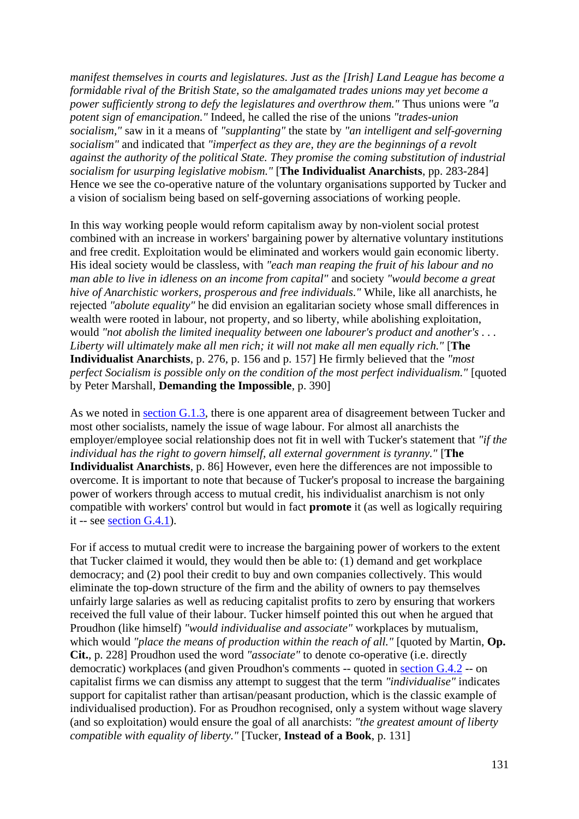*manifest themselves in courts and legislatures. Just as the [Irish] Land League has become a formidable rival of the British State, so the amalgamated trades unions may yet become a power sufficiently strong to defy the legislatures and overthrow them."* Thus unions were *"a potent sign of emancipation."* Indeed, he called the rise of the unions *"trades-union socialism,"* saw in it a means of *"supplanting"* the state by *"an intelligent and self-governing socialism"* and indicated that *"imperfect as they are, they are the beginnings of a revolt against the authority of the political State. They promise the coming substitution of industrial socialism for usurping legislative mobism."* [**The Individualist Anarchists**, pp. 283-284] Hence we see the co-operative nature of the voluntary organisations supported by Tucker and a vision of socialism being based on self-governing associations of working people.

In this way working people would reform capitalism away by non-violent social protest combined with an increase in workers' bargaining power by alternative voluntary institutions and free credit. Exploitation would be eliminated and workers would gain economic liberty. His ideal society would be classless, with *"each man reaping the fruit of his labour and no man able to live in idleness on an income from capital"* and society *"would become a great hive of Anarchistic workers, prosperous and free individuals."* While, like all anarchists, he rejected *"abolute equality"* he did envision an egalitarian society whose small differences in wealth were rooted in labour, not property, and so liberty, while abolishing exploitation, would *"not abolish the limited inequality between one labourer's product and another's . . . Liberty will ultimately make all men rich; it will not make all men equally rich."* [**The Individualist Anarchists**, p. 276, p. 156 and p. 157] He firmly believed that the *"most perfect Socialism is possible only on the condition of the most perfect individualism."* [quoted by Peter Marshall, **Demanding the Impossible**, p. 390]

As we noted in [section G.1.3,](sectionG.html#secg13) there is one apparent area of disagreement between Tucker and most other socialists, namely the issue of wage labour. For almost all anarchists the employer/employee social relationship does not fit in well with Tucker's statement that *"if the individual has the right to govern himself, all external government is tyranny."* [**The Individualist Anarchists**, p. 86] However, even here the differences are not impossible to overcome. It is important to note that because of Tucker's proposal to increase the bargaining power of workers through access to mutual credit, his individualist anarchism is not only compatible with workers' control but would in fact **promote** it (as well as logically requiring it -- see <u>section</u>  $G.4.1$ ).

For if access to mutual credit were to increase the bargaining power of workers to the extent that Tucker claimed it would, they would then be able to: (1) demand and get workplace democracy; and (2) pool their credit to buy and own companies collectively. This would eliminate the top-down structure of the firm and the ability of owners to pay themselves unfairly large salaries as well as reducing capitalist profits to zero by ensuring that workers received the full value of their labour. Tucker himself pointed this out when he argued that Proudhon (like himself) *"would individualise and associate"* workplaces by mutualism, which would *"place the means of production within the reach of all."* [quoted by Martin, **Op. Cit.**, p. 228] Proudhon used the word *"associate"* to denote co-operative (i.e. directly democratic) workplaces (and given Proudhon's comments -- quoted in [section G.4.2](sectionG.html#secg42) -- on capitalist firms we can dismiss any attempt to suggest that the term *"individualise"* indicates support for capitalist rather than artisan/peasant production, which is the classic example of individualised production). For as Proudhon recognised, only a system without wage slavery (and so exploitation) would ensure the goal of all anarchists: *"the greatest amount of liberty compatible with equality of liberty."* [Tucker, **Instead of a Book**, p. 131]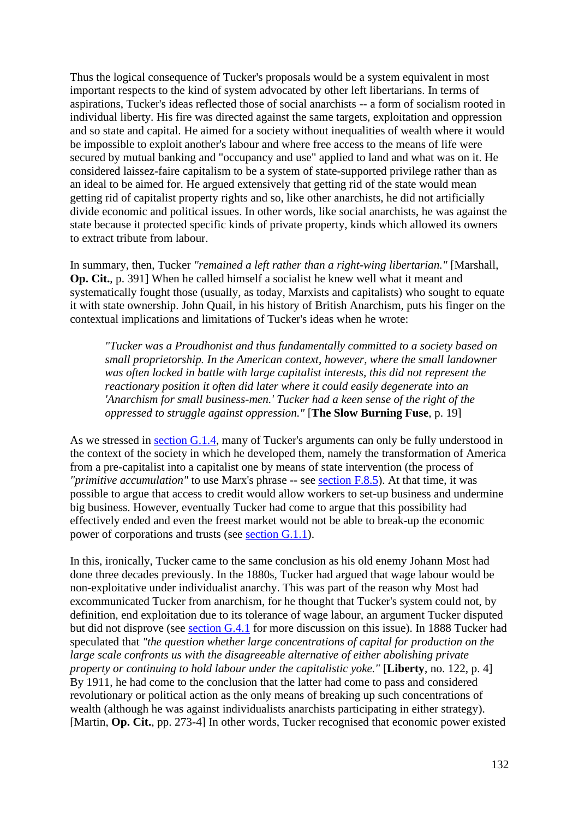Thus the logical consequence of Tucker's proposals would be a system equivalent in most important respects to the kind of system advocated by other left libertarians. In terms of aspirations, Tucker's ideas reflected those of social anarchists -- a form of socialism rooted in individual liberty. His fire was directed against the same targets, exploitation and oppression and so state and capital. He aimed for a society without inequalities of wealth where it would be impossible to exploit another's labour and where free access to the means of life were secured by mutual banking and "occupancy and use" applied to land and what was on it. He considered laissez-faire capitalism to be a system of state-supported privilege rather than as an ideal to be aimed for. He argued extensively that getting rid of the state would mean getting rid of capitalist property rights and so, like other anarchists, he did not artificially divide economic and political issues. In other words, like social anarchists, he was against the state because it protected specific kinds of private property, kinds which allowed its owners to extract tribute from labour.

In summary, then, Tucker *"remained a left rather than a right-wing libertarian."* [Marshall, **Op. Cit.**, p. 391] When he called himself a socialist he knew well what it meant and systematically fought those (usually, as today, Marxists and capitalists) who sought to equate it with state ownership. John Quail, in his history of British Anarchism, puts his finger on the contextual implications and limitations of Tucker's ideas when he wrote:

*"Tucker was a Proudhonist and thus fundamentally committed to a society based on small proprietorship. In the American context, however, where the small landowner was often locked in battle with large capitalist interests, this did not represent the reactionary position it often did later where it could easily degenerate into an 'Anarchism for small business-men.' Tucker had a keen sense of the right of the oppressed to struggle against oppression."* [**The Slow Burning Fuse**, p. 19]

As we stressed in [section G.1.4,](sectionG.html#secg14) many of Tucker's arguments can only be fully understood in the context of the society in which he developed them, namely the transformation of America from a pre-capitalist into a capitalist one by means of state intervention (the process of *"primitive accumulation"* to use Marx's phrase -- see **section F.8.5**). At that time, it was possible to argue that access to credit would allow workers to set-up business and undermine big business. However, eventually Tucker had come to argue that this possibility had effectively ended and even the freest market would not be able to break-up the economic power of corporations and trusts (see [section G.1.1\)](sectionG.html#secg11).

In this, ironically, Tucker came to the same conclusion as his old enemy Johann Most had done three decades previously. In the 1880s, Tucker had argued that wage labour would be non-exploitative under individualist anarchy. This was part of the reason why Most had excommunicated Tucker from anarchism, for he thought that Tucker's system could not, by definition, end exploitation due to its tolerance of wage labour, an argument Tucker disputed but did not disprove (see [section G.4.1](sectionG.html#secg4) for more discussion on this issue). In 1888 Tucker had speculated that *"the question whether large concentrations of capital for production on the large scale confronts us with the disagreeable alternative of either abolishing private property or continuing to hold labour under the capitalistic yoke."* [**Liberty**, no. 122, p. 4] By 1911, he had come to the conclusion that the latter had come to pass and considered revolutionary or political action as the only means of breaking up such concentrations of wealth (although he was against individualists anarchists participating in either strategy). [Martin, **Op. Cit.**, pp. 273-4] In other words, Tucker recognised that economic power existed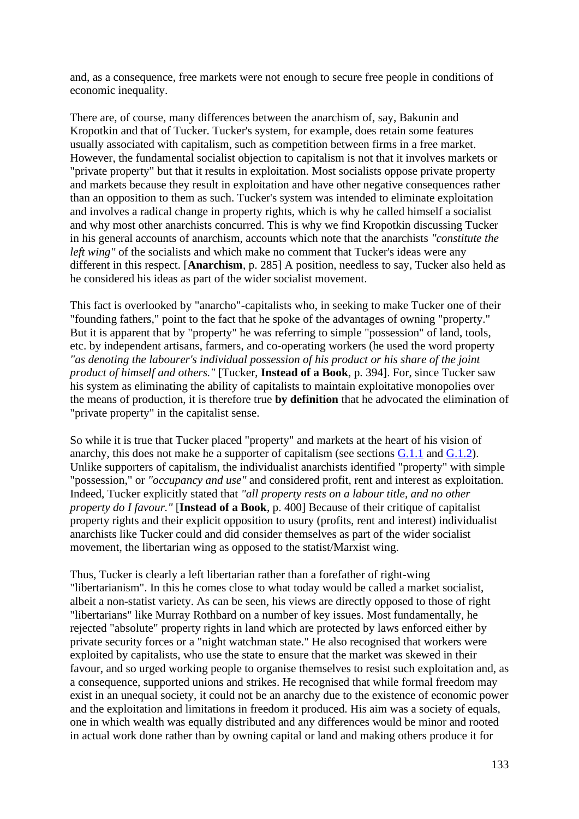and, as a consequence, free markets were not enough to secure free people in conditions of economic inequality.

There are, of course, many differences between the anarchism of, say, Bakunin and Kropotkin and that of Tucker. Tucker's system, for example, does retain some features usually associated with capitalism, such as competition between firms in a free market. However, the fundamental socialist objection to capitalism is not that it involves markets or "private property" but that it results in exploitation. Most socialists oppose private property and markets because they result in exploitation and have other negative consequences rather than an opposition to them as such. Tucker's system was intended to eliminate exploitation and involves a radical change in property rights, which is why he called himself a socialist and why most other anarchists concurred. This is why we find Kropotkin discussing Tucker in his general accounts of anarchism, accounts which note that the anarchists *"constitute the left wing"* of the socialists and which make no comment that Tucker's ideas were any different in this respect. [**Anarchism**, p. 285] A position, needless to say, Tucker also held as he considered his ideas as part of the wider socialist movement.

This fact is overlooked by "anarcho"-capitalists who, in seeking to make Tucker one of their "founding fathers," point to the fact that he spoke of the advantages of owning "property." But it is apparent that by "property" he was referring to simple "possession" of land, tools, etc. by independent artisans, farmers, and co-operating workers (he used the word property *"as denoting the labourer's individual possession of his product or his share of the joint product of himself and others."* [Tucker, **Instead of a Book**, p. 394]. For, since Tucker saw his system as eliminating the ability of capitalists to maintain exploitative monopolies over the means of production, it is therefore true **by definition** that he advocated the elimination of "private property" in the capitalist sense.

So while it is true that Tucker placed "property" and markets at the heart of his vision of anarchy, this does not make he a supporter of capitalism (see sections [G.1.1](sectionG.html#secg11) and [G.1.2\)](sectionG.html#secg12). Unlike supporters of capitalism, the individualist anarchists identified "property" with simple "possession," or *"occupancy and use"* and considered profit, rent and interest as exploitation. Indeed, Tucker explicitly stated that *"all property rests on a labour title, and no other property do I favour."* [**Instead of a Book**, p. 400] Because of their critique of capitalist property rights and their explicit opposition to usury (profits, rent and interest) individualist anarchists like Tucker could and did consider themselves as part of the wider socialist movement, the libertarian wing as opposed to the statist/Marxist wing.

Thus, Tucker is clearly a left libertarian rather than a forefather of right-wing "libertarianism". In this he comes close to what today would be called a market socialist, albeit a non-statist variety. As can be seen, his views are directly opposed to those of right "libertarians" like Murray Rothbard on a number of key issues. Most fundamentally, he rejected "absolute" property rights in land which are protected by laws enforced either by private security forces or a "night watchman state." He also recognised that workers were exploited by capitalists, who use the state to ensure that the market was skewed in their favour, and so urged working people to organise themselves to resist such exploitation and, as a consequence, supported unions and strikes. He recognised that while formal freedom may exist in an unequal society, it could not be an anarchy due to the existence of economic power and the exploitation and limitations in freedom it produced. His aim was a society of equals, one in which wealth was equally distributed and any differences would be minor and rooted in actual work done rather than by owning capital or land and making others produce it for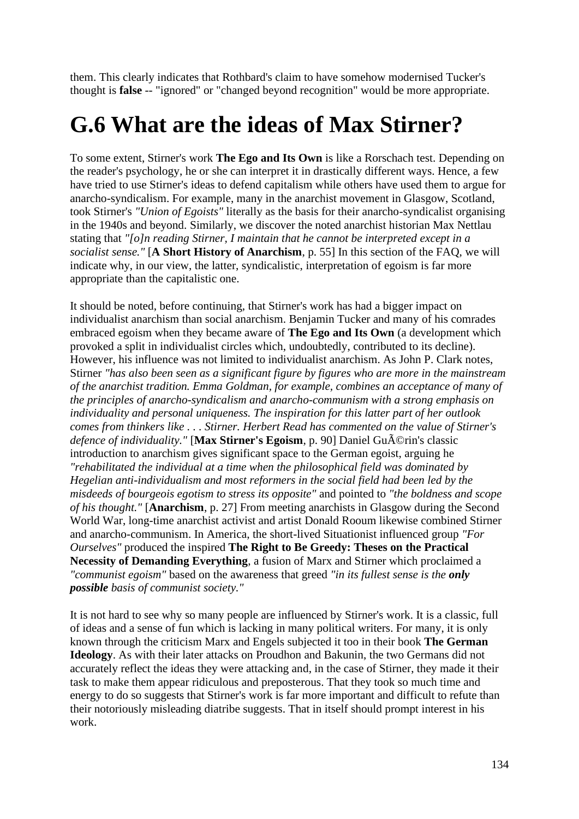them. This clearly indicates that Rothbard's claim to have somehow modernised Tucker's thought is **false** -- "ignored" or "changed beyond recognition" would be more appropriate.

# **G.6 What are the ideas of Max Stirner?**

To some extent, Stirner's work **The Ego and Its Own** is like a Rorschach test. Depending on the reader's psychology, he or she can interpret it in drastically different ways. Hence, a few have tried to use Stirner's ideas to defend capitalism while others have used them to argue for anarcho-syndicalism. For example, many in the anarchist movement in Glasgow, Scotland, took Stirner's *"Union of Egoists"* literally as the basis for their anarcho-syndicalist organising in the 1940s and beyond. Similarly, we discover the noted anarchist historian Max Nettlau stating that *"[o]n reading Stirner, I maintain that he cannot be interpreted except in a socialist sense."* [**A Short History of Anarchism**, p. 55] In this section of the FAQ, we will indicate why, in our view, the latter, syndicalistic, interpretation of egoism is far more appropriate than the capitalistic one.

It should be noted, before continuing, that Stirner's work has had a bigger impact on individualist anarchism than social anarchism. Benjamin Tucker and many of his comrades embraced egoism when they became aware of **The Ego and Its Own** (a development which provoked a split in individualist circles which, undoubtedly, contributed to its decline). However, his influence was not limited to individualist anarchism. As John P. Clark notes, Stirner *"has also been seen as a significant figure by figures who are more in the mainstream of the anarchist tradition. Emma Goldman, for example, combines an acceptance of many of the principles of anarcho-syndicalism and anarcho-communism with a strong emphasis on individuality and personal uniqueness. The inspiration for this latter part of her outlook comes from thinkers like . . . Stirner. Herbert Read has commented on the value of Stirner's defence of individuality.*" [Max Stirner's Egoism, p. 90] Daniel Gu $\tilde{A}$ ©rin's classic introduction to anarchism gives significant space to the German egoist, arguing he *"rehabilitated the individual at a time when the philosophical field was dominated by Hegelian anti-individualism and most reformers in the social field had been led by the misdeeds of bourgeois egotism to stress its opposite"* and pointed to *"the boldness and scope of his thought."* [**Anarchism**, p. 27] From meeting anarchists in Glasgow during the Second World War, long-time anarchist activist and artist Donald Rooum likewise combined Stirner and anarcho-communism. In America, the short-lived Situationist influenced group *"For Ourselves"* produced the inspired **The Right to Be Greedy: Theses on the Practical Necessity of Demanding Everything**, a fusion of Marx and Stirner which proclaimed a *"communist egoism"* based on the awareness that greed *"in its fullest sense is the only possible basis of communist society."*

It is not hard to see why so many people are influenced by Stirner's work. It is a classic, full of ideas and a sense of fun which is lacking in many political writers. For many, it is only known through the criticism Marx and Engels subjected it too in their book **The German Ideology**. As with their later attacks on Proudhon and Bakunin, the two Germans did not accurately reflect the ideas they were attacking and, in the case of Stirner, they made it their task to make them appear ridiculous and preposterous. That they took so much time and energy to do so suggests that Stirner's work is far more important and difficult to refute than their notoriously misleading diatribe suggests. That in itself should prompt interest in his work.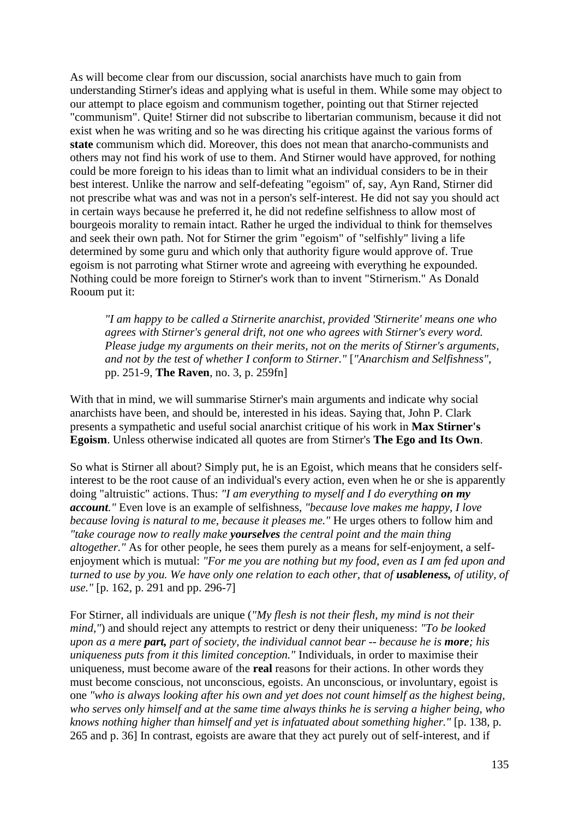As will become clear from our discussion, social anarchists have much to gain from understanding Stirner's ideas and applying what is useful in them. While some may object to our attempt to place egoism and communism together, pointing out that Stirner rejected "communism". Quite! Stirner did not subscribe to libertarian communism, because it did not exist when he was writing and so he was directing his critique against the various forms of **state** communism which did. Moreover, this does not mean that anarcho-communists and others may not find his work of use to them. And Stirner would have approved, for nothing could be more foreign to his ideas than to limit what an individual considers to be in their best interest. Unlike the narrow and self-defeating "egoism" of, say, Ayn Rand, Stirner did not prescribe what was and was not in a person's self-interest. He did not say you should act in certain ways because he preferred it, he did not redefine selfishness to allow most of bourgeois morality to remain intact. Rather he urged the individual to think for themselves and seek their own path. Not for Stirner the grim "egoism" of "selfishly" living a life determined by some guru and which only that authority figure would approve of. True egoism is not parroting what Stirner wrote and agreeing with everything he expounded. Nothing could be more foreign to Stirner's work than to invent "Stirnerism." As Donald Rooum put it:

*"I am happy to be called a Stirnerite anarchist, provided 'Stirnerite' means one who agrees with Stirner's general drift, not one who agrees with Stirner's every word. Please judge my arguments on their merits, not on the merits of Stirner's arguments, and not by the test of whether I conform to Stirner."* [*"Anarchism and Selfishness"*, pp. 251-9, **The Raven**, no. 3, p. 259fn]

With that in mind, we will summarise Stirner's main arguments and indicate why social anarchists have been, and should be, interested in his ideas. Saying that, John P. Clark presents a sympathetic and useful social anarchist critique of his work in **Max Stirner's Egoism**. Unless otherwise indicated all quotes are from Stirner's **The Ego and Its Own**.

So what is Stirner all about? Simply put, he is an Egoist, which means that he considers selfinterest to be the root cause of an individual's every action, even when he or she is apparently doing "altruistic" actions. Thus: *"I am everything to myself and I do everything on my account."* Even love is an example of selfishness, *"because love makes me happy, I love because loving is natural to me, because it pleases me."* He urges others to follow him and *"take courage now to really make yourselves the central point and the main thing altogether."* As for other people, he sees them purely as a means for self-enjoyment, a selfenjoyment which is mutual: *"For me you are nothing but my food, even as I am fed upon and turned to use by you. We have only one relation to each other, that of <i>usableness, of utility, of use."* [p. 162, p. 291 and pp. 296-7]

For Stirner, all individuals are unique (*"My flesh is not their flesh, my mind is not their mind,"*) and should reject any attempts to restrict or deny their uniqueness: *"To be looked upon as a mere part, part of society, the individual cannot bear -- because he is more; his uniqueness puts from it this limited conception."* Individuals, in order to maximise their uniqueness, must become aware of the **real** reasons for their actions. In other words they must become conscious, not unconscious, egoists. An unconscious, or involuntary, egoist is one *"who is always looking after his own and yet does not count himself as the highest being, who serves only himself and at the same time always thinks he is serving a higher being, who knows nothing higher than himself and yet is infatuated about something higher."* [p. 138, p. 265 and p. 36] In contrast, egoists are aware that they act purely out of self-interest, and if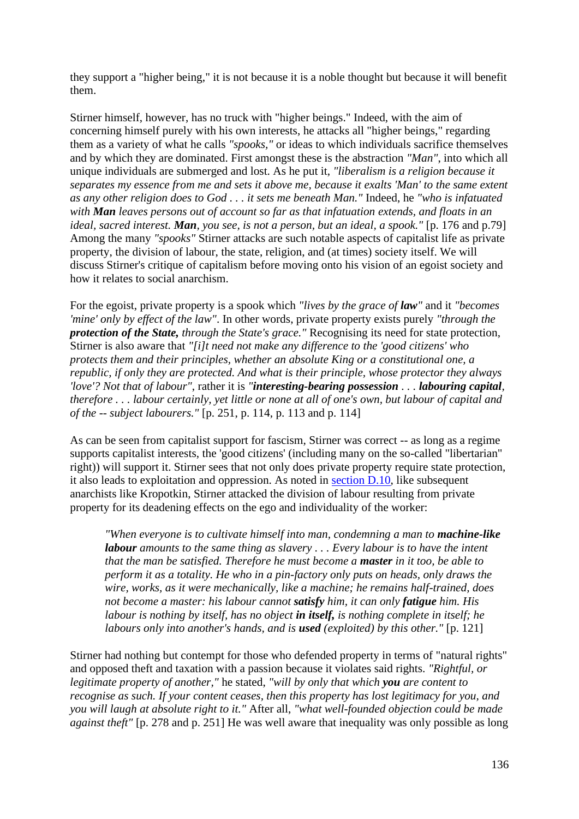they support a "higher being," it is not because it is a noble thought but because it will benefit them.

Stirner himself, however, has no truck with "higher beings." Indeed, with the aim of concerning himself purely with his own interests, he attacks all "higher beings," regarding them as a variety of what he calls *"spooks,"* or ideas to which individuals sacrifice themselves and by which they are dominated. First amongst these is the abstraction *"Man"*, into which all unique individuals are submerged and lost. As he put it, *"liberalism is a religion because it separates my essence from me and sets it above me, because it exalts 'Man' to the same extent as any other religion does to God . . . it sets me beneath Man."* Indeed, he *"who is infatuated with Man leaves persons out of account so far as that infatuation extends, and floats in an ideal, sacred interest. Man, you see, is not a person, but an ideal, a spook."* [p. 176 and p.79] Among the many *"spooks"* Stirner attacks are such notable aspects of capitalist life as private property, the division of labour, the state, religion, and (at times) society itself. We will discuss Stirner's critique of capitalism before moving onto his vision of an egoist society and how it relates to social anarchism.

For the egoist, private property is a spook which *"lives by the grace of law"* and it *"becomes 'mine' only by effect of the law"*. In other words, private property exists purely *"through the protection of the State, through the State's grace."* Recognising its need for state protection, Stirner is also aware that *"[i]t need not make any difference to the 'good citizens' who protects them and their principles, whether an absolute King or a constitutional one, a republic, if only they are protected. And what is their principle, whose protector they always 'love'? Not that of labour"*, rather it is *"interesting-bearing possession . . . labouring capital, therefore . . . labour certainly, yet little or none at all of one's own, but labour of capital and of the -- subject labourers."* [p. 251, p. 114, p. 113 and p. 114]

As can be seen from capitalist support for fascism, Stirner was correct -- as long as a regime supports capitalist interests, the 'good citizens' (including many on the so-called "libertarian" right)) will support it. Stirner sees that not only does private property require state protection, it also leads to exploitation and oppression. As noted in [section D.10,](sectionD.html#secd10) like subsequent anarchists like Kropotkin, Stirner attacked the division of labour resulting from private property for its deadening effects on the ego and individuality of the worker:

*"When everyone is to cultivate himself into man, condemning a man to machine-like labour amounts to the same thing as slavery . . . Every labour is to have the intent that the man be satisfied. Therefore he must become a master in it too, be able to perform it as a totality. He who in a pin-factory only puts on heads, only draws the wire, works, as it were mechanically, like a machine; he remains half-trained, does not become a master: his labour cannot satisfy him, it can only fatigue him. His labour is nothing by itself, has no object in itself, is nothing complete in itself; he labours only into another's hands, and is used (exploited) by this other."* [p. 121]

Stirner had nothing but contempt for those who defended property in terms of "natural rights" and opposed theft and taxation with a passion because it violates said rights. *"Rightful, or legitimate property of another,"* he stated, *"will by only that which you are content to recognise as such. If your content ceases, then this property has lost legitimacy for you, and you will laugh at absolute right to it."* After all, *"what well-founded objection could be made against theft"* [p. 278 and p. 251] He was well aware that inequality was only possible as long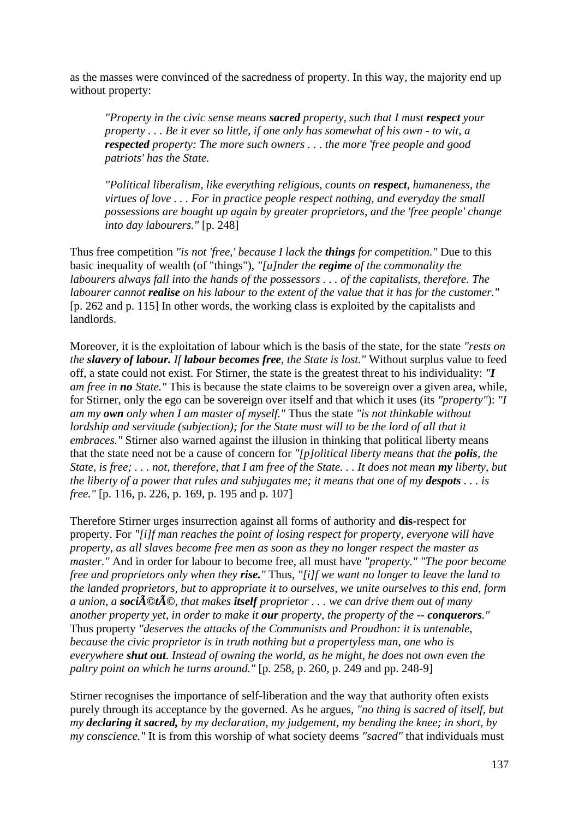as the masses were convinced of the sacredness of property. In this way, the majority end up without property:

*"Property in the civic sense means sacred property, such that I must respect your property . . . Be it ever so little, if one only has somewhat of his own - to wit, a respected property: The more such owners . . . the more 'free people and good patriots' has the State.* 

*"Political liberalism, like everything religious, counts on respect, humaneness, the virtues of love . . . For in practice people respect nothing, and everyday the small possessions are bought up again by greater proprietors, and the 'free people' change into day labourers."* [p. 248]

Thus free competition *"is not 'free,' because I lack the things for competition."* Due to this basic inequality of wealth (of "things"), *"[u]nder the regime of the commonality the labourers always fall into the hands of the possessors . . . of the capitalists, therefore. The labourer cannot realise on his labour to the extent of the value that it has for the customer."* [p. 262 and p. 115] In other words, the working class is exploited by the capitalists and landlords.

Moreover, it is the exploitation of labour which is the basis of the state, for the state *"rests on the slavery of labour. If labour becomes free, the State is lost."* Without surplus value to feed off, a state could not exist. For Stirner, the state is the greatest threat to his individuality: *"I am free in no State.*" This is because the state claims to be sovereign over a given area, while, for Stirner, only the ego can be sovereign over itself and that which it uses (its *"property"*): *"I am my own only when I am master of myself."* Thus the state *"is not thinkable without lordship and servitude (subjection); for the State must will to be the lord of all that it embraces.*" Stirner also warned against the illusion in thinking that political liberty means that the state need not be a cause of concern for *"[p]olitical liberty means that the polis, the State, is free; ... not, therefore, that I am free of the State... It does not mean <i>my* liberty, but *the liberty of a power that rules and subjugates me; it means that one of my <i>despots* . . . is *free."* [p. 116, p. 226, p. 169, p. 195 and p. 107]

Therefore Stirner urges insurrection against all forms of authority and **dis**-respect for property. For *"[i]f man reaches the point of losing respect for property, everyone will have property, as all slaves become free men as soon as they no longer respect the master as master."* And in order for labour to become free, all must have *"property." "The poor become free and proprietors only when they rise."* Thus, *"[i]f we want no longer to leave the land to the landed proprietors, but to appropriate it to ourselves, we unite ourselves to this end, form a union, a soci* $\tilde{A} \mathbb{O}$ *t* $\tilde{A} \mathbb{O}$ *, that makes itself proprietor ... we can drive them out of many another property yet, in order to make it our property, the property of the -- conquerors."* Thus property *"deserves the attacks of the Communists and Proudhon: it is untenable, because the civic proprietor is in truth nothing but a propertyless man, one who is everywhere shut out. Instead of owning the world, as he might, he does not own even the paltry point on which he turns around."* [p. 258, p. 260, p. 249 and pp. 248-9]

Stirner recognises the importance of self-liberation and the way that authority often exists purely through its acceptance by the governed. As he argues, *"no thing is sacred of itself, but my declaring it sacred, by my declaration, my judgement, my bending the knee; in short, by my conscience."* It is from this worship of what society deems *"sacred"* that individuals must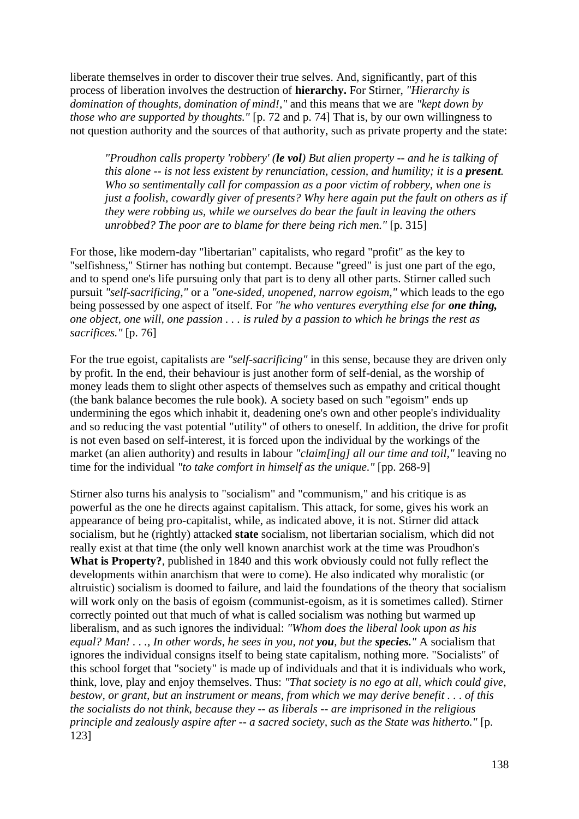liberate themselves in order to discover their true selves. And, significantly, part of this process of liberation involves the destruction of **hierarchy.** For Stirner, *"Hierarchy is domination of thoughts, domination of mind!,"* and this means that we are *"kept down by those who are supported by thoughts."* [p. 72 and p. 74] That is, by our own willingness to not question authority and the sources of that authority, such as private property and the state:

*"Proudhon calls property 'robbery' (le vol) But alien property -- and he is talking of this alone -- is not less existent by renunciation, cession, and humility; it is a present. Who so sentimentally call for compassion as a poor victim of robbery, when one is just a foolish, cowardly giver of presents? Why here again put the fault on others as if they were robbing us, while we ourselves do bear the fault in leaving the others unrobbed? The poor are to blame for there being rich men."* [p. 315]

For those, like modern-day "libertarian" capitalists, who regard "profit" as the key to "selfishness," Stirner has nothing but contempt. Because "greed" is just one part of the ego, and to spend one's life pursuing only that part is to deny all other parts. Stirner called such pursuit *"self-sacrificing,"* or a *"one-sided, unopened, narrow egoism,"* which leads to the ego being possessed by one aspect of itself. For *"he who ventures everything else for one thing, one object, one will, one passion . . . is ruled by a passion to which he brings the rest as sacrifices."* [p. 76]

For the true egoist, capitalists are *"self-sacrificing"* in this sense, because they are driven only by profit. In the end, their behaviour is just another form of self-denial, as the worship of money leads them to slight other aspects of themselves such as empathy and critical thought (the bank balance becomes the rule book). A society based on such "egoism" ends up undermining the egos which inhabit it, deadening one's own and other people's individuality and so reducing the vast potential "utility" of others to oneself. In addition, the drive for profit is not even based on self-interest, it is forced upon the individual by the workings of the market (an alien authority) and results in labour *"claim[ing] all our time and toil,"* leaving no time for the individual *"to take comfort in himself as the unique."* [pp. 268-9]

Stirner also turns his analysis to "socialism" and "communism," and his critique is as powerful as the one he directs against capitalism. This attack, for some, gives his work an appearance of being pro-capitalist, while, as indicated above, it is not. Stirner did attack socialism, but he (rightly) attacked **state** socialism, not libertarian socialism, which did not really exist at that time (the only well known anarchist work at the time was Proudhon's **What is Property?**, published in 1840 and this work obviously could not fully reflect the developments within anarchism that were to come). He also indicated why moralistic (or altruistic) socialism is doomed to failure, and laid the foundations of the theory that socialism will work only on the basis of egoism (communist-egoism, as it is sometimes called). Stirner correctly pointed out that much of what is called socialism was nothing but warmed up liberalism, and as such ignores the individual: *"Whom does the liberal look upon as his equal? Man! . . ., In other words, he sees in you, not you, but the species."* A socialism that ignores the individual consigns itself to being state capitalism, nothing more. "Socialists" of this school forget that "society" is made up of individuals and that it is individuals who work, think, love, play and enjoy themselves. Thus: *"That society is no ego at all, which could give, bestow, or grant, but an instrument or means, from which we may derive benefit . . . of this the socialists do not think, because they -- as liberals -- are imprisoned in the religious principle and zealously aspire after -- a sacred society, such as the State was hitherto."* [p. 123]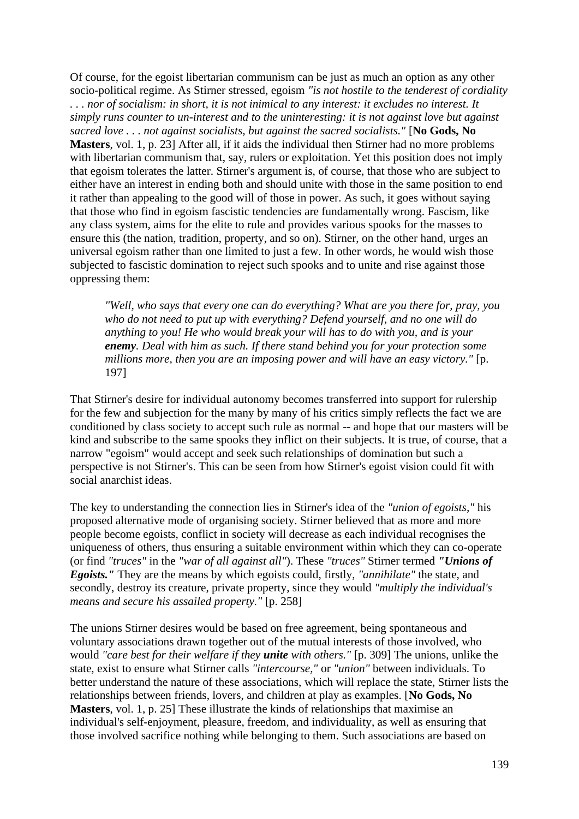Of course, for the egoist libertarian communism can be just as much an option as any other socio-political regime. As Stirner stressed, egoism *"is not hostile to the tenderest of cordiality . . . nor of socialism: in short, it is not inimical to any interest: it excludes no interest. It simply runs counter to un-interest and to the uninteresting: it is not against love but against sacred love . . . not against socialists, but against the sacred socialists."* [**No Gods, No Masters**, vol. 1, p. 23] After all, if it aids the individual then Stirner had no more problems with libertarian communism that, say, rulers or exploitation. Yet this position does not imply that egoism tolerates the latter. Stirner's argument is, of course, that those who are subject to either have an interest in ending both and should unite with those in the same position to end it rather than appealing to the good will of those in power. As such, it goes without saying that those who find in egoism fascistic tendencies are fundamentally wrong. Fascism, like any class system, aims for the elite to rule and provides various spooks for the masses to ensure this (the nation, tradition, property, and so on). Stirner, on the other hand, urges an universal egoism rather than one limited to just a few. In other words, he would wish those subjected to fascistic domination to reject such spooks and to unite and rise against those oppressing them:

*"Well, who says that every one can do everything? What are you there for, pray, you who do not need to put up with everything? Defend yourself, and no one will do anything to you! He who would break your will has to do with you, and is your enemy. Deal with him as such. If there stand behind you for your protection some millions more, then you are an imposing power and will have an easy victory."* [p. 197]

That Stirner's desire for individual autonomy becomes transferred into support for rulership for the few and subjection for the many by many of his critics simply reflects the fact we are conditioned by class society to accept such rule as normal -- and hope that our masters will be kind and subscribe to the same spooks they inflict on their subjects. It is true, of course, that a narrow "egoism" would accept and seek such relationships of domination but such a perspective is not Stirner's. This can be seen from how Stirner's egoist vision could fit with social anarchist ideas.

The key to understanding the connection lies in Stirner's idea of the *"union of egoists,"* his proposed alternative mode of organising society. Stirner believed that as more and more people become egoists, conflict in society will decrease as each individual recognises the uniqueness of others, thus ensuring a suitable environment within which they can co-operate (or find *"truces"* in the *"war of all against all"*). These *"truces"* Stirner termed *"Unions of Egoists."* They are the means by which egoists could, firstly, *"annihilate"* the state, and secondly, destroy its creature, private property, since they would *"multiply the individual's means and secure his assailed property."* [p. 258]

The unions Stirner desires would be based on free agreement, being spontaneous and voluntary associations drawn together out of the mutual interests of those involved, who would *"care best for their welfare if they unite with others."* [p. 309] The unions, unlike the state, exist to ensure what Stirner calls *"intercourse,"* or *"union"* between individuals. To better understand the nature of these associations, which will replace the state, Stirner lists the relationships between friends, lovers, and children at play as examples. [**No Gods, No Masters**, vol. 1, p. 25] These illustrate the kinds of relationships that maximise an individual's self-enjoyment, pleasure, freedom, and individuality, as well as ensuring that those involved sacrifice nothing while belonging to them. Such associations are based on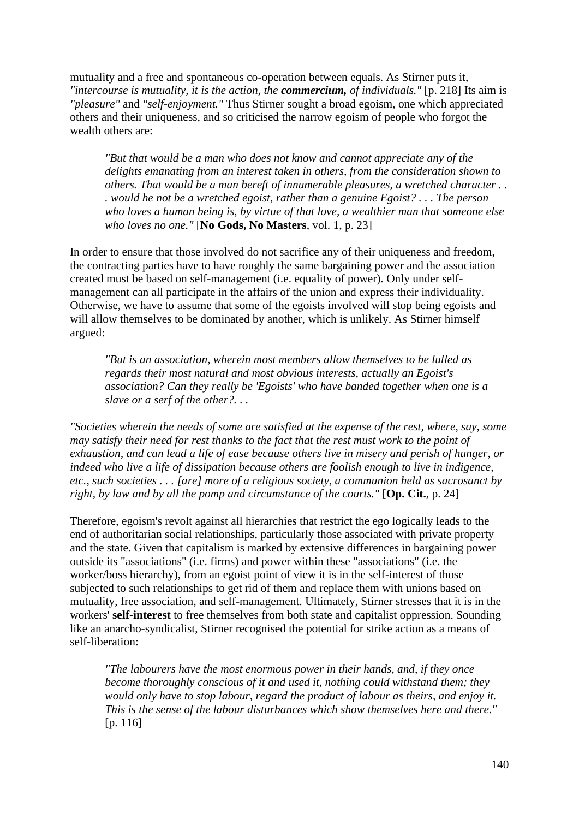mutuality and a free and spontaneous co-operation between equals. As Stirner puts it, *"intercourse is mutuality, it is the action, the commercium, of individuals."* [p. 218] Its aim is *"pleasure"* and *"self-enjoyment."* Thus Stirner sought a broad egoism, one which appreciated others and their uniqueness, and so criticised the narrow egoism of people who forgot the wealth others are:

*"But that would be a man who does not know and cannot appreciate any of the delights emanating from an interest taken in others, from the consideration shown to others. That would be a man bereft of innumerable pleasures, a wretched character . . . would he not be a wretched egoist, rather than a genuine Egoist? . . . The person who loves a human being is, by virtue of that love, a wealthier man that someone else who loves no one."* [**No Gods, No Masters**, vol. 1, p. 23]

In order to ensure that those involved do not sacrifice any of their uniqueness and freedom, the contracting parties have to have roughly the same bargaining power and the association created must be based on self-management (i.e. equality of power). Only under selfmanagement can all participate in the affairs of the union and express their individuality. Otherwise, we have to assume that some of the egoists involved will stop being egoists and will allow themselves to be dominated by another, which is unlikely. As Stirner himself argued:

*"But is an association, wherein most members allow themselves to be lulled as regards their most natural and most obvious interests, actually an Egoist's association? Can they really be 'Egoists' who have banded together when one is a slave or a serf of the other?. . .* 

*"Societies wherein the needs of some are satisfied at the expense of the rest, where, say, some may satisfy their need for rest thanks to the fact that the rest must work to the point of exhaustion, and can lead a life of ease because others live in misery and perish of hunger, or indeed who live a life of dissipation because others are foolish enough to live in indigence, etc., such societies . . . [are] more of a religious society, a communion held as sacrosanct by right, by law and by all the pomp and circumstance of the courts."* [**Op. Cit.**, p. 24]

Therefore, egoism's revolt against all hierarchies that restrict the ego logically leads to the end of authoritarian social relationships, particularly those associated with private property and the state. Given that capitalism is marked by extensive differences in bargaining power outside its "associations" (i.e. firms) and power within these "associations" (i.e. the worker/boss hierarchy), from an egoist point of view it is in the self-interest of those subjected to such relationships to get rid of them and replace them with unions based on mutuality, free association, and self-management. Ultimately, Stirner stresses that it is in the workers' **self-interest** to free themselves from both state and capitalist oppression. Sounding like an anarcho-syndicalist, Stirner recognised the potential for strike action as a means of self-liberation:

*"The labourers have the most enormous power in their hands, and, if they once become thoroughly conscious of it and used it, nothing could withstand them; they would only have to stop labour, regard the product of labour as theirs, and enjoy it. This is the sense of the labour disturbances which show themselves here and there."* [p. 116]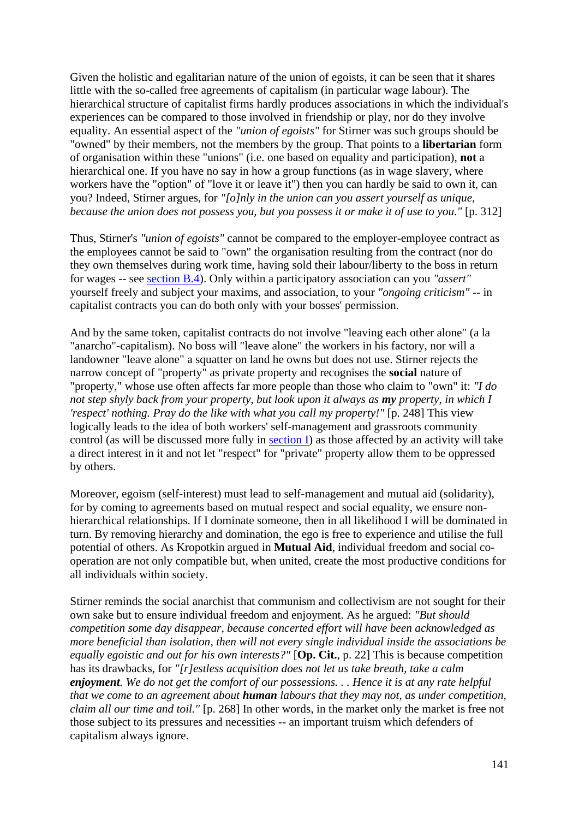Given the holistic and egalitarian nature of the union of egoists, it can be seen that it shares little with the so-called free agreements of capitalism (in particular wage labour). The hierarchical structure of capitalist firms hardly produces associations in which the individual's experiences can be compared to those involved in friendship or play, nor do they involve equality. An essential aspect of the *"union of egoists"* for Stirner was such groups should be "owned" by their members, not the members by the group. That points to a **libertarian** form of organisation within these "unions" (i.e. one based on equality and participation), **not** a hierarchical one. If you have no say in how a group functions (as in wage slavery, where workers have the "option" of "love it or leave it") then you can hardly be said to own it, can you? Indeed, Stirner argues, for *"[o]nly in the union can you assert yourself as unique, because the union does not possess you, but you possess it or make it of use to you."* [p. 312]

Thus, Stirner's *"union of egoists"* cannot be compared to the employer-employee contract as the employees cannot be said to "own" the organisation resulting from the contract (nor do they own themselves during work time, having sold their labour/liberty to the boss in return for wages -- see [section B.4\)](sectionB.html#secb4). Only within a participatory association can you *"assert"* yourself freely and subject your maxims, and association, to your *"ongoing criticism"* -- in capitalist contracts you can do both only with your bosses' permission.

And by the same token, capitalist contracts do not involve "leaving each other alone" (a la "anarcho"-capitalism). No boss will "leave alone" the workers in his factory, nor will a landowner "leave alone" a squatter on land he owns but does not use. Stirner rejects the narrow concept of "property" as private property and recognises the **social** nature of "property," whose use often affects far more people than those who claim to "own" it: *"I do not step shyly back from your property, but look upon it always as my property, in which I 'respect' nothing. Pray do the like with what you call my property!"* [p. 248] This view logically leads to the idea of both workers' self-management and grassroots community control (as will be discussed more fully in [section I\)](sectionI.html) as those affected by an activity will take a direct interest in it and not let "respect" for "private" property allow them to be oppressed by others.

Moreover, egoism (self-interest) must lead to self-management and mutual aid (solidarity), for by coming to agreements based on mutual respect and social equality, we ensure nonhierarchical relationships. If I dominate someone, then in all likelihood I will be dominated in turn. By removing hierarchy and domination, the ego is free to experience and utilise the full potential of others. As Kropotkin argued in **Mutual Aid**, individual freedom and social cooperation are not only compatible but, when united, create the most productive conditions for all individuals within society.

Stirner reminds the social anarchist that communism and collectivism are not sought for their own sake but to ensure individual freedom and enjoyment. As he argued: *"But should competition some day disappear, because concerted effort will have been acknowledged as more beneficial than isolation, then will not every single individual inside the associations be equally egoistic and out for his own interests?"* [**Op. Cit.**, p. 22] This is because competition has its drawbacks, for *"[r]estless acquisition does not let us take breath, take a calm enjoyment. We do not get the comfort of our possessions. . . Hence it is at any rate helpful that we come to an agreement about human labours that they may not, as under competition, claim all our time and toil."* [p. 268] In other words, in the market only the market is free not those subject to its pressures and necessities -- an important truism which defenders of capitalism always ignore.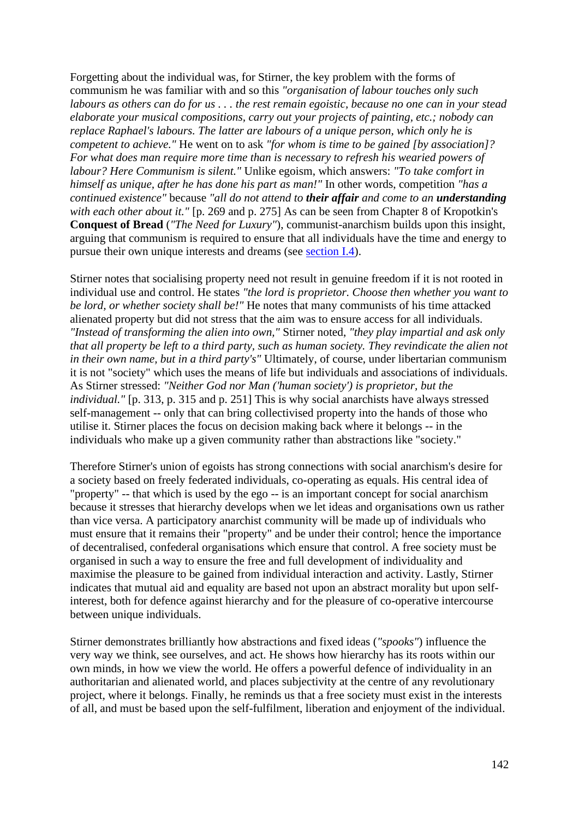Forgetting about the individual was, for Stirner, the key problem with the forms of communism he was familiar with and so this *"organisation of labour touches only such labours as others can do for us . . . the rest remain egoistic, because no one can in your stead elaborate your musical compositions, carry out your projects of painting, etc.; nobody can replace Raphael's labours. The latter are labours of a unique person, which only he is competent to achieve."* He went on to ask *"for whom is time to be gained [by association]? For what does man require more time than is necessary to refresh his wearied powers of labour? Here Communism is silent."* Unlike egoism, which answers: *"To take comfort in himself as unique, after he has done his part as man!"* In other words, competition *"has a continued existence"* because *"all do not attend to their affair and come to an understanding with each other about it."* [p. 269 and p. 275] As can be seen from Chapter 8 of Kropotkin's **Conquest of Bread** (*"The Need for Luxury"*), communist-anarchism builds upon this insight, arguing that communism is required to ensure that all individuals have the time and energy to pursue their own unique interests and dreams (see [section I.4\)](sectionI.html#seci4).

Stirner notes that socialising property need not result in genuine freedom if it is not rooted in individual use and control. He states *"the lord is proprietor. Choose then whether you want to be lord, or whether society shall be!"* He notes that many communists of his time attacked alienated property but did not stress that the aim was to ensure access for all individuals. *"Instead of transforming the alien into own,"* Stirner noted, *"they play impartial and ask only that all property be left to a third party, such as human society. They revindicate the alien not in their own name, but in a third party's"* Ultimately, of course, under libertarian communism it is not "society" which uses the means of life but individuals and associations of individuals. As Stirner stressed: *"Neither God nor Man ('human society') is proprietor, but the individual."* [p. 313, p. 315 and p. 251] This is why social anarchists have always stressed self-management -- only that can bring collectivised property into the hands of those who utilise it. Stirner places the focus on decision making back where it belongs -- in the individuals who make up a given community rather than abstractions like "society."

Therefore Stirner's union of egoists has strong connections with social anarchism's desire for a society based on freely federated individuals, co-operating as equals. His central idea of "property" -- that which is used by the ego -- is an important concept for social anarchism because it stresses that hierarchy develops when we let ideas and organisations own us rather than vice versa. A participatory anarchist community will be made up of individuals who must ensure that it remains their "property" and be under their control; hence the importance of decentralised, confederal organisations which ensure that control. A free society must be organised in such a way to ensure the free and full development of individuality and maximise the pleasure to be gained from individual interaction and activity. Lastly, Stirner indicates that mutual aid and equality are based not upon an abstract morality but upon selfinterest, both for defence against hierarchy and for the pleasure of co-operative intercourse between unique individuals.

Stirner demonstrates brilliantly how abstractions and fixed ideas (*"spooks"*) influence the very way we think, see ourselves, and act. He shows how hierarchy has its roots within our own minds, in how we view the world. He offers a powerful defence of individuality in an authoritarian and alienated world, and places subjectivity at the centre of any revolutionary project, where it belongs. Finally, he reminds us that a free society must exist in the interests of all, and must be based upon the self-fulfilment, liberation and enjoyment of the individual.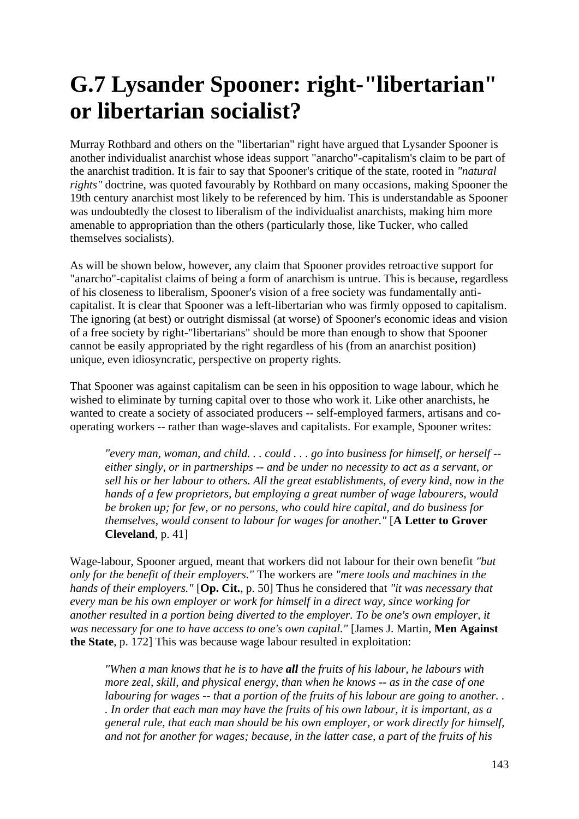# **G.7 Lysander Spooner: right-"libertarian" or libertarian socialist?**

Murray Rothbard and others on the "libertarian" right have argued that Lysander Spooner is another individualist anarchist whose ideas support "anarcho"-capitalism's claim to be part of the anarchist tradition. It is fair to say that Spooner's critique of the state, rooted in *"natural rights"* doctrine, was quoted favourably by Rothbard on many occasions, making Spooner the 19th century anarchist most likely to be referenced by him. This is understandable as Spooner was undoubtedly the closest to liberalism of the individualist anarchists, making him more amenable to appropriation than the others (particularly those, like Tucker, who called themselves socialists).

As will be shown below, however, any claim that Spooner provides retroactive support for "anarcho"-capitalist claims of being a form of anarchism is untrue. This is because, regardless of his closeness to liberalism, Spooner's vision of a free society was fundamentally anticapitalist. It is clear that Spooner was a left-libertarian who was firmly opposed to capitalism. The ignoring (at best) or outright dismissal (at worse) of Spooner's economic ideas and vision of a free society by right-"libertarians" should be more than enough to show that Spooner cannot be easily appropriated by the right regardless of his (from an anarchist position) unique, even idiosyncratic, perspective on property rights.

That Spooner was against capitalism can be seen in his opposition to wage labour, which he wished to eliminate by turning capital over to those who work it. Like other anarchists, he wanted to create a society of associated producers -- self-employed farmers, artisans and cooperating workers -- rather than wage-slaves and capitalists. For example, Spooner writes:

*"every man, woman, and child. . . could . . . go into business for himself, or herself - either singly, or in partnerships -- and be under no necessity to act as a servant, or sell his or her labour to others. All the great establishments, of every kind, now in the hands of a few proprietors, but employing a great number of wage labourers, would be broken up; for few, or no persons, who could hire capital, and do business for themselves, would consent to labour for wages for another."* [**A Letter to Grover Cleveland**, p. 41]

Wage-labour, Spooner argued, meant that workers did not labour for their own benefit *"but only for the benefit of their employers."* The workers are *"mere tools and machines in the hands of their employers."* [**Op. Cit.**, p. 50] Thus he considered that *"it was necessary that every man be his own employer or work for himself in a direct way, since working for another resulted in a portion being diverted to the employer. To be one's own employer, it was necessary for one to have access to one's own capital."* [James J. Martin, **Men Against the State**, p. 172] This was because wage labour resulted in exploitation:

*"When a man knows that he is to have all the fruits of his labour, he labours with more zeal, skill, and physical energy, than when he knows -- as in the case of one labouring for wages -- that a portion of the fruits of his labour are going to another. . . In order that each man may have the fruits of his own labour, it is important, as a general rule, that each man should be his own employer, or work directly for himself, and not for another for wages; because, in the latter case, a part of the fruits of his*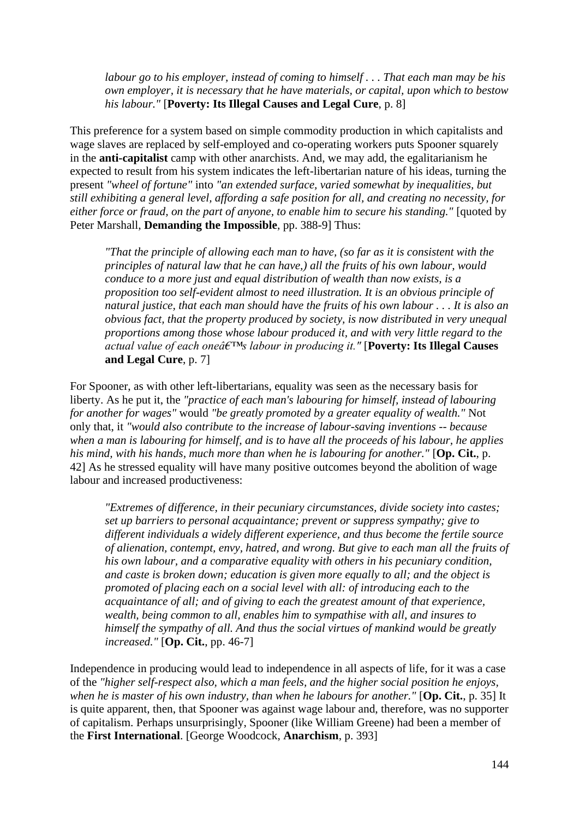*labour go to his employer, instead of coming to himself . . . That each man may be his own employer, it is necessary that he have materials, or capital, upon which to bestow his labour."* [**Poverty: Its Illegal Causes and Legal Cure**, p. 8]

This preference for a system based on simple commodity production in which capitalists and wage slaves are replaced by self-employed and co-operating workers puts Spooner squarely in the **anti-capitalist** camp with other anarchists. And, we may add, the egalitarianism he expected to result from his system indicates the left-libertarian nature of his ideas, turning the present *"wheel of fortune"* into *"an extended surface, varied somewhat by inequalities, but still exhibiting a general level, affording a safe position for all, and creating no necessity, for either force or fraud, on the part of anyone, to enable him to secure his standing."* [quoted by Peter Marshall, **Demanding the Impossible**, pp. 388-9] Thus:

*"That the principle of allowing each man to have, (so far as it is consistent with the principles of natural law that he can have,) all the fruits of his own labour, would conduce to a more just and equal distribution of wealth than now exists, is a proposition too self-evident almost to need illustration. It is an obvious principle of natural justice, that each man should have the fruits of his own labour . . . It is also an obvious fact, that the property produced by society, is now distributed in very unequal proportions among those whose labour produced it, and with very little regard to the actual value of each one* $\hat{a} \in T^M s$  *labour in producing it."* [Poverty: Its Illegal Causes **and Legal Cure**, p. 7]

For Spooner, as with other left-libertarians, equality was seen as the necessary basis for liberty. As he put it, the *"practice of each man's labouring for himself, instead of labouring for another for wages"* would *"be greatly promoted by a greater equality of wealth."* Not only that, it *"would also contribute to the increase of labour-saving inventions -- because when a man is labouring for himself, and is to have all the proceeds of his labour, he applies his mind, with his hands, much more than when he is labouring for another."* [**Op. Cit.**, p. 42] As he stressed equality will have many positive outcomes beyond the abolition of wage labour and increased productiveness:

*"Extremes of difference, in their pecuniary circumstances, divide society into castes; set up barriers to personal acquaintance; prevent or suppress sympathy; give to different individuals a widely different experience, and thus become the fertile source of alienation, contempt, envy, hatred, and wrong. But give to each man all the fruits of his own labour, and a comparative equality with others in his pecuniary condition, and caste is broken down; education is given more equally to all; and the object is promoted of placing each on a social level with all: of introducing each to the acquaintance of all; and of giving to each the greatest amount of that experience, wealth, being common to all, enables him to sympathise with all, and insures to himself the sympathy of all. And thus the social virtues of mankind would be greatly increased."* [**Op. Cit.**, pp. 46-7]

Independence in producing would lead to independence in all aspects of life, for it was a case of the *"higher self-respect also, which a man feels, and the higher social position he enjoys, when he is master of his own industry, than when he labours for another."* [**Op. Cit.**, p. 35] It is quite apparent, then, that Spooner was against wage labour and, therefore, was no supporter of capitalism. Perhaps unsurprisingly, Spooner (like William Greene) had been a member of the **First International**. [George Woodcock, **Anarchism**, p. 393]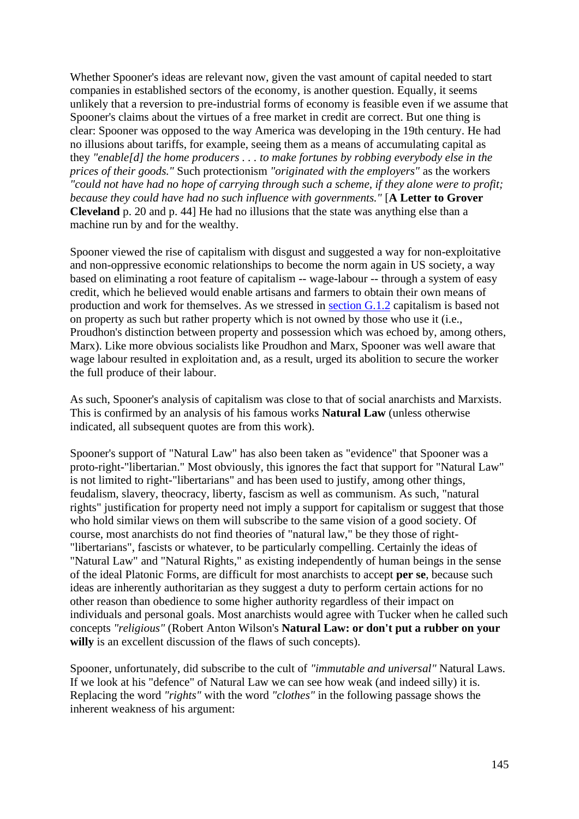Whether Spooner's ideas are relevant now, given the vast amount of capital needed to start companies in established sectors of the economy, is another question. Equally, it seems unlikely that a reversion to pre-industrial forms of economy is feasible even if we assume that Spooner's claims about the virtues of a free market in credit are correct. But one thing is clear: Spooner was opposed to the way America was developing in the 19th century. He had no illusions about tariffs, for example, seeing them as a means of accumulating capital as they *"enable[d] the home producers . . . to make fortunes by robbing everybody else in the prices of their goods."* Such protectionism *"originated with the employers"* as the workers *"could not have had no hope of carrying through such a scheme, if they alone were to profit; because they could have had no such influence with governments."* [**A Letter to Grover Cleveland** p. 20 and p. 44] He had no illusions that the state was anything else than a machine run by and for the wealthy.

Spooner viewed the rise of capitalism with disgust and suggested a way for non-exploitative and non-oppressive economic relationships to become the norm again in US society, a way based on eliminating a root feature of capitalism -- wage-labour -- through a system of easy credit, which he believed would enable artisans and farmers to obtain their own means of production and work for themselves. As we stressed in [section G.1.2](sectionG.html#secg12) capitalism is based not on property as such but rather property which is not owned by those who use it (i.e., Proudhon's distinction between property and possession which was echoed by, among others, Marx). Like more obvious socialists like Proudhon and Marx, Spooner was well aware that wage labour resulted in exploitation and, as a result, urged its abolition to secure the worker the full produce of their labour.

As such, Spooner's analysis of capitalism was close to that of social anarchists and Marxists. This is confirmed by an analysis of his famous works **Natural Law** (unless otherwise indicated, all subsequent quotes are from this work).

Spooner's support of "Natural Law" has also been taken as "evidence" that Spooner was a proto-right-"libertarian." Most obviously, this ignores the fact that support for "Natural Law" is not limited to right-"libertarians" and has been used to justify, among other things, feudalism, slavery, theocracy, liberty, fascism as well as communism. As such, "natural rights" justification for property need not imply a support for capitalism or suggest that those who hold similar views on them will subscribe to the same vision of a good society. Of course, most anarchists do not find theories of "natural law," be they those of right- "libertarians", fascists or whatever, to be particularly compelling. Certainly the ideas of "Natural Law" and "Natural Rights," as existing independently of human beings in the sense of the ideal Platonic Forms, are difficult for most anarchists to accept **per se**, because such ideas are inherently authoritarian as they suggest a duty to perform certain actions for no other reason than obedience to some higher authority regardless of their impact on individuals and personal goals. Most anarchists would agree with Tucker when he called such concepts *"religious"* (Robert Anton Wilson's **Natural Law: or don't put a rubber on your willy** is an excellent discussion of the flaws of such concepts).

Spooner, unfortunately, did subscribe to the cult of *"immutable and universal"* Natural Laws. If we look at his "defence" of Natural Law we can see how weak (and indeed silly) it is. Replacing the word *"rights"* with the word *"clothes"* in the following passage shows the inherent weakness of his argument: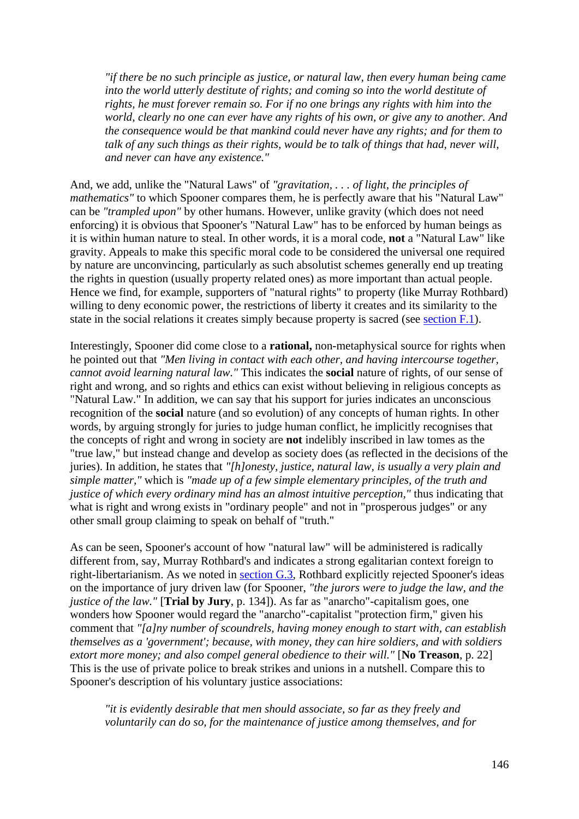*"if there be no such principle as justice, or natural law, then every human being came into the world utterly destitute of rights; and coming so into the world destitute of rights, he must forever remain so. For if no one brings any rights with him into the world, clearly no one can ever have any rights of his own, or give any to another. And the consequence would be that mankind could never have any rights; and for them to talk of any such things as their rights, would be to talk of things that had, never will, and never can have any existence."*

And, we add, unlike the "Natural Laws" of *"gravitation, . . . of light, the principles of mathematics*" to which Spooner compares them, he is perfectly aware that his "Natural Law" can be *"trampled upon"* by other humans. However, unlike gravity (which does not need enforcing) it is obvious that Spooner's "Natural Law" has to be enforced by human beings as it is within human nature to steal. In other words, it is a moral code, **not** a "Natural Law" like gravity. Appeals to make this specific moral code to be considered the universal one required by nature are unconvincing, particularly as such absolutist schemes generally end up treating the rights in question (usually property related ones) as more important than actual people. Hence we find, for example, supporters of "natural rights" to property (like Murray Rothbard) willing to deny economic power, the restrictions of liberty it creates and its similarity to the state in the social relations it creates simply because property is sacred (see [section F.1\)](sectionF.html#secf1).

Interestingly, Spooner did come close to a **rational,** non-metaphysical source for rights when he pointed out that *"Men living in contact with each other, and having intercourse together, cannot avoid learning natural law."* This indicates the **social** nature of rights, of our sense of right and wrong, and so rights and ethics can exist without believing in religious concepts as "Natural Law." In addition, we can say that his support for juries indicates an unconscious recognition of the **social** nature (and so evolution) of any concepts of human rights. In other words, by arguing strongly for juries to judge human conflict, he implicitly recognises that the concepts of right and wrong in society are **not** indelibly inscribed in law tomes as the "true law," but instead change and develop as society does (as reflected in the decisions of the juries). In addition, he states that *"[h]onesty, justice, natural law, is usually a very plain and simple matter,"* which is *"made up of a few simple elementary principles, of the truth and justice of which every ordinary mind has an almost intuitive perception,"* thus indicating that what is right and wrong exists in "ordinary people" and not in "prosperous judges" or any other small group claiming to speak on behalf of "truth."

As can be seen, Spooner's account of how "natural law" will be administered is radically different from, say, Murray Rothbard's and indicates a strong egalitarian context foreign to right-libertarianism. As we noted in [section G.3,](sectionG.html#secg3) Rothbard explicitly rejected Spooner's ideas on the importance of jury driven law (for Spooner, *"the jurors were to judge the law, and the justice of the law."* [**Trial by Jury**, p. 134]). As far as "anarcho"-capitalism goes, one wonders how Spooner would regard the "anarcho"-capitalist "protection firm," given his comment that *"[a]ny number of scoundrels, having money enough to start with, can establish themselves as a 'government'; because, with money, they can hire soldiers, and with soldiers extort more money; and also compel general obedience to their will."* [**No Treason**, p. 22] This is the use of private police to break strikes and unions in a nutshell. Compare this to Spooner's description of his voluntary justice associations:

*"it is evidently desirable that men should associate, so far as they freely and voluntarily can do so, for the maintenance of justice among themselves, and for*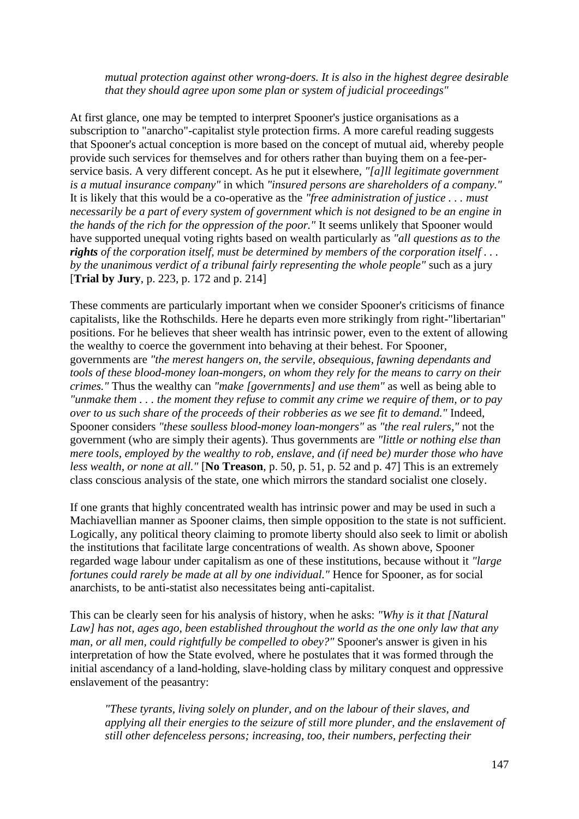*mutual protection against other wrong-doers. It is also in the highest degree desirable that they should agree upon some plan or system of judicial proceedings"*

At first glance, one may be tempted to interpret Spooner's justice organisations as a subscription to "anarcho"-capitalist style protection firms. A more careful reading suggests that Spooner's actual conception is more based on the concept of mutual aid, whereby people provide such services for themselves and for others rather than buying them on a fee-perservice basis. A very different concept. As he put it elsewhere, *"[a]ll legitimate government is a mutual insurance company"* in which *"insured persons are shareholders of a company."* It is likely that this would be a co-operative as the *"free administration of justice . . . must necessarily be a part of every system of government which is not designed to be an engine in the hands of the rich for the oppression of the poor."* It seems unlikely that Spooner would have supported unequal voting rights based on wealth particularly as *"all questions as to the rights of the corporation itself, must be determined by members of the corporation itself . . . by the unanimous verdict of a tribunal fairly representing the whole people"* such as a jury [**Trial by Jury**, p. 223, p. 172 and p. 214]

These comments are particularly important when we consider Spooner's criticisms of finance capitalists, like the Rothschilds. Here he departs even more strikingly from right-"libertarian" positions. For he believes that sheer wealth has intrinsic power, even to the extent of allowing the wealthy to coerce the government into behaving at their behest. For Spooner, governments are *"the merest hangers on, the servile, obsequious, fawning dependants and tools of these blood-money loan-mongers, on whom they rely for the means to carry on their crimes."* Thus the wealthy can *"make [governments] and use them"* as well as being able to *"unmake them . . . the moment they refuse to commit any crime we require of them, or to pay over to us such share of the proceeds of their robberies as we see fit to demand."* Indeed, Spooner considers *"these soulless blood-money loan-mongers"* as *"the real rulers,"* not the government (who are simply their agents). Thus governments are *"little or nothing else than mere tools, employed by the wealthy to rob, enslave, and (if need be) murder those who have less wealth, or none at all."* [**No Treason**, p. 50, p. 51, p. 52 and p. 47] This is an extremely class conscious analysis of the state, one which mirrors the standard socialist one closely.

If one grants that highly concentrated wealth has intrinsic power and may be used in such a Machiavellian manner as Spooner claims, then simple opposition to the state is not sufficient. Logically, any political theory claiming to promote liberty should also seek to limit or abolish the institutions that facilitate large concentrations of wealth. As shown above, Spooner regarded wage labour under capitalism as one of these institutions, because without it *"large fortunes could rarely be made at all by one individual."* Hence for Spooner, as for social anarchists, to be anti-statist also necessitates being anti-capitalist.

This can be clearly seen for his analysis of history, when he asks: *"Why is it that [Natural Law] has not, ages ago, been established throughout the world as the one only law that any man, or all men, could rightfully be compelled to obey?"* Spooner's answer is given in his interpretation of how the State evolved, where he postulates that it was formed through the initial ascendancy of a land-holding, slave-holding class by military conquest and oppressive enslavement of the peasantry:

*"These tyrants, living solely on plunder, and on the labour of their slaves, and applying all their energies to the seizure of still more plunder, and the enslavement of still other defenceless persons; increasing, too, their numbers, perfecting their*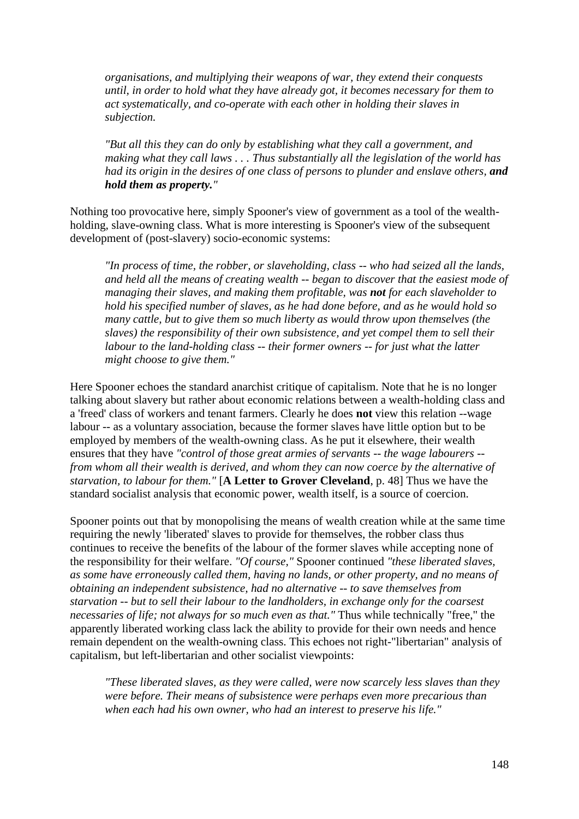*organisations, and multiplying their weapons of war, they extend their conquests until, in order to hold what they have already got, it becomes necessary for them to act systematically, and co-operate with each other in holding their slaves in subjection.* 

*"But all this they can do only by establishing what they call a government, and making what they call laws . . . Thus substantially all the legislation of the world has had its origin in the desires of one class of persons to plunder and enslave others, and hold them as property."*

Nothing too provocative here, simply Spooner's view of government as a tool of the wealthholding, slave-owning class. What is more interesting is Spooner's view of the subsequent development of (post-slavery) socio-economic systems:

*"In process of time, the robber, or slaveholding, class -- who had seized all the lands, and held all the means of creating wealth -- began to discover that the easiest mode of managing their slaves, and making them profitable, was not for each slaveholder to hold his specified number of slaves, as he had done before, and as he would hold so many cattle, but to give them so much liberty as would throw upon themselves (the slaves) the responsibility of their own subsistence, and yet compel them to sell their labour to the land-holding class -- their former owners -- for just what the latter might choose to give them."*

Here Spooner echoes the standard anarchist critique of capitalism. Note that he is no longer talking about slavery but rather about economic relations between a wealth-holding class and a 'freed' class of workers and tenant farmers. Clearly he does **not** view this relation --wage labour -- as a voluntary association, because the former slaves have little option but to be employed by members of the wealth-owning class. As he put it elsewhere, their wealth ensures that they have *"control of those great armies of servants -- the wage labourers - from whom all their wealth is derived, and whom they can now coerce by the alternative of starvation, to labour for them."* [**A Letter to Grover Cleveland**, p. 48] Thus we have the standard socialist analysis that economic power, wealth itself, is a source of coercion.

Spooner points out that by monopolising the means of wealth creation while at the same time requiring the newly 'liberated' slaves to provide for themselves, the robber class thus continues to receive the benefits of the labour of the former slaves while accepting none of the responsibility for their welfare. *"Of course,"* Spooner continued *"these liberated slaves, as some have erroneously called them, having no lands, or other property, and no means of obtaining an independent subsistence, had no alternative -- to save themselves from starvation -- but to sell their labour to the landholders, in exchange only for the coarsest necessaries of life; not always for so much even as that."* Thus while technically "free," the apparently liberated working class lack the ability to provide for their own needs and hence remain dependent on the wealth-owning class. This echoes not right-"libertarian" analysis of capitalism, but left-libertarian and other socialist viewpoints:

*"These liberated slaves, as they were called, were now scarcely less slaves than they were before. Their means of subsistence were perhaps even more precarious than when each had his own owner, who had an interest to preserve his life."*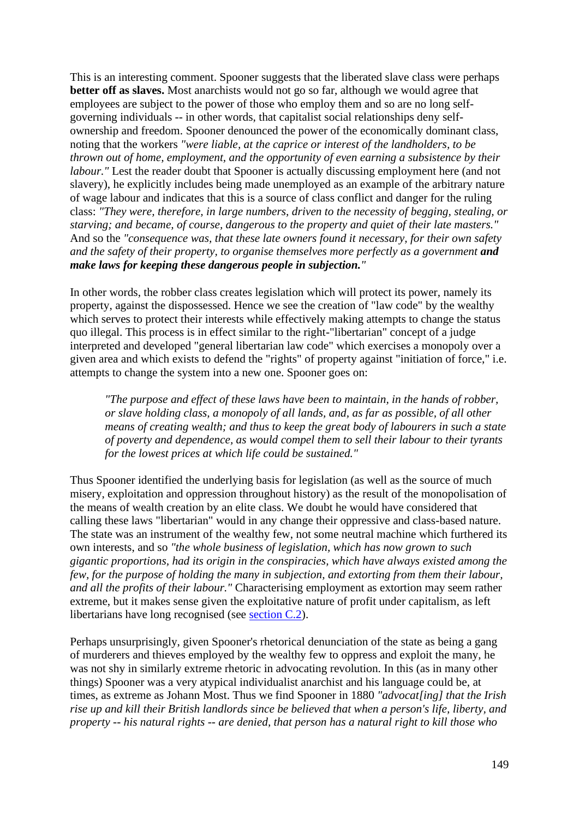This is an interesting comment. Spooner suggests that the liberated slave class were perhaps **better off as slaves.** Most anarchists would not go so far, although we would agree that employees are subject to the power of those who employ them and so are no long selfgoverning individuals -- in other words, that capitalist social relationships deny selfownership and freedom. Spooner denounced the power of the economically dominant class, noting that the workers *"were liable, at the caprice or interest of the landholders, to be thrown out of home, employment, and the opportunity of even earning a subsistence by their labour.*" Lest the reader doubt that Spooner is actually discussing employment here (and not slavery), he explicitly includes being made unemployed as an example of the arbitrary nature of wage labour and indicates that this is a source of class conflict and danger for the ruling class: *"They were, therefore, in large numbers, driven to the necessity of begging, stealing, or starving; and became, of course, dangerous to the property and quiet of their late masters."* And so the *"consequence was, that these late owners found it necessary, for their own safety and the safety of their property, to organise themselves more perfectly as a government and make laws for keeping these dangerous people in subjection."*

In other words, the robber class creates legislation which will protect its power, namely its property, against the dispossessed. Hence we see the creation of "law code" by the wealthy which serves to protect their interests while effectively making attempts to change the status quo illegal. This process is in effect similar to the right-"libertarian" concept of a judge interpreted and developed "general libertarian law code" which exercises a monopoly over a given area and which exists to defend the "rights" of property against "initiation of force," i.e. attempts to change the system into a new one. Spooner goes on:

*"The purpose and effect of these laws have been to maintain, in the hands of robber, or slave holding class, a monopoly of all lands, and, as far as possible, of all other means of creating wealth; and thus to keep the great body of labourers in such a state of poverty and dependence, as would compel them to sell their labour to their tyrants for the lowest prices at which life could be sustained."*

Thus Spooner identified the underlying basis for legislation (as well as the source of much misery, exploitation and oppression throughout history) as the result of the monopolisation of the means of wealth creation by an elite class. We doubt he would have considered that calling these laws "libertarian" would in any change their oppressive and class-based nature. The state was an instrument of the wealthy few, not some neutral machine which furthered its own interests, and so *"the whole business of legislation, which has now grown to such gigantic proportions, had its origin in the conspiracies, which have always existed among the few, for the purpose of holding the many in subjection, and extorting from them their labour, and all the profits of their labour."* Characterising employment as extortion may seem rather extreme, but it makes sense given the exploitative nature of profit under capitalism, as left libertarians have long recognised (see [section C.2\)](sectionC.html#secc2).

Perhaps unsurprisingly, given Spooner's rhetorical denunciation of the state as being a gang of murderers and thieves employed by the wealthy few to oppress and exploit the many, he was not shy in similarly extreme rhetoric in advocating revolution. In this (as in many other things) Spooner was a very atypical individualist anarchist and his language could be, at times, as extreme as Johann Most. Thus we find Spooner in 1880 *"advocat[ing] that the Irish rise up and kill their British landlords since be believed that when a person's life, liberty, and property -- his natural rights -- are denied, that person has a natural right to kill those who*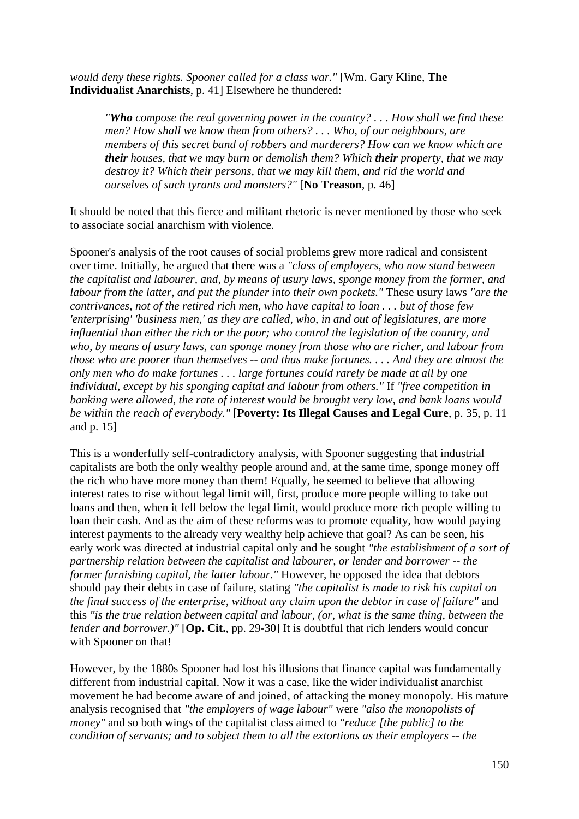*would deny these rights. Spooner called for a class war."* [Wm. Gary Kline, **The Individualist Anarchists**, p. 41] Elsewhere he thundered:

*"Who compose the real governing power in the country? . . . How shall we find these men? How shall we know them from others? . . . Who, of our neighbours, are members of this secret band of robbers and murderers? How can we know which are their houses, that we may burn or demolish them? Which their property, that we may destroy it? Which their persons, that we may kill them, and rid the world and ourselves of such tyrants and monsters?"* [**No Treason**, p. 46]

It should be noted that this fierce and militant rhetoric is never mentioned by those who seek to associate social anarchism with violence.

Spooner's analysis of the root causes of social problems grew more radical and consistent over time. Initially, he argued that there was a *"class of employers, who now stand between the capitalist and labourer, and, by means of usury laws, sponge money from the former, and labour from the latter, and put the plunder into their own pockets."* These usury laws *"are the contrivances, not of the retired rich men, who have capital to loan . . . but of those few 'enterprising' 'business men,' as they are called, who, in and out of legislatures, are more influential than either the rich or the poor; who control the legislation of the country, and who, by means of usury laws, can sponge money from those who are richer, and labour from those who are poorer than themselves -- and thus make fortunes. . . . And they are almost the only men who do make fortunes . . . large fortunes could rarely be made at all by one individual, except by his sponging capital and labour from others."* If *"free competition in banking were allowed, the rate of interest would be brought very low, and bank loans would be within the reach of everybody."* [**Poverty: Its Illegal Causes and Legal Cure**, p. 35, p. 11 and p. 15]

This is a wonderfully self-contradictory analysis, with Spooner suggesting that industrial capitalists are both the only wealthy people around and, at the same time, sponge money off the rich who have more money than them! Equally, he seemed to believe that allowing interest rates to rise without legal limit will, first, produce more people willing to take out loans and then, when it fell below the legal limit, would produce more rich people willing to loan their cash. And as the aim of these reforms was to promote equality, how would paying interest payments to the already very wealthy help achieve that goal? As can be seen, his early work was directed at industrial capital only and he sought *"the establishment of a sort of partnership relation between the capitalist and labourer, or lender and borrower -- the former furnishing capital, the latter labour."* However, he opposed the idea that debtors should pay their debts in case of failure, stating *"the capitalist is made to risk his capital on the final success of the enterprise, without any claim upon the debtor in case of failure"* and this *"is the true relation between capital and labour, (or, what is the same thing, between the lender and borrower.)"* [**Op. Cit.**, pp. 29-30] It is doubtful that rich lenders would concur with Spooner on that!

However, by the 1880s Spooner had lost his illusions that finance capital was fundamentally different from industrial capital. Now it was a case, like the wider individualist anarchist movement he had become aware of and joined, of attacking the money monopoly. His mature analysis recognised that *"the employers of wage labour"* were *"also the monopolists of money"* and so both wings of the capitalist class aimed to *"reduce [the public] to the condition of servants; and to subject them to all the extortions as their employers -- the*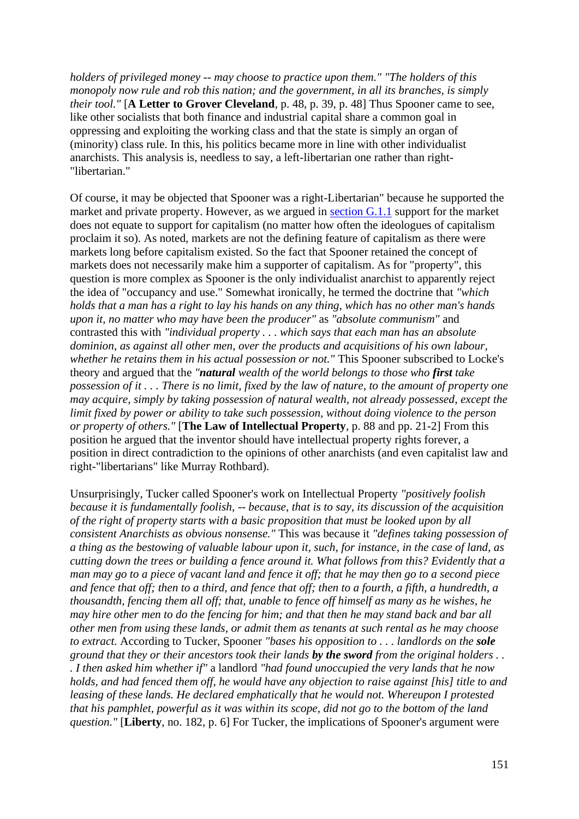*holders of privileged money -- may choose to practice upon them." "The holders of this monopoly now rule and rob this nation; and the government, in all its branches, is simply their tool."* [**A Letter to Grover Cleveland**, p. 48, p. 39, p. 48] Thus Spooner came to see, like other socialists that both finance and industrial capital share a common goal in oppressing and exploiting the working class and that the state is simply an organ of (minority) class rule. In this, his politics became more in line with other individualist anarchists. This analysis is, needless to say, a left-libertarian one rather than right- "libertarian."

Of course, it may be objected that Spooner was a right-Libertarian" because he supported the market and private property. However, as we argued in [section G.1.1](sectionG.html#secg11) support for the market does not equate to support for capitalism (no matter how often the ideologues of capitalism proclaim it so). As noted, markets are not the defining feature of capitalism as there were markets long before capitalism existed. So the fact that Spooner retained the concept of markets does not necessarily make him a supporter of capitalism. As for "property", this question is more complex as Spooner is the only individualist anarchist to apparently reject the idea of "occupancy and use." Somewhat ironically, he termed the doctrine that *"which holds that a man has a right to lay his hands on any thing, which has no other man's hands upon it, no matter who may have been the producer"* as *"absolute communism"* and contrasted this with *"individual property . . . which says that each man has an absolute dominion, as against all other men, over the products and acquisitions of his own labour, whether he retains them in his actual possession or not."* This Spooner subscribed to Locke's theory and argued that the *"natural wealth of the world belongs to those who first take possession of it . . . There is no limit, fixed by the law of nature, to the amount of property one may acquire, simply by taking possession of natural wealth, not already possessed, except the limit fixed by power or ability to take such possession, without doing violence to the person or property of others."* [**The Law of Intellectual Property**, p. 88 and pp. 21-2] From this position he argued that the inventor should have intellectual property rights forever, a position in direct contradiction to the opinions of other anarchists (and even capitalist law and right-"libertarians" like Murray Rothbard).

Unsurprisingly, Tucker called Spooner's work on Intellectual Property *"positively foolish because it is fundamentally foolish, -- because, that is to say, its discussion of the acquisition of the right of property starts with a basic proposition that must be looked upon by all consistent Anarchists as obvious nonsense."* This was because it *"defines taking possession of a thing as the bestowing of valuable labour upon it, such, for instance, in the case of land, as cutting down the trees or building a fence around it. What follows from this? Evidently that a man may go to a piece of vacant land and fence it off; that he may then go to a second piece and fence that off; then to a third, and fence that off; then to a fourth, a fifth, a hundredth, a thousandth, fencing them all off; that, unable to fence off himself as many as he wishes, he may hire other men to do the fencing for him; and that then he may stand back and bar all other men from using these lands, or admit them as tenants at such rental as he may choose to extract.* According to Tucker, Spooner *"bases his opposition to . . . landlords on the sole ground that they or their ancestors took their lands by the sword from the original holders . . . I then asked him whether if"* a landlord *"had found unoccupied the very lands that he now holds, and had fenced them off, he would have any objection to raise against [his] title to and leasing of these lands. He declared emphatically that he would not. Whereupon I protested that his pamphlet, powerful as it was within its scope, did not go to the bottom of the land question."* [**Liberty**, no. 182, p. 6] For Tucker, the implications of Spooner's argument were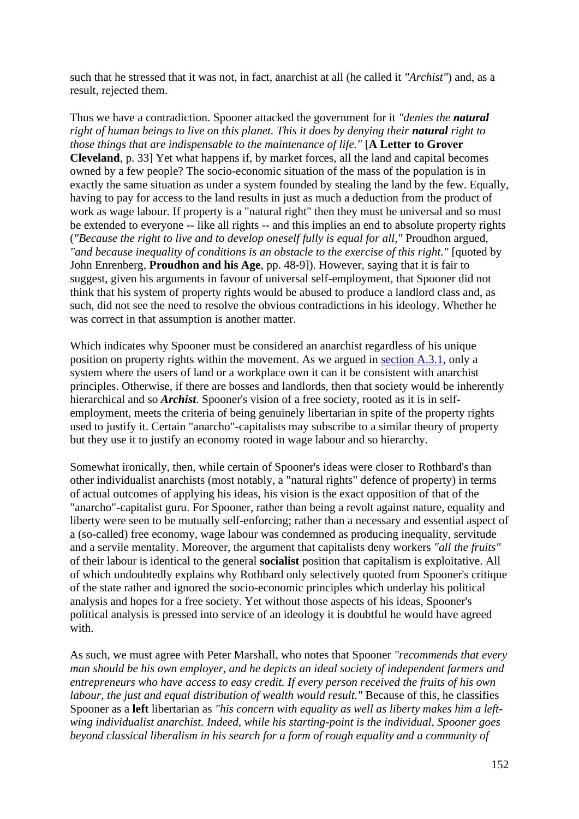such that he stressed that it was not, in fact, anarchist at all (he called it *"Archist"*) and, as a result, rejected them.

Thus we have a contradiction. Spooner attacked the government for it *"denies the natural right of human beings to live on this planet. This it does by denying their <i>natural right to those things that are indispensable to the maintenance of life."* [**A Letter to Grover Cleveland**, p. 33] Yet what happens if, by market forces, all the land and capital becomes owned by a few people? The socio-economic situation of the mass of the population is in exactly the same situation as under a system founded by stealing the land by the few. Equally, having to pay for access to the land results in just as much a deduction from the product of work as wage labour. If property is a "natural right" then they must be universal and so must be extended to everyone -- like all rights -- and this implies an end to absolute property rights (*"Because the right to live and to develop oneself fully is equal for all,"* Proudhon argued, *"and because inequality of conditions is an obstacle to the exercise of this right."* [quoted by John Enrenberg, **Proudhon and his Age**, pp. 48-9]). However, saying that it is fair to suggest, given his arguments in favour of universal self-employment, that Spooner did not think that his system of property rights would be abused to produce a landlord class and, as such, did not see the need to resolve the obvious contradictions in his ideology. Whether he was correct in that assumption is another matter.

Which indicates why Spooner must be considered an anarchist regardless of his unique position on property rights within the movement. As we argued in [section A.3.1,](sectionA.html#seca31) only a system where the users of land or a workplace own it can it be consistent with anarchist principles. Otherwise, if there are bosses and landlords, then that society would be inherently hierarchical and so *Archist*. Spooner's vision of a free society, rooted as it is in selfemployment, meets the criteria of being genuinely libertarian in spite of the property rights used to justify it. Certain "anarcho"-capitalists may subscribe to a similar theory of property but they use it to justify an economy rooted in wage labour and so hierarchy.

Somewhat ironically, then, while certain of Spooner's ideas were closer to Rothbard's than other individualist anarchists (most notably, a "natural rights" defence of property) in terms of actual outcomes of applying his ideas, his vision is the exact opposition of that of the "anarcho"-capitalist guru. For Spooner, rather than being a revolt against nature, equality and liberty were seen to be mutually self-enforcing; rather than a necessary and essential aspect of a (so-called) free economy, wage labour was condemned as producing inequality, servitude and a servile mentality. Moreover, the argument that capitalists deny workers *"all the fruits"* of their labour is identical to the general **socialist** position that capitalism is exploitative. All of which undoubtedly explains why Rothbard only selectively quoted from Spooner's critique of the state rather and ignored the socio-economic principles which underlay his political analysis and hopes for a free society. Yet without those aspects of his ideas, Spooner's political analysis is pressed into service of an ideology it is doubtful he would have agreed with.

As such, we must agree with Peter Marshall, who notes that Spooner *"recommends that every man should be his own employer, and he depicts an ideal society of independent farmers and entrepreneurs who have access to easy credit. If every person received the fruits of his own labour, the just and equal distribution of wealth would result."* Because of this, he classifies Spooner as a **left** libertarian as *"his concern with equality as well as liberty makes him a leftwing individualist anarchist. Indeed, while his starting-point is the individual, Spooner goes beyond classical liberalism in his search for a form of rough equality and a community of*